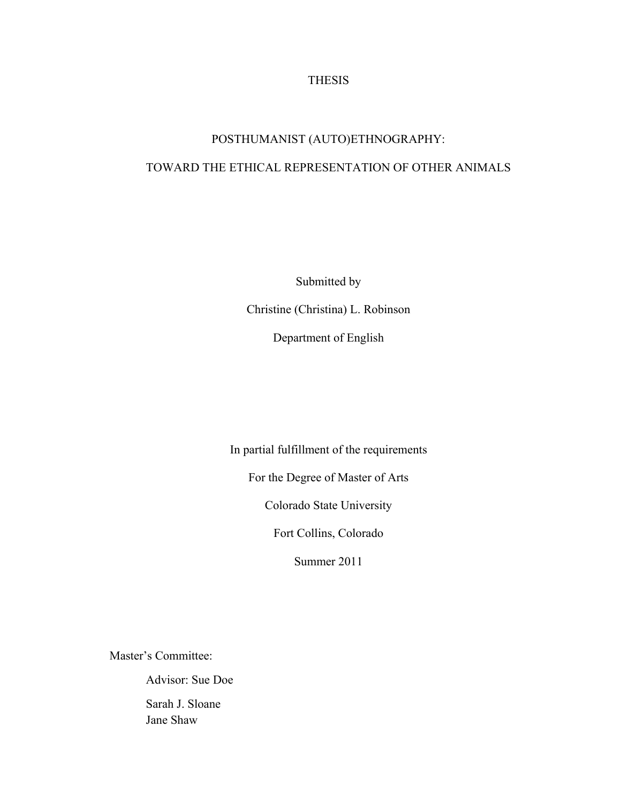### THESIS

# POSTHUMANIST (AUTO)ETHNOGRAPHY: TOWARD THE ETHICAL REPRESENTATION OF OTHER ANIMALS

Submitted by Christine (Christina) L. Robinson Department of English

In partial fulfillment of the requirements

For the Degree of Master of Arts

Colorado State University

Fort Collins, Colorado

Summer 2011

Master's Committee:

Advisor: Sue Doe

Sarah J. Sloane Jane Shaw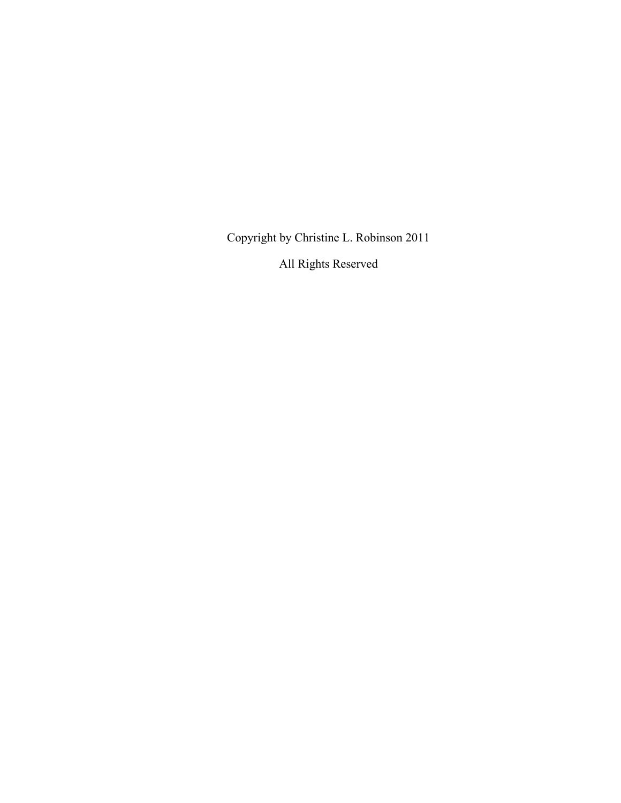Copyright by Christine L. Robinson 2011

All Rights Reserved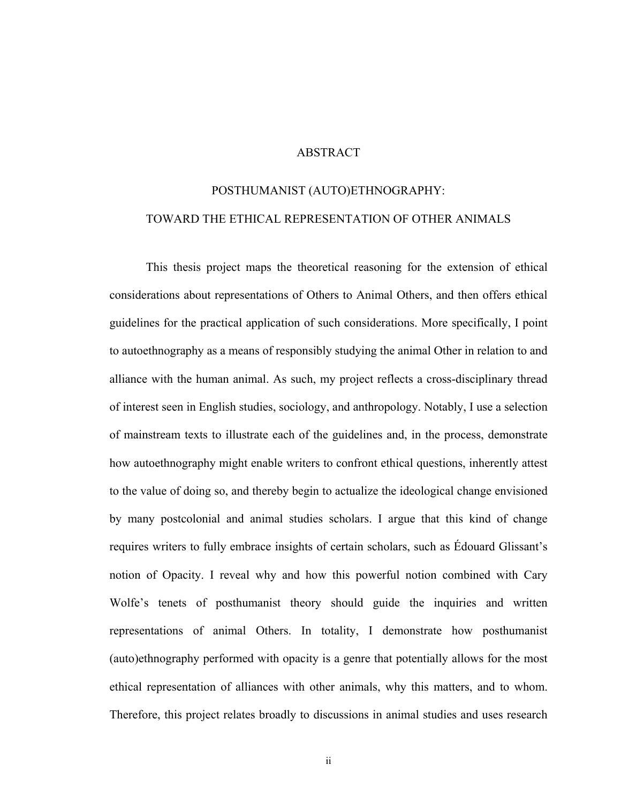### ABSTRACT

## POSTHUMANIST (AUTO)ETHNOGRAPHY: TOWARD THE ETHICAL REPRESENTATION OF OTHER ANIMALS

This thesis project maps the theoretical reasoning for the extension of ethical considerations about representations of Others to Animal Others, and then offers ethical guidelines for the practical application of such considerations. More specifically, I point to autoethnography as a means of responsibly studying the animal Other in relation to and alliance with the human animal. As such, my project reflects a cross-disciplinary thread of interest seen in English studies, sociology, and anthropology. Notably, I use a selection of mainstream texts to illustrate each of the guidelines and, in the process, demonstrate how autoethnography might enable writers to confront ethical questions, inherently attest to the value of doing so, and thereby begin to actualize the ideological change envisioned by many postcolonial and animal studies scholars. I argue that this kind of change requires writers to fully embrace insights of certain scholars, such as Édouard Glissant's notion of Opacity. I reveal why and how this powerful notion combined with Cary Wolfe's tenets of posthumanist theory should guide the inquiries and written representations of animal Others. In totality, I demonstrate how posthumanist (auto)ethnography performed with opacity is a genre that potentially allows for the most ethical representation of alliances with other animals, why this matters, and to whom. Therefore, this project relates broadly to discussions in animal studies and uses research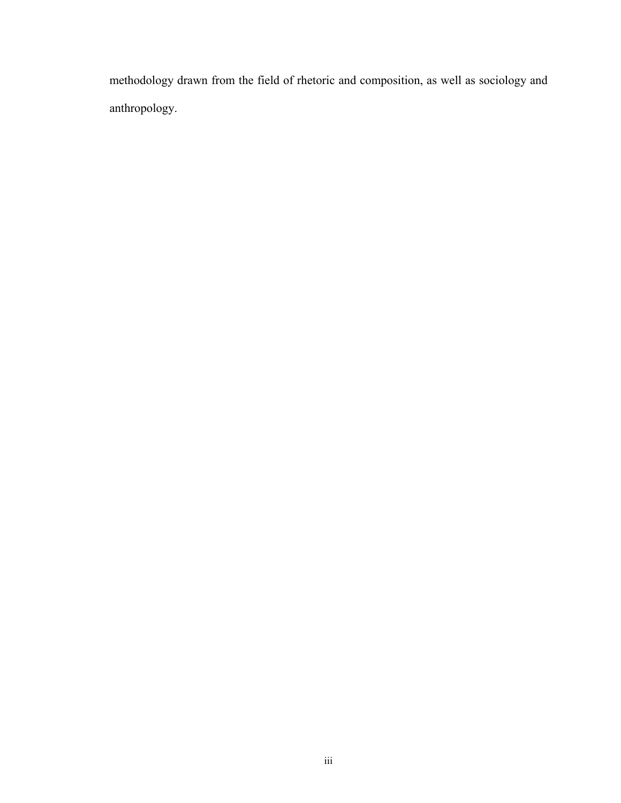methodology drawn from the field of rhetoric and composition, as well as sociology and anthropology.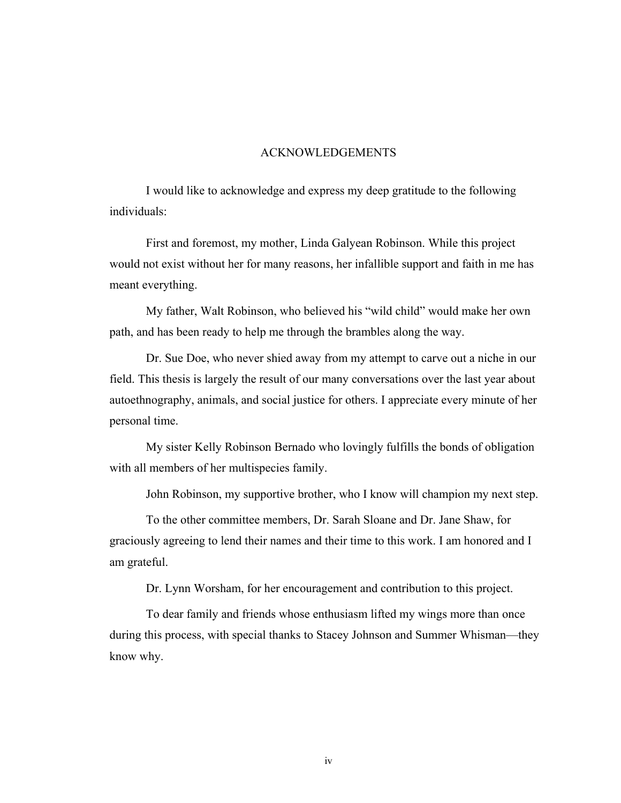### ACKNOWLEDGEMENTS

 I would like to acknowledge and express my deep gratitude to the following individuals:

First and foremost, my mother, Linda Galyean Robinson. While this project would not exist without her for many reasons, her infallible support and faith in me has meant everything.

My father, Walt Robinson, who believed his "wild child" would make her own path, and has been ready to help me through the brambles along the way.

Dr. Sue Doe, who never shied away from my attempt to carve out a niche in our field. This thesis is largely the result of our many conversations over the last year about autoethnography, animals, and social justice for others. I appreciate every minute of her personal time.

My sister Kelly Robinson Bernado who lovingly fulfills the bonds of obligation with all members of her multispecies family.

John Robinson, my supportive brother, who I know will champion my next step.

To the other committee members, Dr. Sarah Sloane and Dr. Jane Shaw, for graciously agreeing to lend their names and their time to this work. I am honored and I am grateful.

Dr. Lynn Worsham, for her encouragement and contribution to this project.

To dear family and friends whose enthusiasm lifted my wings more than once during this process, with special thanks to Stacey Johnson and Summer Whisman—they know why.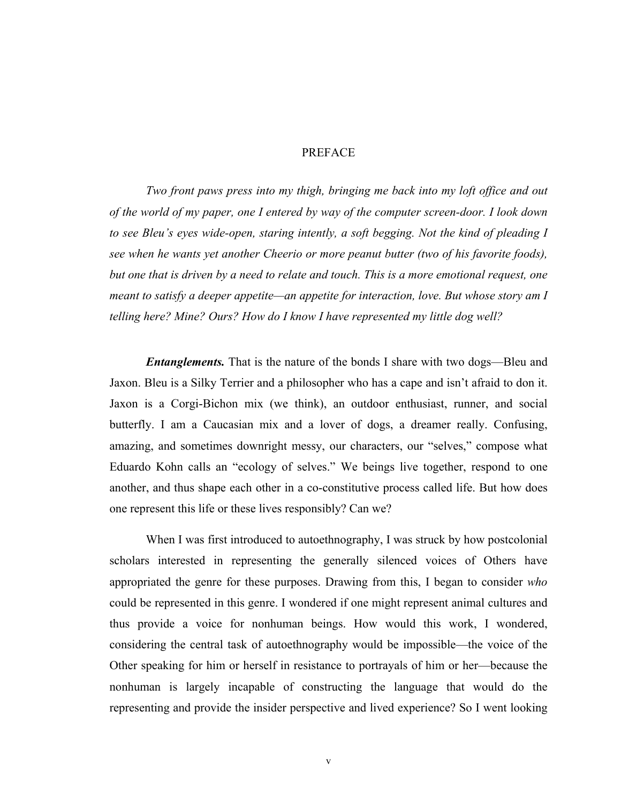### PREFACE

*Two front paws press into my thigh, bringing me back into my loft office and out of the world of my paper, one I entered by way of the computer screen-door. I look down to see Bleu's eyes wide-open, staring intently, a soft begging. Not the kind of pleading I see when he wants yet another Cheerio or more peanut butter (two of his favorite foods), but one that is driven by a need to relate and touch. This is a more emotional request, one meant to satisfy a deeper appetite—an appetite for interaction, love. But whose story am I telling here? Mine? Ours? How do I know I have represented my little dog well?* 

*Entanglements*. That is the nature of the bonds I share with two dogs—Bleu and Jaxon. Bleu is a Silky Terrier and a philosopher who has a cape and isn't afraid to don it. Jaxon is a Corgi-Bichon mix (we think), an outdoor enthusiast, runner, and social butterfly. I am a Caucasian mix and a lover of dogs, a dreamer really. Confusing, amazing, and sometimes downright messy, our characters, our "selves," compose what Eduardo Kohn calls an "ecology of selves." We beings live together, respond to one another, and thus shape each other in a co-constitutive process called life. But how does one represent this life or these lives responsibly? Can we?

When I was first introduced to autoethnography, I was struck by how postcolonial scholars interested in representing the generally silenced voices of Others have appropriated the genre for these purposes. Drawing from this, I began to consider *who* could be represented in this genre. I wondered if one might represent animal cultures and thus provide a voice for nonhuman beings. How would this work, I wondered, considering the central task of autoethnography would be impossible—the voice of the Other speaking for him or herself in resistance to portrayals of him or her\_because the nonhuman is largely incapable of constructing the language that would do the representing and provide the insider perspective and lived experience? So I went looking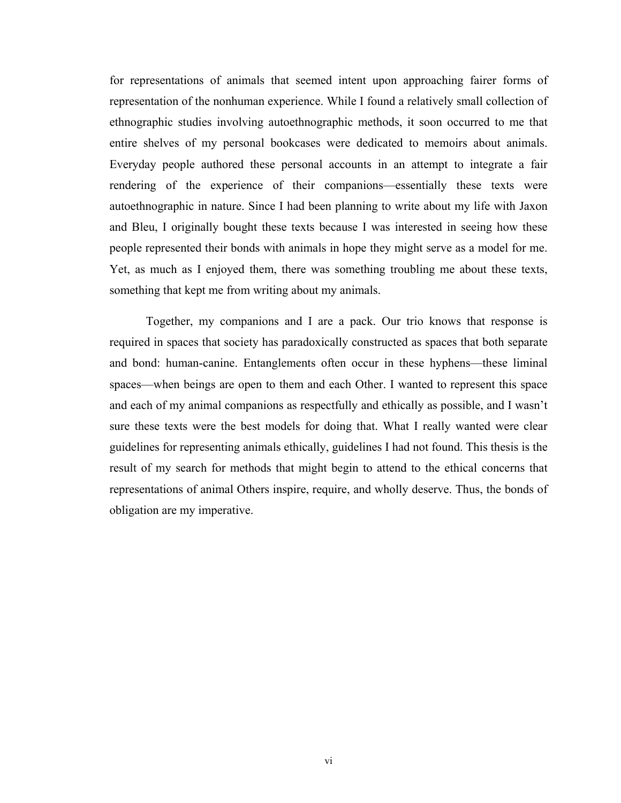for representations of animals that seemed intent upon approaching fairer forms of representation of the nonhuman experience. While I found a relatively small collection of ethnographic studies involving autoethnographic methods, it soon occurred to me that entire shelves of my personal bookcases were dedicated to memoirs about animals. Everyday people authored these personal accounts in an attempt to integrate a fair rendering of the experience of their companions—essentially these texts were autoethnographic in nature. Since I had been planning to write about my life with Jaxon and Bleu, I originally bought these texts because I was interested in seeing how these people represented their bonds with animals in hope they might serve as a model for me. Yet, as much as I enjoyed them, there was something troubling me about these texts, something that kept me from writing about my animals.

Together, my companions and I are a pack. Our trio knows that response is required in spaces that society has paradoxically constructed as spaces that both separate and bond: human-canine. Entanglements often occur in these hyphens—these liminal spaces—when beings are open to them and each Other. I wanted to represent this space and each of my animal companions as respectfully and ethically as possible, and I wasn't sure these texts were the best models for doing that. What I really wanted were clear guidelines for representing animals ethically, guidelines I had not found. This thesis is the result of my search for methods that might begin to attend to the ethical concerns that representations of animal Others inspire, require, and wholly deserve. Thus, the bonds of obligation are my imperative.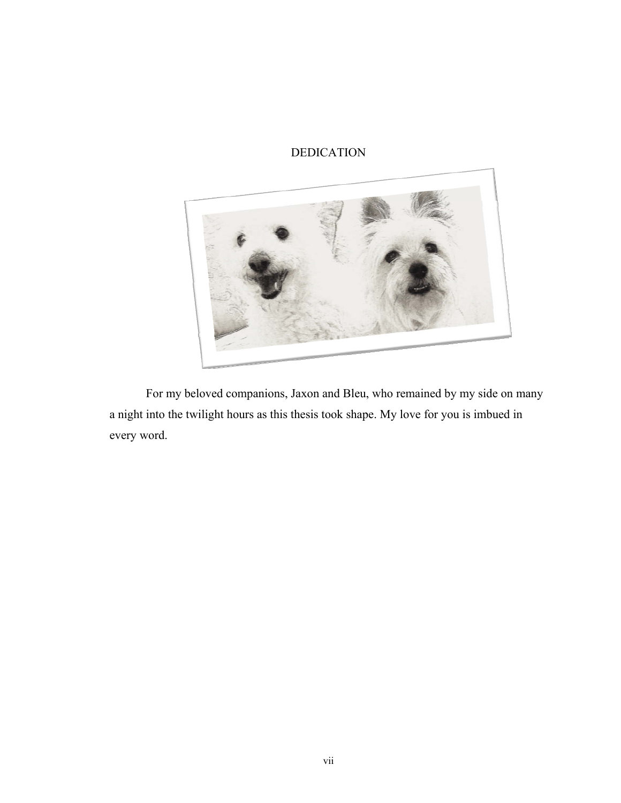### DEDICATION



For my beloved companions, Jaxon and Bleu, who remained by my side on many a night into the twilight hours as this thesis took shape. My love for you is imbued in every word.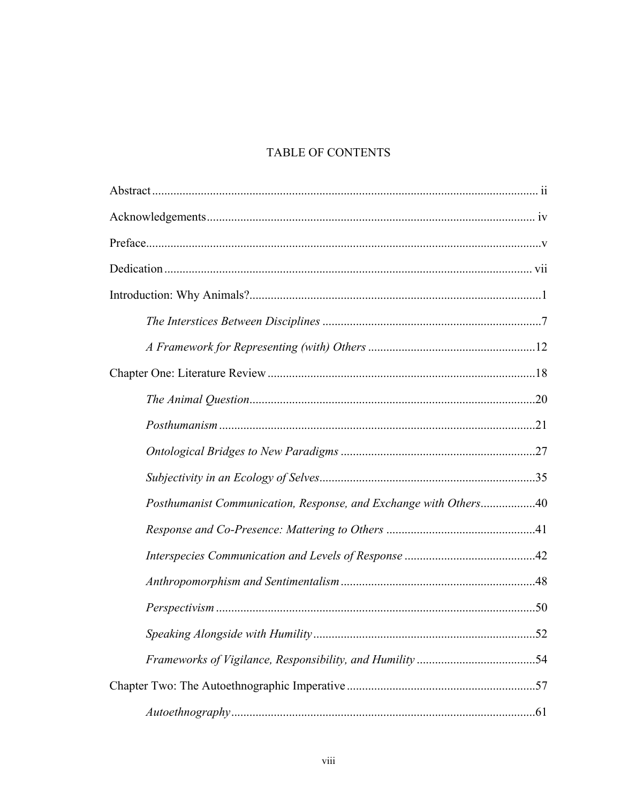## TABLE OF CONTENTS

| Posthumanist Communication, Response, and Exchange with Others40 |     |
|------------------------------------------------------------------|-----|
|                                                                  |     |
|                                                                  |     |
|                                                                  |     |
|                                                                  |     |
|                                                                  | .52 |
|                                                                  |     |
|                                                                  |     |
|                                                                  |     |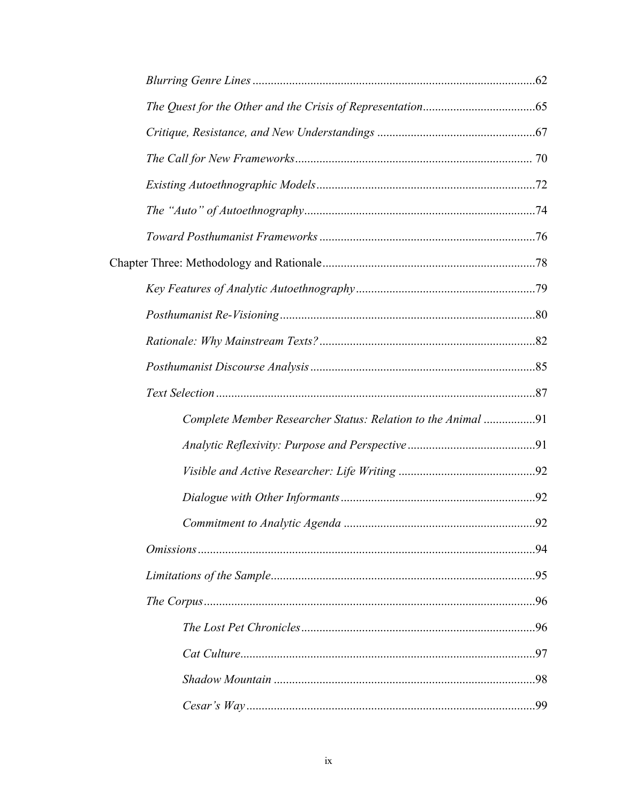| Complete Member Researcher Status: Relation to the Animal 91 |  |
|--------------------------------------------------------------|--|
|                                                              |  |
|                                                              |  |
|                                                              |  |
|                                                              |  |
|                                                              |  |
|                                                              |  |
|                                                              |  |
|                                                              |  |
|                                                              |  |
|                                                              |  |
|                                                              |  |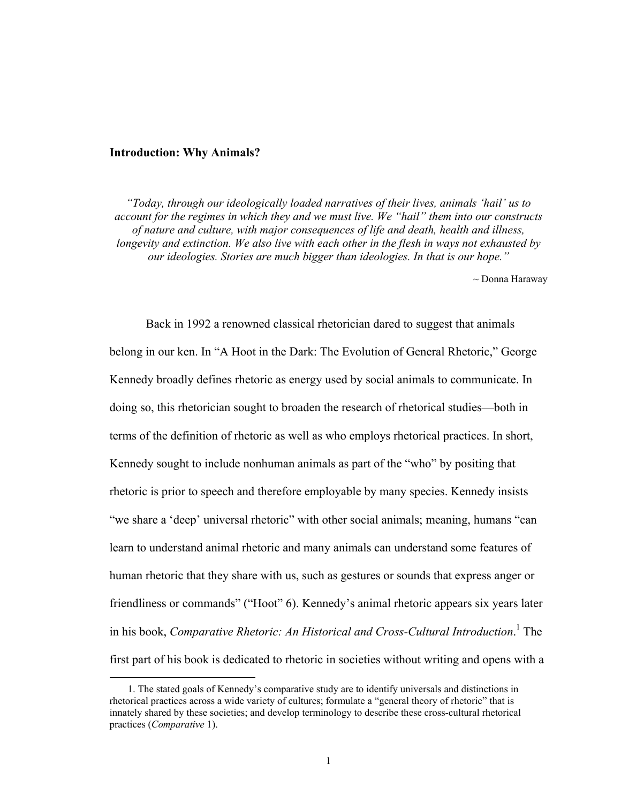#### **Introduction: Why Animals?**

<u>.</u>

*"Today, through our ideologically loaded narratives of their lives, animals 'hail' us to account for the regimes in which they and we must live. We "hail" them into our constructs of nature and culture, with major consequences of life and death, health and illness, longevity and extinction. We also live with each other in the flesh in ways not exhausted by our ideologies. Stories are much bigger than ideologies. In that is our hope."* 

~ Donna Haraway

Back in 1992 a renowned classical rhetorician dared to suggest that animals belong in our ken. In "A Hoot in the Dark: The Evolution of General Rhetoric," George Kennedy broadly defines rhetoric as energy used by social animals to communicate. In doing so, this rhetorician sought to broaden the research of rhetorical studies—both in terms of the definition of rhetoric as well as who employs rhetorical practices. In short, Kennedy sought to include nonhuman animals as part of the "who" by positing that rhetoric is prior to speech and therefore employable by many species. Kennedy insists "we share a 'deep' universal rhetoric" with other social animals; meaning, humans "can learn to understand animal rhetoric and many animals can understand some features of human rhetoric that they share with us, such as gestures or sounds that express anger or friendliness or commands" ("Hoot" 6). Kennedy's animal rhetoric appears six years later in his book, *Comparative Rhetoric: An Historical and Cross-Cultural Introduction*.<sup>1</sup> The first part of his book is dedicated to rhetoric in societies without writing and opens with a

<sup>1.</sup> The stated goals of Kennedy's comparative study are to identify universals and distinctions in rhetorical practices across a wide variety of cultures; formulate a "general theory of rhetoric" that is innately shared by these societies; and develop terminology to describe these cross-cultural rhetorical practices (*Comparative* 1).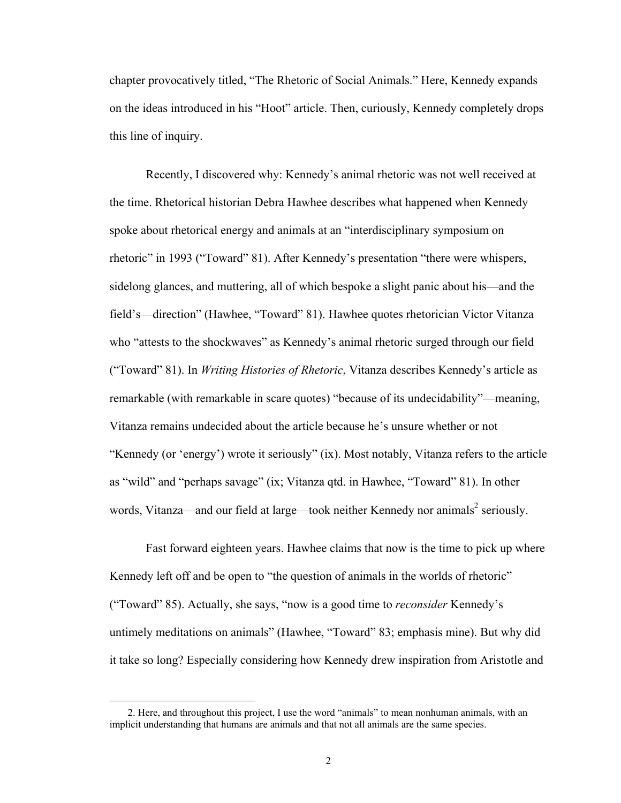chapter provocatively titled, "The Rhetoric of Social Animals." Here, Kennedy expands on the ideas introduced in his "Hoot" article. Then, curiously, Kennedy completely drops this line of inquiry.

Recently, I discovered why: Kennedy's animal rhetoric was not well received at the time. Rhetorical historian Debra Hawhee describes what happened when Kennedy spoke about rhetorical energy and animals at an "interdisciplinary symposium on rhetoric" in 1993 ("Toward" 81). After Kennedy's presentation "there were whispers, sidelong glances, and muttering, all of which bespoke a slight panic about his—and the field's—direction" (Hawhee, "Toward" 81). Hawhee quotes rhetorician Victor Vitanza who "attests to the shockwaves" as Kennedy's animal rhetoric surged through our field ("Toward" 81). In *Writing Histories of Rhetoric*, Vitanza describes Kennedy's article as remarkable (with remarkable in scare quotes) "because of its undecidability"—meaning, Vitanza remains undecided about the article because he's unsure whether or not "Kennedy (or 'energy') wrote it seriously" (ix). Most notably, Vitanza refers to the article as "wild" and "perhaps savage" (ix; Vitanza qtd. in Hawhee, "Toward" 81). In other words, Vitanza—and our field at large—took neither Kennedy nor animals<sup>2</sup> seriously.

Fast forward eighteen years. Hawhee claims that now is the time to pick up where Kennedy left off and be open to "the question of animals in the worlds of rhetoric" ("Toward" 85). Actually, she says, "now is a good time to *reconsider* Kennedy's untimely meditations on animals" (Hawhee, "Toward" 83; emphasis mine). But why did it take so long? Especially considering how Kennedy drew inspiration from Aristotle and

<sup>2.</sup> Here, and throughout this project, I use the word "animals" to mean nonhuman animals, with an implicit understanding that humans are animals and that not all animals are the same species.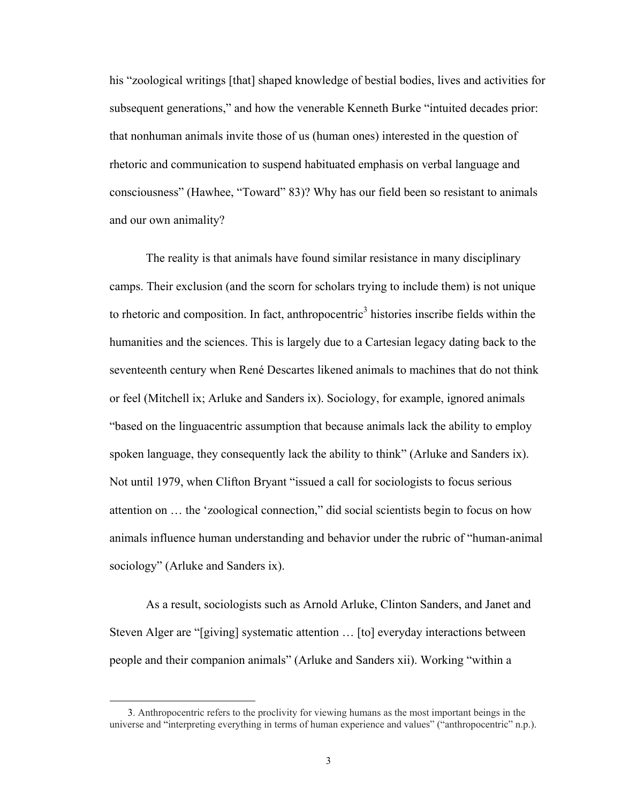his "zoological writings [that] shaped knowledge of bestial bodies, lives and activities for subsequent generations," and how the venerable Kenneth Burke "intuited decades prior: that nonhuman animals invite those of us (human ones) interested in the question of rhetoric and communication to suspend habituated emphasis on verbal language and consciousness" (Hawhee, "Toward" 83)? Why has our field been so resistant to animals and our own animality?

The reality is that animals have found similar resistance in many disciplinary camps. Their exclusion (and the scorn for scholars trying to include them) is not unique to rhetoric and composition. In fact, anthropocentric<sup>3</sup> histories inscribe fields within the humanities and the sciences. This is largely due to a Cartesian legacy dating back to the seventeenth century when René Descartes likened animals to machines that do not think or feel (Mitchell ix; Arluke and Sanders ix). Sociology, for example, ignored animals "based on the linguacentric assumption that because animals lack the ability to employ spoken language, they consequently lack the ability to think" (Arluke and Sanders ix). Not until 1979, when Clifton Bryant "issued a call for sociologists to focus serious attention on ... the 'zoological connection," did social scientists begin to focus on how animals influence human understanding and behavior under the rubric of "human-animal" sociology" (Arluke and Sanders ix).

As a result, sociologists such as Arnold Arluke, Clinton Sanders, and Janet and Steven Alger are "[giving] systematic attention  $\ldots$  [to] everyday interactions between people and their companion animals" (Arluke and Sanders xii). Working "within a

 <sup>3.</sup> Anthropocentric refers to the proclivity for viewing humans as the most important beings in the universe and "interpreting everything in terms of human experience and values" ("anthropocentric" n.p.).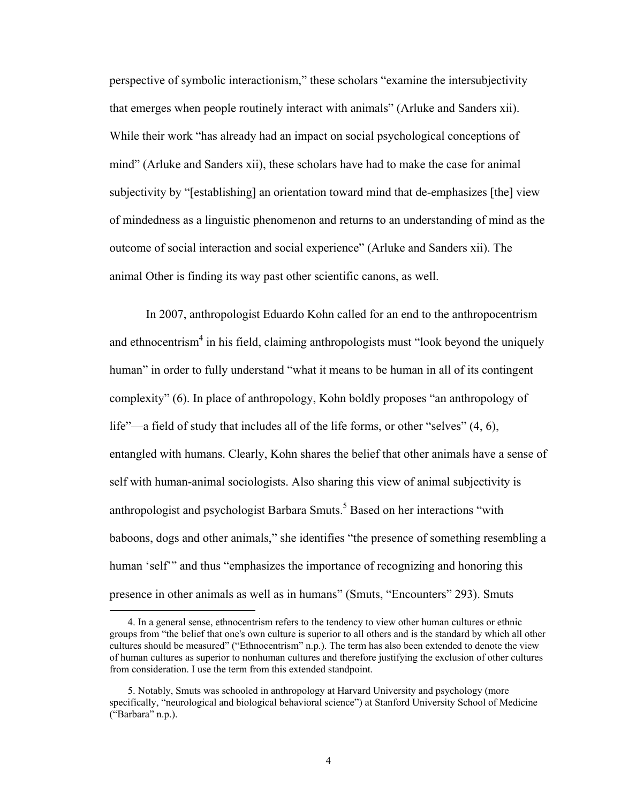perspective of symbolic interactionism," these scholars "examine the intersubjectivity that emerges when people routinely interact with animals^ (Arluke and Sanders xii). While their work "has already had an impact on social psychological conceptions of mind" (Arluke and Sanders xii), these scholars have had to make the case for animal subjectivity by "[establishing] an orientation toward mind that de-emphasizes [the] view of mindedness as a linguistic phenomenon and returns to an understanding of mind as the outcome of social interaction and social experience^ (Arluke and Sanders xii). The animal Other is finding its way past other scientific canons, as well.

In 2007, anthropologist Eduardo Kohn called for an end to the anthropocentrism and ethnocentrism<sup>4</sup> in his field, claiming anthropologists must "look beyond the uniquely human" in order to fully understand "what it means to be human in all of its contingent complexity"  $(6)$ . In place of anthropology, Kohn boldly proposes "an anthropology of life"—a field of study that includes all of the life forms, or other "selves"  $(4, 6)$ , entangled with humans. Clearly, Kohn shares the belief that other animals have a sense of self with human-animal sociologists. Also sharing this view of animal subjectivity is anthropologist and psychologist Barbara Smuts.<sup>5</sup> Based on her interactions "with baboons, dogs and other animals," she identifies "the presence of something resembling a human 'self" and thus "emphasizes the importance of recognizing and honoring this presence in other animals as well as in humans" (Smuts, "Encounters" 293). Smuts

 <sup>4.</sup> In a general sense, ethnocentrism refers to the tendency to view other human cultures or ethnic groups from "the belief that one's own culture is superior to all others and is the standard by which all other cultures should be measured" ("Ethnocentrism" n.p.). The term has also been extended to denote the view of human cultures as superior to nonhuman cultures and therefore justifying the exclusion of other cultures from consideration. I use the term from this extended standpoint.

 <sup>5.</sup> Notably, Smuts was schooled in anthropology at Harvard University and psychology (more specifically, "neurological and biological behavioral science") at Stanford University School of Medicine ("Barbara" n.p.).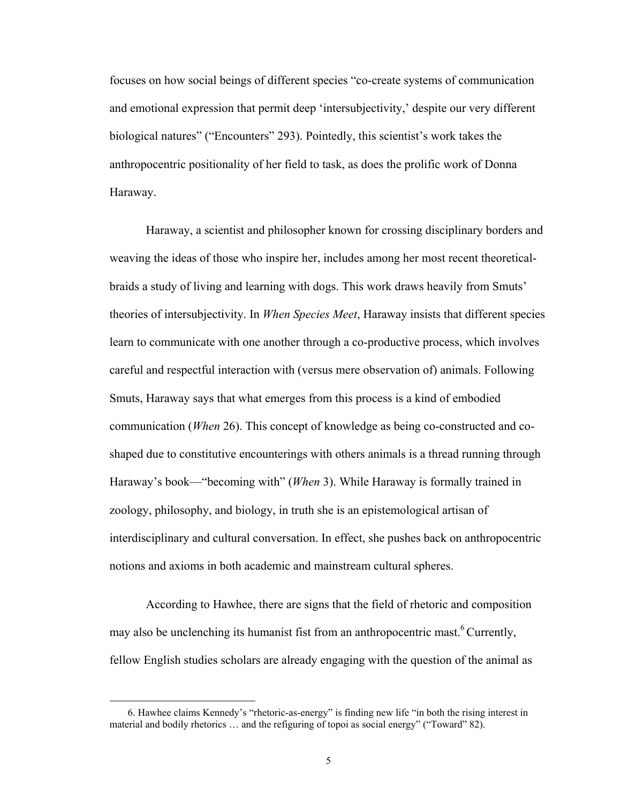focuses on how social beings of different species "co-create systems of communication and emotional expression that permit deep 'intersubjectivity,' despite our very different biological natures" ("Encounters" 293). Pointedly, this scientist's work takes the anthropocentric positionality of her field to task, as does the prolific work of Donna Haraway.

Haraway, a scientist and philosopher known for crossing disciplinary borders and weaving the ideas of those who inspire her, includes among her most recent theoreticalbraids a study of living and learning with dogs. This work draws heavily from Smuts' theories of intersubjectivity. In *When Species Meet*, Haraway insists that different species learn to communicate with one another through a co-productive process, which involves careful and respectful interaction with (versus mere observation of) animals. Following Smuts, Haraway says that what emerges from this process is a kind of embodied communication (*When* 26). This concept of knowledge as being co-constructed and coshaped due to constitutive encounterings with others animals is a thread running through Haraway's book—"becoming with" (*When* 3). While Haraway is formally trained in zoology, philosophy, and biology, in truth she is an epistemological artisan of interdisciplinary and cultural conversation. In effect, she pushes back on anthropocentric notions and axioms in both academic and mainstream cultural spheres.

According to Hawhee, there are signs that the field of rhetoric and composition may also be unclenching its humanist fist from an anthropocentric mast.<sup>6</sup> Currently, fellow English studies scholars are already engaging with the question of the animal as

<sup>6.</sup> Hawhee claims Kennedy's "rhetoric-as-energy" is finding new life "in both the rising interest in material and bodily rhetorics  $\dots$  and the refiguring of topoi as social energy" ("Toward" 82).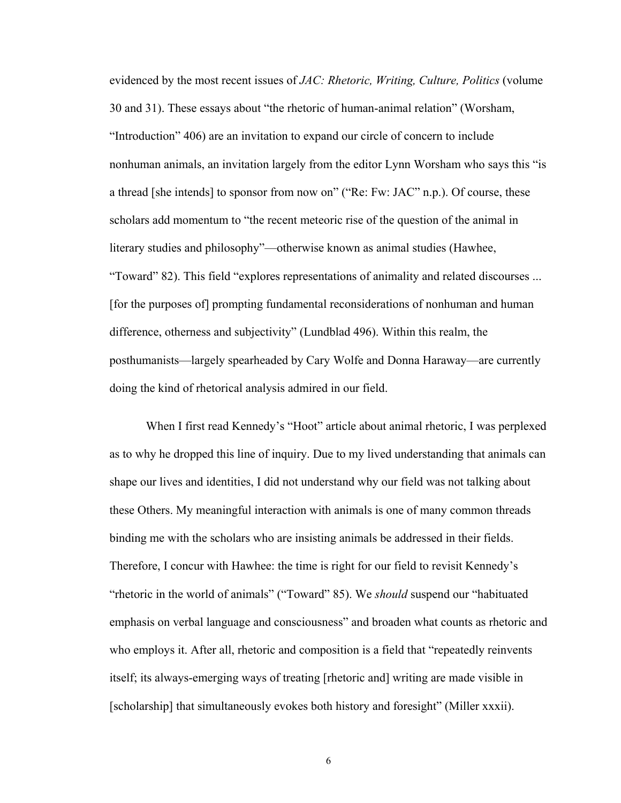evidenced by the most recent issues of *JAC: Rhetoric, Writing, Culture, Politics* (volume 30 and 31). These essays about "the rhetoric of human-animal relation" (Worsham, ]Introduction^ 406) are an invitation to expand our circle of concern to include nonhuman animals, an invitation largely from the editor Lynn Worsham who says this "is a thread [she intends] to sponsor from now on" ("Re: Fw: JAC" n.p.). Of course, these scholars add momentum to "the recent meteoric rise of the question of the animal in literary studies and philosophy"—otherwise known as animal studies (Hawhee, "Toward" 82). This field "explores representations of animality and related discourses ... [for the purposes of] prompting fundamental reconsiderations of nonhuman and human difference, otherness and subjectivity^ (Lundblad 496). Within this realm, the posthumanists—largely spearheaded by Cary Wolfe and Donna Haraway—are currently doing the kind of rhetorical analysis admired in our field.

When I first read Kennedy's "Hoot" article about animal rhetoric, I was perplexed as to why he dropped this line of inquiry. Due to my lived understanding that animals can shape our lives and identities, I did not understand why our field was not talking about these Others. My meaningful interaction with animals is one of many common threads binding me with the scholars who are insisting animals be addressed in their fields. Therefore, I concur with Hawhee: the time is right for our field to revisit Kennedy's "rhetoric in the world of animals" ("Toward" 85). We *should* suspend our "habituated emphasis on verbal language and consciousness^ and broaden what counts as rhetoric and who employs it. After all, rhetoric and composition is a field that "repeatedly reinvents" itself; its always-emerging ways of treating [rhetoric and] writing are made visible in [scholarship] that simultaneously evokes both history and foresight^ (Miller xxxii).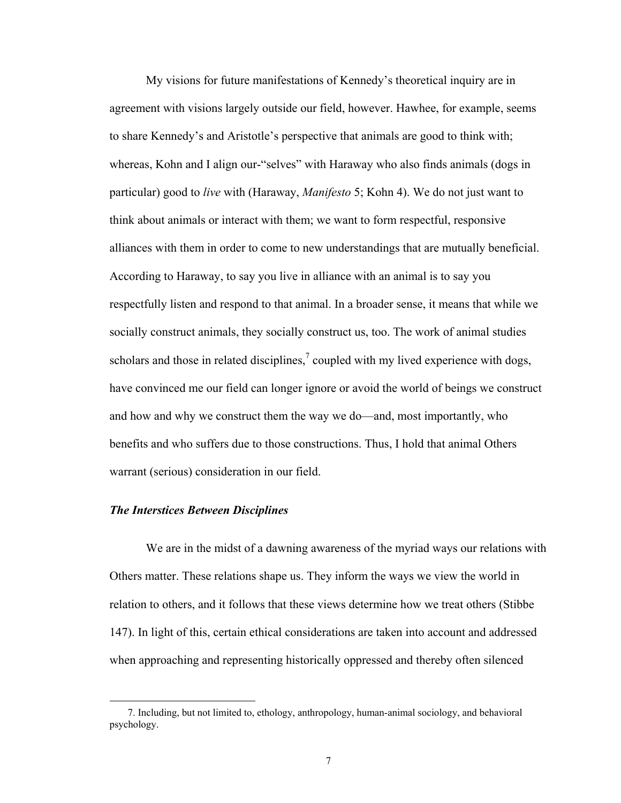My visions for future manifestations of Kennedy's theoretical inquiry are in agreement with visions largely outside our field, however. Hawhee, for example, seems to share Kennedy's and Aristotle's perspective that animals are good to think with; whereas, Kohn and I align our-"selves" with Haraway who also finds animals (dogs in particular) good to *live* with (Haraway, *Manifesto* 5; Kohn 4). We do not just want to think about animals or interact with them; we want to form respectful, responsive alliances with them in order to come to new understandings that are mutually beneficial. According to Haraway, to say you live in alliance with an animal is to say you respectfully listen and respond to that animal. In a broader sense, it means that while we socially construct animals, they socially construct us, too. The work of animal studies scholars and those in related disciplines,<sup>7</sup> coupled with my lived experience with dogs, have convinced me our field can longer ignore or avoid the world of beings we construct and how and why we construct them the way we do—and, most importantly, who benefits and who suffers due to those constructions. Thus, I hold that animal Others warrant (serious) consideration in our field.

### *The Interstices Between Disciplines*

 $\overline{a}$ 

We are in the midst of a dawning awareness of the myriad ways our relations with Others matter. These relations shape us. They inform the ways we view the world in relation to others, and it follows that these views determine how we treat others (Stibbe 147). In light of this, certain ethical considerations are taken into account and addressed when approaching and representing historically oppressed and thereby often silenced

 <sup>7.</sup> Including, but not limited to, ethology, anthropology, human-animal sociology, and behavioral psychology.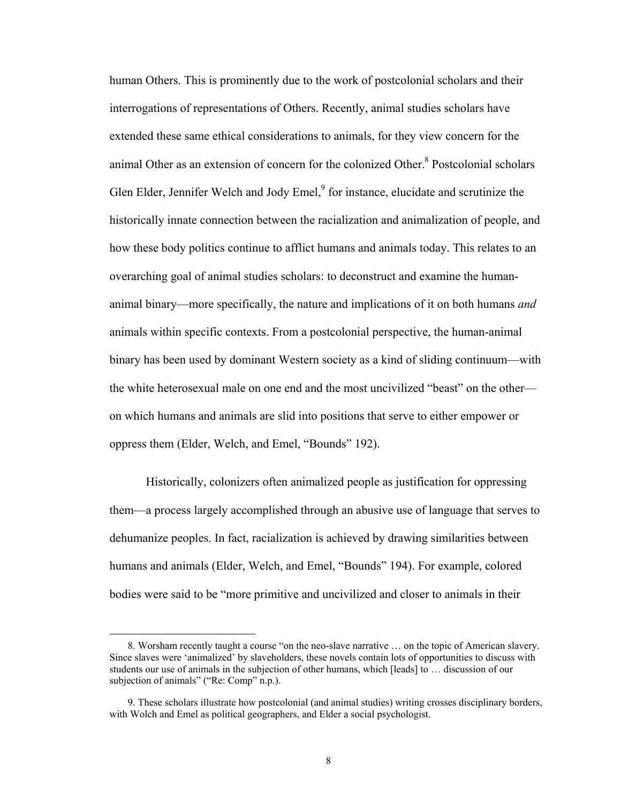human Others. This is prominently due to the work of postcolonial scholars and their interrogations of representations of Others. Recently, animal studies scholars have extended these same ethical considerations to animals, for they view concern for the animal Other as an extension of concern for the colonized Other.<sup>8</sup> Postcolonial scholars Glen Elder, Jennifer Welch and Jody Emel,<sup>9</sup> for instance, elucidate and scrutinize the historically innate connection between the racialization and animalization of people, and how these body politics continue to afflict humans and animals today. This relates to an overarching goal of animal studies scholars: to deconstruct and examine the humananimal binary\_more specifically, the nature and implications of it on both humans *and* animals within specific contexts. From a postcolonial perspective, the human-animal binary has been used by dominant Western society as a kind of sliding continuum\_with the white heterosexual male on one end and the most uncivilized "beast" on the other on which humans and animals are slid into positions that serve to either empower or oppress them (Elder, Welch, and Emel, "Bounds" 192).

Historically, colonizers often animalized people as justification for oppressing them\_a process largely accomplished through an abusive use of language that serves to dehumanize peoples. In fact, racialization is achieved by drawing similarities between humans and animals (Elder, Welch, and Emel, "Bounds" 194). For example, colored bodies were said to be "more primitive and uncivilized and closer to animals in their

<sup>8.</sup> Worsham recently taught a course "on the neo-slave narrative ... on the topic of American slavery. Since slaves were 'animalized' by slaveholders, these novels contain lots of opportunities to discuss with students our use of animals in the subjection of other humans, which [leads] to ... discussion of our subjection of animals" ("Re: Comp" n.p.).

 <sup>9.</sup> These scholars illustrate how postcolonial (and animal studies) writing crosses disciplinary borders, with Wolch and Emel as political geographers, and Elder a social psychologist.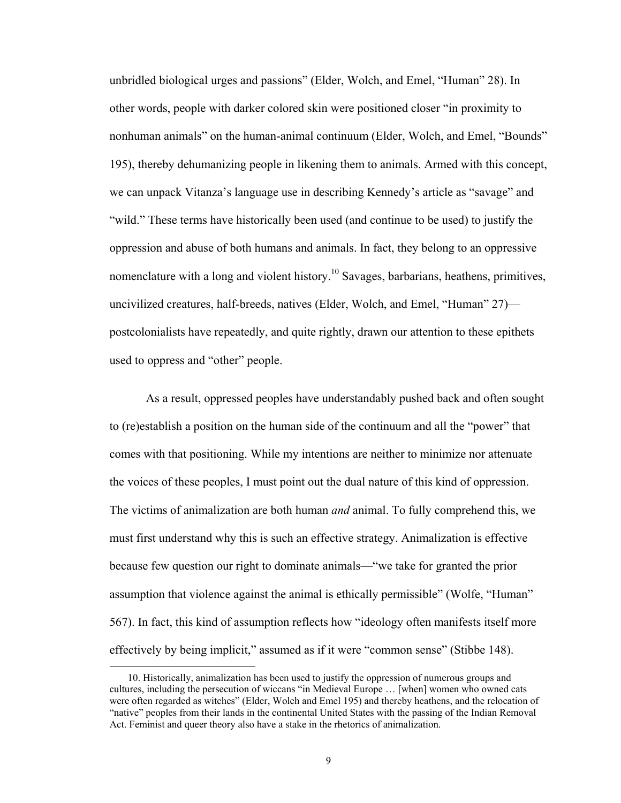unbridled biological urges and passions" (Elder, Wolch, and Emel, "Human" 28). In other words, people with darker colored skin were positioned closer "in proximity to nonhuman animals" on the human-animal continuum (Elder, Wolch, and Emel, "Bounds" 195), thereby dehumanizing people in likening them to animals. Armed with this concept, we can unpack Vitanza's language use in describing Kennedy's article as "savage" and "wild." These terms have historically been used (and continue to be used) to justify the oppression and abuse of both humans and animals. In fact, they belong to an oppressive nomenclature with a long and violent history.<sup>10</sup> Savages, barbarians, heathens, primitives, uncivilized creatures, half-breeds, natives (Elder, Wolch, and Emel, "Human" 27) postcolonialists have repeatedly, and quite rightly, drawn our attention to these epithets used to oppress and "other" people.

As a result, oppressed peoples have understandably pushed back and often sought to (re)establish a position on the human side of the continuum and all the "power" that comes with that positioning. While my intentions are neither to minimize nor attenuate the voices of these peoples, I must point out the dual nature of this kind of oppression. The victims of animalization are both human *and* animal. To fully comprehend this, we must first understand why this is such an effective strategy. Animalization is effective because few question our right to dominate animals—"we take for granted the prior assumption that violence against the animal is ethically permissible" (Wolfe, "Human" 567). In fact, this kind of assumption reflects how ]ideology often manifests itself more effectively by being implicit," assumed as if it were "common sense" (Stibbe 148).

 <sup>10.</sup> Historically, animalization has been used to justify the oppression of numerous groups and cultures, including the persecution of wiccans "in Medieval Europe ... [when] women who owned cats were often regarded as witches" (Elder, Wolch and Emel 195) and thereby heathens, and the relocation of "native" peoples from their lands in the continental United States with the passing of the Indian Removal Act. Feminist and queer theory also have a stake in the rhetorics of animalization.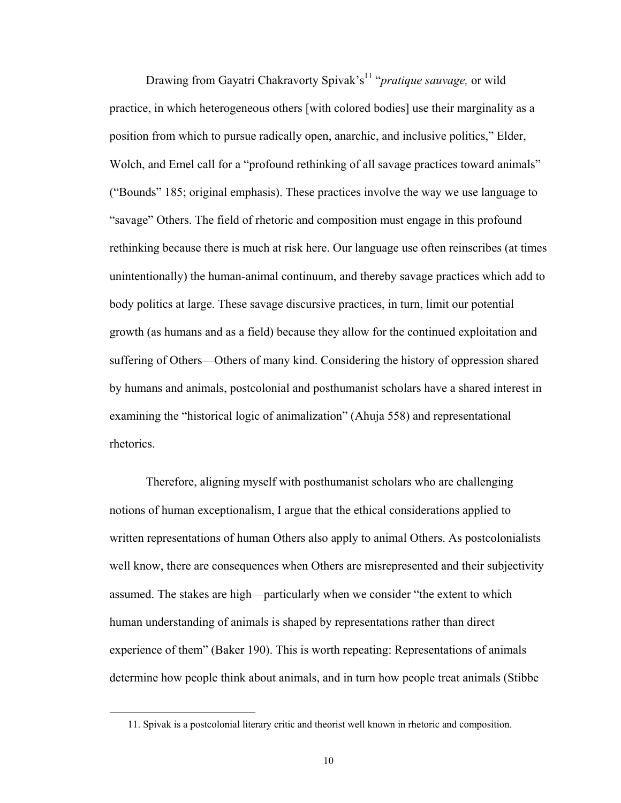Drawing from Gayatri Chakravorty Spivak's<sup>11</sup> *"pratique sauvage*, or wild practice, in which heterogeneous others [with colored bodies] use their marginality as a position from which to pursue radically open, anarchic, and inclusive politics,^ Elder, Wolch, and Emel call for a "profound rethinking of all savage practices toward animals" ("Bounds"  $185$ ; original emphasis). These practices involve the way we use language to "savage" Others. The field of rhetoric and composition must engage in this profound rethinking because there is much at risk here. Our language use often reinscribes (at times unintentionally) the human-animal continuum, and thereby savage practices which add to body politics at large. These savage discursive practices, in turn, limit our potential growth (as humans and as a field) because they allow for the continued exploitation and suffering of Others—Others of many kind. Considering the history of oppression shared by humans and animals, postcolonial and posthumanist scholars have a shared interest in examining the "historical logic of animalization" (Ahuja 558) and representational rhetorics.

Therefore, aligning myself with posthumanist scholars who are challenging notions of human exceptionalism, I argue that the ethical considerations applied to written representations of human Others also apply to animal Others. As postcolonialists well know, there are consequences when Others are misrepresented and their subjectivity assumed. The stakes are high—particularly when we consider "the extent to which human understanding of animals is shaped by representations rather than direct experience of them<sup>"</sup> (Baker 190). This is worth repeating: Representations of animals determine how people think about animals, and in turn how people treat animals (Stibbe

 <sup>11.</sup> Spivak is a postcolonial literary critic and theorist well known in rhetoric and composition.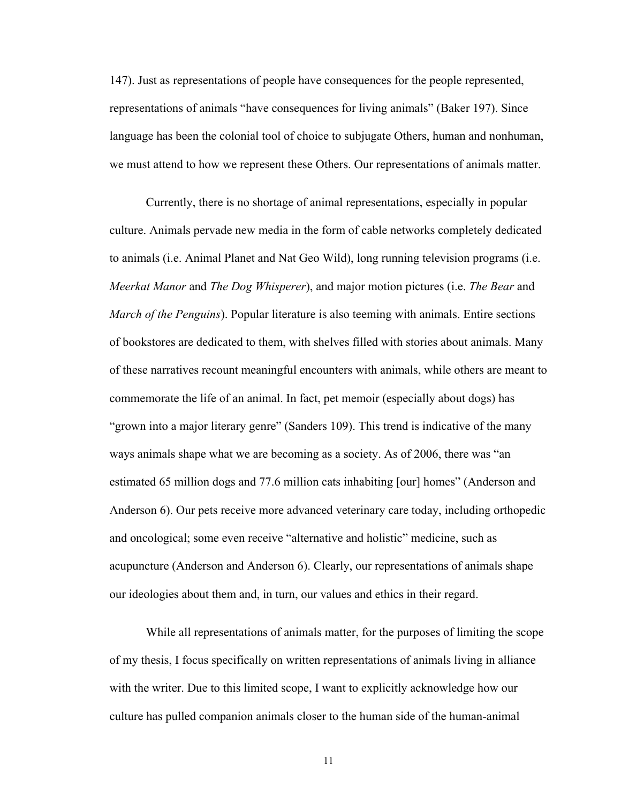147). Just as representations of people have consequences for the people represented, representations of animals "have consequences for living animals" (Baker 197). Since language has been the colonial tool of choice to subjugate Others, human and nonhuman, we must attend to how we represent these Others. Our representations of animals matter.

Currently, there is no shortage of animal representations, especially in popular culture. Animals pervade new media in the form of cable networks completely dedicated to animals (i.e. Animal Planet and Nat Geo Wild), long running television programs (i.e. *Meerkat Manor* and *The Dog Whisperer*), and major motion pictures (i.e. *The Bear* and *March of the Penguins*). Popular literature is also teeming with animals. Entire sections of bookstores are dedicated to them, with shelves filled with stories about animals. Many of these narratives recount meaningful encounters with animals, while others are meant to commemorate the life of an animal. In fact, pet memoir (especially about dogs) has "grown into a major literary genre" (Sanders 109). This trend is indicative of the many ways animals shape what we are becoming as a society. As of 2006, there was "an estimated 65 million dogs and 77.6 million cats inhabiting [our] homes^ (Anderson and Anderson 6). Our pets receive more advanced veterinary care today, including orthopedic and oncological; some even receive "alternative and holistic" medicine, such as acupuncture (Anderson and Anderson 6). Clearly, our representations of animals shape our ideologies about them and, in turn, our values and ethics in their regard.

While all representations of animals matter, for the purposes of limiting the scope of my thesis, I focus specifically on written representations of animals living in alliance with the writer. Due to this limited scope, I want to explicitly acknowledge how our culture has pulled companion animals closer to the human side of the human-animal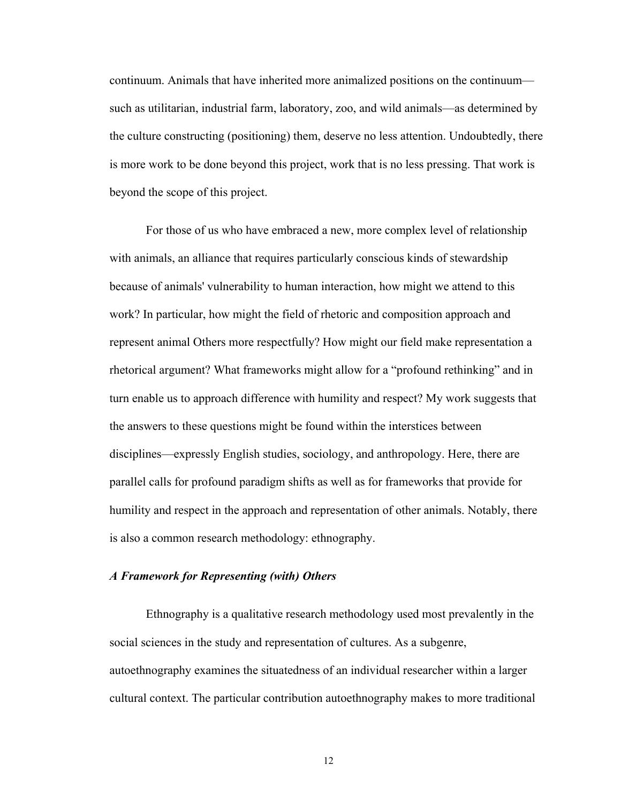continuum. Animals that have inherited more animalized positions on the continuumsuch as utilitarian, industrial farm, laboratory, zoo, and wild animals—as determined by the culture constructing (positioning) them, deserve no less attention. Undoubtedly, there is more work to be done beyond this project, work that is no less pressing. That work is beyond the scope of this project.

For those of us who have embraced a new, more complex level of relationship with animals, an alliance that requires particularly conscious kinds of stewardship because of animals' vulnerability to human interaction, how might we attend to this work? In particular, how might the field of rhetoric and composition approach and represent animal Others more respectfully? How might our field make representation a rhetorical argument? What frameworks might allow for a "profound rethinking" and in turn enable us to approach difference with humility and respect? My work suggests that the answers to these questions might be found within the interstices between disciplines—expressly English studies, sociology, and anthropology. Here, there are parallel calls for profound paradigm shifts as well as for frameworks that provide for humility and respect in the approach and representation of other animals. Notably, there is also a common research methodology: ethnography.

### *A Framework for Representing (with) Others*

Ethnography is a qualitative research methodology used most prevalently in the social sciences in the study and representation of cultures. As a subgenre, autoethnography examines the situatedness of an individual researcher within a larger cultural context. The particular contribution autoethnography makes to more traditional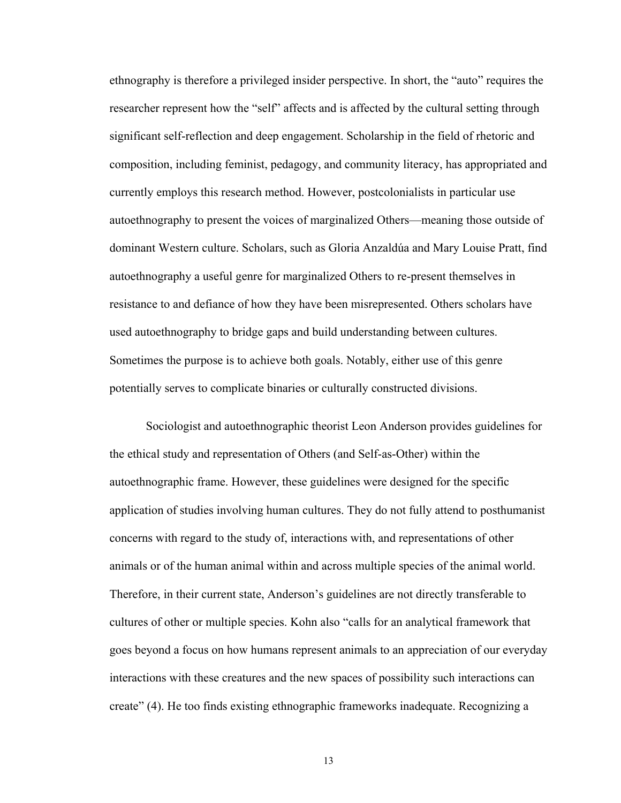ethnography is therefore a privileged insider perspective. In short, the "auto" requires the researcher represent how the "self" affects and is affected by the cultural setting through significant self-reflection and deep engagement. Scholarship in the field of rhetoric and composition, including feminist, pedagogy, and community literacy, has appropriated and currently employs this research method. However, postcolonialists in particular use autoethnography to present the voices of marginalized Others—meaning those outside of dominant Western culture. Scholars, such as Gloria Anzaldúa and Mary Louise Pratt, find autoethnography a useful genre for marginalized Others to re-present themselves in resistance to and defiance of how they have been misrepresented. Others scholars have used autoethnography to bridge gaps and build understanding between cultures. Sometimes the purpose is to achieve both goals. Notably, either use of this genre potentially serves to complicate binaries or culturally constructed divisions.

Sociologist and autoethnographic theorist Leon Anderson provides guidelines for the ethical study and representation of Others (and Self-as-Other) within the autoethnographic frame. However, these guidelines were designed for the specific application of studies involving human cultures. They do not fully attend to posthumanist concerns with regard to the study of, interactions with, and representations of other animals or of the human animal within and across multiple species of the animal world. Therefore, in their current state, Anderson's guidelines are not directly transferable to cultures of other or multiple species. Kohn also "calls for an analytical framework that goes beyond a focus on how humans represent animals to an appreciation of our everyday interactions with these creatures and the new spaces of possibility such interactions can create^ (4). He too finds existing ethnographic frameworks inadequate. Recognizing a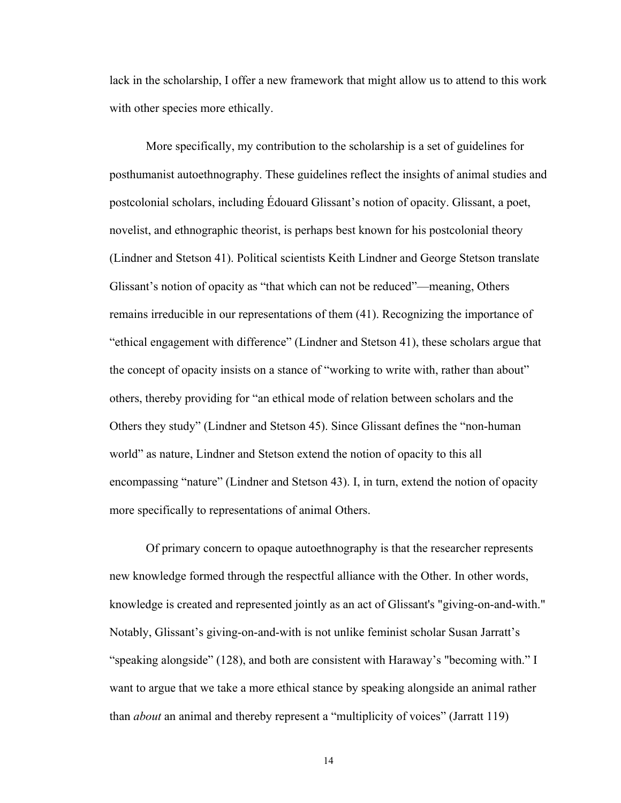lack in the scholarship, I offer a new framework that might allow us to attend to this work with other species more ethically.

More specifically, my contribution to the scholarship is a set of guidelines for posthumanist autoethnography. These guidelines reflect the insights of animal studies and postcolonial scholars, including Édouard Glissant's notion of opacity. Glissant, a poet, novelist, and ethnographic theorist, is perhaps best known for his postcolonial theory (Lindner and Stetson 41). Political scientists Keith Lindner and George Stetson translate Glissant's notion of opacity as "that which can not be reduced"—meaning, Others remains irreducible in our representations of them (41). Recognizing the importance of "ethical engagement with difference" (Lindner and Stetson 41), these scholars argue that the concept of opacity insists on a stance of "working to write with, rather than about" others, thereby providing for "an ethical mode of relation between scholars and the Others they study" (Lindner and Stetson 45). Since Glissant defines the "non-human" world" as nature, Lindner and Stetson extend the notion of opacity to this all encompassing "nature" (Lindner and Stetson 43). I, in turn, extend the notion of opacity more specifically to representations of animal Others.

Of primary concern to opaque autoethnography is that the researcher represents new knowledge formed through the respectful alliance with the Other. In other words, knowledge is created and represented jointly as an act of Glissant's "giving-on-and-with." Notably, Glissant's giving-on-and-with is not unlike feminist scholar Susan Jarratt's "speaking alongside" (128), and both are consistent with Haraway's "becoming with." I want to argue that we take a more ethical stance by speaking alongside an animal rather than *about* an animal and thereby represent a "multiplicity of voices" (Jarratt 119)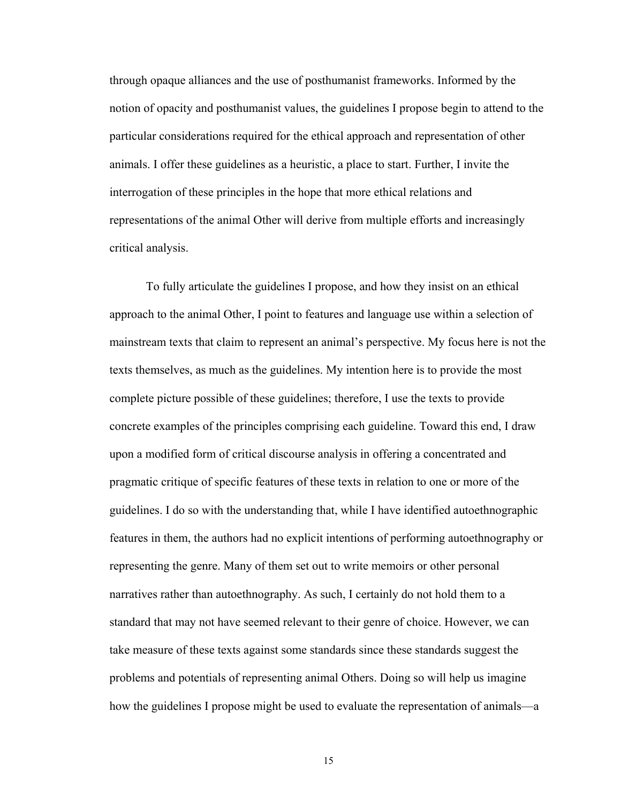through opaque alliances and the use of posthumanist frameworks. Informed by the notion of opacity and posthumanist values, the guidelines I propose begin to attend to the particular considerations required for the ethical approach and representation of other animals. I offer these guidelines as a heuristic, a place to start. Further, I invite the interrogation of these principles in the hope that more ethical relations and representations of the animal Other will derive from multiple efforts and increasingly critical analysis.

To fully articulate the guidelines I propose, and how they insist on an ethical approach to the animal Other, I point to features and language use within a selection of mainstream texts that claim to represent an animal's perspective. My focus here is not the texts themselves, as much as the guidelines. My intention here is to provide the most complete picture possible of these guidelines; therefore, I use the texts to provide concrete examples of the principles comprising each guideline. Toward this end, I draw upon a modified form of critical discourse analysis in offering a concentrated and pragmatic critique of specific features of these texts in relation to one or more of the guidelines. I do so with the understanding that, while I have identified autoethnographic features in them, the authors had no explicit intentions of performing autoethnography or representing the genre. Many of them set out to write memoirs or other personal narratives rather than autoethnography. As such, I certainly do not hold them to a standard that may not have seemed relevant to their genre of choice. However, we can take measure of these texts against some standards since these standards suggest the problems and potentials of representing animal Others. Doing so will help us imagine how the guidelines I propose might be used to evaluate the representation of animals—a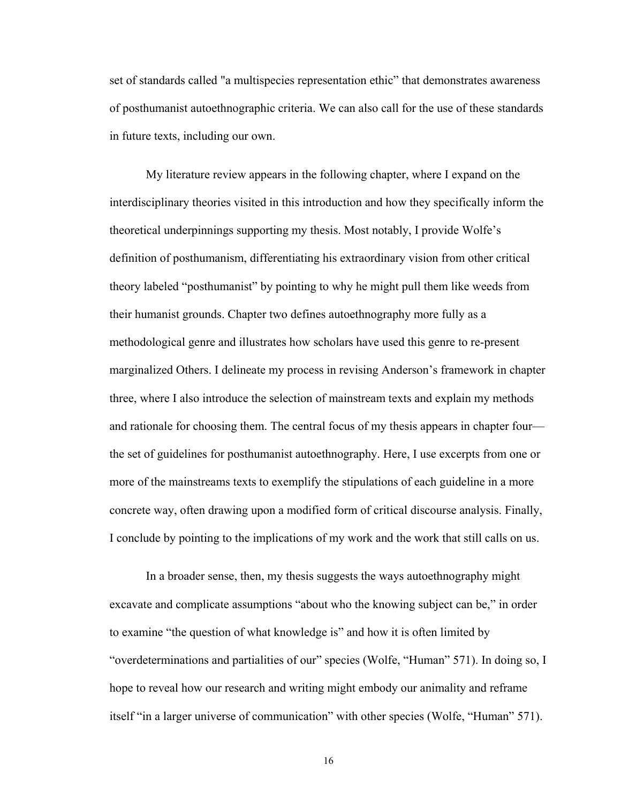set of standards called "a multispecies representation ethic" that demonstrates awareness of posthumanist autoethnographic criteria. We can also call for the use of these standards in future texts, including our own.

My literature review appears in the following chapter, where I expand on the interdisciplinary theories visited in this introduction and how they specifically inform the theoretical underpinnings supporting my thesis. Most notably, I provide Wolfe's definition of posthumanism, differentiating his extraordinary vision from other critical theory labeled "posthumanist" by pointing to why he might pull them like weeds from their humanist grounds. Chapter two defines autoethnography more fully as a methodological genre and illustrates how scholars have used this genre to re-present marginalized Others. I delineate my process in revising Anderson's framework in chapter three, where I also introduce the selection of mainstream texts and explain my methods and rationale for choosing them. The central focus of my thesis appears in chapter four the set of guidelines for posthumanist autoethnography. Here, I use excerpts from one or more of the mainstreams texts to exemplify the stipulations of each guideline in a more concrete way, often drawing upon a modified form of critical discourse analysis. Finally, I conclude by pointing to the implications of my work and the work that still calls on us.

In a broader sense, then, my thesis suggests the ways autoethnography might excavate and complicate assumptions "about who the knowing subject can be," in order to examine "the question of what knowledge is" and how it is often limited by "overdeterminations and partialities of our" species (Wolfe, "Human" 571). In doing so, I hope to reveal how our research and writing might embody our animality and reframe itself "in a larger universe of communication" with other species (Wolfe, "Human" 571).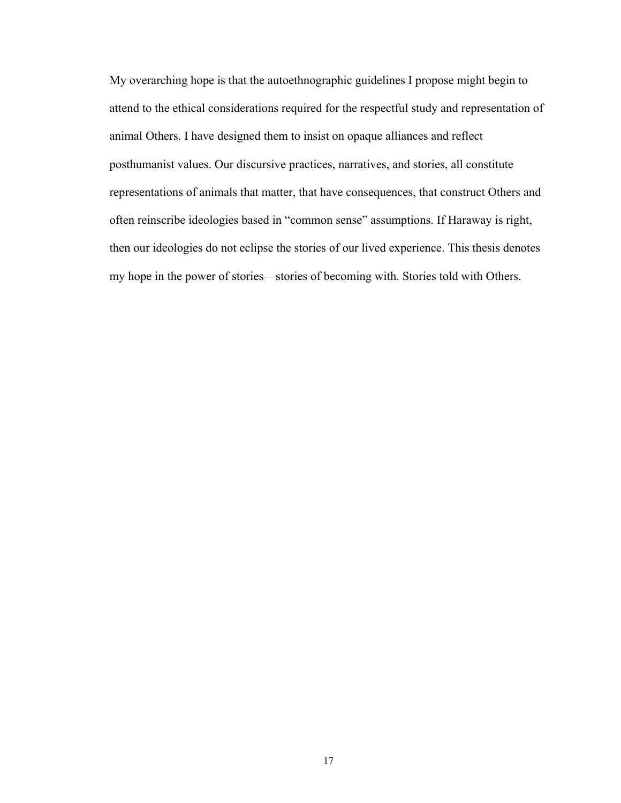My overarching hope is that the autoethnographic guidelines I propose might begin to attend to the ethical considerations required for the respectful study and representation of animal Others. I have designed them to insist on opaque alliances and reflect posthumanist values. Our discursive practices, narratives, and stories, all constitute representations of animals that matter, that have consequences, that construct Others and often reinscribe ideologies based in "common sense" assumptions. If Haraway is right, then our ideologies do not eclipse the stories of our lived experience. This thesis denotes my hope in the power of stories—stories of becoming with. Stories told with Others.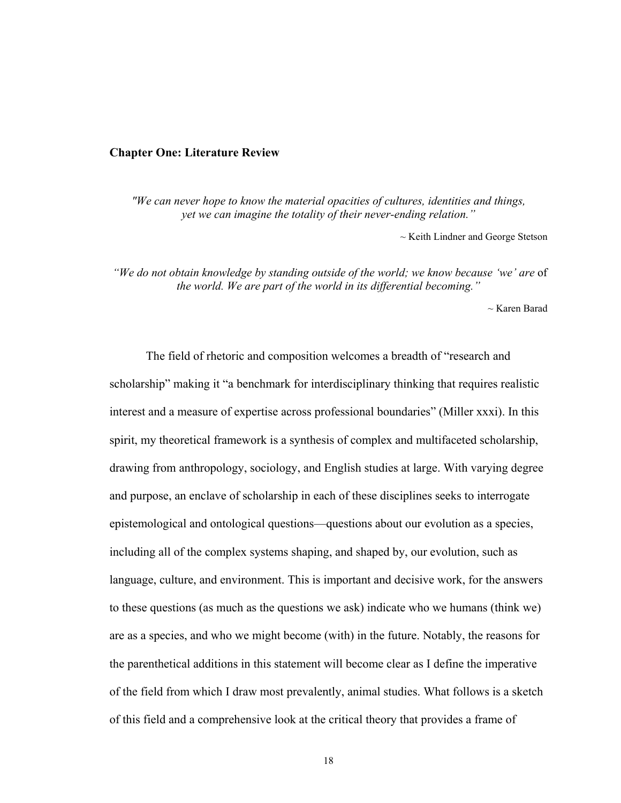#### **Chapter One: Literature Review**

*"We can never hope to know the material opacities of cultures, identities and things, yet we can imagine the totality of their never-ending relation."* 

~ Keith Lindner and George Stetson

 *"We do not obtain knowledge by standing outside of the world; we know because 'we' are* of *the world. We are part of the world in its differential becoming."*

~ Karen Barad

The field of rhetoric and composition welcomes a breadth of "research and scholarship" making it "a benchmark for interdisciplinary thinking that requires realistic interest and a measure of expertise across professional boundaries^ (Miller xxxi). In this spirit, my theoretical framework is a synthesis of complex and multifaceted scholarship, drawing from anthropology, sociology, and English studies at large. With varying degree and purpose, an enclave of scholarship in each of these disciplines seeks to interrogate epistemological and ontological questions\_questions about our evolution as a species, including all of the complex systems shaping, and shaped by, our evolution, such as language, culture, and environment. This is important and decisive work, for the answers to these questions (as much as the questions we ask) indicate who we humans (think we) are as a species, and who we might become (with) in the future. Notably, the reasons for the parenthetical additions in this statement will become clear as I define the imperative of the field from which I draw most prevalently, animal studies. What follows is a sketch of this field and a comprehensive look at the critical theory that provides a frame of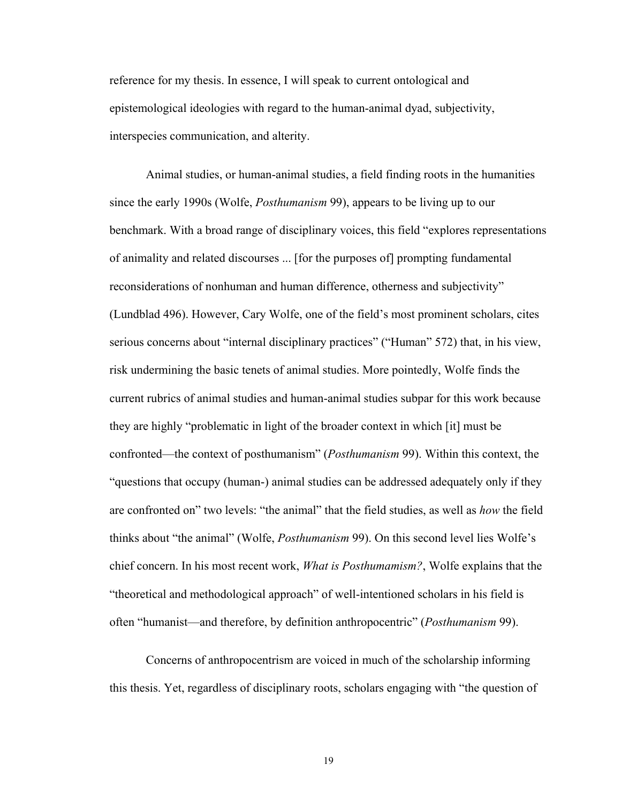reference for my thesis. In essence, I will speak to current ontological and epistemological ideologies with regard to the human-animal dyad, subjectivity, interspecies communication, and alterity.

Animal studies, or human-animal studies, a field finding roots in the humanities since the early 1990s (Wolfe, *Posthumanism* 99), appears to be living up to our benchmark. With a broad range of disciplinary voices, this field "explores representations" of animality and related discourses ... [for the purposes of] prompting fundamental reconsiderations of nonhuman and human difference, otherness and subjectivity" (Lundblad 496). However, Cary Wolfe, one of the field's most prominent scholars, cites serious concerns about "internal disciplinary practices" ("Human" 572) that, in his view, risk undermining the basic tenets of animal studies. More pointedly, Wolfe finds the current rubrics of animal studies and human-animal studies subpar for this work because they are highly "problematic in light of the broader context in which [it] must be confronted—the context of posthumanism" (*Posthumanism* 99). Within this context, the "questions that occupy (human-) animal studies can be addressed adequately only if they are confronted on" two levels: "the animal" that the field studies, as well as *how* the field thinks about "the animal" (Wolfe, *Posthumanism* 99). On this second level lies Wolfe's chief concern. In his most recent work, *What is Posthumamism?*, Wolfe explains that the "theoretical and methodological approach" of well-intentioned scholars in his field is often "humanist—and therefore, by definition anthropocentric" (*Posthumanism* 99).

Concerns of anthropocentrism are voiced in much of the scholarship informing this thesis. Yet, regardless of disciplinary roots, scholars engaging with "the question of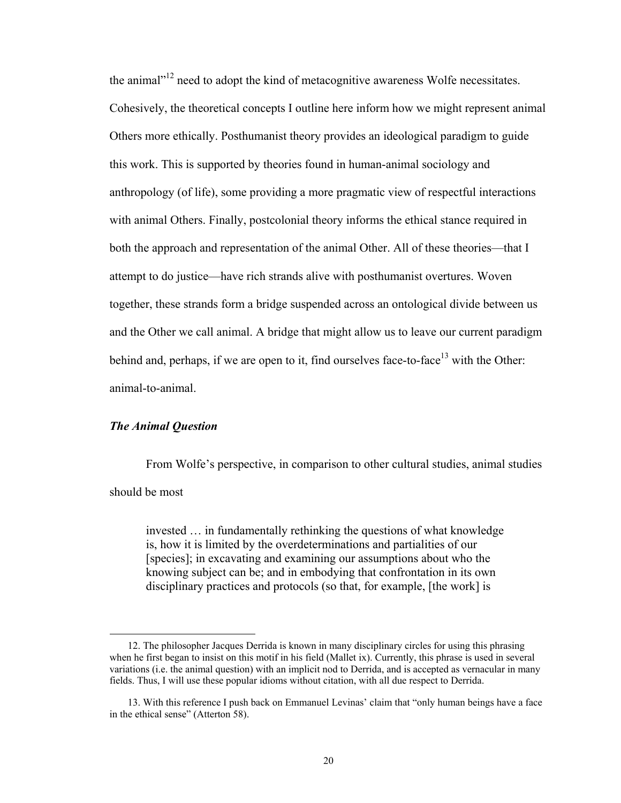the animal $v<sup>12</sup>$  need to adopt the kind of metacognitive awareness Wolfe necessitates. Cohesively, the theoretical concepts I outline here inform how we might represent animal Others more ethically. Posthumanist theory provides an ideological paradigm to guide this work. This is supported by theories found in human-animal sociology and anthropology (of life), some providing a more pragmatic view of respectful interactions with animal Others. Finally, postcolonial theory informs the ethical stance required in both the approach and representation of the animal Other. All of these theories—that I attempt to do justice\_have rich strands alive with posthumanist overtures. Woven together, these strands form a bridge suspended across an ontological divide between us and the Other we call animal. A bridge that might allow us to leave our current paradigm behind and, perhaps, if we are open to it, find ourselves face-to-face $13$  with the Other: animal-to-animal.

### *The Animal Question*

 $\overline{a}$ 

From Wolfe's perspective, in comparison to other cultural studies, animal studies should be most

invested ... in fundamentally rethinking the questions of what knowledge is, how it is limited by the overdeterminations and partialities of our [species]; in excavating and examining our assumptions about who the knowing subject can be; and in embodying that confrontation in its own disciplinary practices and protocols (so that, for example, [the work] is

 <sup>12.</sup> The philosopher Jacques Derrida is known in many disciplinary circles for using this phrasing when he first began to insist on this motif in his field (Mallet ix). Currently, this phrase is used in several variations (i.e. the animal question) with an implicit nod to Derrida, and is accepted as vernacular in many fields. Thus, I will use these popular idioms without citation, with all due respect to Derrida.

<sup>13.</sup> With this reference I push back on Emmanuel Levinas' claim that "only human beings have a face in the ethical sense" (Atterton 58).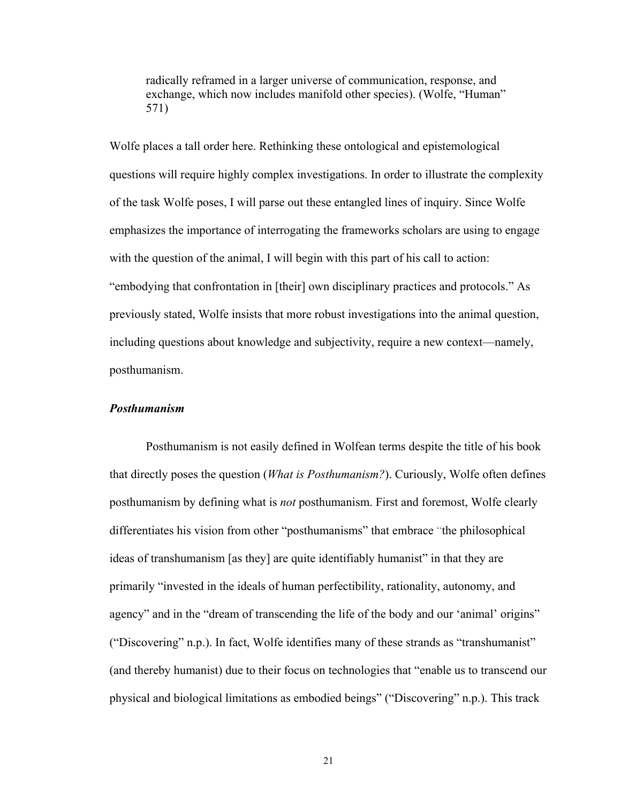radically reframed in a larger universe of communication, response, and exchange, which now includes manifold other species). (Wolfe, "Human" 571)

Wolfe places a tall order here. Rethinking these ontological and epistemological questions will require highly complex investigations. In order to illustrate the complexity of the task Wolfe poses, I will parse out these entangled lines of inquiry. Since Wolfe emphasizes the importance of interrogating the frameworks scholars are using to engage with the question of the animal, I will begin with this part of his call to action: "embodying that confrontation in [their] own disciplinary practices and protocols." As previously stated, Wolfe insists that more robust investigations into the animal question, including questions about knowledge and subjectivity, require a new context\_namely, posthumanism.

### *Posthumanism*

Posthumanism is not easily defined in Wolfean terms despite the title of his book that directly poses the question (*What is Posthumanism?*). Curiously, Wolfe often defines posthumanism by defining what is *not* posthumanism. First and foremost, Wolfe clearly differentiates his vision from other "posthumanisms" that embrace "the philosophical ideas of transhumanism [as they] are quite identifiably humanist^ in that they are primarily "invested in the ideals of human perfectibility, rationality, autonomy, and agency" and in the "dream of transcending the life of the body and our 'animal' origins" ("Discovering" n.p.). In fact, Wolfe identifies many of these strands as "transhumanist" (and thereby humanist) due to their focus on technologies that "enable us to transcend our physical and biological limitations as embodied beings" ("Discovering" n.p.). This track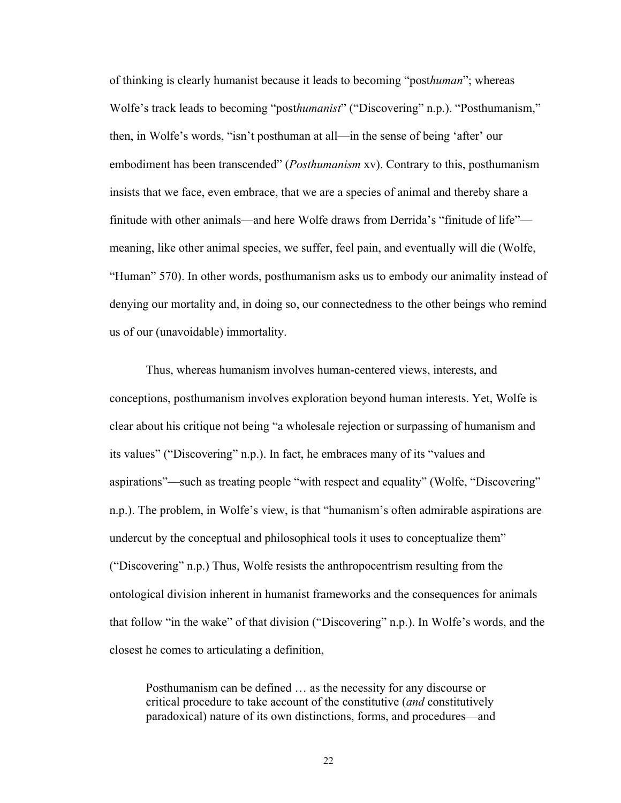of thinking is clearly humanist because it leads to becoming ]post*human*^; whereas Wolfe's track leads to becoming "posthumanist" ("Discovering" n.p.). "Posthumanism," then, in Wolfe's words, "isn't posthuman at all—in the sense of being 'after' our embodiment has been transcended" (*Posthumanism* xv). Contrary to this, posthumanism insists that we face, even embrace, that we are a species of animal and thereby share a finitude with other animals—and here Wolfe draws from Derrida's "finitude of life" meaning, like other animal species, we suffer, feel pain, and eventually will die (Wolfe, "Human" 570). In other words, posthumanism asks us to embody our animality instead of denying our mortality and, in doing so, our connectedness to the other beings who remind us of our (unavoidable) immortality.

Thus, whereas humanism involves human-centered views, interests, and conceptions, posthumanism involves exploration beyond human interests. Yet, Wolfe is clear about his critique not being "a wholesale rejection or surpassing of humanism and its values" ("Discovering" n.p.). In fact, he embraces many of its "values and aspirations"—such as treating people "with respect and equality" (Wolfe, "Discovering" n.p.). The problem, in Wolfe's view, is that "humanism's often admirable aspirations are undercut by the conceptual and philosophical tools it uses to conceptualize them^ ("Discovering" n.p.) Thus, Wolfe resists the anthropocentrism resulting from the ontological division inherent in humanist frameworks and the consequences for animals that follow "in the wake" of that division ("Discovering" n.p.). In Wolfe's words, and the closest he comes to articulating a definition,

Posthumanism can be defined  $\dots$  as the necessity for any discourse or critical procedure to take account of the constitutive (*and* constitutively paradoxical) nature of its own distinctions, forms, and procedures—and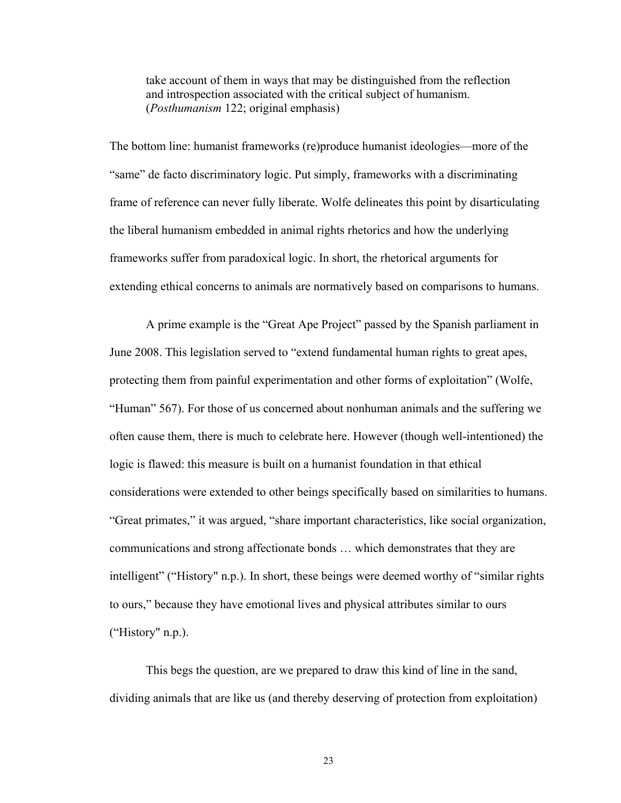take account of them in ways that may be distinguished from the reflection and introspection associated with the critical subject of humanism. (*Posthumanism* 122; original emphasis)

The bottom line: humanist frameworks (re)produce humanist ideologies—more of the "same" de facto discriminatory logic. Put simply, frameworks with a discriminating frame of reference can never fully liberate. Wolfe delineates this point by disarticulating the liberal humanism embedded in animal rights rhetorics and how the underlying frameworks suffer from paradoxical logic. In short, the rhetorical arguments for extending ethical concerns to animals are normatively based on comparisons to humans.

A prime example is the "Great Ape Project" passed by the Spanish parliament in June 2008. This legislation served to "extend fundamental human rights to great apes, protecting them from painful experimentation and other forms of exploitation^ (Wolfe, "Human"  $567$ ). For those of us concerned about nonhuman animals and the suffering we often cause them, there is much to celebrate here. However (though well-intentioned) the logic is flawed: this measure is built on a humanist foundation in that ethical considerations were extended to other beings specifically based on similarities to humans. "Great primates," it was argued, "share important characteristics, like social organization, communications and strong affectionate bonds ... which demonstrates that they are intelligent" ("History" n.p.). In short, these beings were deemed worthy of "similar rights to ours,^ because they have emotional lives and physical attributes similar to ours ("History"  $n.p.$ ).

This begs the question, are we prepared to draw this kind of line in the sand, dividing animals that are like us (and thereby deserving of protection from exploitation)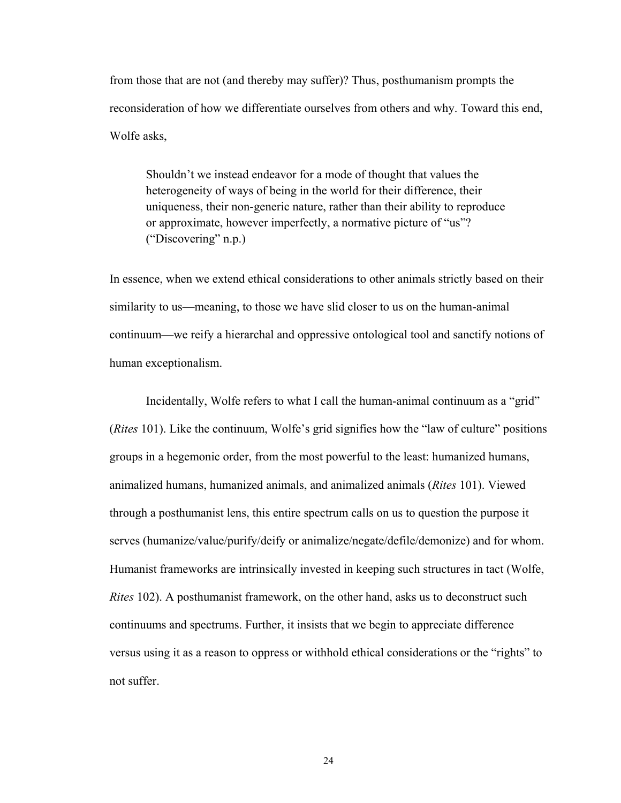from those that are not (and thereby may suffer)? Thus, posthumanism prompts the reconsideration of how we differentiate ourselves from others and why. Toward this end, Wolfe asks,

Shouldn't we instead endeavor for a mode of thought that values the heterogeneity of ways of being in the world for their difference, their uniqueness, their non-generic nature, rather than their ability to reproduce or approximate, however imperfectly, a normative picture of "us"? ("Discovering"  $n.p.$ )

In essence, when we extend ethical considerations to other animals strictly based on their similarity to us—meaning, to those we have slid closer to us on the human-animal continuum\_we reify a hierarchal and oppressive ontological tool and sanctify notions of human exceptionalism.

Incidentally, Wolfe refers to what I call the human-animal continuum as a "grid" (*Rites* 101). Like the continuum, Wolfe's grid signifies how the "law of culture" positions groups in a hegemonic order, from the most powerful to the least: humanized humans, animalized humans, humanized animals, and animalized animals (*Rites* 101). Viewed through a posthumanist lens, this entire spectrum calls on us to question the purpose it serves (humanize/value/purify/deify or animalize/negate/defile/demonize) and for whom. Humanist frameworks are intrinsically invested in keeping such structures in tact (Wolfe, *Rites* 102). A posthumanist framework, on the other hand, asks us to deconstruct such continuums and spectrums. Further, it insists that we begin to appreciate difference versus using it as a reason to oppress or withhold ethical considerations or the "rights" to not suffer.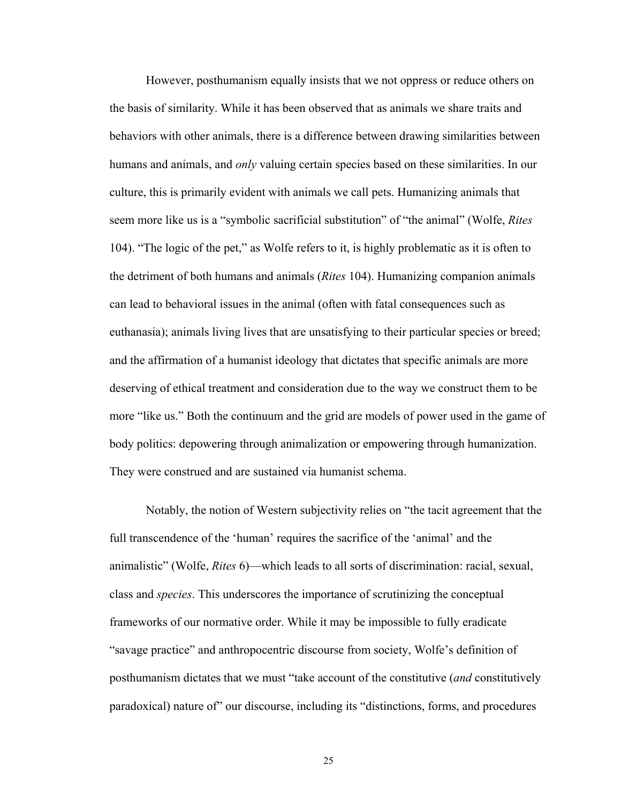However, posthumanism equally insists that we not oppress or reduce others on the basis of similarity. While it has been observed that as animals we share traits and behaviors with other animals, there is a difference between drawing similarities between humans and animals, and *only* valuing certain species based on these similarities. In our culture, this is primarily evident with animals we call pets. Humanizing animals that seem more like us is a "symbolic sacrificial substitution" of "the animal" (Wolfe, *Rites* 104). "The logic of the pet," as Wolfe refers to it, is highly problematic as it is often to the detriment of both humans and animals (*Rites* 104). Humanizing companion animals can lead to behavioral issues in the animal (often with fatal consequences such as euthanasia); animals living lives that are unsatisfying to their particular species or breed; and the affirmation of a humanist ideology that dictates that specific animals are more deserving of ethical treatment and consideration due to the way we construct them to be more "like us." Both the continuum and the grid are models of power used in the game of body politics: depowering through animalization or empowering through humanization. They were construed and are sustained via humanist schema.

Notably, the notion of Western subjectivity relies on "the tacit agreement that the full transcendence of the 'human' requires the sacrifice of the 'animal' and the animalistic" (Wolfe, *Rites* 6)—which leads to all sorts of discrimination: racial, sexual, class and *species*. This underscores the importance of scrutinizing the conceptual frameworks of our normative order. While it may be impossible to fully eradicate "savage practice" and anthropocentric discourse from society, Wolfe's definition of posthumanism dictates that we must "take account of the constitutive (*and* constitutively paradoxical) nature of" our discourse, including its "distinctions, forms, and procedures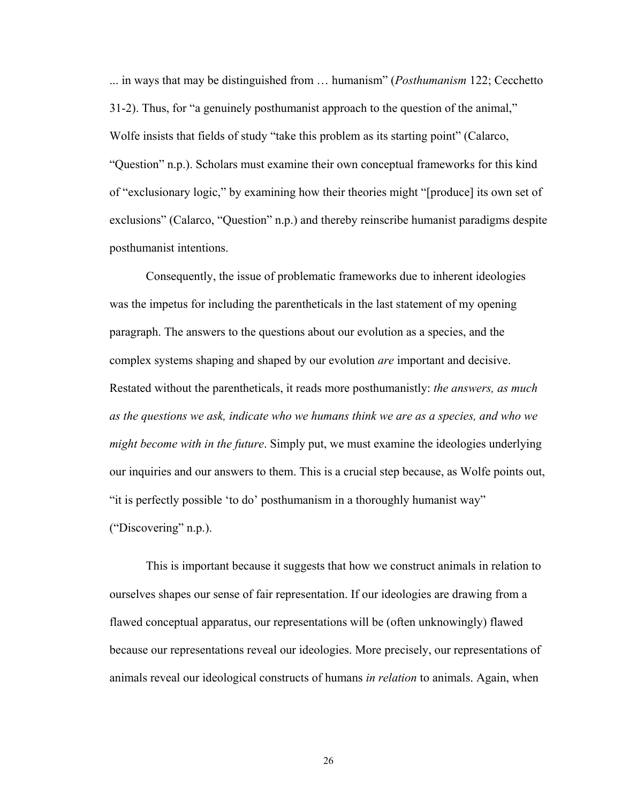... in ways that may be distinguished from ... humanism" (*Posthumanism* 122; Cecchetto  $31-2$ ). Thus, for "a genuinely posthumanist approach to the question of the animal," Wolfe insists that fields of study "take this problem as its starting point" (Calarco, "Question" n.p.). Scholars must examine their own conceptual frameworks for this kind of "exclusionary logic," by examining how their theories might "[produce] its own set of exclusions" (Calarco, "Question" n.p.) and thereby reinscribe humanist paradigms despite posthumanist intentions.

Consequently, the issue of problematic frameworks due to inherent ideologies was the impetus for including the parentheticals in the last statement of my opening paragraph. The answers to the questions about our evolution as a species, and the complex systems shaping and shaped by our evolution *are* important and decisive. Restated without the parentheticals, it reads more posthumanistly: *the answers, as much as the questions we ask, indicate who we humans think we are as a species, and who we might become with in the future*. Simply put, we must examine the ideologies underlying our inquiries and our answers to them. This is a crucial step because, as Wolfe points out, "it is perfectly possible 'to do' posthumanism in a thoroughly humanist way" ("Discovering" n.p.).

This is important because it suggests that how we construct animals in relation to ourselves shapes our sense of fair representation. If our ideologies are drawing from a flawed conceptual apparatus, our representations will be (often unknowingly) flawed because our representations reveal our ideologies. More precisely, our representations of animals reveal our ideological constructs of humans *in relation* to animals. Again, when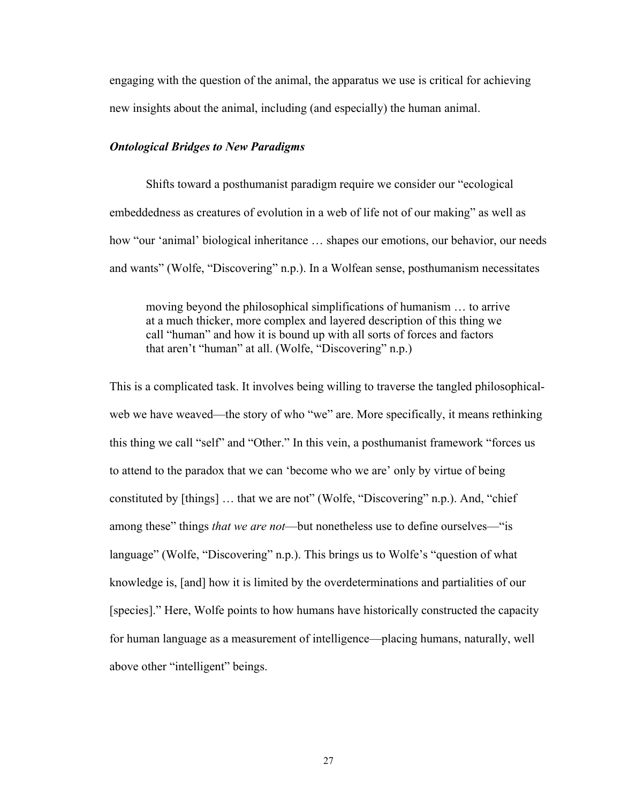engaging with the question of the animal, the apparatus we use is critical for achieving new insights about the animal, including (and especially) the human animal.

# *Ontological Bridges to New Paradigms*

Shifts toward a posthumanist paradigm require we consider our "ecological" embeddedness as creatures of evolution in a web of life not of our making^ as well as how "our 'animal' biological inheritance ... shapes our emotions, our behavior, our needs and wants" (Wolfe, "Discovering" n.p.). In a Wolfean sense, posthumanism necessitates

moving beyond the philosophical simplifications of humanism ... to arrive at a much thicker, more complex and layered description of this thing we call "human" and how it is bound up with all sorts of forces and factors that aren't "human" at all. (Wolfe, "Discovering" n.p.)

This is a complicated task. It involves being willing to traverse the tangled philosophicalweb we have weaved—the story of who "we" are. More specifically, it means rethinking this thing we call "self" and "Other." In this vein, a posthumanist framework "forces us to attend to the paradox that we can 'become who we are' only by virtue of being constituted by  $[things]$ ... that we are not" (Wolfe, "Discovering" n.p.). And, "chief among these" things *that we are not*—but nonetheless use to define ourselves—"is language" (Wolfe, "Discovering" n.p.). This brings us to Wolfe's "question of what knowledge is, [and] how it is limited by the overdeterminations and partialities of our [species].^ Here, Wolfe points to how humans have historically constructed the capacity for human language as a measurement of intelligence\_placing humans, naturally, well above other "intelligent" beings.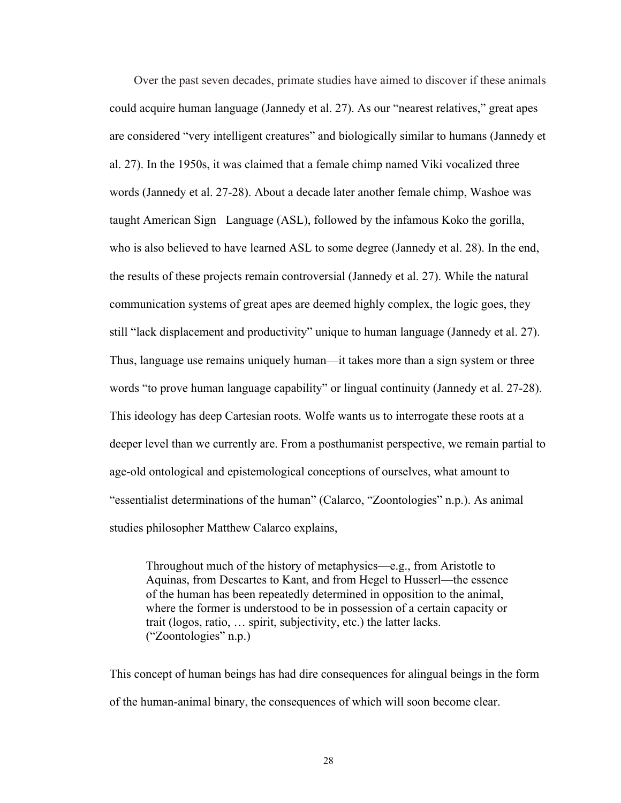Over the past seven decades, primate studies have aimed to discover if these animals could acquire human language (Jannedy et al. 27). As our "nearest relatives," great apes are considered "very intelligent creatures" and biologically similar to humans (Jannedy et al. 27). In the 1950s, it was claimed that a female chimp named Viki vocalized three words (Jannedy et al. 27-28). About a decade later another female chimp, Washoe was taught American Sign Language (ASL), followed by the infamous Koko the gorilla, who is also believed to have learned ASL to some degree (Jannedy et al. 28). In the end, the results of these projects remain controversial (Jannedy et al. 27). While the natural communication systems of great apes are deemed highly complex, the logic goes, they still "lack displacement and productivity" unique to human language (Jannedy et al. 27). Thus, language use remains uniquely human—it takes more than a sign system or three words "to prove human language capability" or lingual continuity (Jannedy et al. 27-28). This ideology has deep Cartesian roots. Wolfe wants us to interrogate these roots at a deeper level than we currently are. From a posthumanist perspective, we remain partial to age-old ontological and epistemological conceptions of ourselves, what amount to "essentialist determinations of the human" (Calarco, "Zoontologies" n.p.). As animal studies philosopher Matthew Calarco explains,

Throughout much of the history of metaphysics—e.g., from Aristotle to Aquinas, from Descartes to Kant, and from Hegel to Husserl—the essence of the human has been repeatedly determined in opposition to the animal, where the former is understood to be in possession of a certain capacity or trait (logos, ratio,  $\ldots$  spirit, subjectivity, etc.) the latter lacks.  $("Zoontologies" n.p.)$ 

This concept of human beings has had dire consequences for alingual beings in the form of the human-animal binary, the consequences of which will soon become clear.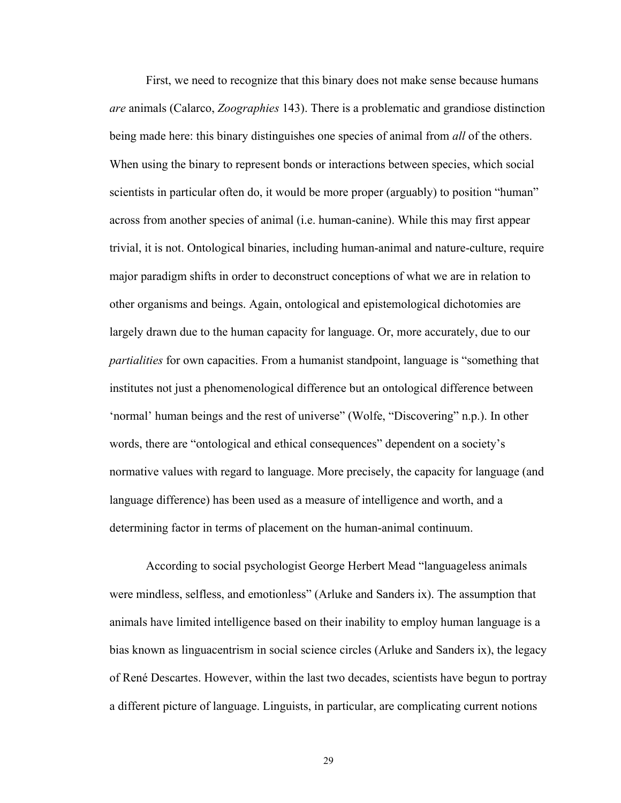First, we need to recognize that this binary does not make sense because humans *are* animals (Calarco, *Zoographies* 143). There is a problematic and grandiose distinction being made here: this binary distinguishes one species of animal from *all* of the others. When using the binary to represent bonds or interactions between species, which social scientists in particular often do, it would be more proper (arguably) to position "human" across from another species of animal (i.e. human-canine). While this may first appear trivial, it is not. Ontological binaries, including human-animal and nature-culture, require major paradigm shifts in order to deconstruct conceptions of what we are in relation to other organisms and beings. Again, ontological and epistemological dichotomies are largely drawn due to the human capacity for language. Or, more accurately, due to our *partialities* for own capacities. From a humanist standpoint, language is "something that institutes not just a phenomenological difference but an ontological difference between 'normal' human beings and the rest of universe" (Wolfe, "Discovering" n.p.). In other words, there are "ontological and ethical consequences" dependent on a society's normative values with regard to language. More precisely, the capacity for language (and language difference) has been used as a measure of intelligence and worth, and a determining factor in terms of placement on the human-animal continuum.

According to social psychologist George Herbert Mead "languageless animals" were mindless, selfless, and emotionless" (Arluke and Sanders ix). The assumption that animals have limited intelligence based on their inability to employ human language is a bias known as linguacentrism in social science circles (Arluke and Sanders ix), the legacy of René Descartes. However, within the last two decades, scientists have begun to portray a different picture of language. Linguists, in particular, are complicating current notions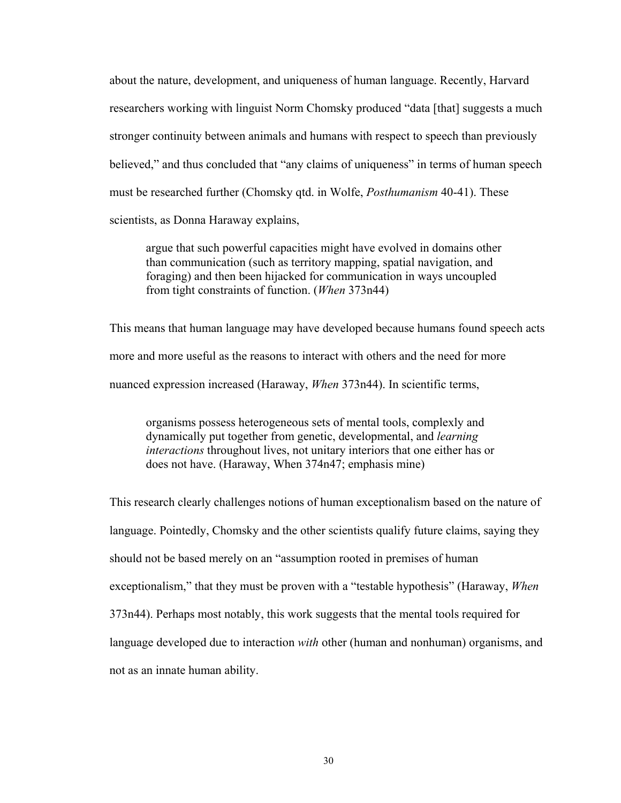about the nature, development, and uniqueness of human language. Recently, Harvard researchers working with linguist Norm Chomsky produced "data [that] suggests a much stronger continuity between animals and humans with respect to speech than previously believed," and thus concluded that "any claims of uniqueness" in terms of human speech must be researched further (Chomsky qtd. in Wolfe, *Posthumanism* 40-41). These scientists, as Donna Haraway explains,

argue that such powerful capacities might have evolved in domains other than communication (such as territory mapping, spatial navigation, and foraging) and then been hijacked for communication in ways uncoupled from tight constraints of function. (*When* 373n44)

This means that human language may have developed because humans found speech acts more and more useful as the reasons to interact with others and the need for more nuanced expression increased (Haraway, *When* 373n44). In scientific terms,

organisms possess heterogeneous sets of mental tools, complexly and dynamically put together from genetic, developmental, and *learning interactions* throughout lives, not unitary interiors that one either has or does not have. (Haraway, When 374n47; emphasis mine)

This research clearly challenges notions of human exceptionalism based on the nature of language. Pointedly, Chomsky and the other scientists qualify future claims, saying they should not be based merely on an "assumption rooted in premises of human exceptionalism," that they must be proven with a "testable hypothesis" (Haraway, *When* 373n44). Perhaps most notably, this work suggests that the mental tools required for language developed due to interaction *with* other (human and nonhuman) organisms, and not as an innate human ability.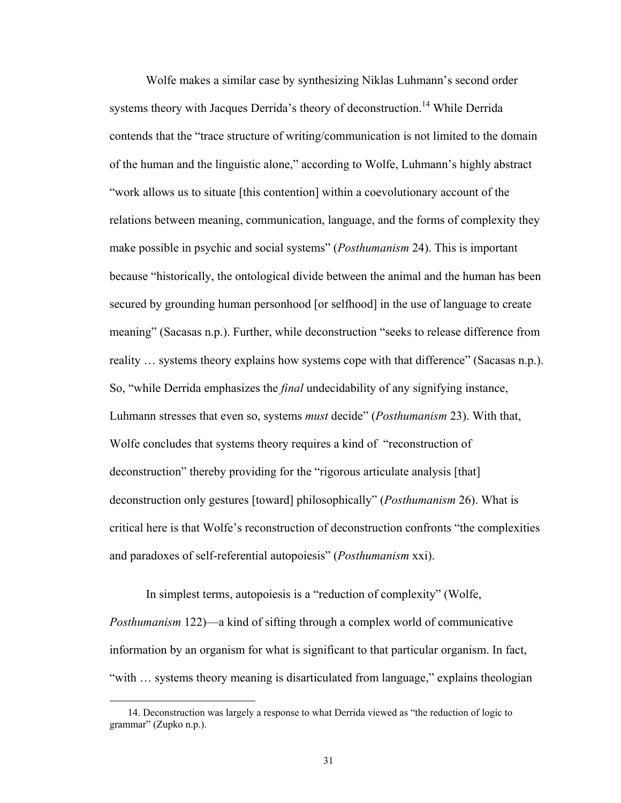Wolfe makes a similar case by synthesizing Niklas Luhmann's second order systems theory with Jacques Derrida's theory of deconstruction.<sup>14</sup> While Derrida contends that the "trace structure of writing/communication is not limited to the domain of the human and the linguistic alone," according to Wolfe, Luhmann's highly abstract "work allows us to situate [this contention] within a coevolutionary account of the relations between meaning, communication, language, and the forms of complexity they make possible in psychic and social systems^ (*Posthumanism* 24). This is important because "historically, the ontological divide between the animal and the human has been secured by grounding human personhood [or selfhood] in the use of language to create meaning" (Sacasas n.p.). Further, while deconstruction "seeks to release difference from reality  $\ldots$  systems theory explains how systems cope with that difference" (Sacasas n.p.). So, "while Derrida emphasizes the *final* undecidability of any signifying instance, Luhmann stresses that even so, systems *must* decide^ (*Posthumanism* 23). With that, Wolfe concludes that systems theory requires a kind of "reconstruction of deconstruction" thereby providing for the "rigorous articulate analysis [that] deconstruction only gestures [toward] philosophically^ (*Posthumanism* 26). What is critical here is that Wolfe's reconstruction of deconstruction confronts "the complexities" and paradoxes of self-referential autopoiesis^ (*Posthumanism* xxi).

In simplest terms, autopoiesis is a "reduction of complexity" (Wolfe, *Posthumanism* 122)—a kind of sifting through a complex world of communicative information by an organism for what is significant to that particular organism. In fact, "with ... systems theory meaning is disarticulated from language," explains theologian

 $\overline{a}$ 

<sup>14.</sup> Deconstruction was largely a response to what Derrida viewed as "the reduction of logic to grammar" (Zupko n.p.).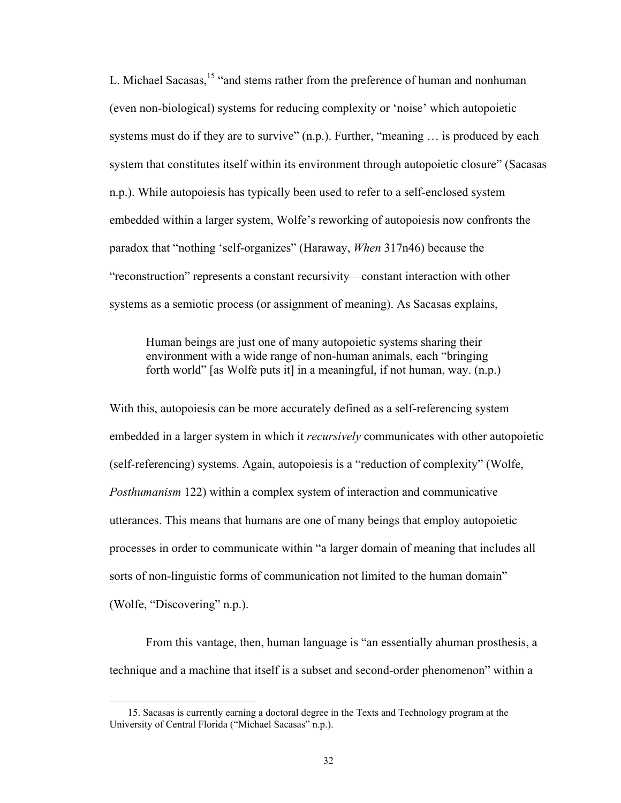L. Michael Sacasas,<sup>15</sup> "and stems rather from the preference of human and nonhuman (even non-biological) systems for reducing complexity or 'noise' which autopoietic systems must do if they are to survive"  $(n.p.)$ . Further, "meaning  $\ldots$  is produced by each system that constitutes itself within its environment through autopoietic closure" (Sacasas n.p.). While autopoiesis has typically been used to refer to a self-enclosed system embedded within a larger system, Wolfe's reworking of autopoiesis now confronts the paradox that "nothing 'self-organizes" (Haraway, *When* 317n46) because the "reconstruction" represents a constant recursivity—constant interaction with other systems as a semiotic process (or assignment of meaning). As Sacasas explains,

Human beings are just one of many autopoietic systems sharing their environment with a wide range of non-human animals, each "bringing" forth world" [as Wolfe puts it] in a meaningful, if not human, way.  $(n.p.)$ 

With this, autopoiesis can be more accurately defined as a self-referencing system embedded in a larger system in which it *recursively* communicates with other autopoietic (self-referencing) systems. Again, autopoiesis is a "reduction of complexity" (Wolfe, *Posthumanism* 122) within a complex system of interaction and communicative utterances. This means that humans are one of many beings that employ autopoietic processes in order to communicate within "a larger domain of meaning that includes all sorts of non-linguistic forms of communication not limited to the human domain<sup>"</sup> (Wolfe, "Discovering" n.p.).

From this vantage, then, human language is "an essentially ahuman prosthesis, a technique and a machine that itself is a subset and second-order phenomenon^ within a

 $\overline{a}$ 

 <sup>15.</sup> Sacasas is currently earning a doctoral degree in the Texts and Technology program at the University of Central Florida ("Michael Sacasas" n.p.).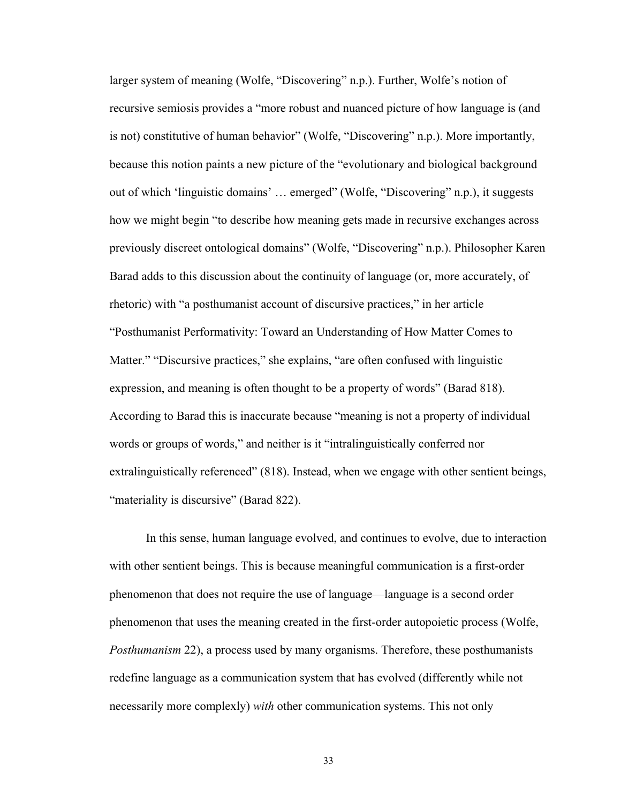larger system of meaning (Wolfe, "Discovering" n.p.). Further, Wolfe's notion of recursive semiosis provides a "more robust and nuanced picture of how language is (and is not) constitutive of human behavior" (Wolfe, "Discovering" n.p.). More importantly, because this notion paints a new picture of the "evolutionary and biological background out of which 'linguistic domains' ... emerged" (Wolfe, "Discovering" n.p.), it suggests how we might begin "to describe how meaning gets made in recursive exchanges across previously discreet ontological domains" (Wolfe, "Discovering" n.p.). Philosopher Karen Barad adds to this discussion about the continuity of language (or, more accurately, of rhetoric) with "a posthumanist account of discursive practices," in her article ]Posthumanist Performativity: Toward an Understanding of How Matter Comes to Matter." "Discursive practices," she explains, "are often confused with linguistic expression, and meaning is often thought to be a property of words" (Barad 818). According to Barad this is inaccurate because "meaning is not a property of individual words or groups of words," and neither is it "intralinguistically conferred nor extralinguistically referenced" (818). Instead, when we engage with other sentient beings, "materiality is discursive" (Barad 822).

In this sense, human language evolved, and continues to evolve, due to interaction with other sentient beings. This is because meaningful communication is a first-order phenomenon that does not require the use of language\_language is a second order phenomenon that uses the meaning created in the first-order autopoietic process (Wolfe, *Posthumanism* 22), a process used by many organisms. Therefore, these posthumanists redefine language as a communication system that has evolved (differently while not necessarily more complexly) *with* other communication systems. This not only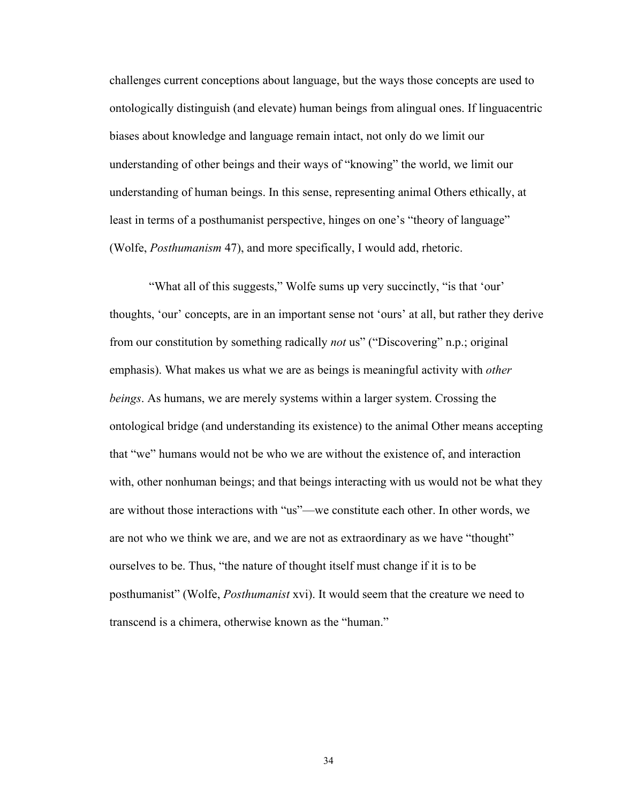challenges current conceptions about language, but the ways those concepts are used to ontologically distinguish (and elevate) human beings from alingual ones. If linguacentric biases about knowledge and language remain intact, not only do we limit our understanding of other beings and their ways of "knowing" the world, we limit our understanding of human beings. In this sense, representing animal Others ethically, at least in terms of a posthumanist perspective, hinges on one's "theory of language" (Wolfe, *Posthumanism* 47), and more specifically, I would add, rhetoric.

"What all of this suggests," Wolfe sums up very succinctly, "is that 'our' thoughts, 'our' concepts, are in an important sense not 'ours' at all, but rather they derive from our constitution by something radically *not* us" ("Discovering" n.p.; original emphasis). What makes us what we are as beings is meaningful activity with *other beings*. As humans, we are merely systems within a larger system. Crossing the ontological bridge (and understanding its existence) to the animal Other means accepting that "we" humans would not be who we are without the existence of, and interaction with, other nonhuman beings; and that beings interacting with us would not be what they are without those interactions with "us"—we constitute each other. In other words, we are not who we think we are, and we are not as extraordinary as we have "thought" ourselves to be. Thus, "the nature of thought itself must change if it is to be posthumanist^ (Wolfe, *Posthumanist* xvi). It would seem that the creature we need to transcend is a chimera, otherwise known as the "human."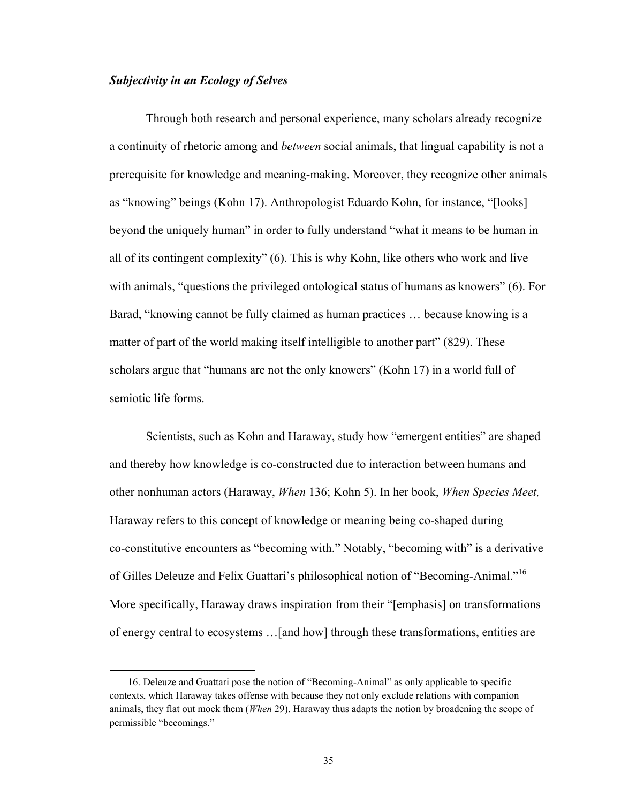# *Subjectivity in an Ecology of Selves*

1

Through both research and personal experience, many scholars already recognize a continuity of rhetoric among and *between* social animals, that lingual capability is not a prerequisite for knowledge and meaning-making. Moreover, they recognize other animals as "knowing" beings (Kohn 17). Anthropologist Eduardo Kohn, for instance, "[looks] beyond the uniquely human" in order to fully understand "what it means to be human in all of its contingent complexity"  $(6)$ . This is why Kohn, like others who work and live with animals, "questions the privileged ontological status of humans as knowers"  $(6)$ . For Barad, "knowing cannot be fully claimed as human practices ... because knowing is a matter of part of the world making itself intelligible to another part" (829). These scholars argue that "humans are not the only knowers" (Kohn 17) in a world full of semiotic life forms.

Scientists, such as Kohn and Haraway, study how "emergent entities" are shaped and thereby how knowledge is co-constructed due to interaction between humans and other nonhuman actors (Haraway, *When* 136; Kohn 5). In her book, *When Species Meet,* Haraway refers to this concept of knowledge or meaning being co-shaped during co-constitutive encounters as "becoming with." Notably, "becoming with" is a derivative of Gilles Deleuze and Felix Guattari's philosophical notion of "Becoming-Animal."<sup>16</sup> More specifically, Haraway draws inspiration from their "[emphasis] on transformations of energy central to ecosystems ... [and how] through these transformations, entities are

<sup>16.</sup> Deleuze and Guattari pose the notion of "Becoming-Animal" as only applicable to specific contexts, which Haraway takes offense with because they not only exclude relations with companion animals, they flat out mock them (*When* 29). Haraway thus adapts the notion by broadening the scope of permissible "becomings."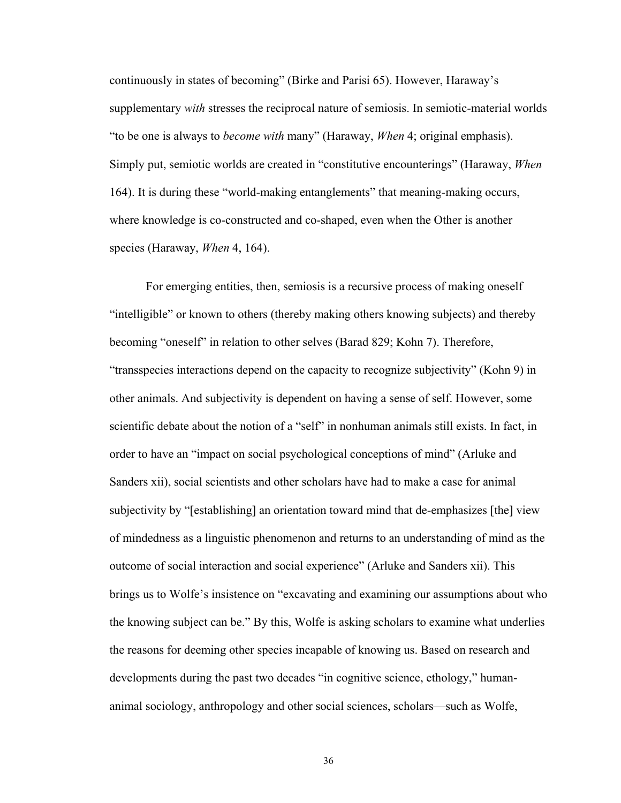continuously in states of becoming" (Birke and Parisi 65). However, Haraway's supplementary *with* stresses the reciprocal nature of semiosis. In semiotic-material worlds "to be one is always to *become with* many" (Haraway, *When* 4; original emphasis). Simply put, semiotic worlds are created in "constitutive encounterings" (Haraway, *When* 164). It is during these "world-making entanglements" that meaning-making occurs, where knowledge is co-constructed and co-shaped, even when the Other is another species (Haraway, *When* 4, 164).

For emerging entities, then, semiosis is a recursive process of making oneself "intelligible" or known to others (thereby making others knowing subjects) and thereby becoming "oneself" in relation to other selves (Barad 829; Kohn 7). Therefore, "transspecies interactions depend on the capacity to recognize subjectivity" (Kohn 9) in other animals. And subjectivity is dependent on having a sense of self. However, some scientific debate about the notion of a "self" in nonhuman animals still exists. In fact, in order to have an "impact on social psychological conceptions of mind" (Arluke and Sanders xii), social scientists and other scholars have had to make a case for animal subjectivity by "[establishing] an orientation toward mind that de-emphasizes [the] view of mindedness as a linguistic phenomenon and returns to an understanding of mind as the outcome of social interaction and social experience^ (Arluke and Sanders xii). This brings us to Wolfe's insistence on "excavating and examining our assumptions about who the knowing subject can be.^ By this, Wolfe is asking scholars to examine what underlies the reasons for deeming other species incapable of knowing us. Based on research and developments during the past two decades "in cognitive science, ethology," humananimal sociology, anthropology and other social sciences, scholars—such as Wolfe,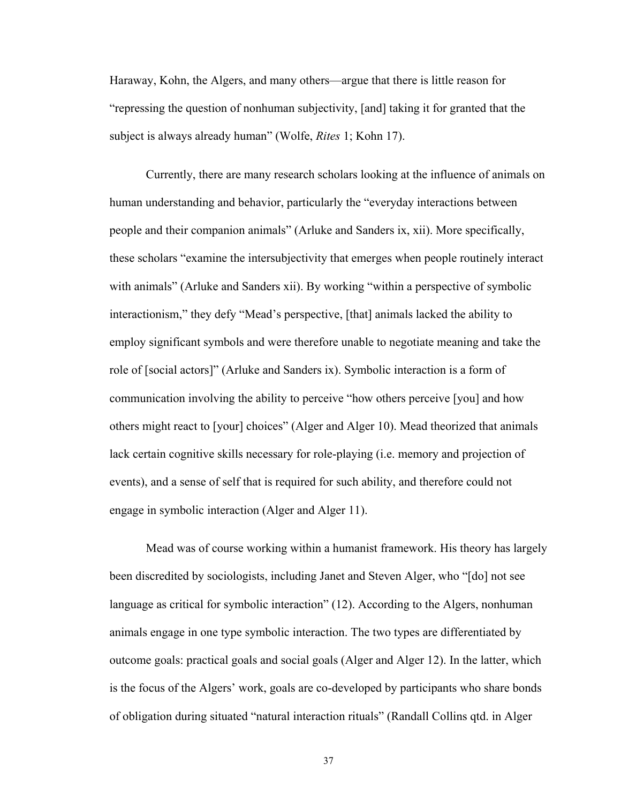Haraway, Kohn, the Algers, and many others—argue that there is little reason for "repressing the question of nonhuman subjectivity, [and] taking it for granted that the subject is always already human" (Wolfe, *Rites* 1; Kohn 17).

Currently, there are many research scholars looking at the influence of animals on human understanding and behavior, particularly the "everyday interactions between people and their companion animals^ (Arluke and Sanders ix, xii). More specifically, these scholars "examine the intersubjectivity that emerges when people routinely interact with animals" (Arluke and Sanders xii). By working "within a perspective of symbolic interactionism," they defy "Mead's perspective, [that] animals lacked the ability to employ significant symbols and were therefore unable to negotiate meaning and take the role of [social actors]^ (Arluke and Sanders ix). Symbolic interaction is a form of communication involving the ability to perceive "how others perceive [you] and how others might react to [your] choices^ (Alger and Alger 10). Mead theorized that animals lack certain cognitive skills necessary for role-playing (i.e. memory and projection of events), and a sense of self that is required for such ability, and therefore could not engage in symbolic interaction (Alger and Alger 11).

Mead was of course working within a humanist framework. His theory has largely been discredited by sociologists, including Janet and Steven Alger, who "[do] not see language as critical for symbolic interaction"  $(12)$ . According to the Algers, nonhuman animals engage in one type symbolic interaction. The two types are differentiated by outcome goals: practical goals and social goals (Alger and Alger 12). In the latter, which is the focus of the Algers' work, goals are co-developed by participants who share bonds of obligation during situated "natural interaction rituals" (Randall Collins qtd. in Alger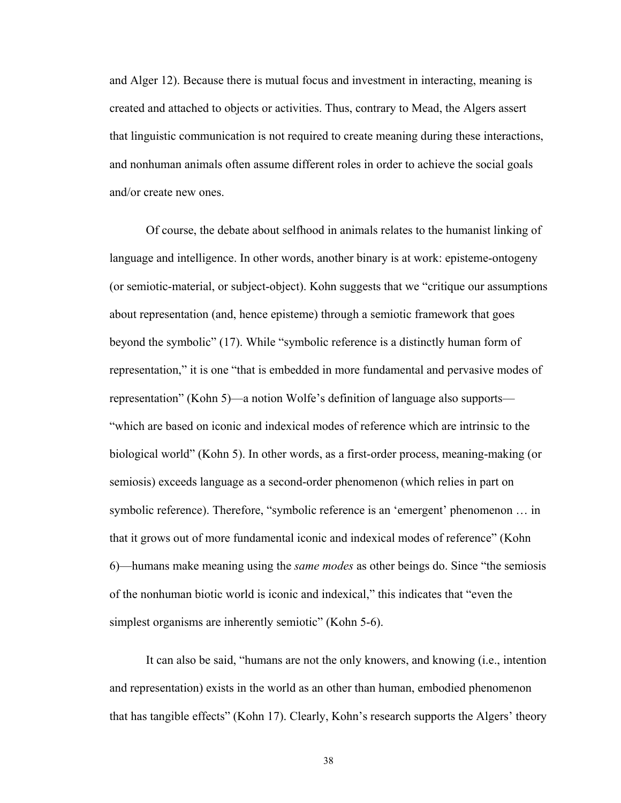and Alger 12). Because there is mutual focus and investment in interacting, meaning is created and attached to objects or activities. Thus, contrary to Mead, the Algers assert that linguistic communication is not required to create meaning during these interactions, and nonhuman animals often assume different roles in order to achieve the social goals and/or create new ones.

Of course, the debate about selfhood in animals relates to the humanist linking of language and intelligence. In other words, another binary is at work: episteme-ontogeny (or semiotic-material, or subject-object). Kohn suggests that we "critique our assumptions" about representation (and, hence episteme) through a semiotic framework that goes beyond the symbolic" (17). While "symbolic reference is a distinctly human form of representation," it is one "that is embedded in more fundamental and pervasive modes of representation" (Kohn 5)—a notion Wolfe's definition of language also supports— ]which are based on iconic and indexical modes of reference which are intrinsic to the biological world" (Kohn 5). In other words, as a first-order process, meaning-making (or semiosis) exceeds language as a second-order phenomenon (which relies in part on symbolic reference). Therefore, "symbolic reference is an 'emergent' phenomenon ... in that it grows out of more fundamental iconic and indexical modes of reference^ (Kohn 6)—humans make meaning using the *same modes* as other beings do. Since "the semiosis" of the nonhuman biotic world is iconic and indexical," this indicates that "even the simplest organisms are inherently semiotic" (Kohn 5-6).

It can also be said, "humans are not the only knowers, and knowing (i.e., intention and representation) exists in the world as an other than human, embodied phenomenon that has tangible effects" (Kohn 17). Clearly, Kohn's research supports the Algers' theory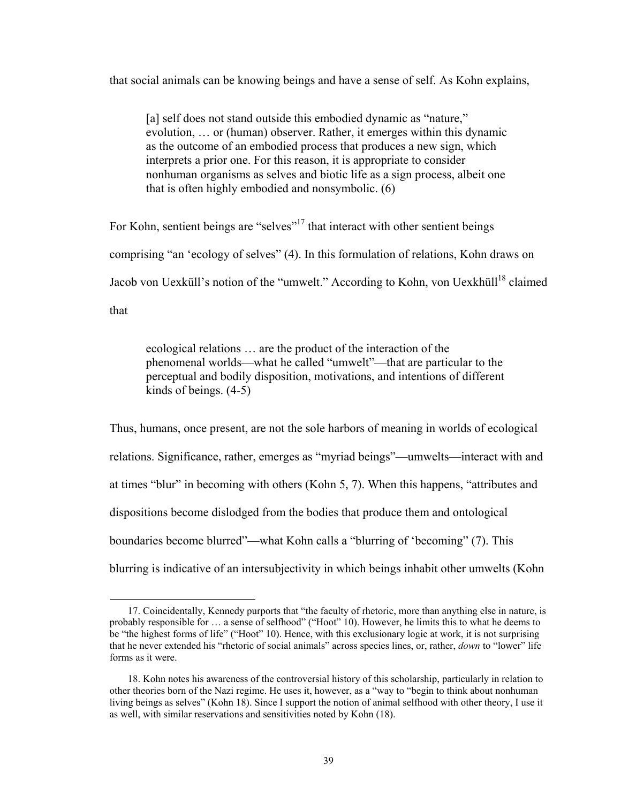that social animals can be knowing beings and have a sense of self. As Kohn explains,

[a] self does not stand outside this embodied dynamic as "nature," evolution, ... or (human) observer. Rather, it emerges within this dynamic as the outcome of an embodied process that produces a new sign, which interprets a prior one. For this reason, it is appropriate to consider nonhuman organisms as selves and biotic life as a sign process, albeit one that is often highly embodied and nonsymbolic. (6)

For Kohn, sentient beings are "selves"<sup>17</sup> that interact with other sentient beings comprising "an 'ecology of selves" (4). In this formulation of relations, Kohn draws on Jacob von Uexküll's notion of the "umwelt." According to Kohn, von Uexkhüll<sup>18</sup> claimed that

ecological relations ... are the product of the interaction of the phenomenal worlds—what he called "umwelt"—that are particular to the perceptual and bodily disposition, motivations, and intentions of different kinds of beings. (4-5)

Thus, humans, once present, are not the sole harbors of meaning in worlds of ecological relations. Significance, rather, emerges as "myriad beings"—umwelts—interact with and at times "blur" in becoming with others (Kohn  $5, 7$ ). When this happens, "attributes and dispositions become dislodged from the bodies that produce them and ontological boundaries become blurred"—what Kohn calls a "blurring of 'becoming" (7). This blurring is indicative of an intersubjectivity in which beings inhabit other umwelts (Kohn

 $\overline{a}$ 

<sup>17.</sup> Coincidentally, Kennedy purports that "the faculty of rhetoric, more than anything else in nature, is probably responsible for  $\ldots$  a sense of selfhood" ("Hoot" 10). However, he limits this to what he deems to be "the highest forms of life" ("Hoot" 10). Hence, with this exclusionary logic at work, it is not surprising that he never extended his "rhetoric of social animals" across species lines, or, rather, *down* to "lower" life forms as it were.

 <sup>18.</sup> Kohn notes his awareness of the controversial history of this scholarship, particularly in relation to other theories born of the Nazi regime. He uses it, however, as a "way to "begin to think about nonhuman living beings as selves" (Kohn 18). Since I support the notion of animal selfhood with other theory, I use it as well, with similar reservations and sensitivities noted by Kohn (18).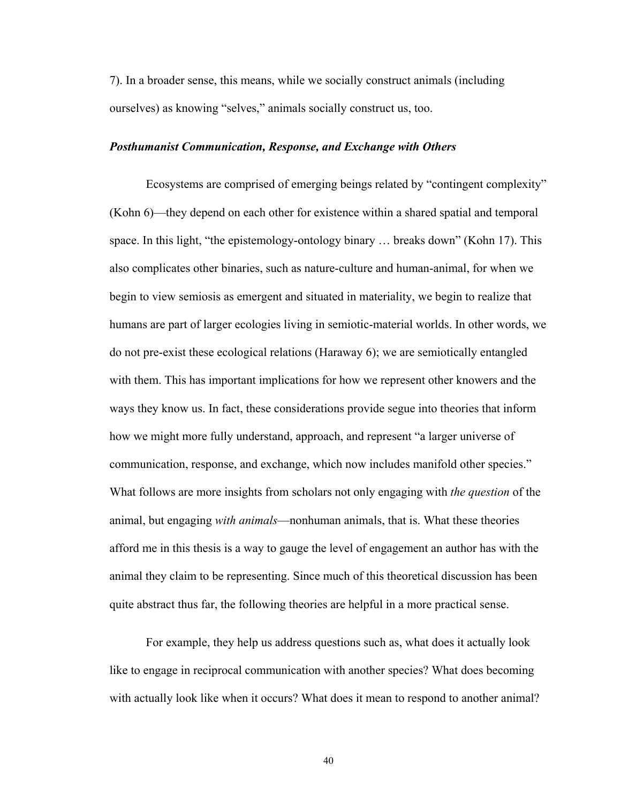7). In a broader sense, this means, while we socially construct animals (including ourselves) as knowing "selves," animals socially construct us, too.

#### *Posthumanist Communication, Response, and Exchange with Others*

Ecosystems are comprised of emerging beings related by "contingent complexity" (Kohn 6)—they depend on each other for existence within a shared spatial and temporal space. In this light, "the epistemology-ontology binary  $\ldots$  breaks down" (Kohn 17). This also complicates other binaries, such as nature-culture and human-animal, for when we begin to view semiosis as emergent and situated in materiality, we begin to realize that humans are part of larger ecologies living in semiotic-material worlds. In other words, we do not pre-exist these ecological relations (Haraway 6); we are semiotically entangled with them. This has important implications for how we represent other knowers and the ways they know us. In fact, these considerations provide segue into theories that inform how we might more fully understand, approach, and represent "a larger universe of communication, response, and exchange, which now includes manifold other species.<sup>"</sup> What follows are more insights from scholars not only engaging with *the question* of the animal, but engaging *with animals*\_nonhuman animals, that is. What these theories afford me in this thesis is a way to gauge the level of engagement an author has with the animal they claim to be representing. Since much of this theoretical discussion has been quite abstract thus far, the following theories are helpful in a more practical sense.

For example, they help us address questions such as, what does it actually look like to engage in reciprocal communication with another species? What does becoming with actually look like when it occurs? What does it mean to respond to another animal?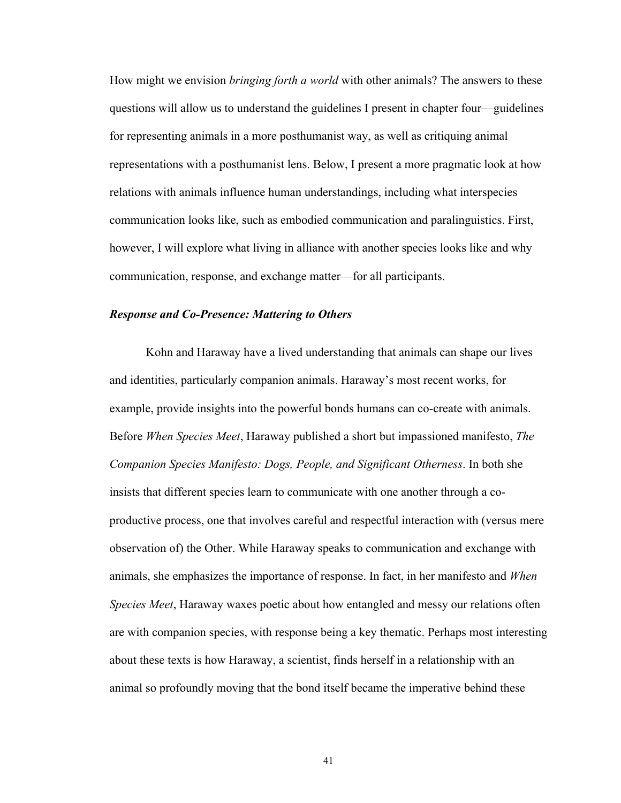How might we envision *bringing forth a world* with other animals? The answers to these questions will allow us to understand the guidelines I present in chapter four—guidelines for representing animals in a more posthumanist way, as well as critiquing animal representations with a posthumanist lens. Below, I present a more pragmatic look at how relations with animals influence human understandings, including what interspecies communication looks like, such as embodied communication and paralinguistics. First, however, I will explore what living in alliance with another species looks like and why communication, response, and exchange matter\_for all participants.

## *Response and Co-Presence: Mattering to Others*

Kohn and Haraway have a lived understanding that animals can shape our lives and identities, particularly companion animals. Haraway's most recent works, for example, provide insights into the powerful bonds humans can co-create with animals. Before *When Species Meet*, Haraway published a short but impassioned manifesto, *The Companion Species Manifesto: Dogs, People, and Significant Otherness*. In both she insists that different species learn to communicate with one another through a coproductive process, one that involves careful and respectful interaction with (versus mere observation of) the Other. While Haraway speaks to communication and exchange with animals, she emphasizes the importance of response. In fact, in her manifesto and *When Species Meet*, Haraway waxes poetic about how entangled and messy our relations often are with companion species, with response being a key thematic. Perhaps most interesting about these texts is how Haraway, a scientist, finds herself in a relationship with an animal so profoundly moving that the bond itself became the imperative behind these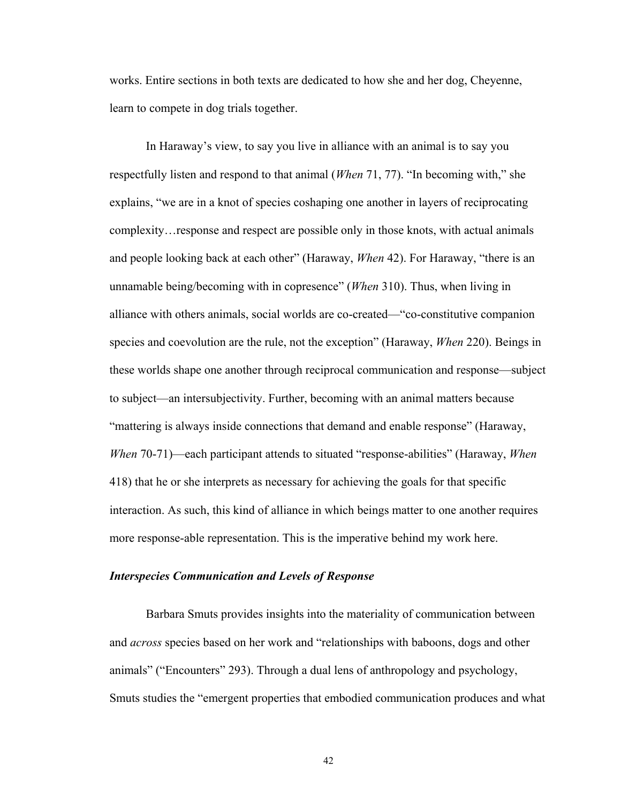works. Entire sections in both texts are dedicated to how she and her dog, Cheyenne, learn to compete in dog trials together.

In Haraway's view, to say you live in alliance with an animal is to say you respectfully listen and respond to that animal (*When* 71, 77). "In becoming with," she explains, "we are in a knot of species coshaping one another in layers of reciprocating complexity... response and respect are possible only in those knots, with actual animals and people looking back at each other" (Haraway, *When* 42). For Haraway, "there is an unnamable being/becoming with in copresence^ (*When* 310). Thus, when living in alliance with others animals, social worlds are co-created—"co-constitutive companion species and coevolution are the rule, not the exception^ (Haraway, *When* 220). Beings in these worlds shape one another through reciprocal communication and response—subject to subject\_an intersubjectivity. Further, becoming with an animal matters because "mattering is always inside connections that demand and enable response" (Haraway, *When* 70-71)—each participant attends to situated "response-abilities" (Haraway, *When* 418) that he or she interprets as necessary for achieving the goals for that specific interaction. As such, this kind of alliance in which beings matter to one another requires more response-able representation. This is the imperative behind my work here.

## *Interspecies Communication and Levels of Response*

Barbara Smuts provides insights into the materiality of communication between and *across* species based on her work and "relationships with baboons, dogs and other animals" ("Encounters" 293). Through a dual lens of anthropology and psychology, Smuts studies the "emergent properties that embodied communication produces and what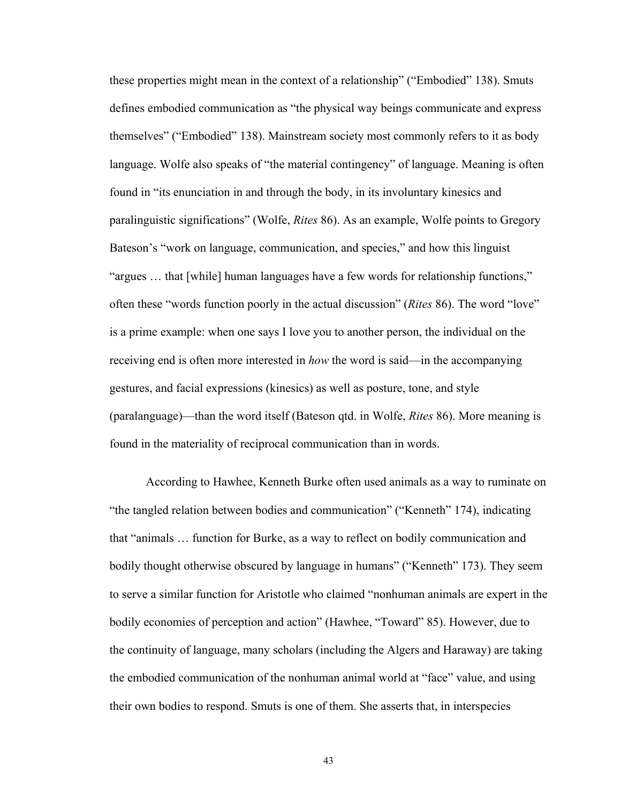these properties might mean in the context of a relationship" ("Embodied" 138). Smuts defines embodied communication as "the physical way beings communicate and express themselves" ("Embodied" 138). Mainstream society most commonly refers to it as body language. Wolfe also speaks of "the material contingency" of language. Meaning is often found in "its enunciation in and through the body, in its involuntary kinesics and paralinguistic significations^ (Wolfe, *Rites* 86). As an example, Wolfe points to Gregory Bateson's "work on language, communication, and species," and how this linguist "argues  $\ldots$  that [while] human languages have a few words for relationship functions," often these "words function poorly in the actual discussion" (*Rites* 86). The word "love" is a prime example: when one says I love you to another person, the individual on the receiving end is often more interested in *how* the word is said—in the accompanying gestures, and facial expressions (kinesics) as well as posture, tone, and style (paralanguage)\_than the word itself (Bateson qtd. in Wolfe, *Rites* 86). More meaning is found in the materiality of reciprocal communication than in words.

 According to Hawhee, Kenneth Burke often used animals as a way to ruminate on "the tangled relation between bodies and communication" ("Kenneth" 174), indicating that "animals ... function for Burke, as a way to reflect on bodily communication and bodily thought otherwise obscured by language in humans" ("Kenneth" 173). They seem to serve a similar function for Aristotle who claimed "nonhuman animals are expert in the bodily economies of perception and action" (Hawhee, "Toward" 85). However, due to the continuity of language, many scholars (including the Algers and Haraway) are taking the embodied communication of the nonhuman animal world at "face" value, and using their own bodies to respond. Smuts is one of them. She asserts that, in interspecies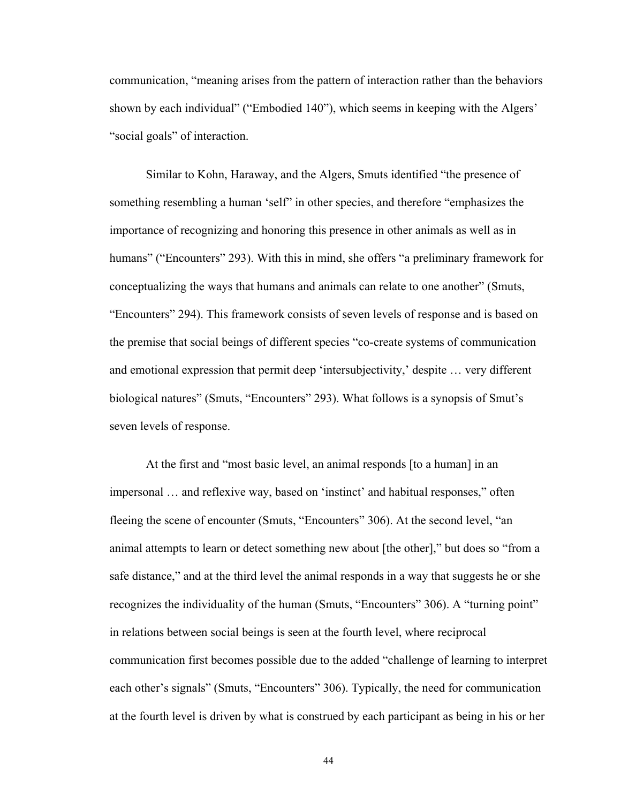communication, "meaning arises from the pattern of interaction rather than the behaviors shown by each individual" ("Embodied 140"), which seems in keeping with the Algers' "social goals" of interaction.

Similar to Kohn, Haraway, and the Algers, Smuts identified "the presence of something resembling a human 'self' in other species, and therefore "emphasizes the importance of recognizing and honoring this presence in other animals as well as in humans" ("Encounters" 293). With this in mind, she offers "a preliminary framework for conceptualizing the ways that humans and animals can relate to one another^ (Smuts, "Encounters" 294). This framework consists of seven levels of response and is based on the premise that social beings of different species "co-create systems of communication and emotional expression that permit deep 'intersubjectivity,' despite ... very different biological natures" (Smuts, "Encounters" 293). What follows is a synopsis of Smut's seven levels of response.

At the first and "most basic level, an animal responds [to a human] in an impersonal ... and reflexive way, based on 'instinct' and habitual responses," often fleeing the scene of encounter (Smuts, "Encounters" 306). At the second level, "an animal attempts to learn or detect something new about [the other]," but does so "from a safe distance," and at the third level the animal responds in a way that suggests he or she recognizes the individuality of the human (Smuts, "Encounters" 306). A "turning point" in relations between social beings is seen at the fourth level, where reciprocal communication first becomes possible due to the added "challenge of learning to interpret each other's signals" (Smuts, "Encounters" 306). Typically, the need for communication at the fourth level is driven by what is construed by each participant as being in his or her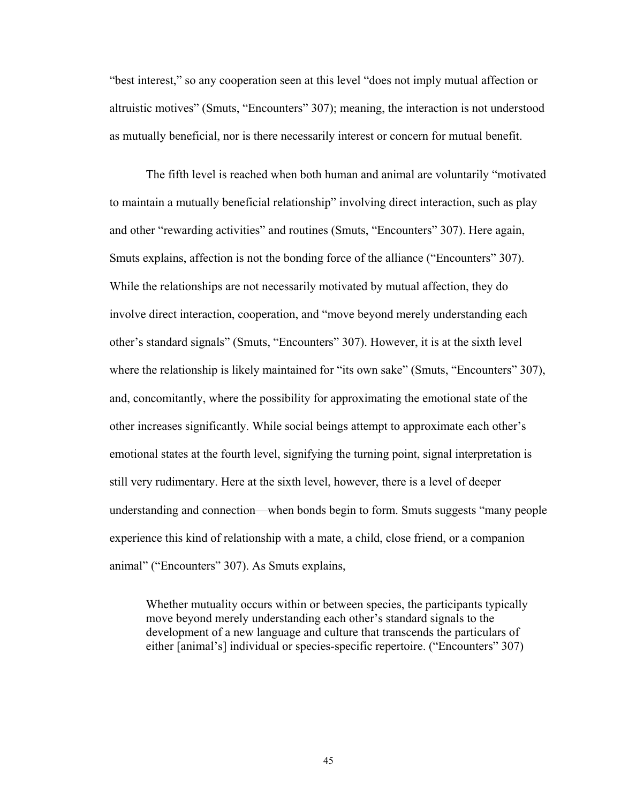"best interest," so any cooperation seen at this level "does not imply mutual affection or altruistic motives" (Smuts, "Encounters" 307); meaning, the interaction is not understood as mutually beneficial, nor is there necessarily interest or concern for mutual benefit.

The fifth level is reached when both human and animal are voluntarily "motivated" to maintain a mutually beneficial relationship" involving direct interaction, such as play and other "rewarding activities" and routines (Smuts, "Encounters" 307). Here again, Smuts explains, affection is not the bonding force of the alliance ("Encounters" 307). While the relationships are not necessarily motivated by mutual affection, they do involve direct interaction, cooperation, and "move beyond merely understanding each other's standard signals" (Smuts, "Encounters" 307). However, it is at the sixth level where the relationship is likely maintained for "its own sake" (Smuts, "Encounters"  $307$ ), and, concomitantly, where the possibility for approximating the emotional state of the other increases significantly. While social beings attempt to approximate each other's emotional states at the fourth level, signifying the turning point, signal interpretation is still very rudimentary. Here at the sixth level, however, there is a level of deeper understanding and connection—when bonds begin to form. Smuts suggests "many people experience this kind of relationship with a mate, a child, close friend, or a companion animal" ("Encounters" 307). As Smuts explains,

Whether mutuality occurs within or between species, the participants typically move beyond merely understanding each other's standard signals to the development of a new language and culture that transcends the particulars of either [animal's] individual or species-specific repertoire. ("Encounters" 307)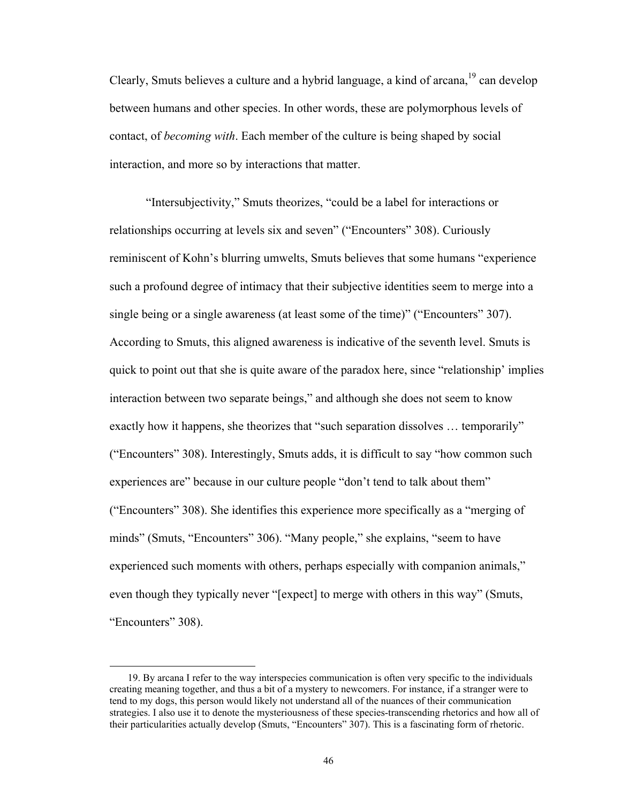Clearly, Smuts believes a culture and a hybrid language, a kind of arcana,  $19$  can develop between humans and other species. In other words, these are polymorphous levels of contact, of *becoming with*. Each member of the culture is being shaped by social interaction, and more so by interactions that matter.

"Intersubjectivity," Smuts theorizes, "could be a label for interactions or relationships occurring at levels six and seven" ("Encounters" 308). Curiously reminiscent of Kohn's blurring umwelts, Smuts believes that some humans "experience" such a profound degree of intimacy that their subjective identities seem to merge into a single being or a single awareness (at least some of the time)" ("Encounters"  $307$ ). According to Smuts, this aligned awareness is indicative of the seventh level. Smuts is quick to point out that she is quite aware of the paradox here, since "relationship" implies interaction between two separate beings," and although she does not seem to know exactly how it happens, she theorizes that "such separation dissolves  $\ldots$  temporarily" ("Encounters" 308). Interestingly, Smuts adds, it is difficult to say "how common such experiences are" because in our culture people "don't tend to talk about them" ("Encounters" 308). She identifies this experience more specifically as a "merging of" minds" (Smuts, "Encounters" 306). "Many people," she explains, "seem to have experienced such moments with others, perhaps especially with companion animals," even though they typically never "[expect] to merge with others in this way" (Smuts, "Encounters" 308).

 $\overline{a}$ 

 <sup>19.</sup> By arcana I refer to the way interspecies communication is often very specific to the individuals creating meaning together, and thus a bit of a mystery to newcomers. For instance, if a stranger were to tend to my dogs, this person would likely not understand all of the nuances of their communication strategies. I also use it to denote the mysteriousness of these species-transcending rhetorics and how all of their particularities actually develop (Smuts, "Encounters" 307). This is a fascinating form of rhetoric.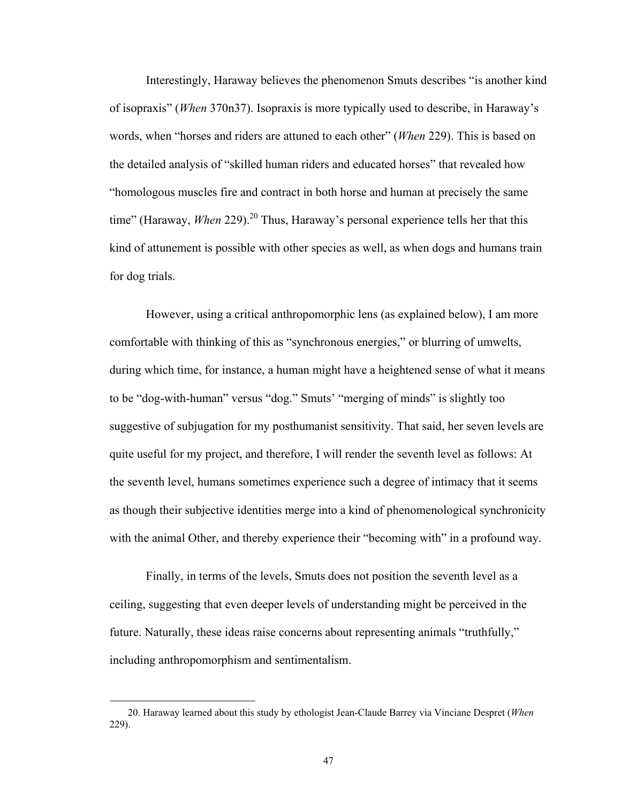Interestingly, Haraway believes the phenomenon Smuts describes "is another kind" of isopraxis" (*When* 370n37). Isopraxis is more typically used to describe, in Haraway's words, when "horses and riders are attuned to each other" (*When* 229). This is based on the detailed analysis of "skilled human riders and educated horses" that revealed how "homologous muscles fire and contract in both horse and human at precisely the same time" (Haraway, *When* 229).<sup>20</sup> Thus, Haraway's personal experience tells her that this kind of attunement is possible with other species as well, as when dogs and humans train for dog trials.

However, using a critical anthropomorphic lens (as explained below), I am more comfortable with thinking of this as "synchronous energies," or blurring of umwelts, during which time, for instance, a human might have a heightened sense of what it means to be "dog-with-human" versus "dog." Smuts' "merging of minds" is slightly too suggestive of subjugation for my posthumanist sensitivity. That said, her seven levels are quite useful for my project, and therefore, I will render the seventh level as follows: At the seventh level, humans sometimes experience such a degree of intimacy that it seems as though their subjective identities merge into a kind of phenomenological synchronicity with the animal Other, and thereby experience their "becoming with" in a profound way.

Finally, in terms of the levels, Smuts does not position the seventh level as a ceiling, suggesting that even deeper levels of understanding might be perceived in the future. Naturally, these ideas raise concerns about representing animals "truthfully," including anthropomorphism and sentimentalism.

 $\overline{a}$ 

 <sup>20.</sup> Haraway learned about this study by ethologist Jean-Claude Barrey via Vinciane Despret (*When* 229).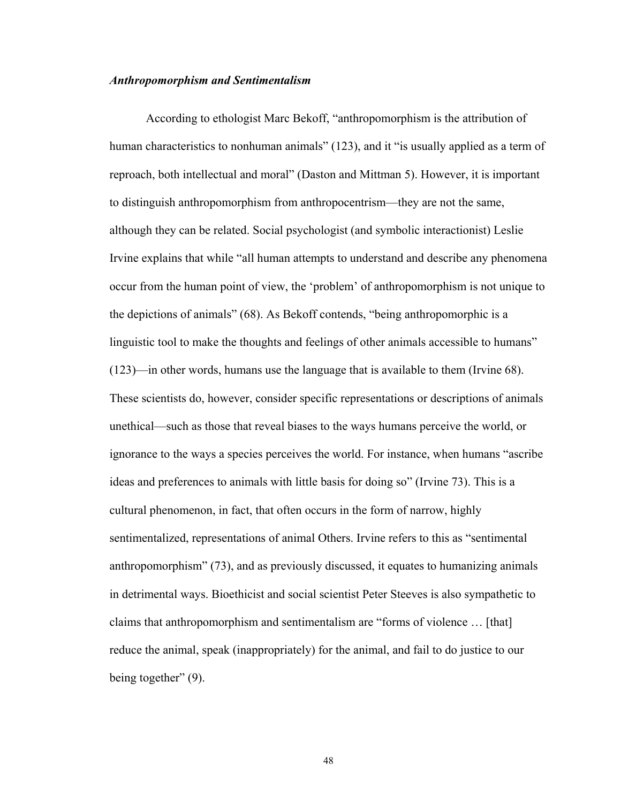## *Anthropomorphism and Sentimentalism*

According to ethologist Marc Bekoff, "anthropomorphism is the attribution of human characteristics to nonhuman animals" (123), and it "is usually applied as a term of reproach, both intellectual and moral" (Daston and Mittman 5). However, it is important to distinguish anthropomorphism from anthropocentrism\_they are not the same, although they can be related. Social psychologist (and symbolic interactionist) Leslie Irvine explains that while "all human attempts to understand and describe any phenomena occur from the human point of view, the 'problem' of anthropomorphism is not unique to the depictions of animals" (68). As Bekoff contends, "being anthropomorphic is a linguistic tool to make the thoughts and feelings of other animals accessible to humans"  $(123)$ —in other words, humans use the language that is available to them (Irvine 68). These scientists do, however, consider specific representations or descriptions of animals unethical\_such as those that reveal biases to the ways humans perceive the world, or ignorance to the ways a species perceives the world. For instance, when humans "ascribe" ideas and preferences to animals with little basis for doing so" (Irvine 73). This is a cultural phenomenon, in fact, that often occurs in the form of narrow, highly sentimentalized, representations of animal Others. Irvine refers to this as "sentimental anthropomorphism"  $(73)$ , and as previously discussed, it equates to humanizing animals in detrimental ways. Bioethicist and social scientist Peter Steeves is also sympathetic to claims that anthropomorphism and sentimentalism are "forms of violence  $\dots$  [that] reduce the animal, speak (inappropriately) for the animal, and fail to do justice to our being together"  $(9)$ .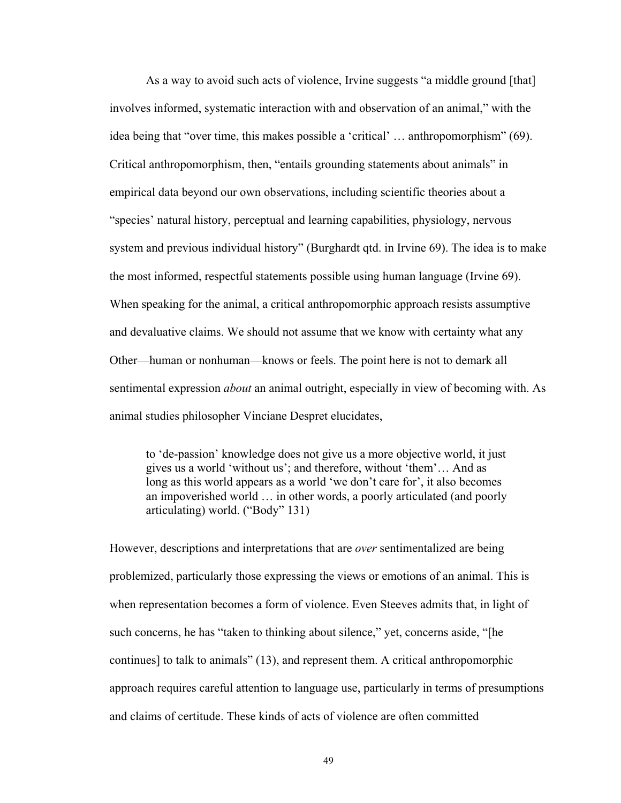As a way to avoid such acts of violence, Irvine suggests "a middle ground [that] involves informed, systematic interaction with and observation of an animal," with the idea being that "over time, this makes possible a 'critical'  $\dots$  anthropomorphism" (69). Critical anthropomorphism, then, "entails grounding statements about animals" in empirical data beyond our own observations, including scientific theories about a "species' natural history, perceptual and learning capabilities, physiology, nervous system and previous individual history" (Burghardt qtd. in Irvine 69). The idea is to make the most informed, respectful statements possible using human language (Irvine 69). When speaking for the animal, a critical anthropomorphic approach resists assumptive and devaluative claims. We should not assume that we know with certainty what any Other\_human or nonhuman\_knows or feels. The point here is not to demark all sentimental expression *about* an animal outright, especially in view of becoming with. As animal studies philosopher Vinciane Despret elucidates,

to 'de-passion' knowledge does not give us a more objective world, it just gives us a world 'without us'; and therefore, without 'them'... And as long as this world appears as a world 'we don't care for', it also becomes an impoverished world ... in other words, a poorly articulated (and poorly articulating) world. ("Body" 131)

However, descriptions and interpretations that are *over* sentimentalized are being problemized, particularly those expressing the views or emotions of an animal. This is when representation becomes a form of violence. Even Steeves admits that, in light of such concerns, he has "taken to thinking about silence," yet, concerns aside, "[he continues] to talk to animals"  $(13)$ , and represent them. A critical anthropomorphic approach requires careful attention to language use, particularly in terms of presumptions and claims of certitude. These kinds of acts of violence are often committed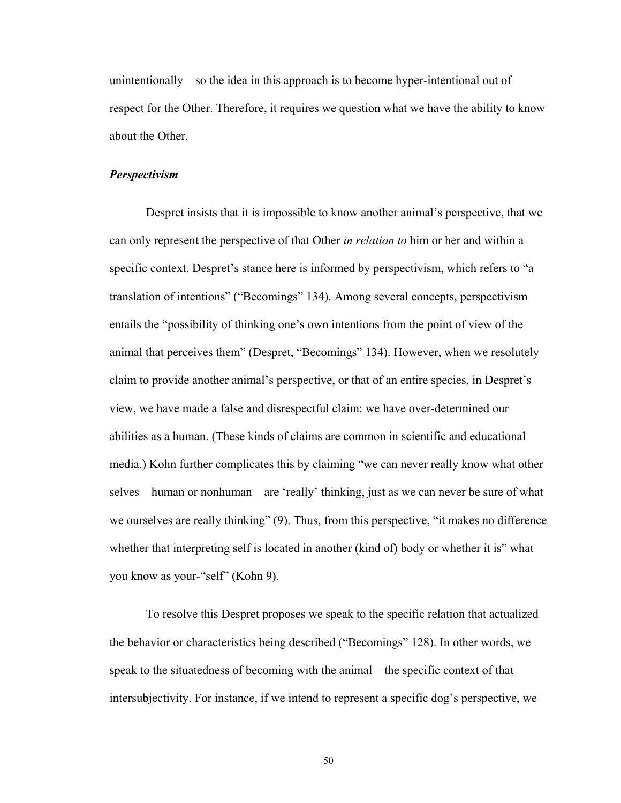unintentionally\_so the idea in this approach is to become hyper-intentional out of respect for the Other. Therefore, it requires we question what we have the ability to know about the Other.

# *Perspectivism*

Despret insists that it is impossible to know another animal's perspective, that we can only represent the perspective of that Other *in relation to* him or her and within a specific context. Despret's stance here is informed by perspectivism, which refers to "a translation of intentions" ("Becomings" 134). Among several concepts, perspectivism entails the "possibility of thinking one's own intentions from the point of view of the animal that perceives them<sup>"</sup> (Despret, "Becomings" 134). However, when we resolutely claim to provide another animal's perspective, or that of an entire species, in Despret's view, we have made a false and disrespectful claim: we have over-determined our abilities as a human. (These kinds of claims are common in scientific and educational media.) Kohn further complicates this by claiming "we can never really know what other selves—human or nonhuman—are 'really' thinking, just as we can never be sure of what we ourselves are really thinking" (9). Thus, from this perspective, "it makes no difference whether that interpreting self is located in another (kind of) body or whether it is" what you know as your-"self" (Kohn 9).

To resolve this Despret proposes we speak to the specific relation that actualized the behavior or characteristics being described ("Becomings" 128). In other words, we speak to the situatedness of becoming with the animal—the specific context of that intersubjectivity. For instance, if we intend to represent a specific dog's perspective, we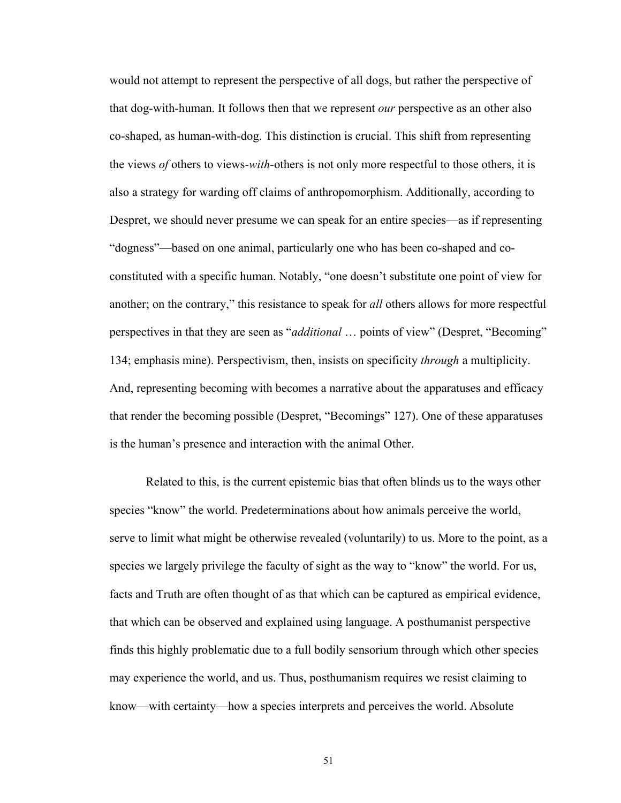would not attempt to represent the perspective of all dogs, but rather the perspective of that dog-with-human. It follows then that we represent *our* perspective as an other also co-shaped, as human-with-dog. This distinction is crucial. This shift from representing the views *of* others to views-*with*-others is not only more respectful to those others, it is also a strategy for warding off claims of anthropomorphism. Additionally, according to Despret, we should never presume we can speak for an entire species—as if representing "dogness"—based on one animal, particularly one who has been co-shaped and coconstituted with a specific human. Notably, "one doesn't substitute one point of view for another; on the contrary," this resistance to speak for *all* others allows for more respectful perspectives in that they are seen as *"additional* ... points of view" (Despret, "Becoming" 134; emphasis mine). Perspectivism, then, insists on specificity *through* a multiplicity. And, representing becoming with becomes a narrative about the apparatuses and efficacy that render the becoming possible (Despret, "Becomings" 127). One of these apparatuses is the human's presence and interaction with the animal Other.

Related to this, is the current epistemic bias that often blinds us to the ways other species "know" the world. Predeterminations about how animals perceive the world, serve to limit what might be otherwise revealed (voluntarily) to us. More to the point, as a species we largely privilege the faculty of sight as the way to "know" the world. For us, facts and Truth are often thought of as that which can be captured as empirical evidence, that which can be observed and explained using language. A posthumanist perspective finds this highly problematic due to a full bodily sensorium through which other species may experience the world, and us. Thus, posthumanism requires we resist claiming to know\_with certainty\_how a species interprets and perceives the world. Absolute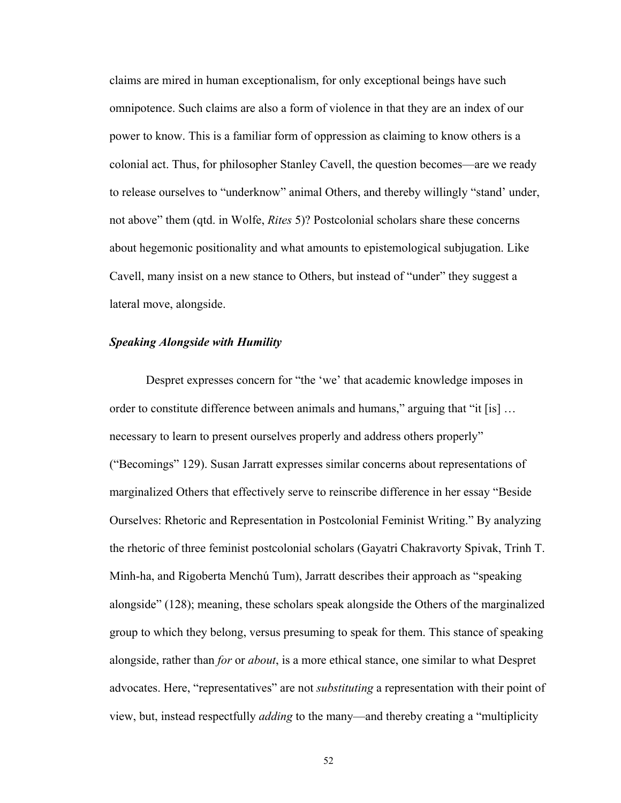claims are mired in human exceptionalism, for only exceptional beings have such omnipotence. Such claims are also a form of violence in that they are an index of our power to know. This is a familiar form of oppression as claiming to know others is a colonial act. Thus, for philosopher Stanley Cavell, the question becomes\_are we ready to release ourselves to "underknow" animal Others, and thereby willingly "stand' under, not above^ them (qtd. in Wolfe, *Rites* 5)? Postcolonial scholars share these concerns about hegemonic positionality and what amounts to epistemological subjugation. Like Cavell, many insist on a new stance to Others, but instead of "under" they suggest a lateral move, alongside.

### *Speaking Alongside with Humility*

Despret expresses concern for "the 'we' that academic knowledge imposes in order to constitute difference between animals and humans," arguing that "it [is]  $\dots$ necessary to learn to present ourselves properly and address others properly" ("Becomings" 129). Susan Jarratt expresses similar concerns about representations of marginalized Others that effectively serve to reinscribe difference in her essay "Beside" Ourselves: Rhetoric and Representation in Postcolonial Feminist Writing.^ By analyzing the rhetoric of three feminist postcolonial scholars (Gayatri Chakravorty Spivak, Trinh T. Minh-ha, and Rigoberta Menchú Tum), Jarratt describes their approach as "speaking alongside^ (128); meaning, these scholars speak alongside the Others of the marginalized group to which they belong, versus presuming to speak for them. This stance of speaking alongside, rather than *for* or *about*, is a more ethical stance, one similar to what Despret advocates. Here, "representatives" are not *substituting* a representation with their point of view, but, instead respectfully *adding* to the many—and thereby creating a "multiplicity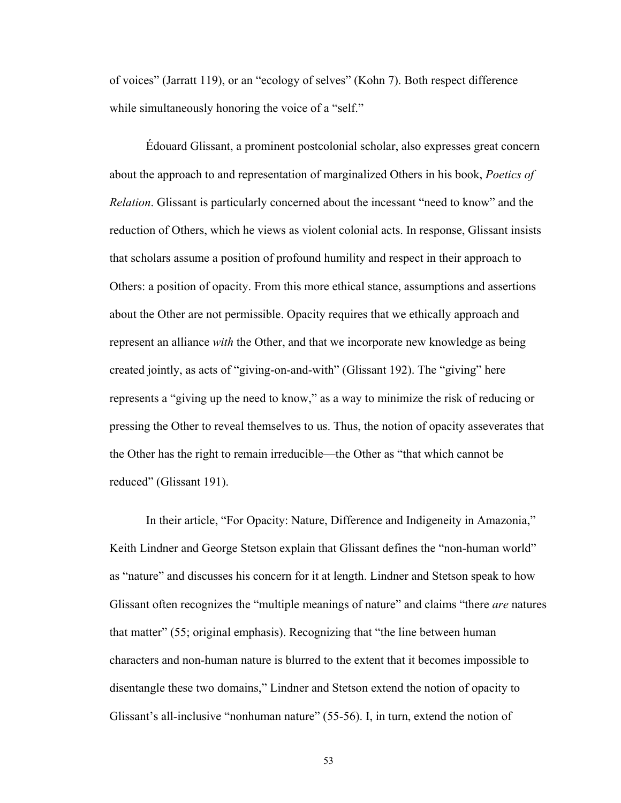of voices" (Jarratt 119), or an "ecology of selves" (Kohn 7). Both respect difference while simultaneously honoring the voice of a "self."

Édouard Glissant, a prominent postcolonial scholar, also expresses great concern about the approach to and representation of marginalized Others in his book, *Poetics of Relation*. Glissant is particularly concerned about the incessant "need to know" and the reduction of Others, which he views as violent colonial acts. In response, Glissant insists that scholars assume a position of profound humility and respect in their approach to Others: a position of opacity. From this more ethical stance, assumptions and assertions about the Other are not permissible. Opacity requires that we ethically approach and represent an alliance *with* the Other, and that we incorporate new knowledge as being created jointly, as acts of "giving-on-and-with" (Glissant 192). The "giving" here represents a "giving up the need to know," as a way to minimize the risk of reducing or pressing the Other to reveal themselves to us. Thus, the notion of opacity asseverates that the Other has the right to remain irreducible—the Other as "that which cannot be reduced" (Glissant 191).

In their article, "For Opacity: Nature, Difference and Indigeneity in Amazonia," Keith Lindner and George Stetson explain that Glissant defines the "non-human world" as "nature" and discusses his concern for it at length. Lindner and Stetson speak to how Glissant often recognizes the "multiple meanings of nature" and claims "there *are* natures that matter"  $(55;$  original emphasis). Recognizing that "the line between human characters and non-human nature is blurred to the extent that it becomes impossible to disentangle these two domains," Lindner and Stetson extend the notion of opacity to Glissant's all-inclusive "nonhuman nature" (55-56). I, in turn, extend the notion of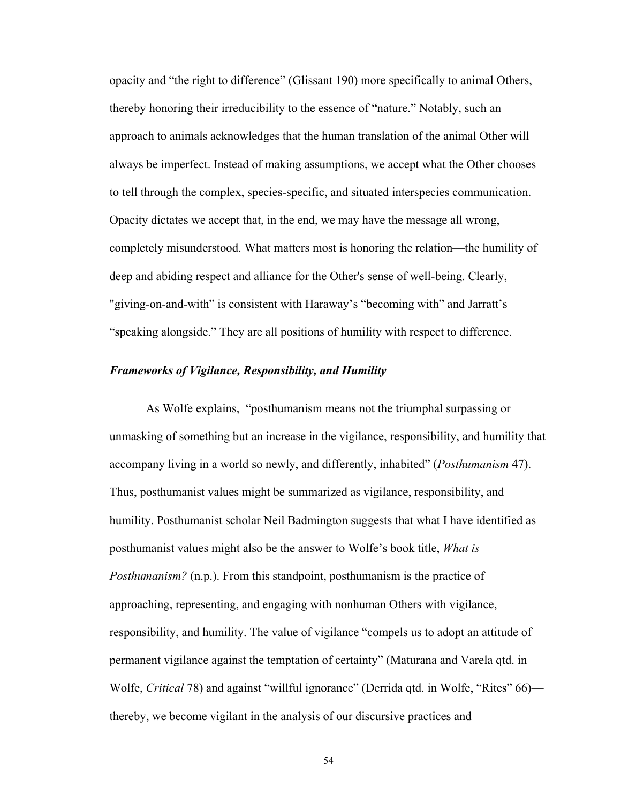opacity and "the right to difference" (Glissant 190) more specifically to animal Others, thereby honoring their irreducibility to the essence of "nature." Notably, such an approach to animals acknowledges that the human translation of the animal Other will always be imperfect. Instead of making assumptions, we accept what the Other chooses to tell through the complex, species-specific, and situated interspecies communication. Opacity dictates we accept that, in the end, we may have the message all wrong, completely misunderstood. What matters most is honoring the relation—the humility of deep and abiding respect and alliance for the Other's sense of well-being. Clearly, "giving-on-and-with" is consistent with Haraway's "becoming with" and Jarratt's "speaking alongside." They are all positions of humility with respect to difference.

# *Frameworks of Vigilance, Responsibility, and Humility*

As Wolfe explains, "posthumanism means not the triumphal surpassing or unmasking of something but an increase in the vigilance, responsibility, and humility that accompany living in a world so newly, and differently, inhabited^ (*Posthumanism* 47). Thus, posthumanist values might be summarized as vigilance, responsibility, and humility. Posthumanist scholar Neil Badmington suggests that what I have identified as posthumanist values might also be the answer to Wolfe's book title, *What is Posthumanism?* (n.p.). From this standpoint, posthumanism is the practice of approaching, representing, and engaging with nonhuman Others with vigilance, responsibility, and humility. The value of vigilance "compels us to adopt an attitude of permanent vigilance against the temptation of certainty" (Maturana and Varela qtd. in Wolfe, *Critical* 78) and against "willful ignorance" (Derrida qtd. in Wolfe, "Rites" 66) thereby, we become vigilant in the analysis of our discursive practices and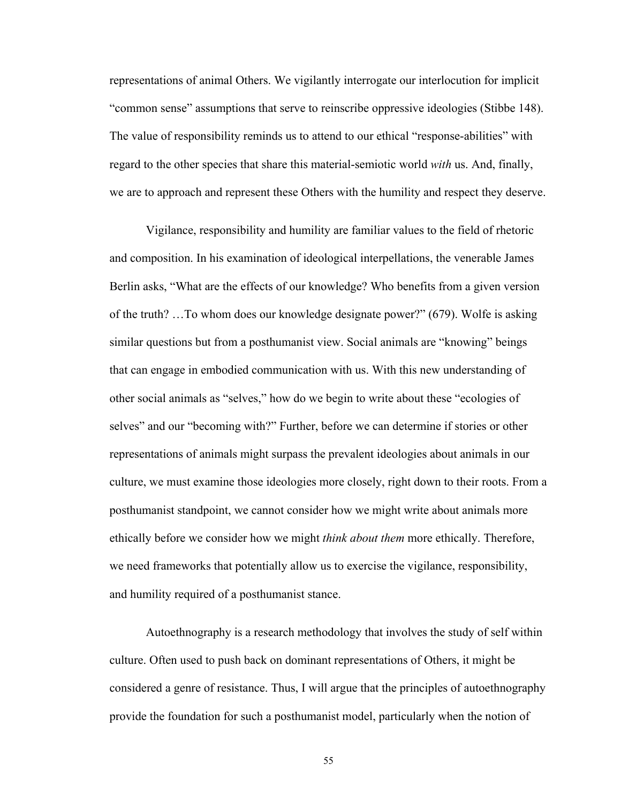representations of animal Others. We vigilantly interrogate our interlocution for implicit "common sense" assumptions that serve to reinscribe oppressive ideologies (Stibbe 148). The value of responsibility reminds us to attend to our ethical "response-abilities" with regard to the other species that share this material-semiotic world *with* us. And, finally, we are to approach and represent these Others with the humility and respect they deserve.

Vigilance, responsibility and humility are familiar values to the field of rhetoric and composition. In his examination of ideological interpellations, the venerable James Berlin asks, "What are the effects of our knowledge? Who benefits from a given version of the truth?  $\ldots$  To whom does our knowledge designate power?" (679). Wolfe is asking similar questions but from a posthumanist view. Social animals are "knowing" beings that can engage in embodied communication with us. With this new understanding of other social animals as "selves," how do we begin to write about these "ecologies of selves" and our "becoming with?" Further, before we can determine if stories or other representations of animals might surpass the prevalent ideologies about animals in our culture, we must examine those ideologies more closely, right down to their roots. From a posthumanist standpoint, we cannot consider how we might write about animals more ethically before we consider how we might *think about them* more ethically. Therefore, we need frameworks that potentially allow us to exercise the vigilance, responsibility, and humility required of a posthumanist stance.

Autoethnography is a research methodology that involves the study of self within culture. Often used to push back on dominant representations of Others, it might be considered a genre of resistance. Thus, I will argue that the principles of autoethnography provide the foundation for such a posthumanist model, particularly when the notion of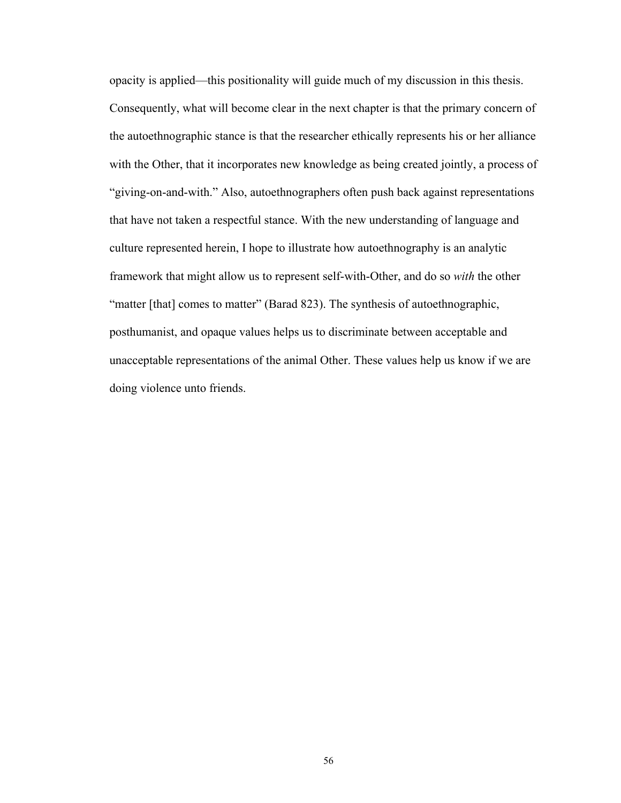opacity is applied—this positionality will guide much of my discussion in this thesis. Consequently, what will become clear in the next chapter is that the primary concern of the autoethnographic stance is that the researcher ethically represents his or her alliance with the Other, that it incorporates new knowledge as being created jointly, a process of "giving-on-and-with." Also, autoethnographers often push back against representations that have not taken a respectful stance. With the new understanding of language and culture represented herein, I hope to illustrate how autoethnography is an analytic framework that might allow us to represent self-with-Other, and do so *with* the other "matter [that] comes to matter" (Barad 823). The synthesis of autoethnographic, posthumanist, and opaque values helps us to discriminate between acceptable and unacceptable representations of the animal Other. These values help us know if we are doing violence unto friends.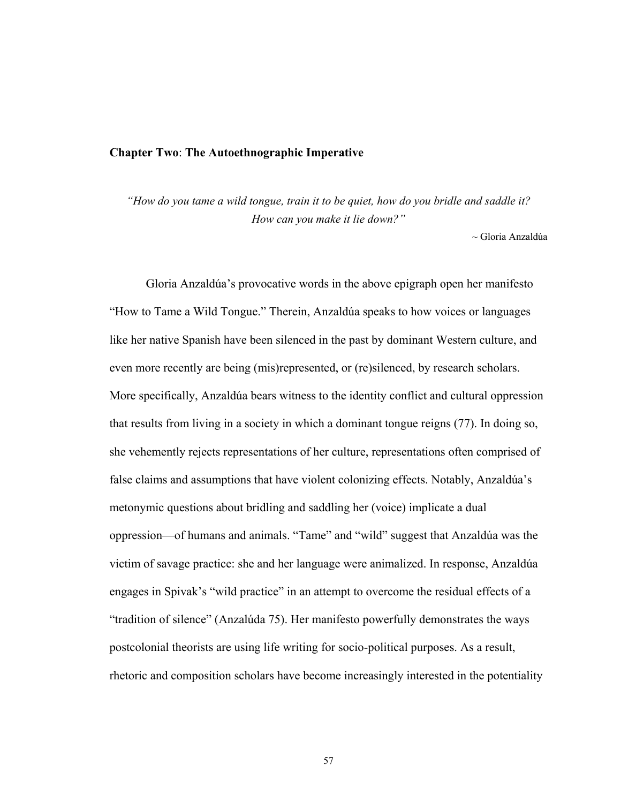### **Chapter Two**: **The Autoethnographic Imperative**

*"How do you tame a wild tongue, train it to be quiet, how do you bridle and saddle it? How can you make it lie down?"* 

~ Gloria Anzaldúa

Gloria Anzaldúa's provocative words in the above epigraph open her manifesto "How to Tame a Wild Tongue." Therein, Anzaldúa speaks to how voices or languages like her native Spanish have been silenced in the past by dominant Western culture, and even more recently are being (mis)represented, or (re)silenced, by research scholars. More specifically, Anzaldúa bears witness to the identity conflict and cultural oppression that results from living in a society in which a dominant tongue reigns (77). In doing so, she vehemently rejects representations of her culture, representations often comprised of false claims and assumptions that have violent colonizing effects. Notably, Anzaldúa's metonymic questions about bridling and saddling her (voice) implicate a dual oppression—of humans and animals. "Tame" and "wild" suggest that Anzaldúa was the victim of savage practice: she and her language were animalized. In response, Anzaldúa engages in Spivak's "wild practice" in an attempt to overcome the residual effects of a "tradition of silence" (Anzalúda 75). Her manifesto powerfully demonstrates the ways postcolonial theorists are using life writing for socio-political purposes. As a result, rhetoric and composition scholars have become increasingly interested in the potentiality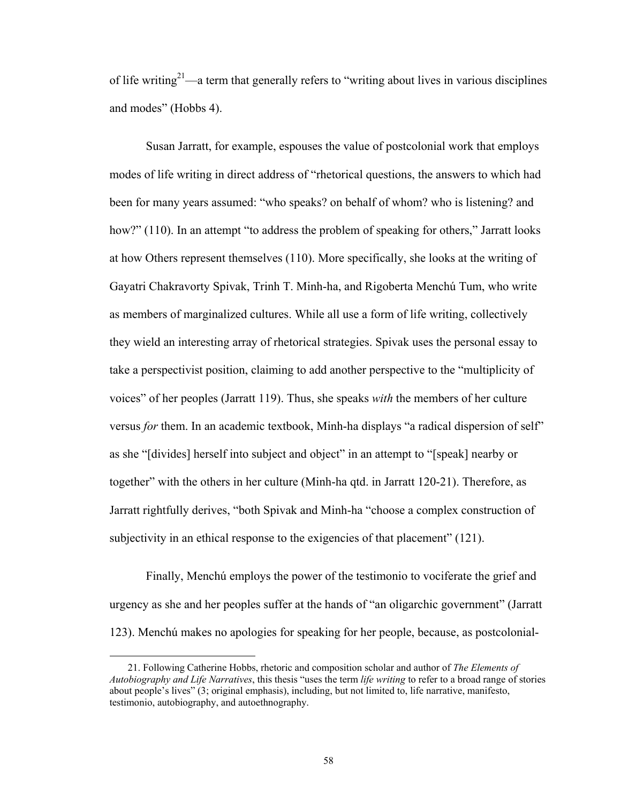of life writing<sup>21</sup>—a term that generally refers to "writing about lives in various disciplines" and modes" (Hobbs 4).

Susan Jarratt, for example, espouses the value of postcolonial work that employs modes of life writing in direct address of "rhetorical questions, the answers to which had been for many years assumed: "who speaks? on behalf of whom? who is listening? and how?"  $(110)$ . In an attempt "to address the problem of speaking for others," Jarratt looks at how Others represent themselves (110). More specifically, she looks at the writing of Gayatri Chakravorty Spivak, Trinh T. Minh-ha, and Rigoberta Menchú Tum, who write as members of marginalized cultures. While all use a form of life writing, collectively they wield an interesting array of rhetorical strategies. Spivak uses the personal essay to take a perspectivist position, claiming to add another perspective to the "multiplicity of voices^ of her peoples (Jarratt 119). Thus, she speaks *with* the members of her culture versus *for* them. In an academic textbook, Minh-ha displays "a radical dispersion of self" as she "[divides] herself into subject and object" in an attempt to "[speak] nearby or together" with the others in her culture (Minh-ha qtd. in Jarratt 120-21). Therefore, as Jarratt rightfully derives, "both Spivak and Minh-ha "choose a complex construction of subjectivity in an ethical response to the exigencies of that placement" (121).

Finally, Menchú employs the power of the testimonio to vociferate the grief and urgency as she and her peoples suffer at the hands of "an oligarchic government" (Jarratt 123). Menchú makes no apologies for speaking for her people, because, as postcolonial-

 $\overline{a}$ 

 <sup>21.</sup> Following Catherine Hobbs, rhetoric and composition scholar and author of *The Elements of Autobiography and Life Narratives*, this thesis "uses the term *life writing* to refer to a broad range of stories about people's lives" (3; original emphasis), including, but not limited to, life narrative, manifesto, testimonio, autobiography, and autoethnography.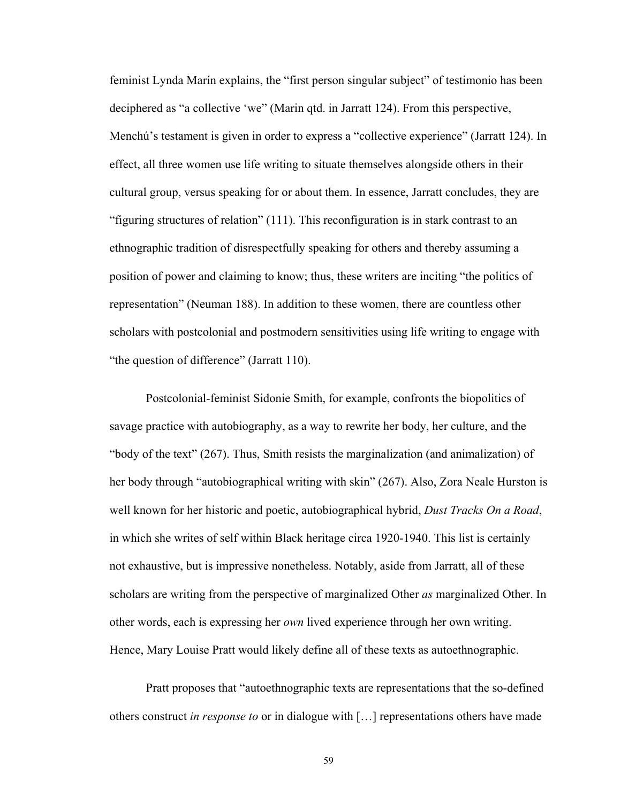feminist Lynda Marín explains, the "first person singular subject" of testimonio has been deciphered as "a collective 'we" (Marin qtd. in Jarratt 124). From this perspective, Menchú's testament is given in order to express a "collective experience" (Jarratt 124). In effect, all three women use life writing to situate themselves alongside others in their cultural group, versus speaking for or about them. In essence, Jarratt concludes, they are "figuring structures of relation"  $(111)$ . This reconfiguration is in stark contrast to an ethnographic tradition of disrespectfully speaking for others and thereby assuming a position of power and claiming to know; thus, these writers are inciting "the politics of representation" (Neuman 188). In addition to these women, there are countless other scholars with postcolonial and postmodern sensitivities using life writing to engage with "the question of difference" (Jarratt 110).

Postcolonial-feminist Sidonie Smith, for example, confronts the biopolitics of savage practice with autobiography, as a way to rewrite her body, her culture, and the "body of the text" (267). Thus, Smith resists the marginalization (and animalization) of her body through "autobiographical writing with skin" (267). Also, Zora Neale Hurston is well known for her historic and poetic, autobiographical hybrid, *Dust Tracks On a Road*, in which she writes of self within Black heritage circa 1920-1940. This list is certainly not exhaustive, but is impressive nonetheless. Notably, aside from Jarratt, all of these scholars are writing from the perspective of marginalized Other *as* marginalized Other. In other words, each is expressing her *own* lived experience through her own writing. Hence, Mary Louise Pratt would likely define all of these texts as autoethnographic.

Pratt proposes that "autoethnographic texts are representations that the so-defined others construct *in response to* or in dialogue with [...] representations others have made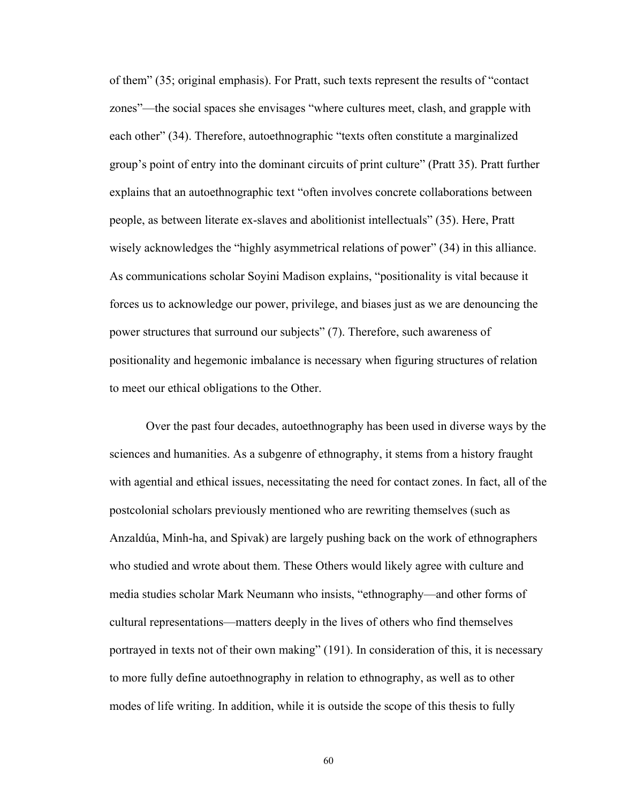of them" (35; original emphasis). For Pratt, such texts represent the results of "contact" zones"—the social spaces she envisages "where cultures meet, clash, and grapple with each other" (34). Therefore, autoethnographic "texts often constitute a marginalized group's point of entry into the dominant circuits of print culture" (Pratt 35). Pratt further explains that an autoethnographic text "often involves concrete collaborations between people, as between literate ex-slaves and abolitionist intellectuals^ (35). Here, Pratt wisely acknowledges the "highly asymmetrical relations of power"  $(34)$  in this alliance. As communications scholar Soyini Madison explains, "positionality is vital because it forces us to acknowledge our power, privilege, and biases just as we are denouncing the power structures that surround our subjects" (7). Therefore, such awareness of positionality and hegemonic imbalance is necessary when figuring structures of relation to meet our ethical obligations to the Other.

Over the past four decades, autoethnography has been used in diverse ways by the sciences and humanities. As a subgenre of ethnography, it stems from a history fraught with agential and ethical issues, necessitating the need for contact zones. In fact, all of the postcolonial scholars previously mentioned who are rewriting themselves (such as Anzaldúa, Minh-ha, and Spivak) are largely pushing back on the work of ethnographers who studied and wrote about them. These Others would likely agree with culture and media studies scholar Mark Neumann who insists, "ethnography-and other forms of cultural representations—matters deeply in the lives of others who find themselves portrayed in texts not of their own making" (191). In consideration of this, it is necessary to more fully define autoethnography in relation to ethnography, as well as to other modes of life writing. In addition, while it is outside the scope of this thesis to fully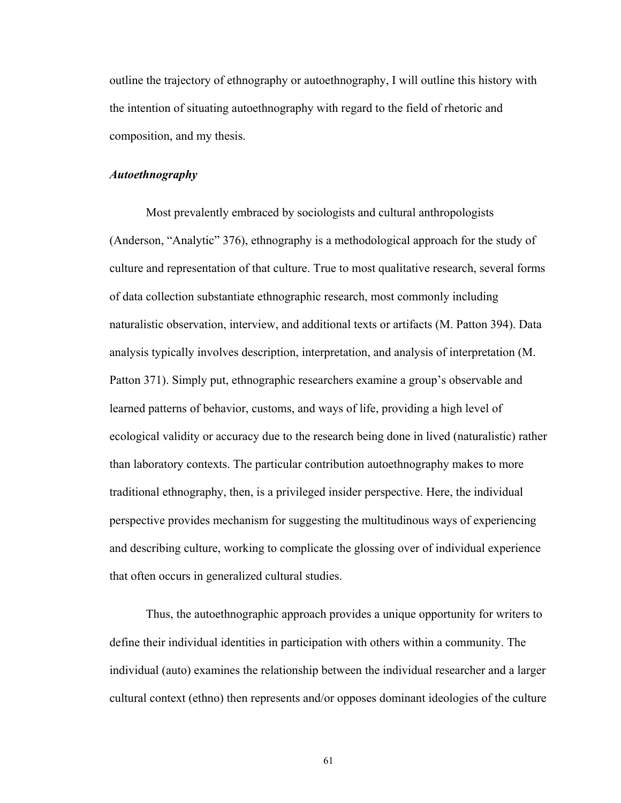outline the trajectory of ethnography or autoethnography, I will outline this history with the intention of situating autoethnography with regard to the field of rhetoric and composition, and my thesis.

# *Autoethnography*

Most prevalently embraced by sociologists and cultural anthropologists (Anderson, "Analytic"  $376$ ), ethnography is a methodological approach for the study of culture and representation of that culture. True to most qualitative research, several forms of data collection substantiate ethnographic research, most commonly including naturalistic observation, interview, and additional texts or artifacts (M. Patton 394). Data analysis typically involves description, interpretation, and analysis of interpretation (M. Patton 371). Simply put, ethnographic researchers examine a group's observable and learned patterns of behavior, customs, and ways of life, providing a high level of ecological validity or accuracy due to the research being done in lived (naturalistic) rather than laboratory contexts. The particular contribution autoethnography makes to more traditional ethnography, then, is a privileged insider perspective. Here, the individual perspective provides mechanism for suggesting the multitudinous ways of experiencing and describing culture, working to complicate the glossing over of individual experience that often occurs in generalized cultural studies.

Thus, the autoethnographic approach provides a unique opportunity for writers to define their individual identities in participation with others within a community. The individual (auto) examines the relationship between the individual researcher and a larger cultural context (ethno) then represents and/or opposes dominant ideologies of the culture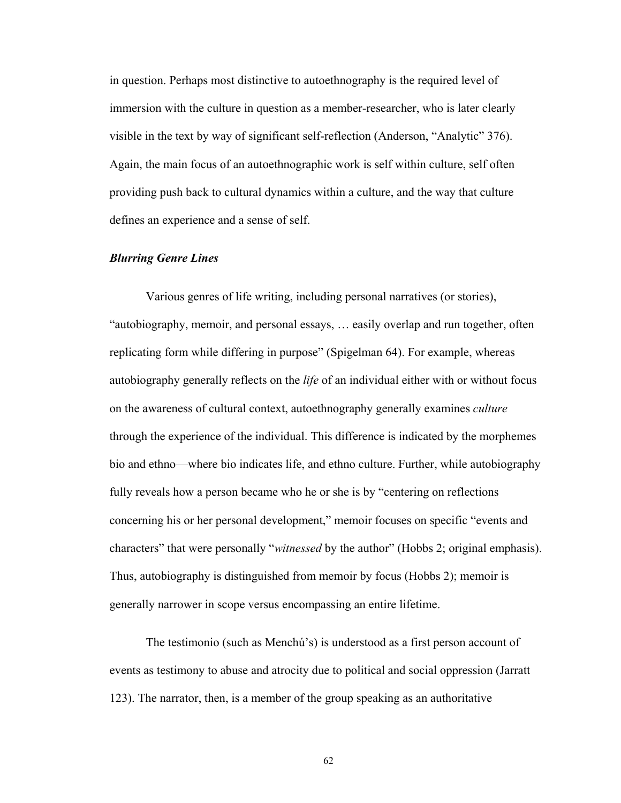in question. Perhaps most distinctive to autoethnography is the required level of immersion with the culture in question as a member-researcher, who is later clearly visible in the text by way of significant self-reflection (Anderson, "Analytic" 376). Again, the main focus of an autoethnographic work is self within culture, self often providing push back to cultural dynamics within a culture, and the way that culture defines an experience and a sense of self.

## *Blurring Genre Lines*

Various genres of life writing, including personal narratives (or stories), "autobiography, memoir, and personal essays, ... easily overlap and run together, often replicating form while differing in purpose" (Spigelman 64). For example, whereas autobiography generally reflects on the *life* of an individual either with or without focus on the awareness of cultural context, autoethnography generally examines *culture*  through the experience of the individual. This difference is indicated by the morphemes bio and ethno—where bio indicates life, and ethno culture. Further, while autobiography fully reveals how a person became who he or she is by "centering on reflections" concerning his or her personal development," memoir focuses on specific "events and characters" that were personally "*witnessed* by the author" (Hobbs 2; original emphasis). Thus, autobiography is distinguished from memoir by focus (Hobbs 2); memoir is generally narrower in scope versus encompassing an entire lifetime.

The testimonio (such as Menchú's) is understood as a first person account of events as testimony to abuse and atrocity due to political and social oppression (Jarratt 123). The narrator, then, is a member of the group speaking as an authoritative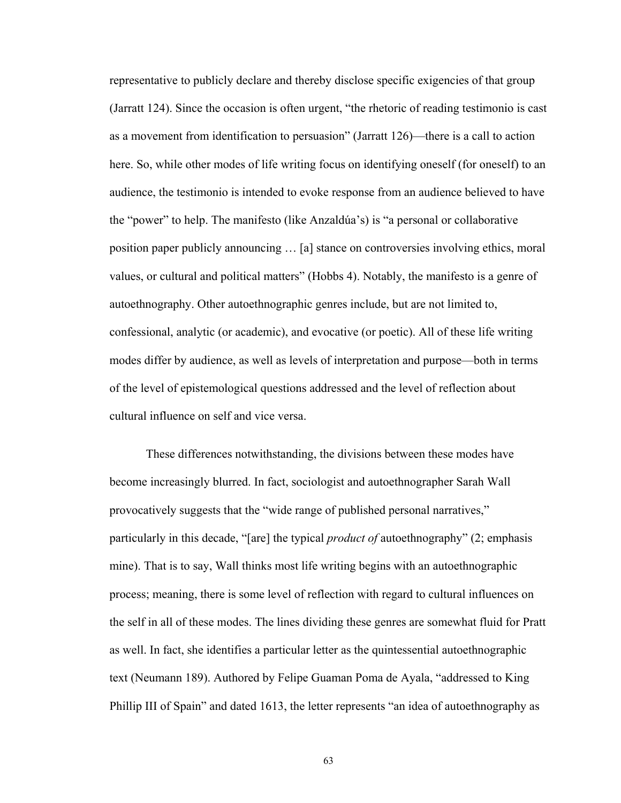representative to publicly declare and thereby disclose specific exigencies of that group (Jarratt  $124$ ). Since the occasion is often urgent, "the rhetoric of reading testimonio is cast as a movement from identification to persuasion" (Jarratt 126)—there is a call to action here. So, while other modes of life writing focus on identifying oneself (for oneself) to an audience, the testimonio is intended to evoke response from an audience believed to have the "power" to help. The manifesto (like Anzaldúa's) is "a personal or collaborative position paper publicly announcing ... [a] stance on controversies involving ethics, moral values, or cultural and political matters" (Hobbs 4). Notably, the manifesto is a genre of autoethnography. Other autoethnographic genres include, but are not limited to, confessional, analytic (or academic), and evocative (or poetic). All of these life writing modes differ by audience, as well as levels of interpretation and purpose\_both in terms of the level of epistemological questions addressed and the level of reflection about cultural influence on self and vice versa.

These differences notwithstanding, the divisions between these modes have become increasingly blurred. In fact, sociologist and autoethnographer Sarah Wall provocatively suggests that the "wide range of published personal narratives," particularly in this decade, "[are] the typical *product of* autoethnography" (2; emphasis mine). That is to say, Wall thinks most life writing begins with an autoethnographic process; meaning, there is some level of reflection with regard to cultural influences on the self in all of these modes. The lines dividing these genres are somewhat fluid for Pratt as well. In fact, she identifies a particular letter as the quintessential autoethnographic text (Neumann 189). Authored by Felipe Guaman Poma de Ayala, "addressed to King Phillip III of Spain" and dated 1613, the letter represents "an idea of autoethnography as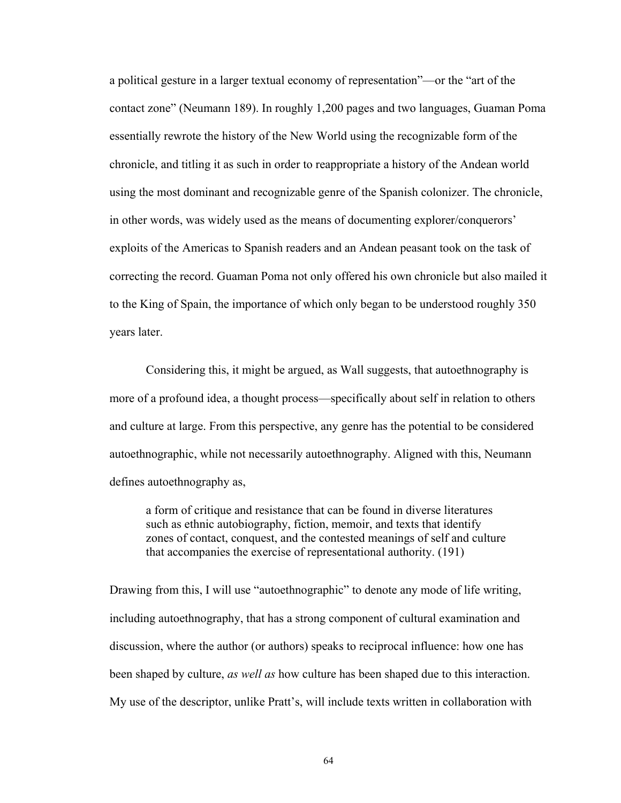a political gesture in a larger textual economy of representation<sup>"</sup>—or the "art of the contact zone" (Neumann 189). In roughly 1,200 pages and two languages, Guaman Poma essentially rewrote the history of the New World using the recognizable form of the chronicle, and titling it as such in order to reappropriate a history of the Andean world using the most dominant and recognizable genre of the Spanish colonizer. The chronicle, in other words, was widely used as the means of documenting explorer/conquerors' exploits of the Americas to Spanish readers and an Andean peasant took on the task of correcting the record. Guaman Poma not only offered his own chronicle but also mailed it to the King of Spain, the importance of which only began to be understood roughly 350 years later.

Considering this, it might be argued, as Wall suggests, that autoethnography is more of a profound idea, a thought process—specifically about self in relation to others and culture at large. From this perspective, any genre has the potential to be considered autoethnographic, while not necessarily autoethnography. Aligned with this, Neumann defines autoethnography as,

a form of critique and resistance that can be found in diverse literatures such as ethnic autobiography, fiction, memoir, and texts that identify zones of contact, conquest, and the contested meanings of self and culture that accompanies the exercise of representational authority. (191)

Drawing from this, I will use "autoethnographic" to denote any mode of life writing, including autoethnography, that has a strong component of cultural examination and discussion, where the author (or authors) speaks to reciprocal influence: how one has been shaped by culture, *as well as* how culture has been shaped due to this interaction. My use of the descriptor, unlike Pratt's, will include texts written in collaboration with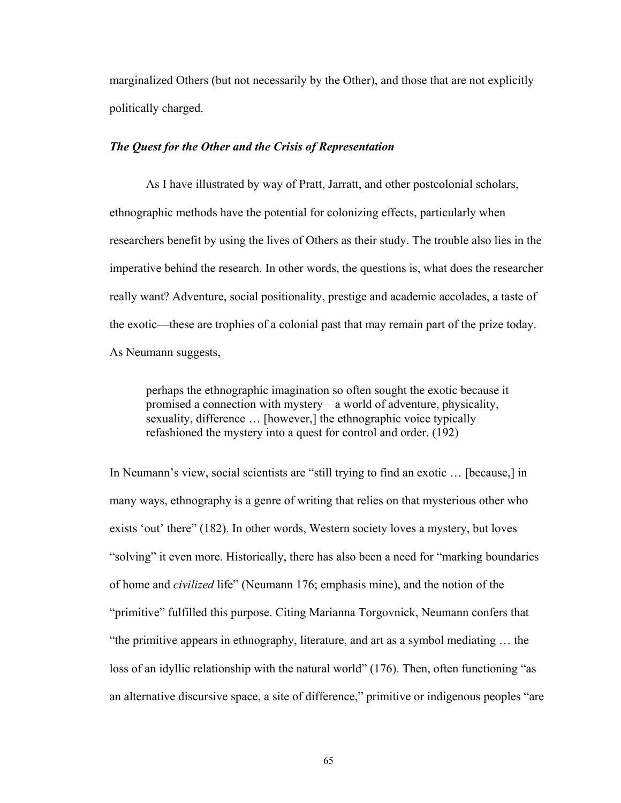marginalized Others (but not necessarily by the Other), and those that are not explicitly politically charged.

## *The Quest for the Other and the Crisis of Representation*

As I have illustrated by way of Pratt, Jarratt, and other postcolonial scholars, ethnographic methods have the potential for colonizing effects, particularly when researchers benefit by using the lives of Others as their study. The trouble also lies in the imperative behind the research. In other words, the questions is, what does the researcher really want? Adventure, social positionality, prestige and academic accolades, a taste of the exotic—these are trophies of a colonial past that may remain part of the prize today. As Neumann suggests,

perhaps the ethnographic imagination so often sought the exotic because it promised a connection with mystery\_a world of adventure, physicality, sexuality, difference  $\ldots$  [however,] the ethnographic voice typically refashioned the mystery into a quest for control and order. (192)

In Neumann's view, social scientists are "still trying to find an exotic  $\ldots$  [because,] in many ways, ethnography is a genre of writing that relies on that mysterious other who exists 'out' there" (182). In other words, Western society loves a mystery, but loves "solving" it even more. Historically, there has also been a need for "marking boundaries" of home and *civilized* life^ (Neumann 176; emphasis mine), and the notion of the "primitive" fulfilled this purpose. Citing Marianna Torgovnick, Neumann confers that "the primitive appears in ethnography, literature, and art as a symbol mediating  $\dots$  the loss of an idyllic relationship with the natural world"  $(176)$ . Then, often functioning "as an alternative discursive space, a site of difference," primitive or indigenous peoples "are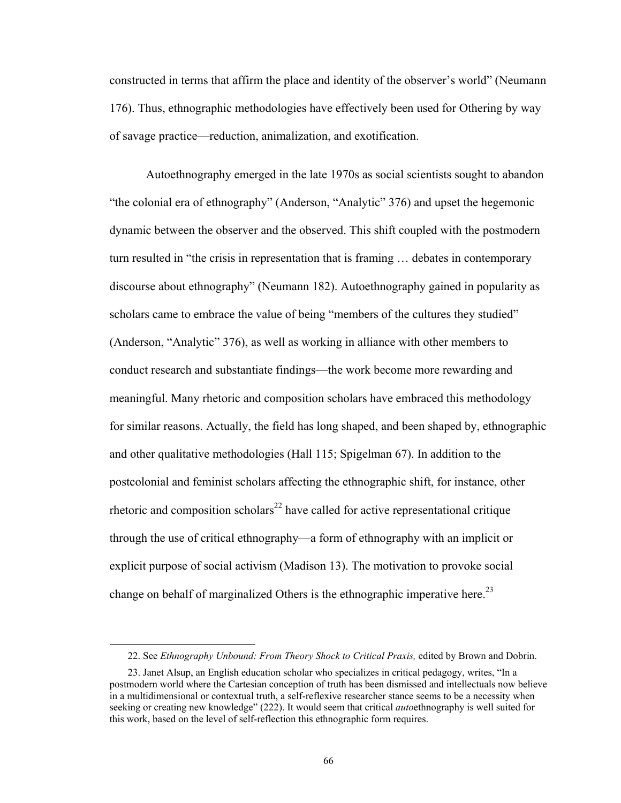constructed in terms that affirm the place and identity of the observer's world" (Neumann 176). Thus, ethnographic methodologies have effectively been used for Othering by way of savage practice\_reduction, animalization, and exotification.

Autoethnography emerged in the late 1970s as social scientists sought to abandon "the colonial era of ethnography" (Anderson, "Analytic"  $376$ ) and upset the hegemonic dynamic between the observer and the observed. This shift coupled with the postmodern turn resulted in "the crisis in representation that is framing ... debates in contemporary discourse about ethnography^ (Neumann 182). Autoethnography gained in popularity as scholars came to embrace the value of being "members of the cultures they studied" (Anderson, "Analytic" 376), as well as working in alliance with other members to conduct research and substantiate findings—the work become more rewarding and meaningful. Many rhetoric and composition scholars have embraced this methodology for similar reasons. Actually, the field has long shaped, and been shaped by, ethnographic and other qualitative methodologies (Hall 115; Spigelman 67). In addition to the postcolonial and feminist scholars affecting the ethnographic shift, for instance, other rhetoric and composition scholars<sup>22</sup> have called for active representational critique through the use of critical ethnography\_a form of ethnography with an implicit or explicit purpose of social activism (Madison 13). The motivation to provoke social change on behalf of marginalized Others is the ethnographic imperative here.<sup>23</sup>

 $\overline{a}$ 

 <sup>22.</sup> See *Ethnography Unbound: From Theory Shock to Critical Praxis,* edited by Brown and Dobrin.

<sup>23.</sup> Janet Alsup, an English education scholar who specializes in critical pedagogy, writes, "In a postmodern world where the Cartesian conception of truth has been dismissed and intellectuals now believe in a multidimensional or contextual truth, a self-reflexive researcher stance seems to be a necessity when seeking or creating new knowledge" (222). It would seem that critical *auto*ethnography is well suited for this work, based on the level of self-reflection this ethnographic form requires.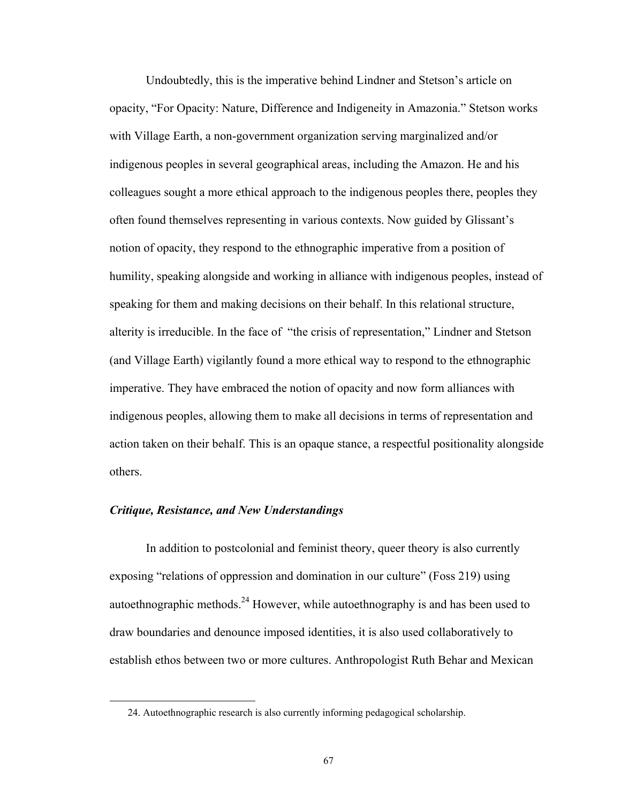Undoubtedly, this is the imperative behind Lindner and Stetson's article on opacity, ]For Opacity: Nature, Difference and Indigeneity in Amazonia.^ Stetson works with Village Earth, a non-government organization serving marginalized and/or indigenous peoples in several geographical areas, including the Amazon. He and his colleagues sought a more ethical approach to the indigenous peoples there, peoples they often found themselves representing in various contexts. Now guided by Glissant's notion of opacity, they respond to the ethnographic imperative from a position of humility, speaking alongside and working in alliance with indigenous peoples, instead of speaking for them and making decisions on their behalf. In this relational structure, alterity is irreducible. In the face of "the crisis of representation," Lindner and Stetson (and Village Earth) vigilantly found a more ethical way to respond to the ethnographic imperative. They have embraced the notion of opacity and now form alliances with indigenous peoples, allowing them to make all decisions in terms of representation and action taken on their behalf. This is an opaque stance, a respectful positionality alongside others.

## *Critique, Resistance, and New Understandings*

 $\overline{a}$ 

In addition to postcolonial and feminist theory, queer theory is also currently exposing "relations of oppression and domination in our culture" (Foss 219) using autoethnographic methods.<sup>24</sup> However, while autoethnography is and has been used to draw boundaries and denounce imposed identities, it is also used collaboratively to establish ethos between two or more cultures. Anthropologist Ruth Behar and Mexican

 <sup>24.</sup> Autoethnographic research is also currently informing pedagogical scholarship.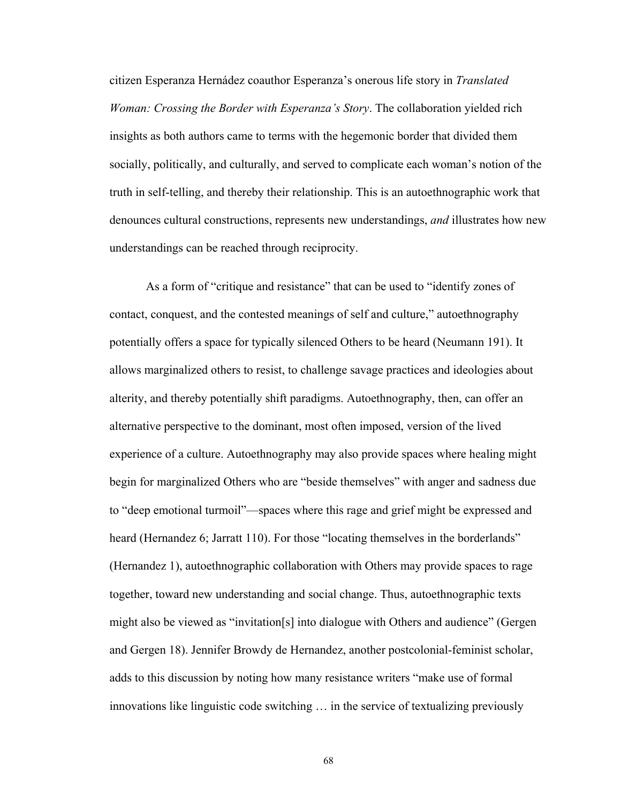citizen Esperanza Hernádez coauthor Esperanza's onerous life story in *Translated Woman: Crossing the Border with Esperanza's Story*. The collaboration yielded rich insights as both authors came to terms with the hegemonic border that divided them socially, politically, and culturally, and served to complicate each woman's notion of the truth in self-telling, and thereby their relationship. This is an autoethnographic work that denounces cultural constructions, represents new understandings, *and* illustrates how new understandings can be reached through reciprocity.

As a form of "critique and resistance" that can be used to "identify zones of contact, conquest, and the contested meanings of self and culture," autoethnography potentially offers a space for typically silenced Others to be heard (Neumann 191). It allows marginalized others to resist, to challenge savage practices and ideologies about alterity, and thereby potentially shift paradigms. Autoethnography, then, can offer an alternative perspective to the dominant, most often imposed, version of the lived experience of a culture. Autoethnography may also provide spaces where healing might begin for marginalized Others who are "beside themselves" with anger and sadness due to "deep emotional turmoil"—spaces where this rage and grief might be expressed and heard (Hernandez 6; Jarratt 110). For those "locating themselves in the borderlands" (Hernandez 1), autoethnographic collaboration with Others may provide spaces to rage together, toward new understanding and social change. Thus, autoethnographic texts might also be viewed as "invitation[s] into dialogue with Others and audience" (Gergen and Gergen 18). Jennifer Browdy de Hernandez, another postcolonial-feminist scholar, adds to this discussion by noting how many resistance writers "make use of formal innovations like linguistic code switching  $\ldots$  in the service of textualizing previously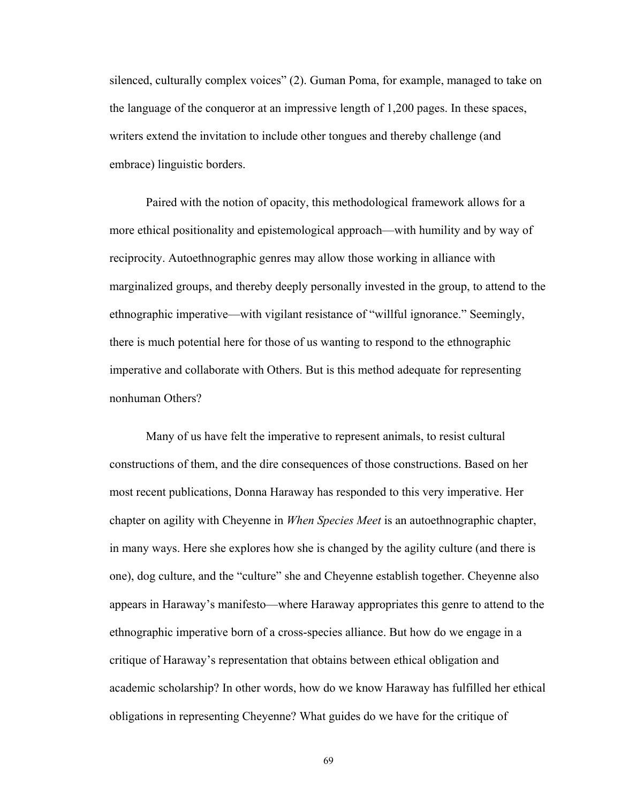silenced, culturally complex voices" (2). Guman Poma, for example, managed to take on the language of the conqueror at an impressive length of 1,200 pages. In these spaces, writers extend the invitation to include other tongues and thereby challenge (and embrace) linguistic borders.

Paired with the notion of opacity, this methodological framework allows for a more ethical positionality and epistemological approach—with humility and by way of reciprocity. Autoethnographic genres may allow those working in alliance with marginalized groups, and thereby deeply personally invested in the group, to attend to the ethnographic imperative—with vigilant resistance of "willful ignorance." Seemingly, there is much potential here for those of us wanting to respond to the ethnographic imperative and collaborate with Others. But is this method adequate for representing nonhuman Others?

Many of us have felt the imperative to represent animals, to resist cultural constructions of them, and the dire consequences of those constructions. Based on her most recent publications, Donna Haraway has responded to this very imperative. Her chapter on agility with Cheyenne in *When Species Meet* is an autoethnographic chapter, in many ways. Here she explores how she is changed by the agility culture (and there is one), dog culture, and the "culture" she and Cheyenne establish together. Cheyenne also appears in Haraway's manifesto—where Haraway appropriates this genre to attend to the ethnographic imperative born of a cross-species alliance. But how do we engage in a critique of Haraway's representation that obtains between ethical obligation and academic scholarship? In other words, how do we know Haraway has fulfilled her ethical obligations in representing Cheyenne? What guides do we have for the critique of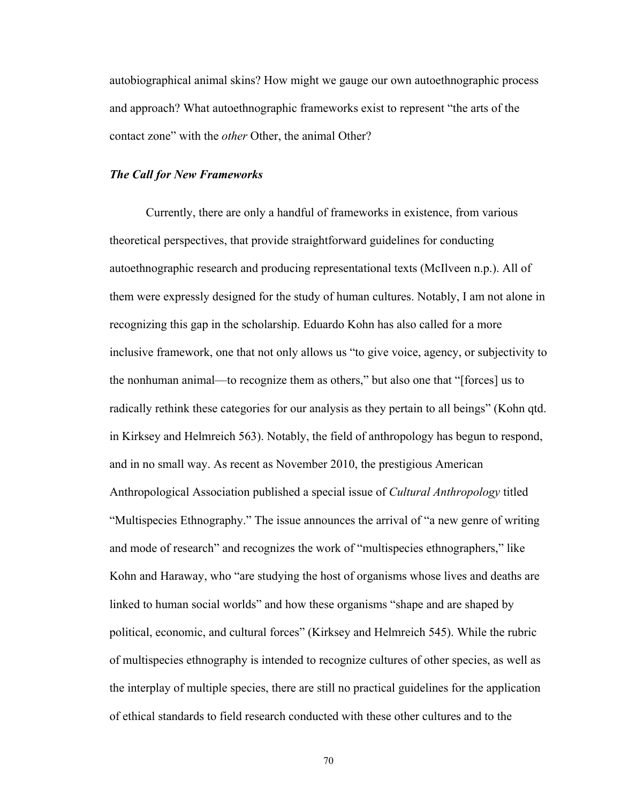autobiographical animal skins? How might we gauge our own autoethnographic process and approach? What autoethnographic frameworks exist to represent "the arts of the contact zone" with the *other* Other, the animal Other?

#### *The Call for New Frameworks*

Currently, there are only a handful of frameworks in existence, from various theoretical perspectives, that provide straightforward guidelines for conducting autoethnographic research and producing representational texts (McIlveen n.p.). All of them were expressly designed for the study of human cultures. Notably, I am not alone in recognizing this gap in the scholarship. Eduardo Kohn has also called for a more inclusive framework, one that not only allows us "to give voice, agency, or subjectivity to the nonhuman animal—to recognize them as others," but also one that "[forces] us to radically rethink these categories for our analysis as they pertain to all beings" (Kohn qtd. in Kirksey and Helmreich 563). Notably, the field of anthropology has begun to respond, and in no small way. As recent as November 2010, the prestigious American Anthropological Association published a special issue of *Cultural Anthropology* titled "Multispecies Ethnography." The issue announces the arrival of "a new genre of writing and mode of research" and recognizes the work of "multispecies ethnographers," like Kohn and Haraway, who "are studying the host of organisms whose lives and deaths are linked to human social worlds" and how these organisms "shape and are shaped by political, economic, and cultural forces^ (Kirksey and Helmreich 545). While the rubric of multispecies ethnography is intended to recognize cultures of other species, as well as the interplay of multiple species, there are still no practical guidelines for the application of ethical standards to field research conducted with these other cultures and to the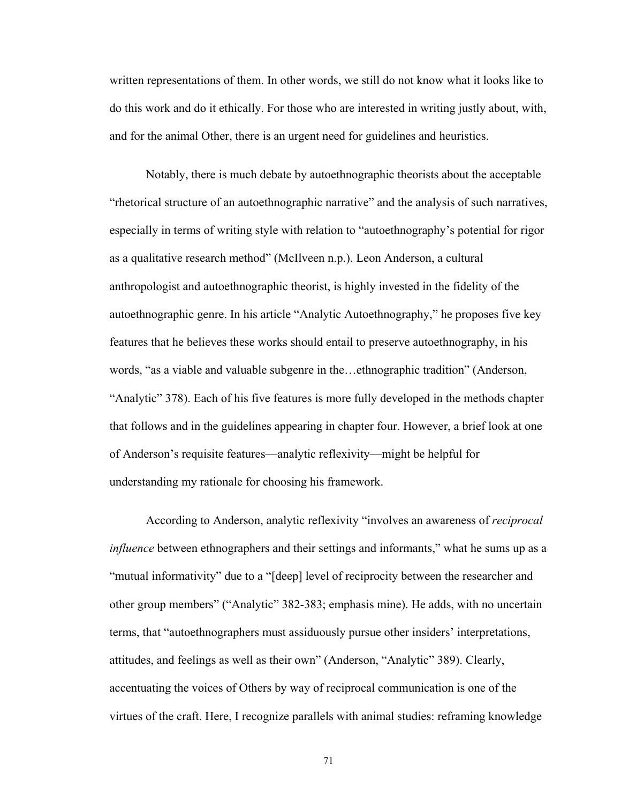written representations of them. In other words, we still do not know what it looks like to do this work and do it ethically. For those who are interested in writing justly about, with, and for the animal Other, there is an urgent need for guidelines and heuristics.

Notably, there is much debate by autoethnographic theorists about the acceptable "rhetorical structure of an autoethnographic narrative" and the analysis of such narratives, especially in terms of writing style with relation to "autoethnography's potential for rigor as a qualitative research method" (McIlveen n.p.). Leon Anderson, a cultural anthropologist and autoethnographic theorist, is highly invested in the fidelity of the autoethnographic genre. In his article "Analytic Autoethnography," he proposes five key features that he believes these works should entail to preserve autoethnography, in his words, "as a viable and valuable subgenre in the...ethnographic tradition" (Anderson, "Analytic" 378). Each of his five features is more fully developed in the methods chapter that follows and in the guidelines appearing in chapter four. However, a brief look at one of Anderson's requisite features—analytic reflexivity—might be helpful for understanding my rationale for choosing his framework.

According to Anderson, analytic reflexivity ]involves an awareness of *reciprocal influence* between ethnographers and their settings and informants," what he sums up as a "mutual informativity" due to a "[deep] level of reciprocity between the researcher and other group members" ("Analytic" 382-383; emphasis mine). He adds, with no uncertain terms, that "autoethnographers must assiduously pursue other insiders' interpretations, attitudes, and feelings as well as their own" (Anderson, "Analytic" 389). Clearly, accentuating the voices of Others by way of reciprocal communication is one of the virtues of the craft. Here, I recognize parallels with animal studies: reframing knowledge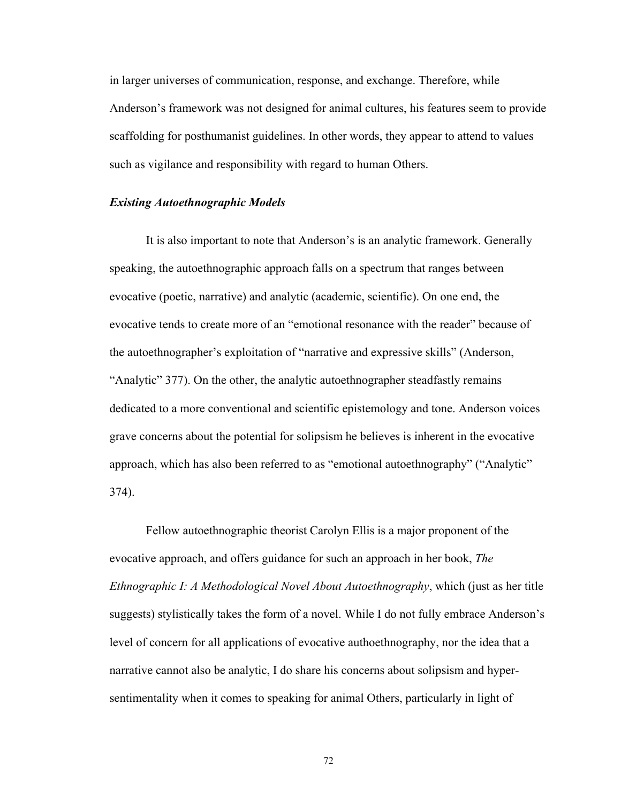in larger universes of communication, response, and exchange. Therefore, while Anderson's framework was not designed for animal cultures, his features seem to provide scaffolding for posthumanist guidelines. In other words, they appear to attend to values such as vigilance and responsibility with regard to human Others.

## *Existing Autoethnographic Models*

It is also important to note that Anderson's is an analytic framework. Generally speaking, the autoethnographic approach falls on a spectrum that ranges between evocative (poetic, narrative) and analytic (academic, scientific). On one end, the evocative tends to create more of an "emotional resonance with the reader" because of the autoethnographer's exploitation of "narrative and expressive skills" (Anderson, "Analytic" 377). On the other, the analytic autoethnographer steadfastly remains dedicated to a more conventional and scientific epistemology and tone. Anderson voices grave concerns about the potential for solipsism he believes is inherent in the evocative approach, which has also been referred to as "emotional autoethnography" ("Analytic" 374).

Fellow autoethnographic theorist Carolyn Ellis is a major proponent of the evocative approach, and offers guidance for such an approach in her book, *The Ethnographic I: A Methodological Novel About Autoethnography*, which (just as her title suggests) stylistically takes the form of a novel. While I do not fully embrace Anderson's level of concern for all applications of evocative authoethnography, nor the idea that a narrative cannot also be analytic, I do share his concerns about solipsism and hypersentimentality when it comes to speaking for animal Others, particularly in light of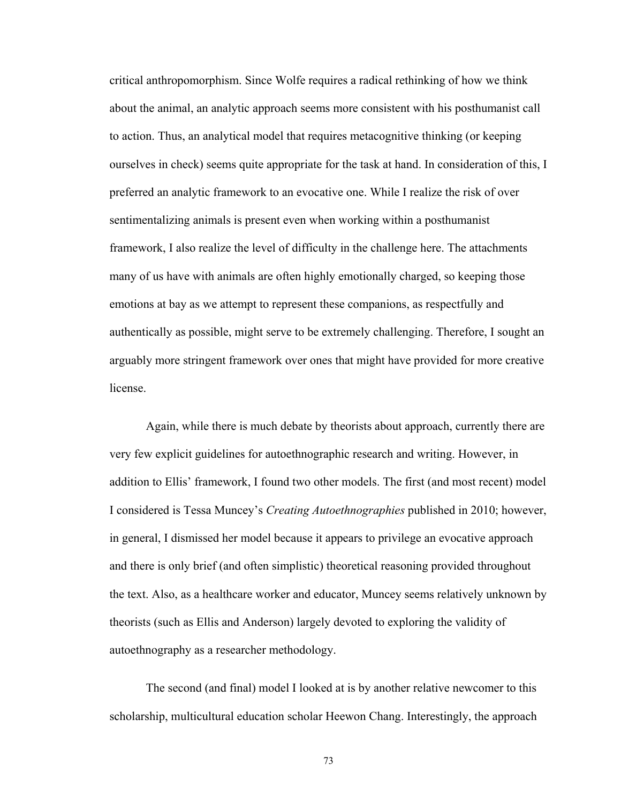critical anthropomorphism. Since Wolfe requires a radical rethinking of how we think about the animal, an analytic approach seems more consistent with his posthumanist call to action. Thus, an analytical model that requires metacognitive thinking (or keeping ourselves in check) seems quite appropriate for the task at hand. In consideration of this, I preferred an analytic framework to an evocative one. While I realize the risk of over sentimentalizing animals is present even when working within a posthumanist framework, I also realize the level of difficulty in the challenge here. The attachments many of us have with animals are often highly emotionally charged, so keeping those emotions at bay as we attempt to represent these companions, as respectfully and authentically as possible, might serve to be extremely challenging. Therefore, I sought an arguably more stringent framework over ones that might have provided for more creative license.

Again, while there is much debate by theorists about approach, currently there are very few explicit guidelines for autoethnographic research and writing. However, in addition to Ellis' framework, I found two other models. The first (and most recent) model I considered is Tessa Muncey's *Creating Autoethnographies* published in 2010; however, in general, I dismissed her model because it appears to privilege an evocative approach and there is only brief (and often simplistic) theoretical reasoning provided throughout the text. Also, as a healthcare worker and educator, Muncey seems relatively unknown by theorists (such as Ellis and Anderson) largely devoted to exploring the validity of autoethnography as a researcher methodology.

The second (and final) model I looked at is by another relative newcomer to this scholarship, multicultural education scholar Heewon Chang. Interestingly, the approach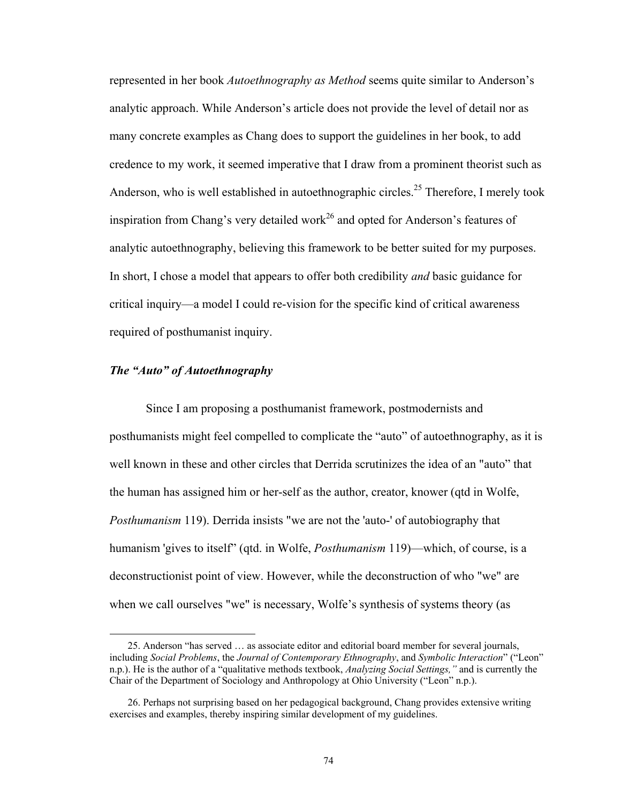represented in her book *Autoethnography as Method* seems quite similar to Anderson's analytic approach. While Anderson's article does not provide the level of detail nor as many concrete examples as Chang does to support the guidelines in her book, to add credence to my work, it seemed imperative that I draw from a prominent theorist such as Anderson, who is well established in autoethnographic circles.<sup>25</sup> Therefore, I merely took inspiration from Chang's very detailed work<sup>26</sup> and opted for Anderson's features of analytic autoethnography, believing this framework to be better suited for my purposes. In short, I chose a model that appears to offer both credibility *and* basic guidance for critical inquiry\_a model I could re-vision for the specific kind of critical awareness required of posthumanist inquiry.

# *The "Auto" of Autoethnography*

 $\overline{a}$ 

 Since I am proposing a posthumanist framework, postmodernists and posthumanists might feel compelled to complicate the "auto" of autoethnography, as it is well known in these and other circles that Derrida scrutinizes the idea of an "auto" that the human has assigned him or her-self as the author, creator, knower (qtd in Wolfe, *Posthumanism* 119). Derrida insists "we are not the 'auto-' of autobiography that humanism 'gives to itself" (qtd. in Wolfe, *Posthumanism* 119)—which, of course, is a deconstructionist point of view. However, while the deconstruction of who "we" are when we call ourselves "we" is necessary, Wolfe's synthesis of systems theory (as

<sup>25.</sup> Anderson "has served ... as associate editor and editorial board member for several journals, including *Social Problems*, the *Journal of Contemporary Ethnography*, and *Symbolic Interaction*" ("Leon" n.p.). He is the author of a "qualitative methods textbook, *Analyzing Social Settings*," and is currently the Chair of the Department of Sociology and Anthropology at Ohio University ("Leon" n.p.).

 <sup>26.</sup> Perhaps not surprising based on her pedagogical background, Chang provides extensive writing exercises and examples, thereby inspiring similar development of my guidelines.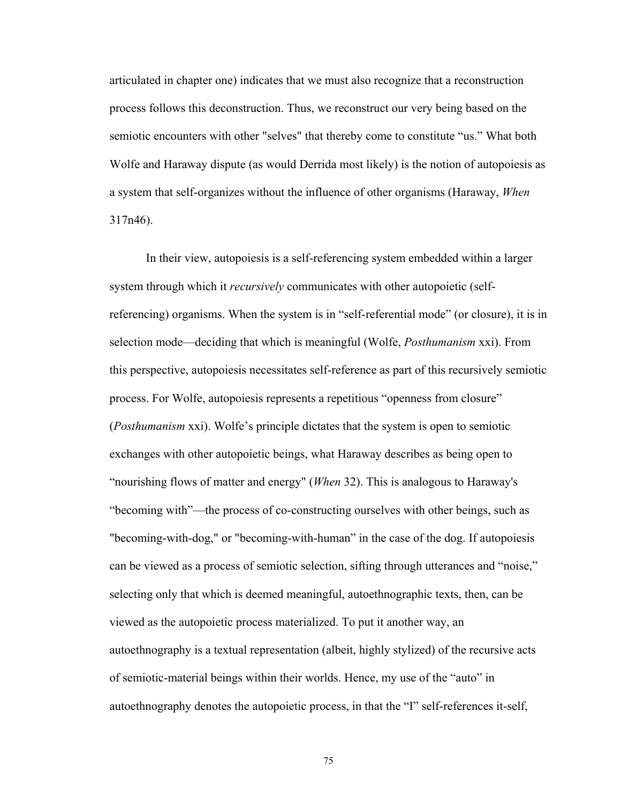articulated in chapter one) indicates that we must also recognize that a reconstruction process follows this deconstruction. Thus, we reconstruct our very being based on the semiotic encounters with other "selves" that thereby come to constitute "us." What both Wolfe and Haraway dispute (as would Derrida most likely) is the notion of autopoiesis as a system that self-organizes without the influence of other organisms (Haraway, *When* 317n46).

 In their view, autopoiesis is a self-referencing system embedded within a larger system through which it *recursively* communicates with other autopoietic (selfreferencing) organisms. When the system is in "self-referential mode" (or closure), it is in selection mode\_deciding that which is meaningful (Wolfe, *Posthumanism* xxi). From this perspective, autopoiesis necessitates self-reference as part of this recursively semiotic process. For Wolfe, autopoiesis represents a repetitious "openness from closure" (*Posthumanism* xxi). Wolfe's principle dictates that the system is open to semiotic exchanges with other autopoietic beings, what Haraway describes as being open to "nourishing flows of matter and energy" (*When* 32). This is analogous to Haraway's "becoming with"—the process of co-constructing ourselves with other beings, such as "becoming-with-dog," or "becoming-with-human^ in the case of the dog. If autopoiesis can be viewed as a process of semiotic selection, sifting through utterances and "noise," selecting only that which is deemed meaningful, autoethnographic texts, then, can be viewed as the autopoietic process materialized. To put it another way, an autoethnography is a textual representation (albeit, highly stylized) of the recursive acts of semiotic-material beings within their worlds. Hence, my use of the "auto" in autoethnography denotes the autopoietic process, in that the "I" self-references it-self,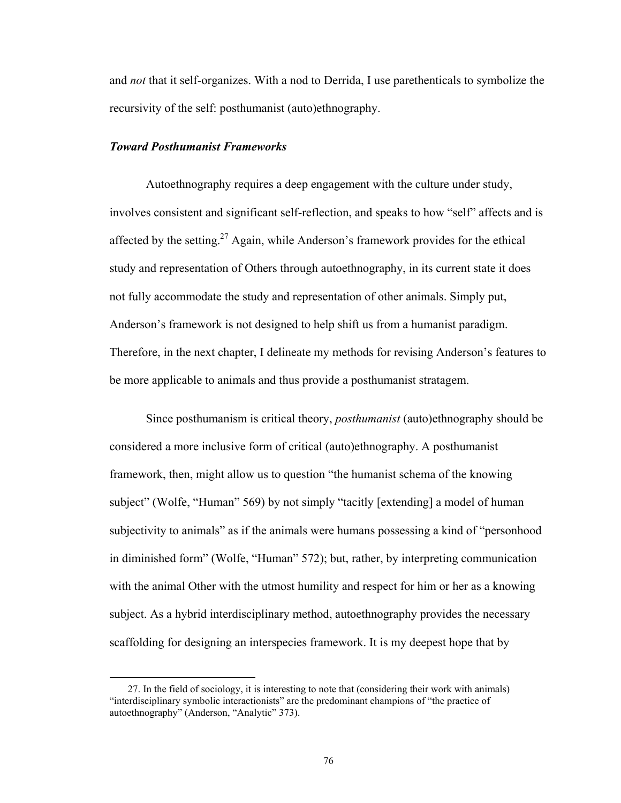and *not* that it self-organizes. With a nod to Derrida, I use parethenticals to symbolize the recursivity of the self: posthumanist (auto)ethnography.

# *Toward Posthumanist Frameworks*

 $\overline{a}$ 

Autoethnography requires a deep engagement with the culture under study, involves consistent and significant self-reflection, and speaks to how "self" affects and is affected by the setting.<sup>27</sup> Again, while Anderson's framework provides for the ethical study and representation of Others through autoethnography, in its current state it does not fully accommodate the study and representation of other animals. Simply put, Anderson's framework is not designed to help shift us from a humanist paradigm. Therefore, in the next chapter, I delineate my methods for revising Anderson's features to be more applicable to animals and thus provide a posthumanist stratagem.

Since posthumanism is critical theory, *posthumanist* (auto)ethnography should be considered a more inclusive form of critical (auto)ethnography. A posthumanist framework, then, might allow us to question "the humanist schema of the knowing" subject" (Wolfe, "Human" 569) by not simply "tacitly [extending] a model of human subjectivity to animals" as if the animals were humans possessing a kind of "personhood in diminished form" (Wolfe, "Human" 572); but, rather, by interpreting communication with the animal Other with the utmost humility and respect for him or her as a knowing subject. As a hybrid interdisciplinary method, autoethnography provides the necessary scaffolding for designing an interspecies framework. It is my deepest hope that by

 <sup>27.</sup> In the field of sociology, it is interesting to note that (considering their work with animals) "interdisciplinary symbolic interactionists" are the predominant champions of "the practice of autoethnography" (Anderson, "Analytic" 373).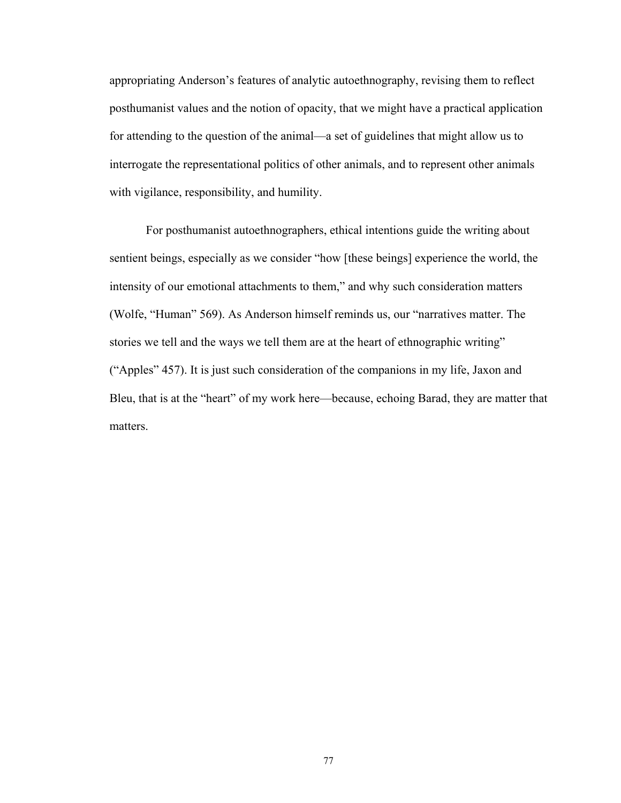appropriating Anderson's features of analytic autoethnography, revising them to reflect posthumanist values and the notion of opacity, that we might have a practical application for attending to the question of the animal—a set of guidelines that might allow us to interrogate the representational politics of other animals, and to represent other animals with vigilance, responsibility, and humility.

For posthumanist autoethnographers, ethical intentions guide the writing about sentient beings, especially as we consider "how [these beings] experience the world, the intensity of our emotional attachments to them," and why such consideration matters (Wolfe, "Human" 569). As Anderson himself reminds us, our "narratives matter. The stories we tell and the ways we tell them are at the heart of ethnographic writing^ ("Apples" 457). It is just such consideration of the companions in my life, Jaxon and Bleu, that is at the "heart" of my work here—because, echoing Barad, they are matter that matters.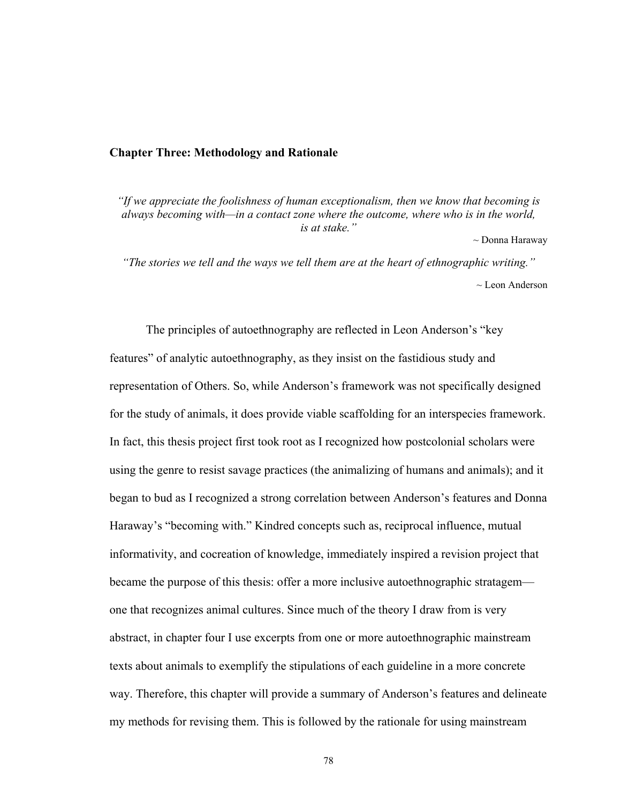#### **Chapter Three: Methodology and Rationale**

*"If we appreciate the foolishness of human exceptionalism, then we know that becoming is always becoming with—in a contact zone where the outcome, where who is in the world, is at stake."* 

~ Donna Haraway

*"The stories we tell and the ways we tell them are at the heart of ethnographic writing."*   $\sim$  Leon Anderson

The principles of autoethnography are reflected in Leon Anderson's "key features" of analytic autoethnography, as they insist on the fastidious study and representation of Others. So, while Anderson's framework was not specifically designed for the study of animals, it does provide viable scaffolding for an interspecies framework. In fact, this thesis project first took root as I recognized how postcolonial scholars were using the genre to resist savage practices (the animalizing of humans and animals); and it began to bud as I recognized a strong correlation between Anderson's features and Donna Haraway's "becoming with." Kindred concepts such as, reciprocal influence, mutual informativity, and cocreation of knowledge, immediately inspired a revision project that became the purpose of this thesis: offer a more inclusive autoethnographic stratagem one that recognizes animal cultures. Since much of the theory I draw from is very abstract, in chapter four I use excerpts from one or more autoethnographic mainstream texts about animals to exemplify the stipulations of each guideline in a more concrete way. Therefore, this chapter will provide a summary of Anderson's features and delineate my methods for revising them. This is followed by the rationale for using mainstream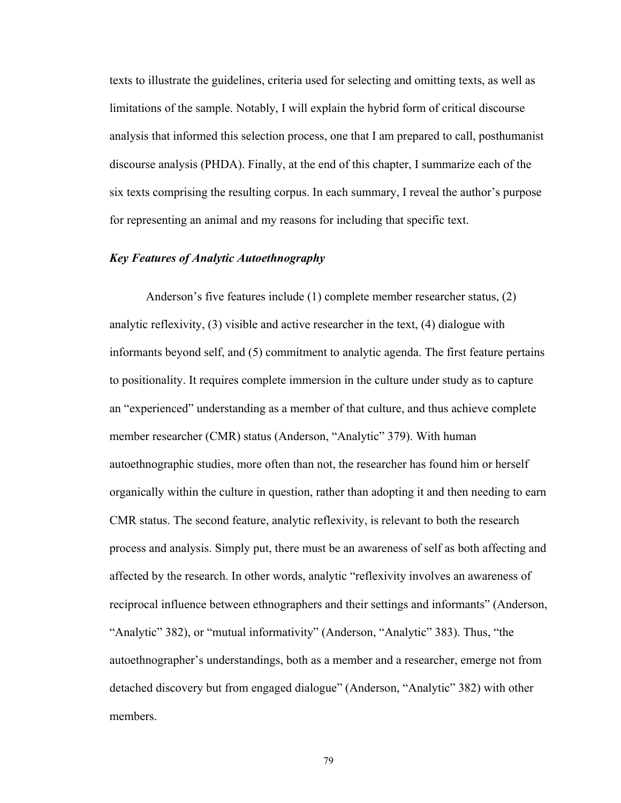texts to illustrate the guidelines, criteria used for selecting and omitting texts, as well as limitations of the sample. Notably, I will explain the hybrid form of critical discourse analysis that informed this selection process, one that I am prepared to call, posthumanist discourse analysis (PHDA). Finally, at the end of this chapter, I summarize each of the six texts comprising the resulting corpus. In each summary, I reveal the author's purpose for representing an animal and my reasons for including that specific text.

## *Key Features of Analytic Autoethnography*

Anderson's five features include  $(1)$  complete member researcher status,  $(2)$ analytic reflexivity, (3) visible and active researcher in the text, (4) dialogue with informants beyond self, and (5) commitment to analytic agenda. The first feature pertains to positionality. It requires complete immersion in the culture under study as to capture an "experienced" understanding as a member of that culture, and thus achieve complete member researcher (CMR) status (Anderson, "Analytic" 379). With human autoethnographic studies, more often than not, the researcher has found him or herself organically within the culture in question, rather than adopting it and then needing to earn CMR status. The second feature, analytic reflexivity, is relevant to both the research process and analysis. Simply put, there must be an awareness of self as both affecting and affected by the research. In other words, analytic "reflexivity involves an awareness of reciprocal influence between ethnographers and their settings and informants^ (Anderson, "Analytic" 382), or "mutual informativity" (Anderson, "Analytic" 383). Thus, "the autoethnographer's understandings, both as a member and a researcher, emerge not from detached discovery but from engaged dialogue" (Anderson, "Analytic" 382) with other members.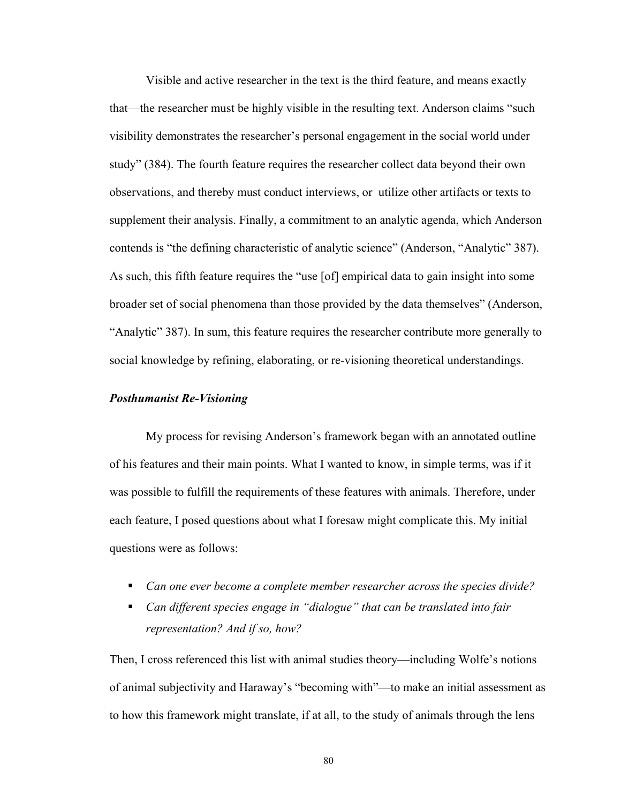Visible and active researcher in the text is the third feature, and means exactly that—the researcher must be highly visible in the resulting text. Anderson claims "such visibility demonstrates the researcher's personal engagement in the social world under study" (384). The fourth feature requires the researcher collect data beyond their own observations, and thereby must conduct interviews, or utilize other artifacts or texts to supplement their analysis. Finally, a commitment to an analytic agenda, which Anderson contends is "the defining characteristic of analytic science" (Anderson, "Analytic" 387). As such, this fifth feature requires the "use [of] empirical data to gain insight into some broader set of social phenomena than those provided by the data themselves^ (Anderson, "Analytic" 387). In sum, this feature requires the researcher contribute more generally to social knowledge by refining, elaborating, or re-visioning theoretical understandings.

## *Posthumanist Re-Visioning*

My process for revising Anderson's framework began with an annotated outline of his features and their main points. What I wanted to know, in simple terms, was if it was possible to fulfill the requirements of these features with animals. Therefore, under each feature, I posed questions about what I foresaw might complicate this. My initial questions were as follows:

- *Can one ever become a complete member researcher across the species divide?*
- *Can different species engage in "dialogue" that can be translated into fair representation? And if so, how?*

Then, I cross referenced this list with animal studies theory—including Wolfe's notions of animal subjectivity and Haraway's "becoming with"—to make an initial assessment as to how this framework might translate, if at all, to the study of animals through the lens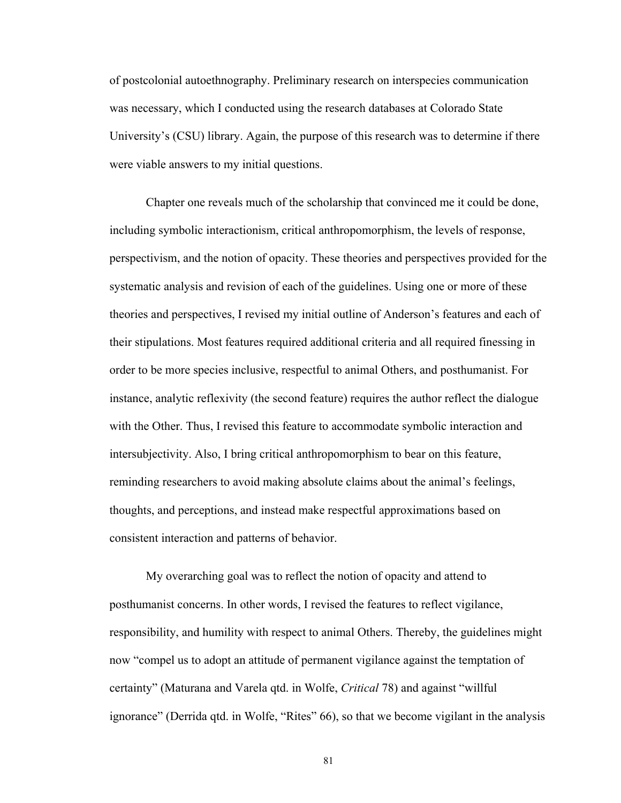of postcolonial autoethnography. Preliminary research on interspecies communication was necessary, which I conducted using the research databases at Colorado State University's (CSU) library. Again, the purpose of this research was to determine if there were viable answers to my initial questions.

Chapter one reveals much of the scholarship that convinced me it could be done, including symbolic interactionism, critical anthropomorphism, the levels of response, perspectivism, and the notion of opacity. These theories and perspectives provided for the systematic analysis and revision of each of the guidelines. Using one or more of these theories and perspectives, I revised my initial outline of Anderson's features and each of their stipulations. Most features required additional criteria and all required finessing in order to be more species inclusive, respectful to animal Others, and posthumanist. For instance, analytic reflexivity (the second feature) requires the author reflect the dialogue with the Other. Thus, I revised this feature to accommodate symbolic interaction and intersubjectivity. Also, I bring critical anthropomorphism to bear on this feature, reminding researchers to avoid making absolute claims about the animal's feelings, thoughts, and perceptions, and instead make respectful approximations based on consistent interaction and patterns of behavior.

My overarching goal was to reflect the notion of opacity and attend to posthumanist concerns. In other words, I revised the features to reflect vigilance, responsibility, and humility with respect to animal Others. Thereby, the guidelines might now "compel us to adopt an attitude of permanent vigilance against the temptation of certainty^ (Maturana and Varela qtd. in Wolfe, *Critical* 78) and against ]willful ignorance" (Derrida qtd. in Wolfe, "Rites" 66), so that we become vigilant in the analysis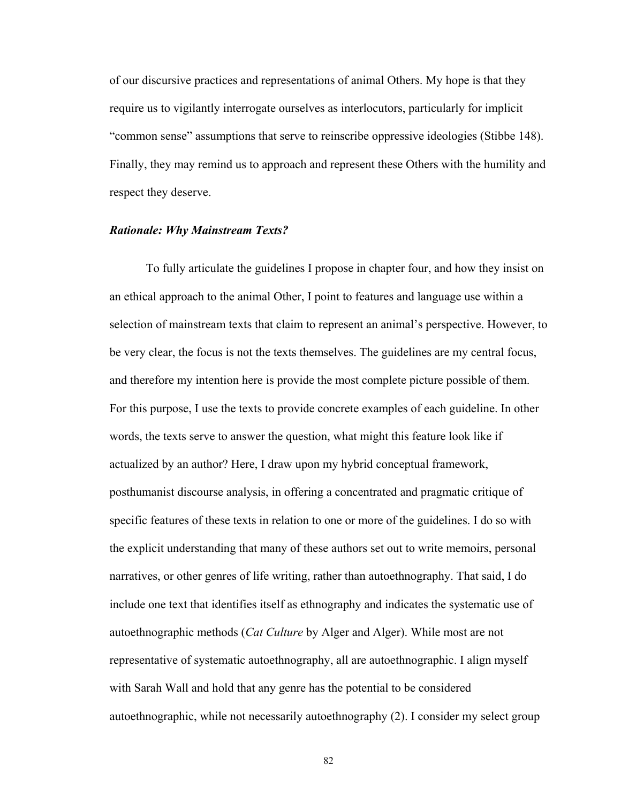of our discursive practices and representations of animal Others. My hope is that they require us to vigilantly interrogate ourselves as interlocutors, particularly for implicit "common sense" assumptions that serve to reinscribe oppressive ideologies (Stibbe 148). Finally, they may remind us to approach and represent these Others with the humility and respect they deserve.

#### *Rationale: Why Mainstream Texts?*

To fully articulate the guidelines I propose in chapter four, and how they insist on an ethical approach to the animal Other, I point to features and language use within a selection of mainstream texts that claim to represent an animal's perspective. However, to be very clear, the focus is not the texts themselves. The guidelines are my central focus, and therefore my intention here is provide the most complete picture possible of them. For this purpose, I use the texts to provide concrete examples of each guideline. In other words, the texts serve to answer the question, what might this feature look like if actualized by an author? Here, I draw upon my hybrid conceptual framework, posthumanist discourse analysis, in offering a concentrated and pragmatic critique of specific features of these texts in relation to one or more of the guidelines. I do so with the explicit understanding that many of these authors set out to write memoirs, personal narratives, or other genres of life writing, rather than autoethnography. That said, I do include one text that identifies itself as ethnography and indicates the systematic use of autoethnographic methods (*Cat Culture* by Alger and Alger). While most are not representative of systematic autoethnography, all are autoethnographic. I align myself with Sarah Wall and hold that any genre has the potential to be considered autoethnographic, while not necessarily autoethnography (2). I consider my select group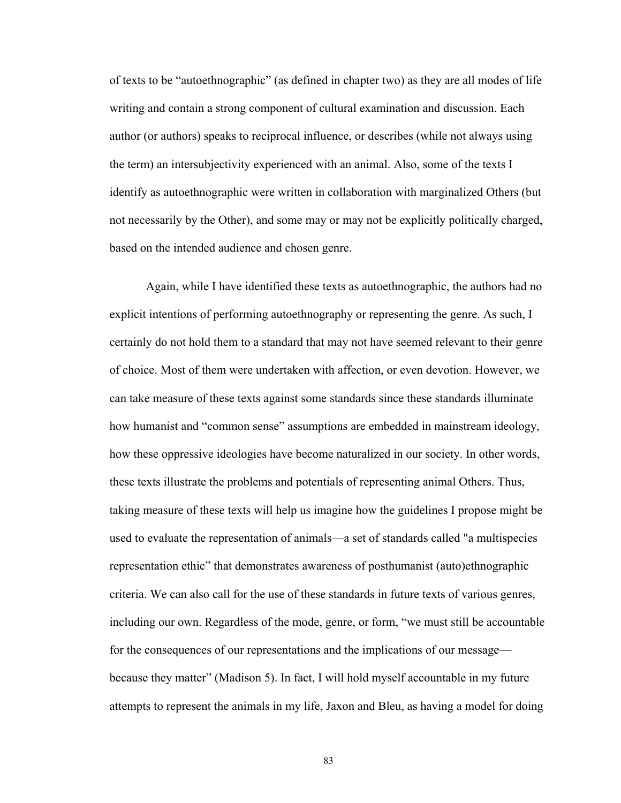of texts to be "autoethnographic" (as defined in chapter two) as they are all modes of life writing and contain a strong component of cultural examination and discussion. Each author (or authors) speaks to reciprocal influence, or describes (while not always using the term) an intersubjectivity experienced with an animal. Also, some of the texts I identify as autoethnographic were written in collaboration with marginalized Others (but not necessarily by the Other), and some may or may not be explicitly politically charged, based on the intended audience and chosen genre.

Again, while I have identified these texts as autoethnographic, the authors had no explicit intentions of performing autoethnography or representing the genre. As such, I certainly do not hold them to a standard that may not have seemed relevant to their genre of choice. Most of them were undertaken with affection, or even devotion. However, we can take measure of these texts against some standards since these standards illuminate how humanist and "common sense" assumptions are embedded in mainstream ideology, how these oppressive ideologies have become naturalized in our society. In other words, these texts illustrate the problems and potentials of representing animal Others. Thus, taking measure of these texts will help us imagine how the guidelines I propose might be used to evaluate the representation of animals—a set of standards called "a multispecies" representation ethic" that demonstrates awareness of posthumanist (auto)ethnographic criteria. We can also call for the use of these standards in future texts of various genres, including our own. Regardless of the mode, genre, or form, "we must still be accountable for the consequences of our representations and the implications of our message because they matter" (Madison 5). In fact, I will hold myself accountable in my future attempts to represent the animals in my life, Jaxon and Bleu, as having a model for doing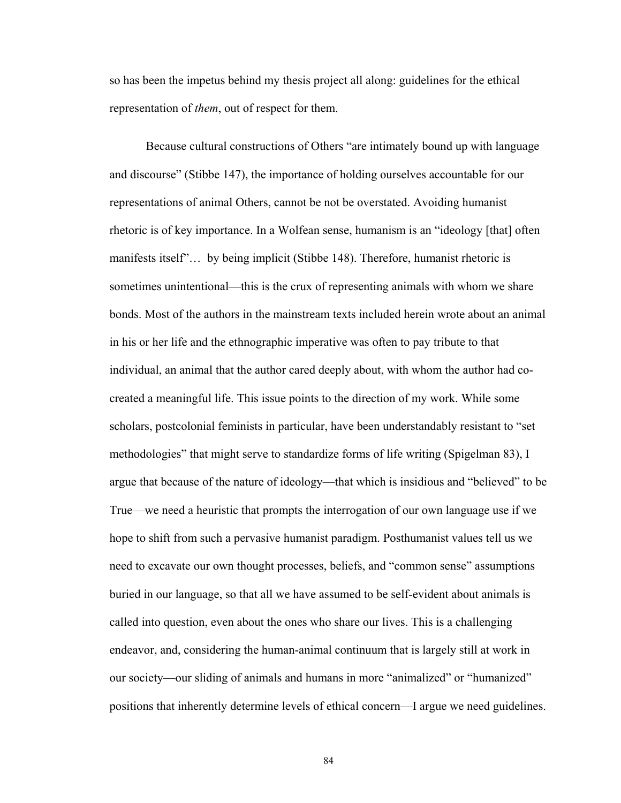so has been the impetus behind my thesis project all along: guidelines for the ethical representation of *them*, out of respect for them.

Because cultural constructions of Others "are intimately bound up with language and discourse" (Stibbe 147), the importance of holding ourselves accountable for our representations of animal Others, cannot be not be overstated. Avoiding humanist rhetoric is of key importance. In a Wolfean sense, humanism is an "ideology [that] often manifests itself"... by being implicit (Stibbe 148). Therefore, humanist rhetoric is sometimes unintentional—this is the crux of representing animals with whom we share bonds. Most of the authors in the mainstream texts included herein wrote about an animal in his or her life and the ethnographic imperative was often to pay tribute to that individual, an animal that the author cared deeply about, with whom the author had cocreated a meaningful life. This issue points to the direction of my work. While some scholars, postcolonial feminists in particular, have been understandably resistant to "set" methodologies" that might serve to standardize forms of life writing (Spigelman 83), I argue that because of the nature of ideology—that which is insidious and "believed" to be True—we need a heuristic that prompts the interrogation of our own language use if we hope to shift from such a pervasive humanist paradigm. Posthumanist values tell us we need to excavate our own thought processes, beliefs, and "common sense" assumptions buried in our language, so that all we have assumed to be self-evident about animals is called into question, even about the ones who share our lives. This is a challenging endeavor, and, considering the human-animal continuum that is largely still at work in our society—our sliding of animals and humans in more "animalized" or "humanized" positions that inherently determine levels of ethical concern—I argue we need guidelines.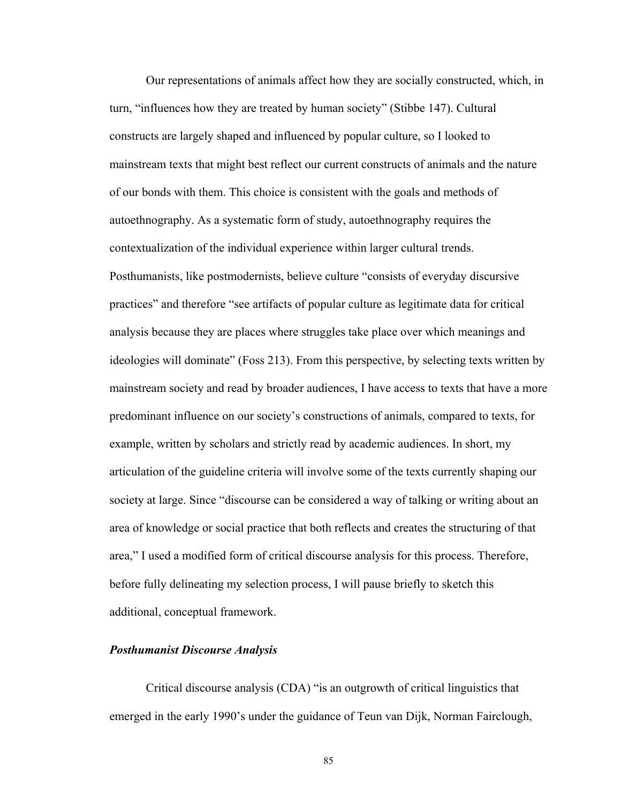Our representations of animals affect how they are socially constructed, which, in turn, "influences how they are treated by human society" (Stibbe 147). Cultural constructs are largely shaped and influenced by popular culture, so I looked to mainstream texts that might best reflect our current constructs of animals and the nature of our bonds with them. This choice is consistent with the goals and methods of autoethnography. As a systematic form of study, autoethnography requires the contextualization of the individual experience within larger cultural trends. Posthumanists, like postmodernists, believe culture "consists of everyday discursive practices" and therefore "see artifacts of popular culture as legitimate data for critical analysis because they are places where struggles take place over which meanings and ideologies will dominate" (Foss 213). From this perspective, by selecting texts written by mainstream society and read by broader audiences, I have access to texts that have a more predominant influence on our society's constructions of animals, compared to texts, for example, written by scholars and strictly read by academic audiences. In short, my articulation of the guideline criteria will involve some of the texts currently shaping our society at large. Since "discourse can be considered a way of talking or writing about an area of knowledge or social practice that both reflects and creates the structuring of that area," I used a modified form of critical discourse analysis for this process. Therefore, before fully delineating my selection process, I will pause briefly to sketch this additional, conceptual framework.

## *Posthumanist Discourse Analysis*

Critical discourse analysis (CDA) "is an outgrowth of critical linguistics that emerged in the early 1990's under the guidance of Teun van Dijk, Norman Fairclough,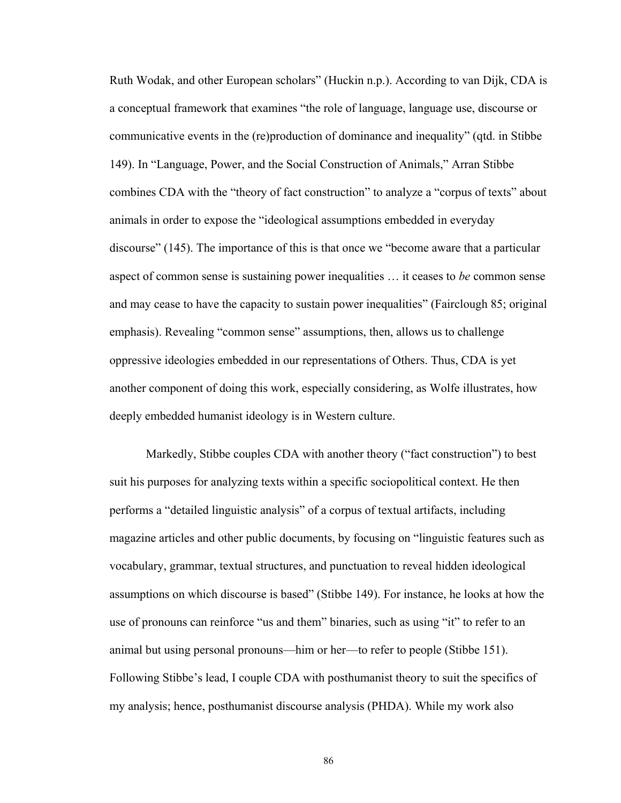Ruth Wodak, and other European scholars" (Huckin n.p.). According to van Dijk, CDA is a conceptual framework that examines "the role of language, language use, discourse or communicative events in the (re)production of dominance and inequality^ (qtd. in Stibbe 149). In "Language, Power, and the Social Construction of Animals," Arran Stibbe combines CDA with the "theory of fact construction" to analyze a "corpus of texts" about animals in order to expose the "ideological assumptions embedded in everyday discourse"  $(145)$ . The importance of this is that once we "become aware that a particular aspect of common sense is sustaining power inequalities ... it ceases to *be* common sense and may cease to have the capacity to sustain power inequalities" (Fairclough 85; original emphasis). Revealing "common sense" assumptions, then, allows us to challenge oppressive ideologies embedded in our representations of Others. Thus, CDA is yet another component of doing this work, especially considering, as Wolfe illustrates, how deeply embedded humanist ideology is in Western culture.

Markedly, Stibbe couples CDA with another theory ("fact construction") to best suit his purposes for analyzing texts within a specific sociopolitical context. He then performs a "detailed linguistic analysis" of a corpus of textual artifacts, including magazine articles and other public documents, by focusing on "linguistic features such as vocabulary, grammar, textual structures, and punctuation to reveal hidden ideological assumptions on which discourse is based" (Stibbe 149). For instance, he looks at how the use of pronouns can reinforce "us and them" binaries, such as using "it" to refer to an animal but using personal pronouns—him or her—to refer to people (Stibbe 151). Following Stibbe's lead, I couple CDA with posthumanist theory to suit the specifics of my analysis; hence, posthumanist discourse analysis (PHDA). While my work also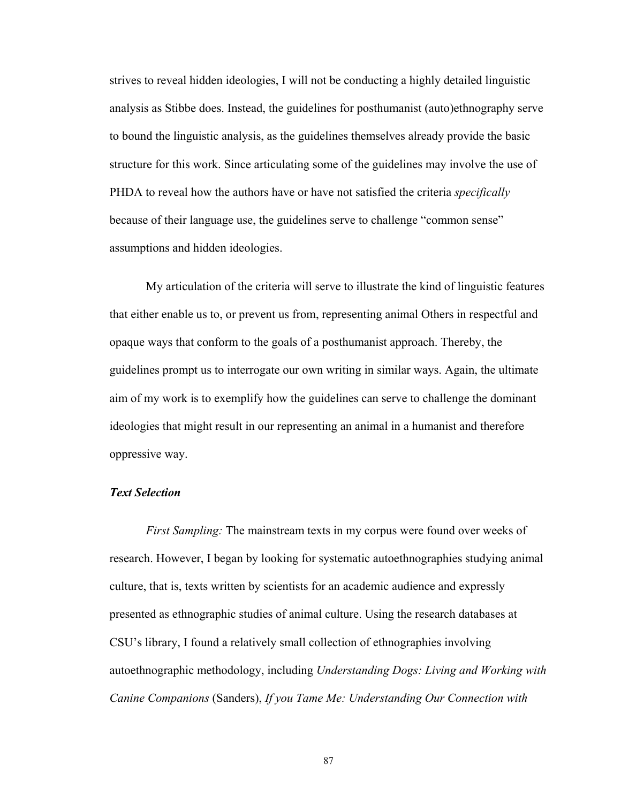strives to reveal hidden ideologies, I will not be conducting a highly detailed linguistic analysis as Stibbe does. Instead, the guidelines for posthumanist (auto)ethnography serve to bound the linguistic analysis, as the guidelines themselves already provide the basic structure for this work. Since articulating some of the guidelines may involve the use of PHDA to reveal how the authors have or have not satisfied the criteria *specifically*  because of their language use, the guidelines serve to challenge "common sense" assumptions and hidden ideologies.

My articulation of the criteria will serve to illustrate the kind of linguistic features that either enable us to, or prevent us from, representing animal Others in respectful and opaque ways that conform to the goals of a posthumanist approach. Thereby, the guidelines prompt us to interrogate our own writing in similar ways. Again, the ultimate aim of my work is to exemplify how the guidelines can serve to challenge the dominant ideologies that might result in our representing an animal in a humanist and therefore oppressive way.

# *Text Selection*

*First Sampling:* The mainstream texts in my corpus were found over weeks of research. However, I began by looking for systematic autoethnographies studying animal culture, that is, texts written by scientists for an academic audience and expressly presented as ethnographic studies of animal culture. Using the research databases at CSU's library, I found a relatively small collection of ethnographies involving autoethnographic methodology, including *Understanding Dogs: Living and Working with Canine Companions* (Sanders), *If you Tame Me: Understanding Our Connection with*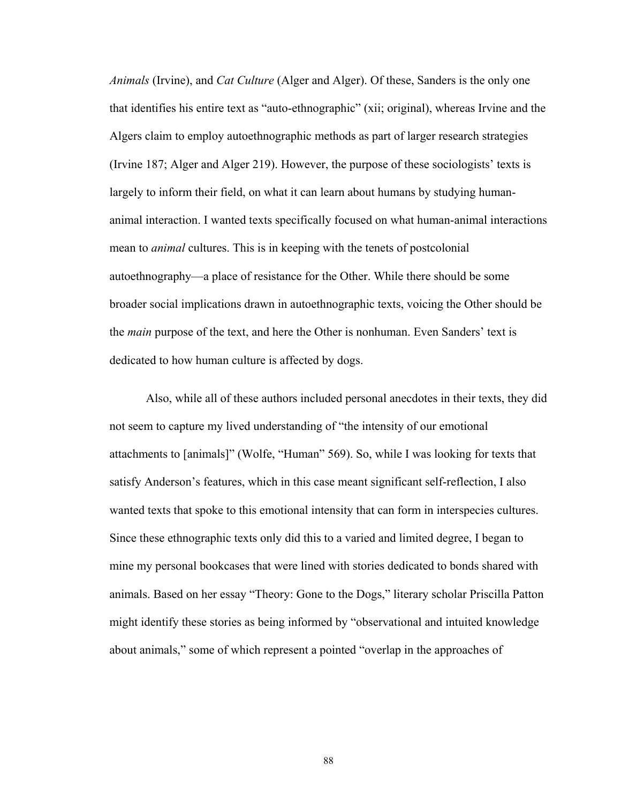*Animals* (Irvine), and *Cat Culture* (Alger and Alger). Of these, Sanders is the only one that identifies his entire text as "auto-ethnographic" (xii; original), whereas Irvine and the Algers claim to employ autoethnographic methods as part of larger research strategies (Irvine 187; Alger and Alger 219). However, the purpose of these sociologists' texts is largely to inform their field, on what it can learn about humans by studying humananimal interaction. I wanted texts specifically focused on what human-animal interactions mean to *animal* cultures. This is in keeping with the tenets of postcolonial autoethnography\_a place of resistance for the Other. While there should be some broader social implications drawn in autoethnographic texts, voicing the Other should be the *main* purpose of the text, and here the Other is nonhuman. Even Sanders' text is dedicated to how human culture is affected by dogs.

Also, while all of these authors included personal anecdotes in their texts, they did not seem to capture my lived understanding of "the intensity of our emotional attachments to [animals]" (Wolfe, "Human" 569). So, while I was looking for texts that satisfy Anderson's features, which in this case meant significant self-reflection, I also wanted texts that spoke to this emotional intensity that can form in interspecies cultures. Since these ethnographic texts only did this to a varied and limited degree, I began to mine my personal bookcases that were lined with stories dedicated to bonds shared with animals. Based on her essay "Theory: Gone to the Dogs," literary scholar Priscilla Patton might identify these stories as being informed by "observational and intuited knowledge about animals," some of which represent a pointed "overlap in the approaches of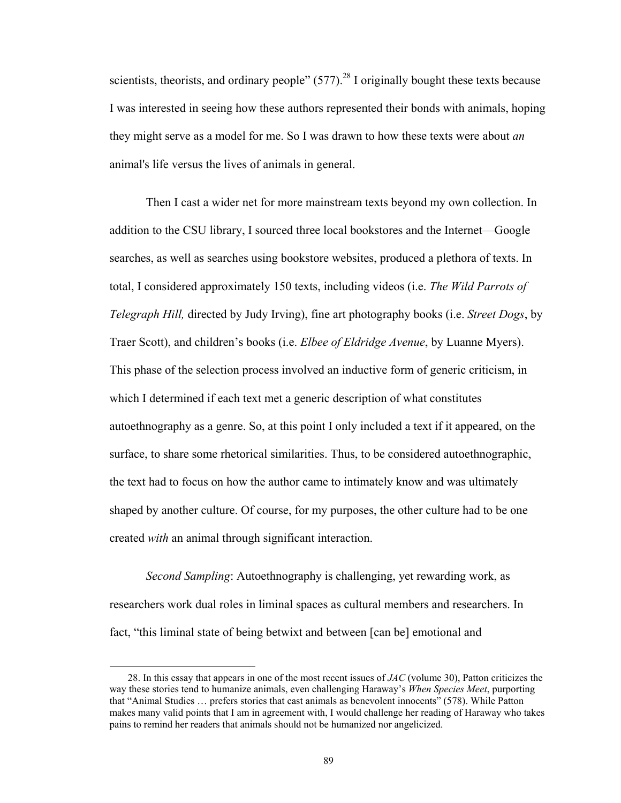scientists, theorists, and ordinary people"  $(577)$ <sup>28</sup> I originally bought these texts because I was interested in seeing how these authors represented their bonds with animals, hoping they might serve as a model for me. So I was drawn to how these texts were about *an* animal's life versus the lives of animals in general.

Then I cast a wider net for more mainstream texts beyond my own collection. In addition to the CSU library, I sourced three local bookstores and the Internet\_Google searches, as well as searches using bookstore websites, produced a plethora of texts. In total, I considered approximately 150 texts, including videos (i.e. *The Wild Parrots of Telegraph Hill,* directed by Judy Irving), fine art photography books (i.e. *Street Dogs*, by Traer Scott), and children's books (i.e. *Elbee of Eldridge Avenue*, by Luanne Myers). This phase of the selection process involved an inductive form of generic criticism, in which I determined if each text met a generic description of what constitutes autoethnography as a genre. So, at this point I only included a text if it appeared, on the surface, to share some rhetorical similarities. Thus, to be considered autoethnographic, the text had to focus on how the author came to intimately know and was ultimately shaped by another culture. Of course, for my purposes, the other culture had to be one created *with* an animal through significant interaction.

*Second Sampling*: Autoethnography is challenging, yet rewarding work, as researchers work dual roles in liminal spaces as cultural members and researchers. In fact, "this liminal state of being betwixt and between [can be] emotional and

 $\overline{a}$ 

 <sup>28.</sup> In this essay that appears in one of the most recent issues of *JAC* (volume 30), Patton criticizes the way these stories tend to humanize animals, even challenging Haraway's *When Species Meet*, purporting that "Animal Studies ... prefers stories that cast animals as benevolent innocents" (578). While Patton makes many valid points that I am in agreement with, I would challenge her reading of Haraway who takes pains to remind her readers that animals should not be humanized nor angelicized.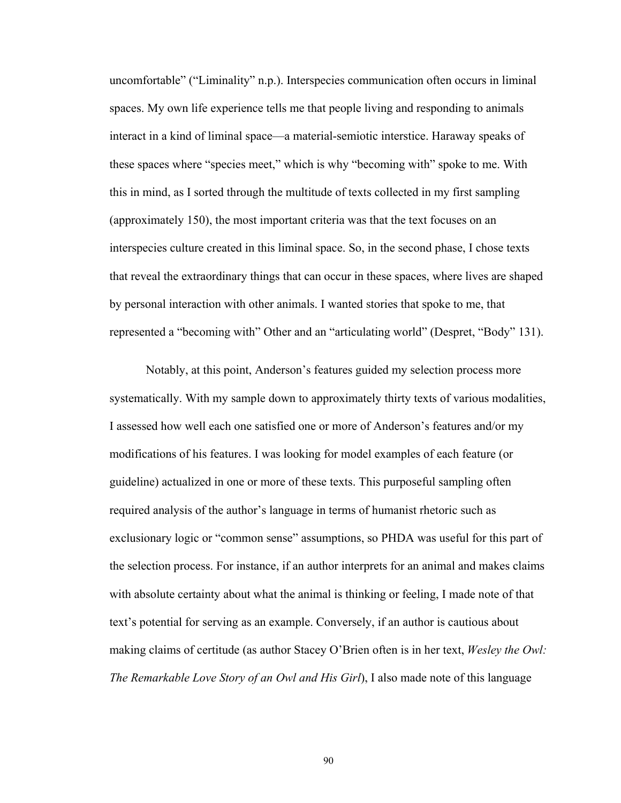uncomfortable" ("Liminality" n.p.). Interspecies communication often occurs in liminal spaces. My own life experience tells me that people living and responding to animals interact in a kind of liminal space\_a material-semiotic interstice. Haraway speaks of these spaces where "species meet," which is why "becoming with" spoke to me. With this in mind, as I sorted through the multitude of texts collected in my first sampling (approximately 150), the most important criteria was that the text focuses on an interspecies culture created in this liminal space. So, in the second phase, I chose texts that reveal the extraordinary things that can occur in these spaces, where lives are shaped by personal interaction with other animals. I wanted stories that spoke to me, that represented a "becoming with" Other and an "articulating world" (Despret, "Body" 131).

Notably, at this point, Anderson's features guided my selection process more systematically. With my sample down to approximately thirty texts of various modalities, I assessed how well each one satisfied one or more of Anderson's features and/or my modifications of his features. I was looking for model examples of each feature (or guideline) actualized in one or more of these texts. This purposeful sampling often required analysis of the author's language in terms of humanist rhetoric such as exclusionary logic or "common sense" assumptions, so PHDA was useful for this part of the selection process. For instance, if an author interprets for an animal and makes claims with absolute certainty about what the animal is thinking or feeling, I made note of that text's potential for serving as an example. Conversely, if an author is cautious about making claims of certitude (as author Stacey O'Brien often is in her text, *Wesley the Owl: The Remarkable Love Story of an Owl and His Girl*), I also made note of this language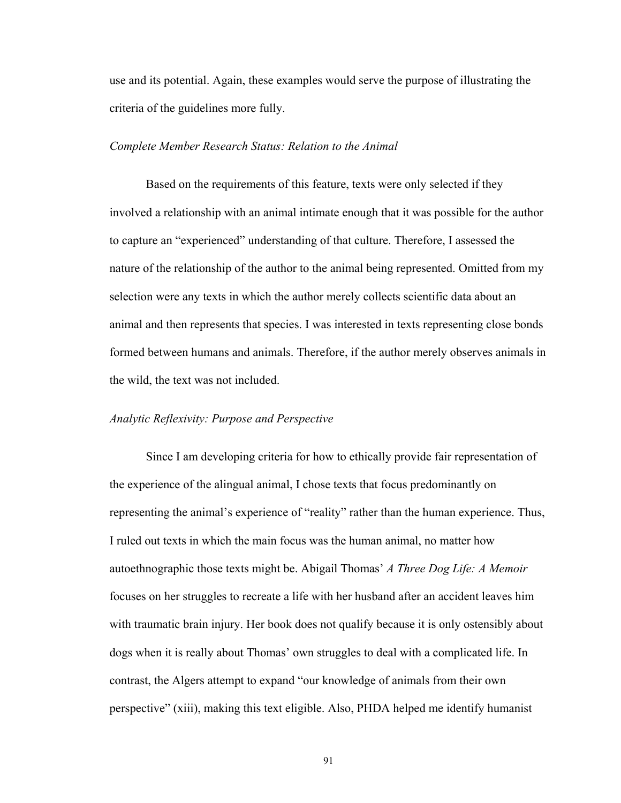use and its potential. Again, these examples would serve the purpose of illustrating the criteria of the guidelines more fully.

#### *Complete Member Research Status: Relation to the Animal*

Based on the requirements of this feature, texts were only selected if they involved a relationship with an animal intimate enough that it was possible for the author to capture an "experienced" understanding of that culture. Therefore, I assessed the nature of the relationship of the author to the animal being represented. Omitted from my selection were any texts in which the author merely collects scientific data about an animal and then represents that species. I was interested in texts representing close bonds formed between humans and animals. Therefore, if the author merely observes animals in the wild, the text was not included.

## *Analytic Reflexivity: Purpose and Perspective*

Since I am developing criteria for how to ethically provide fair representation of the experience of the alingual animal, I chose texts that focus predominantly on representing the animal's experience of "reality" rather than the human experience. Thus, I ruled out texts in which the main focus was the human animal, no matter how autoethnographic those texts might be. Abigail Thomas' A Three Dog Life: A Memoir focuses on her struggles to recreate a life with her husband after an accident leaves him with traumatic brain injury. Her book does not qualify because it is only ostensibly about dogs when it is really about Thomas' own struggles to deal with a complicated life. In contrast, the Algers attempt to expand "our knowledge of animals from their own perspective"  $(xiii)$ , making this text eligible. Also, PHDA helped me identify humanist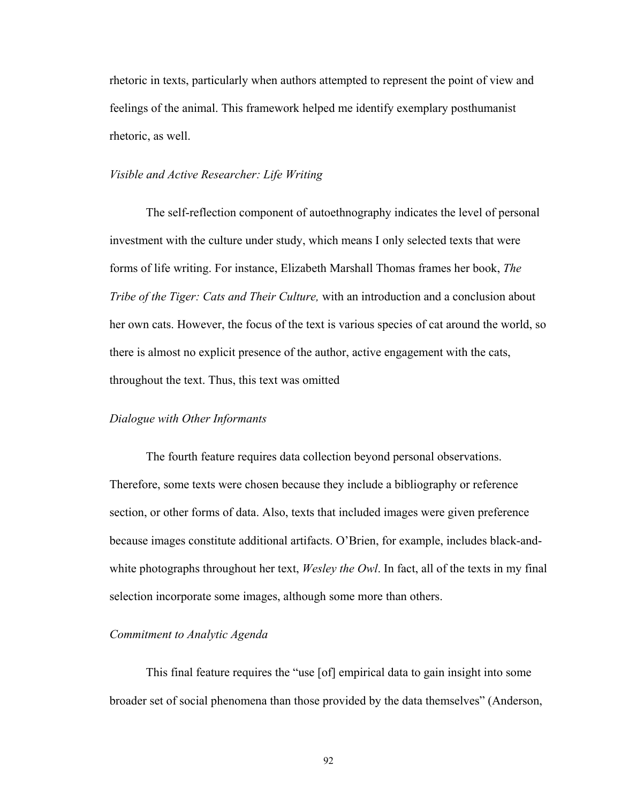rhetoric in texts, particularly when authors attempted to represent the point of view and feelings of the animal. This framework helped me identify exemplary posthumanist rhetoric, as well.

## *Visible and Active Researcher: Life Writing*

The self-reflection component of autoethnography indicates the level of personal investment with the culture under study, which means I only selected texts that were forms of life writing. For instance, Elizabeth Marshall Thomas frames her book, *The Tribe of the Tiger: Cats and Their Culture,* with an introduction and a conclusion about her own cats. However, the focus of the text is various species of cat around the world, so there is almost no explicit presence of the author, active engagement with the cats, throughout the text. Thus, this text was omitted

#### *Dialogue with Other Informants*

The fourth feature requires data collection beyond personal observations. Therefore, some texts were chosen because they include a bibliography or reference section, or other forms of data. Also, texts that included images were given preference because images constitute additional artifacts. O'Brien, for example, includes black-andwhite photographs throughout her text, *Wesley the Owl*. In fact, all of the texts in my final selection incorporate some images, although some more than others.

## *Commitment to Analytic Agenda*

This final feature requires the "use [of] empirical data to gain insight into some broader set of social phenomena than those provided by the data themselves^ (Anderson,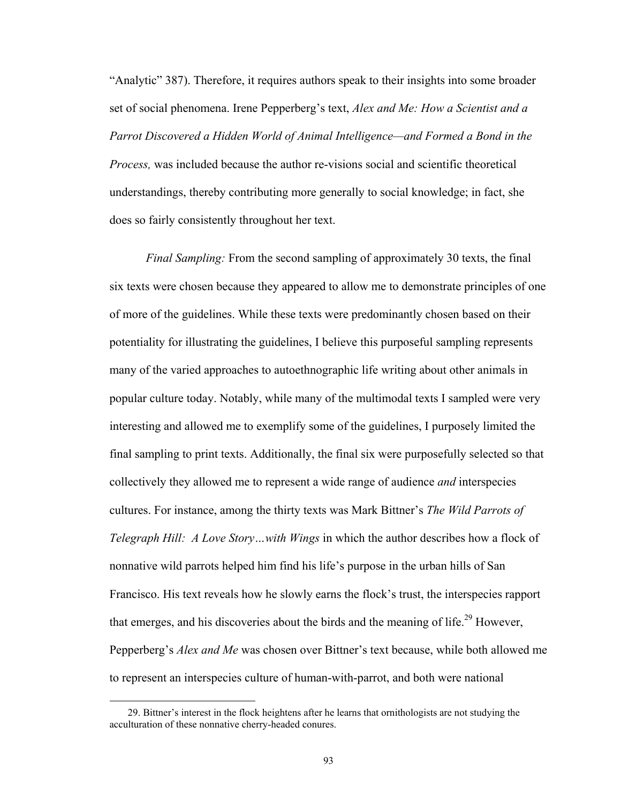"Analytic" 387). Therefore, it requires authors speak to their insights into some broader set of social phenomena. Irene Pepperberg's text, *Alex and Me: How a Scientist and a Parrot Discovered a Hidden World of Animal Intelligence—and Formed a Bond in the Process,* was included because the author re-visions social and scientific theoretical understandings, thereby contributing more generally to social knowledge; in fact, she does so fairly consistently throughout her text.

*Final Sampling:* From the second sampling of approximately 30 texts, the final six texts were chosen because they appeared to allow me to demonstrate principles of one of more of the guidelines. While these texts were predominantly chosen based on their potentiality for illustrating the guidelines, I believe this purposeful sampling represents many of the varied approaches to autoethnographic life writing about other animals in popular culture today. Notably, while many of the multimodal texts I sampled were very interesting and allowed me to exemplify some of the guidelines, I purposely limited the final sampling to print texts. Additionally, the final six were purposefully selected so that collectively they allowed me to represent a wide range of audience *and* interspecies cultures. For instance, among the thirty texts was Mark Bittner's *The Wild Parrots of Telegraph Hill: A Love Story…with Wings* in which the author describes how a flock of nonnative wild parrots helped him find his life's purpose in the urban hills of San Francisco. His text reveals how he slowly earns the flock's trust, the interspecies rapport that emerges, and his discoveries about the birds and the meaning of life.<sup>29</sup> However, Pepperberg's *Alex and Me* was chosen over Bittner's text because, while both allowed me to represent an interspecies culture of human-with-parrot, and both were national

 $\overline{a}$ 

<sup>29.</sup> Bittner's interest in the flock heightens after he learns that ornithologists are not studying the acculturation of these nonnative cherry-headed conures.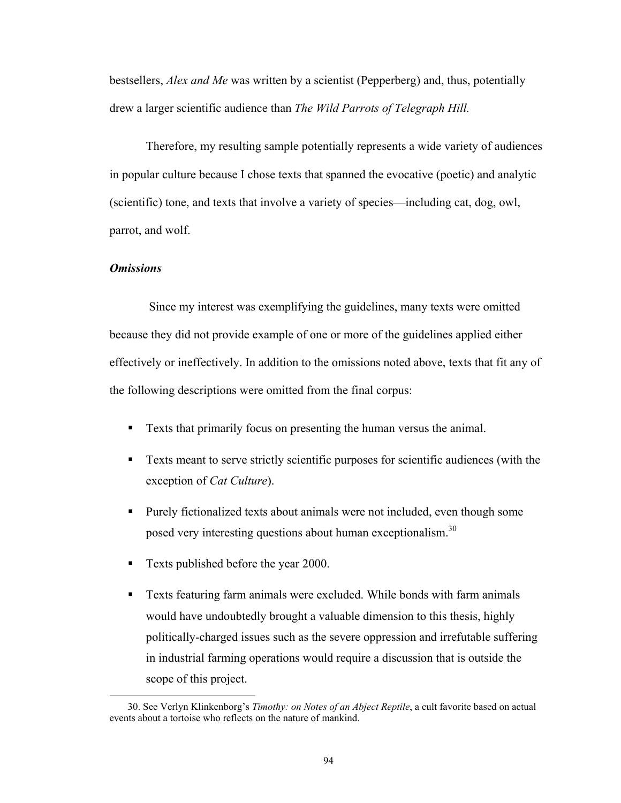bestsellers, *Alex and Me* was written by a scientist (Pepperberg) and, thus, potentially drew a larger scientific audience than *The Wild Parrots of Telegraph Hill.*

Therefore, my resulting sample potentially represents a wide variety of audiences in popular culture because I chose texts that spanned the evocative (poetic) and analytic (scientific) tone, and texts that involve a variety of species\_including cat, dog, owl, parrot, and wolf.

# *Omissions*

 $\overline{a}$ 

 Since my interest was exemplifying the guidelines, many texts were omitted because they did not provide example of one or more of the guidelines applied either effectively or ineffectively. In addition to the omissions noted above, texts that fit any of the following descriptions were omitted from the final corpus:

- Texts that primarily focus on presenting the human versus the animal.
- Texts meant to serve strictly scientific purposes for scientific audiences (with the exception of *Cat Culture*).
- Purely fictionalized texts about animals were not included, even though some posed very interesting questions about human exceptionalism.<sup>30</sup>
- Texts published before the year 2000.
- Texts featuring farm animals were excluded. While bonds with farm animals would have undoubtedly brought a valuable dimension to this thesis, highly politically-charged issues such as the severe oppression and irrefutable suffering in industrial farming operations would require a discussion that is outside the scope of this project.

<sup>30.</sup> See Verlyn Klinkenborg's *Timothy: on Notes of an Abject Reptile*, a cult favorite based on actual events about a tortoise who reflects on the nature of mankind.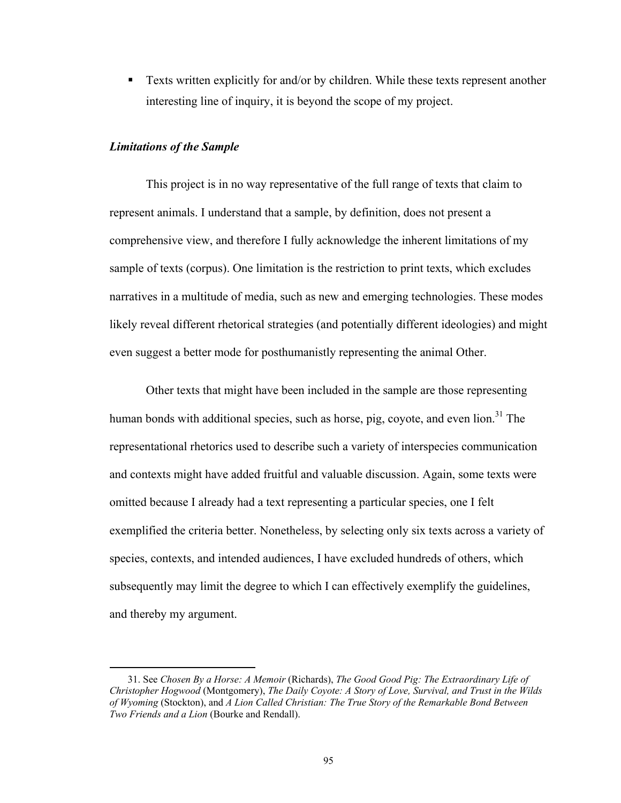■ Texts written explicitly for and/or by children. While these texts represent another interesting line of inquiry, it is beyond the scope of my project.

## *Limitations of the Sample*

1

This project is in no way representative of the full range of texts that claim to represent animals. I understand that a sample, by definition, does not present a comprehensive view, and therefore I fully acknowledge the inherent limitations of my sample of texts (corpus). One limitation is the restriction to print texts, which excludes narratives in a multitude of media, such as new and emerging technologies. These modes likely reveal different rhetorical strategies (and potentially different ideologies) and might even suggest a better mode for posthumanistly representing the animal Other.

Other texts that might have been included in the sample are those representing human bonds with additional species, such as horse, pig, coyote, and even  $\lim_{n \to \infty} 3^1$  The representational rhetorics used to describe such a variety of interspecies communication and contexts might have added fruitful and valuable discussion. Again, some texts were omitted because I already had a text representing a particular species, one I felt exemplified the criteria better. Nonetheless, by selecting only six texts across a variety of species, contexts, and intended audiences, I have excluded hundreds of others, which subsequently may limit the degree to which I can effectively exemplify the guidelines, and thereby my argument.

 <sup>31.</sup> See *Chosen By a Horse: A Memoir* (Richards), *The Good Good Pig: The Extraordinary Life of Christopher Hogwood* (Montgomery), *The Daily Coyote: A Story of Love, Survival, and Trust in the Wilds of Wyoming* (Stockton), and *A Lion Called Christian: The True Story of the Remarkable Bond Between Two Friends and a Lion* (Bourke and Rendall).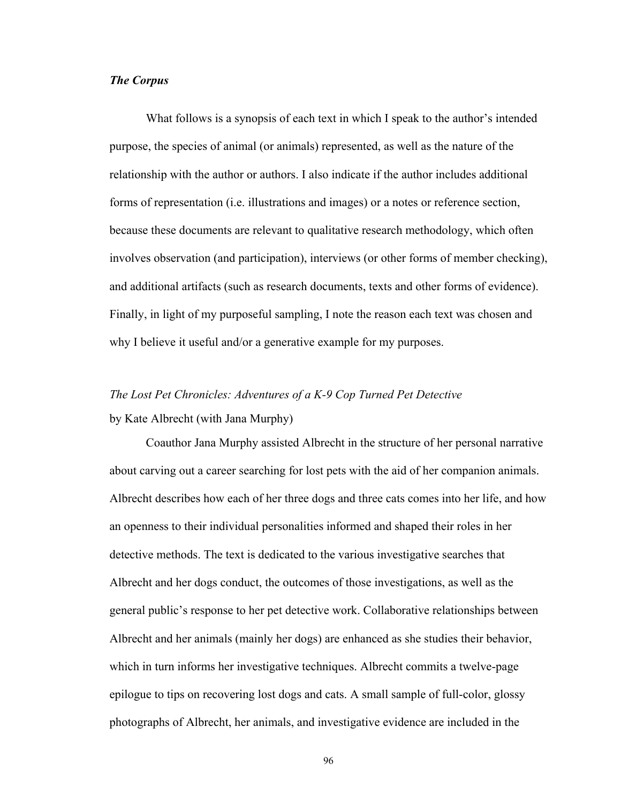## *The Corpus*

What follows is a synopsis of each text in which I speak to the author's intended purpose, the species of animal (or animals) represented, as well as the nature of the relationship with the author or authors. I also indicate if the author includes additional forms of representation (i.e. illustrations and images) or a notes or reference section, because these documents are relevant to qualitative research methodology, which often involves observation (and participation), interviews (or other forms of member checking), and additional artifacts (such as research documents, texts and other forms of evidence). Finally, in light of my purposeful sampling, I note the reason each text was chosen and why I believe it useful and/or a generative example for my purposes.

# *The Lost Pet Chronicles: Adventures of a K-9 Cop Turned Pet Detective*  by Kate Albrecht (with Jana Murphy)

 Coauthor Jana Murphy assisted Albrecht in the structure of her personal narrative about carving out a career searching for lost pets with the aid of her companion animals. Albrecht describes how each of her three dogs and three cats comes into her life, and how an openness to their individual personalities informed and shaped their roles in her detective methods. The text is dedicated to the various investigative searches that Albrecht and her dogs conduct, the outcomes of those investigations, as well as the general public's response to her pet detective work. Collaborative relationships between Albrecht and her animals (mainly her dogs) are enhanced as she studies their behavior, which in turn informs her investigative techniques. Albrecht commits a twelve-page epilogue to tips on recovering lost dogs and cats. A small sample of full-color, glossy photographs of Albrecht, her animals, and investigative evidence are included in the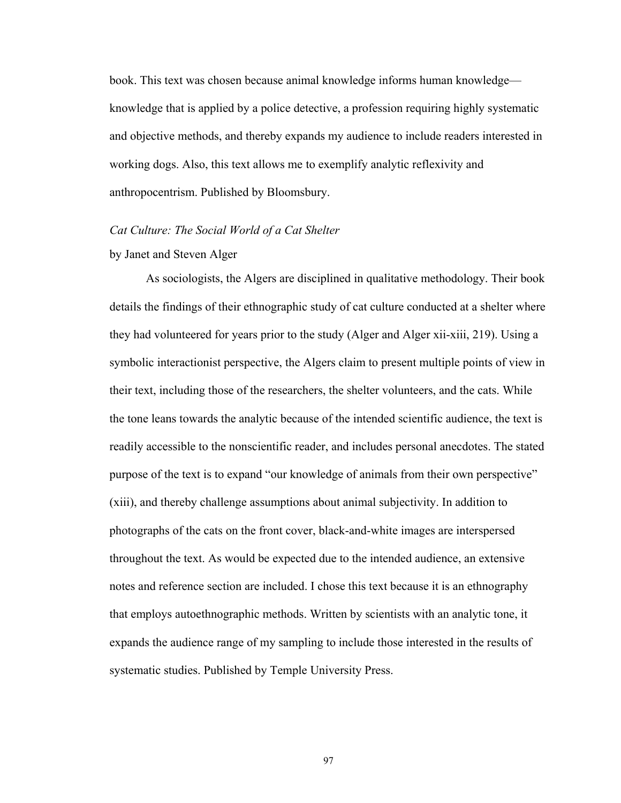book. This text was chosen because animal knowledge informs human knowledge\_ knowledge that is applied by a police detective, a profession requiring highly systematic and objective methods, and thereby expands my audience to include readers interested in working dogs. Also, this text allows me to exemplify analytic reflexivity and anthropocentrism. Published by Bloomsbury.

## *Cat Culture: The Social World of a Cat Shelter*

# by Janet and Steven Alger

As sociologists, the Algers are disciplined in qualitative methodology. Their book details the findings of their ethnographic study of cat culture conducted at a shelter where they had volunteered for years prior to the study (Alger and Alger xii-xiii, 219). Using a symbolic interactionist perspective, the Algers claim to present multiple points of view in their text, including those of the researchers, the shelter volunteers, and the cats. While the tone leans towards the analytic because of the intended scientific audience, the text is readily accessible to the nonscientific reader, and includes personal anecdotes. The stated purpose of the text is to expand "our knowledge of animals from their own perspective" (xiii), and thereby challenge assumptions about animal subjectivity. In addition to photographs of the cats on the front cover, black-and-white images are interspersed throughout the text. As would be expected due to the intended audience, an extensive notes and reference section are included. I chose this text because it is an ethnography that employs autoethnographic methods. Written by scientists with an analytic tone, it expands the audience range of my sampling to include those interested in the results of systematic studies. Published by Temple University Press.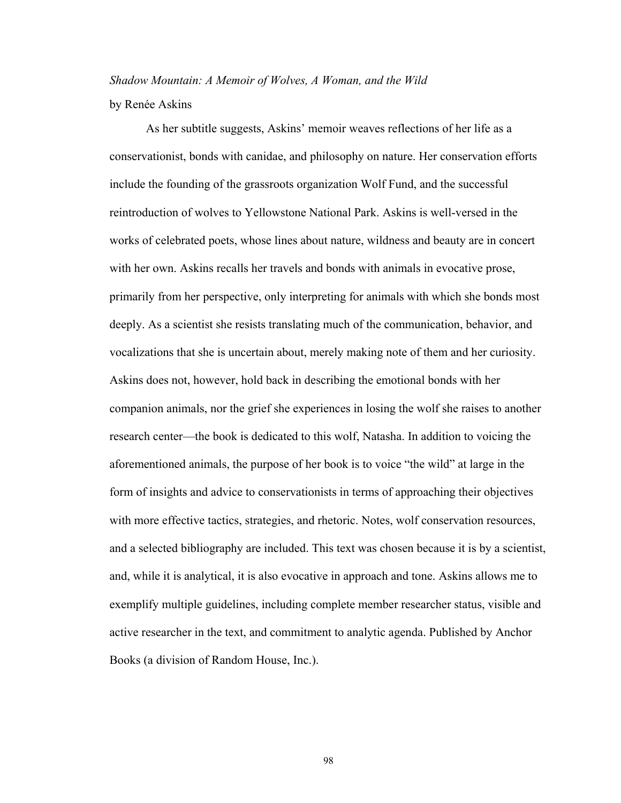*Shadow Mountain: A Memoir of Wolves, A Woman, and the Wild*  by Renée Askins

As her subtitle suggests, Askins' memoir weaves reflections of her life as a conservationist, bonds with canidae, and philosophy on nature. Her conservation efforts include the founding of the grassroots organization Wolf Fund, and the successful reintroduction of wolves to Yellowstone National Park. Askins is well-versed in the works of celebrated poets, whose lines about nature, wildness and beauty are in concert with her own. Askins recalls her travels and bonds with animals in evocative prose, primarily from her perspective, only interpreting for animals with which she bonds most deeply. As a scientist she resists translating much of the communication, behavior, and vocalizations that she is uncertain about, merely making note of them and her curiosity. Askins does not, however, hold back in describing the emotional bonds with her companion animals, nor the grief she experiences in losing the wolf she raises to another research center—the book is dedicated to this wolf, Natasha. In addition to voicing the aforementioned animals, the purpose of her book is to voice "the wild" at large in the form of insights and advice to conservationists in terms of approaching their objectives with more effective tactics, strategies, and rhetoric. Notes, wolf conservation resources, and a selected bibliography are included. This text was chosen because it is by a scientist, and, while it is analytical, it is also evocative in approach and tone. Askins allows me to exemplify multiple guidelines, including complete member researcher status, visible and active researcher in the text, and commitment to analytic agenda. Published by Anchor Books (a division of Random House, Inc.).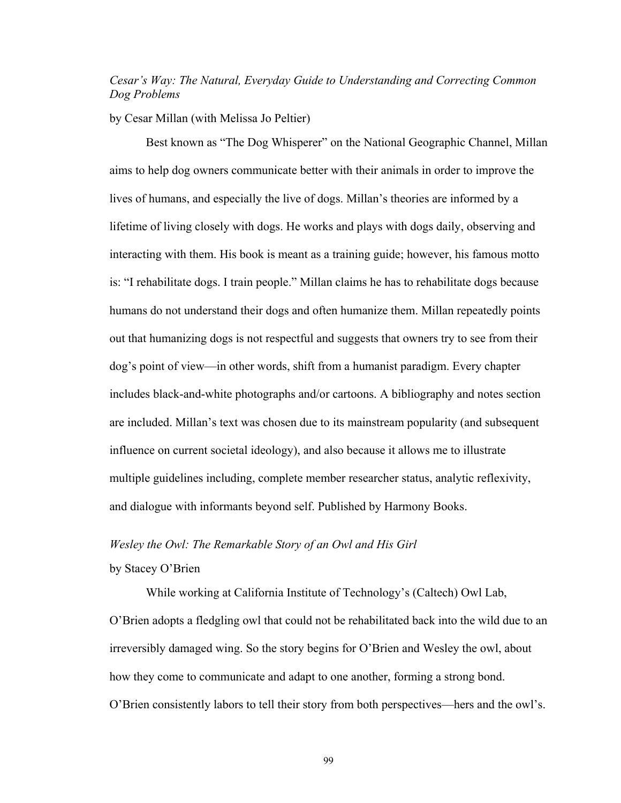# *Cesar's Way: The Natural, Everyday Guide to Understanding and Correcting Common Dog Problems*

#### by Cesar Millan (with Melissa Jo Peltier)

Best known as "The Dog Whisperer" on the National Geographic Channel, Millan aims to help dog owners communicate better with their animals in order to improve the lives of humans, and especially the live of dogs. Millan's theories are informed by a lifetime of living closely with dogs. He works and plays with dogs daily, observing and interacting with them. His book is meant as a training guide; however, his famous motto is: "I rehabilitate dogs. I train people." Millan claims he has to rehabilitate dogs because humans do not understand their dogs and often humanize them. Millan repeatedly points out that humanizing dogs is not respectful and suggests that owners try to see from their dog's point of view—in other words, shift from a humanist paradigm. Every chapter includes black-and-white photographs and/or cartoons. A bibliography and notes section are included. Millan's text was chosen due to its mainstream popularity (and subsequent influence on current societal ideology), and also because it allows me to illustrate multiple guidelines including, complete member researcher status, analytic reflexivity, and dialogue with informants beyond self. Published by Harmony Books.

#### *Wesley the Owl: The Remarkable Story of an Owl and His Girl*

# by Stacey O'Brien

While working at California Institute of Technology's (Caltech) Owl Lab,  $\overline{O}$  Brien adopts a fledgling owl that could not be rehabilitated back into the wild due to an irreversibly damaged wing. So the story begins for O'Brien and Wesley the owl, about how they come to communicate and adapt to one another, forming a strong bond. O'Brien consistently labors to tell their story from both perspectives—hers and the owl's.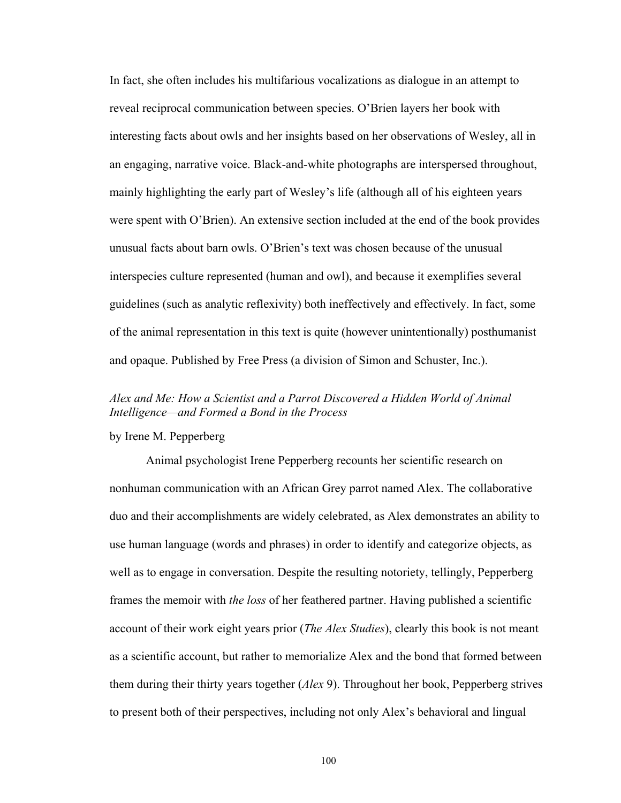In fact, she often includes his multifarious vocalizations as dialogue in an attempt to reveal reciprocal communication between species. O'Brien layers her book with interesting facts about owls and her insights based on her observations of Wesley, all in an engaging, narrative voice. Black-and-white photographs are interspersed throughout, mainly highlighting the early part of Wesley's life (although all of his eighteen years were spent with O'Brien). An extensive section included at the end of the book provides unusual facts about barn owls. O'Brien's text was chosen because of the unusual interspecies culture represented (human and owl), and because it exemplifies several guidelines (such as analytic reflexivity) both ineffectively and effectively. In fact, some of the animal representation in this text is quite (however unintentionally) posthumanist and opaque. Published by Free Press (a division of Simon and Schuster, Inc.).

# *Alex and Me: How a Scientist and a Parrot Discovered a Hidden World of Animal Intelligence—and Formed a Bond in the Process*

# by Irene M. Pepperberg

 Animal psychologist Irene Pepperberg recounts her scientific research on nonhuman communication with an African Grey parrot named Alex. The collaborative duo and their accomplishments are widely celebrated, as Alex demonstrates an ability to use human language (words and phrases) in order to identify and categorize objects, as well as to engage in conversation. Despite the resulting notoriety, tellingly, Pepperberg frames the memoir with *the loss* of her feathered partner. Having published a scientific account of their work eight years prior (*The Alex Studies*), clearly this book is not meant as a scientific account, but rather to memorialize Alex and the bond that formed between them during their thirty years together (*Alex* 9). Throughout her book, Pepperberg strives to present both of their perspectives, including not only Alex's behavioral and lingual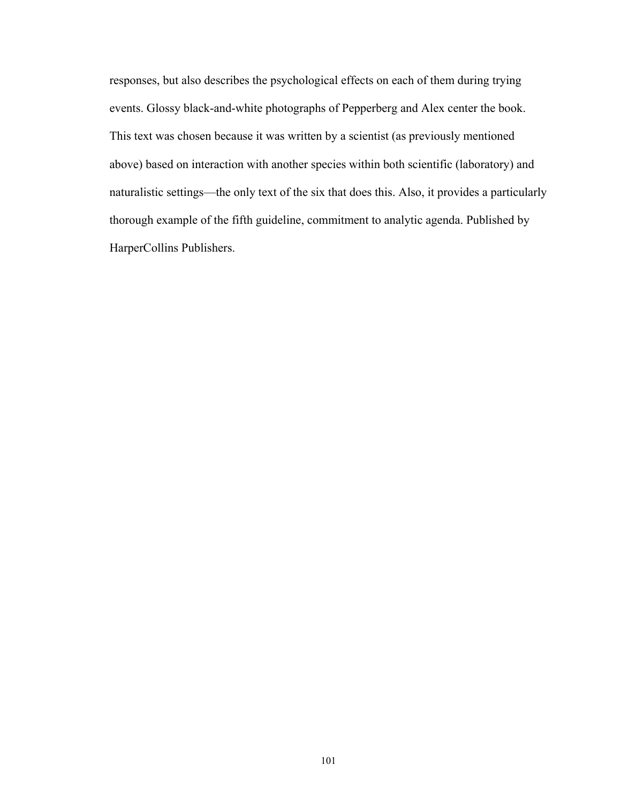responses, but also describes the psychological effects on each of them during trying events. Glossy black-and-white photographs of Pepperberg and Alex center the book. This text was chosen because it was written by a scientist (as previously mentioned above) based on interaction with another species within both scientific (laboratory) and naturalistic settings—the only text of the six that does this. Also, it provides a particularly thorough example of the fifth guideline, commitment to analytic agenda. Published by HarperCollins Publishers.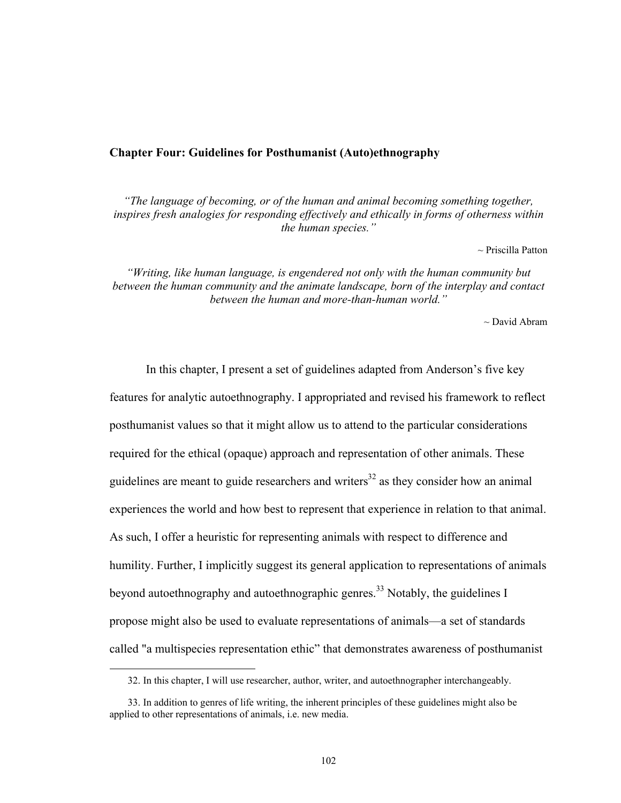### **Chapter Four: Guidelines for Posthumanist (Auto)ethnography**

*"The language of becoming, or of the human and animal becoming something together, inspires fresh analogies for responding effectively and ethically in forms of otherness within the human species."* 

 $\sim$  Priscilla Patton

*"Writing, like human language, is engendered not only with the human community but between the human community and the animate landscape, born of the interplay and contact between the human and more-than-human world."* 

 $\sim$  David Abram

In this chapter, I present a set of guidelines adapted from Anderson's five key features for analytic autoethnography. I appropriated and revised his framework to reflect posthumanist values so that it might allow us to attend to the particular considerations required for the ethical (opaque) approach and representation of other animals. These guidelines are meant to guide researchers and writers<sup>32</sup> as they consider how an animal experiences the world and how best to represent that experience in relation to that animal. As such, I offer a heuristic for representing animals with respect to difference and humility. Further, I implicitly suggest its general application to representations of animals beyond autoethnography and autoethnographic genres.<sup>33</sup> Notably, the guidelines I propose might also be used to evaluate representations of animals\_a set of standards called "a multispecies representation ethic" that demonstrates awareness of posthumanist

 $\overline{a}$ 

 <sup>32.</sup> In this chapter, I will use researcher, author, writer, and autoethnographer interchangeably.

 <sup>33.</sup> In addition to genres of life writing, the inherent principles of these guidelines might also be applied to other representations of animals, i.e. new media.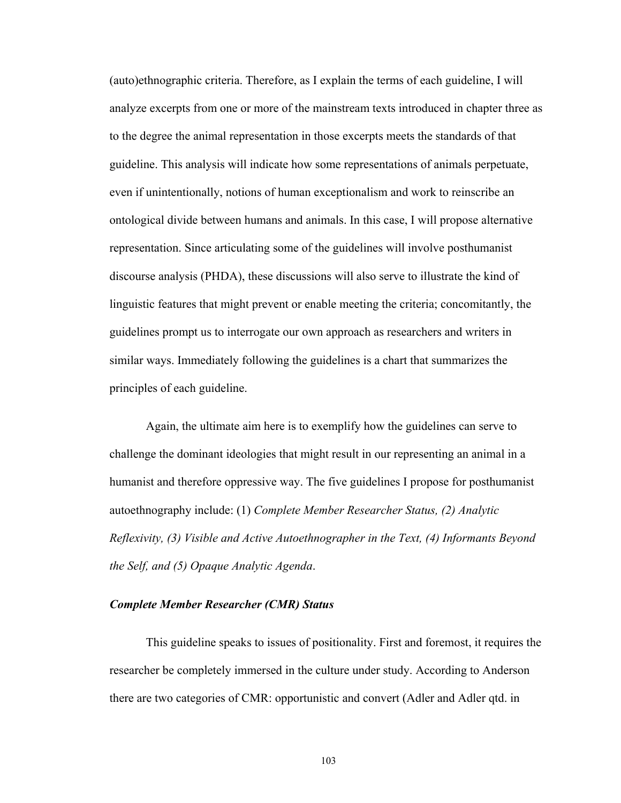(auto)ethnographic criteria. Therefore, as I explain the terms of each guideline, I will analyze excerpts from one or more of the mainstream texts introduced in chapter three as to the degree the animal representation in those excerpts meets the standards of that guideline. This analysis will indicate how some representations of animals perpetuate, even if unintentionally, notions of human exceptionalism and work to reinscribe an ontological divide between humans and animals. In this case, I will propose alternative representation. Since articulating some of the guidelines will involve posthumanist discourse analysis (PHDA), these discussions will also serve to illustrate the kind of linguistic features that might prevent or enable meeting the criteria; concomitantly, the guidelines prompt us to interrogate our own approach as researchers and writers in similar ways. Immediately following the guidelines is a chart that summarizes the principles of each guideline.

Again, the ultimate aim here is to exemplify how the guidelines can serve to challenge the dominant ideologies that might result in our representing an animal in a humanist and therefore oppressive way. The five guidelines I propose for posthumanist autoethnography include: (1) *Complete Member Researcher Status, (2) Analytic Reflexivity, (3) Visible and Active Autoethnographer in the Text, (4) Informants Beyond the Self, and (5) Opaque Analytic Agenda*.

# *Complete Member Researcher (CMR) Status*

This guideline speaks to issues of positionality. First and foremost, it requires the researcher be completely immersed in the culture under study. According to Anderson there are two categories of CMR: opportunistic and convert (Adler and Adler qtd. in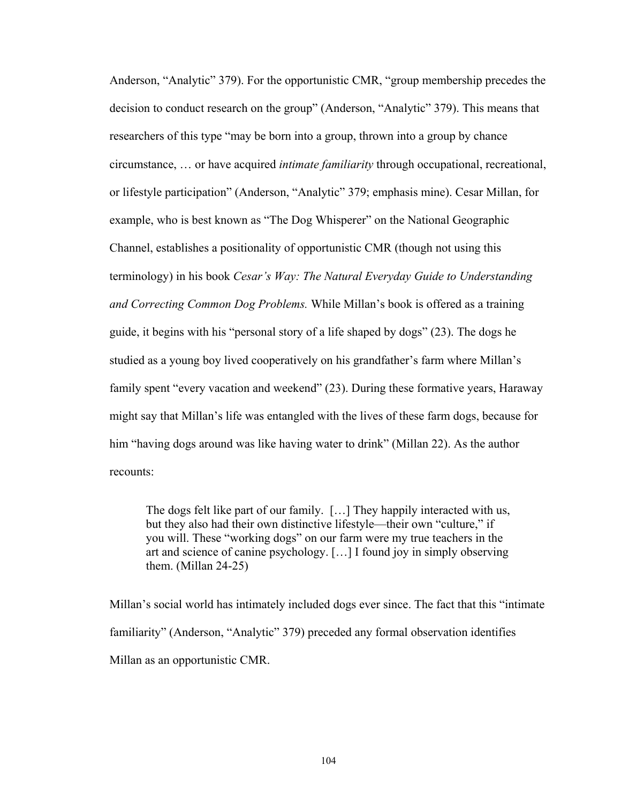Anderson, "Analytic" 379). For the opportunistic CMR, "group membership precedes the decision to conduct research on the group" (Anderson, "Analytic" 379). This means that researchers of this type "may be born into a group, thrown into a group by chance circumstance, ... or have acquired *intimate familiarity* through occupational, recreational, or lifestyle participation" (Anderson, "Analytic" 379; emphasis mine). Cesar Millan, for example, who is best known as "The Dog Whisperer" on the National Geographic Channel, establishes a positionality of opportunistic CMR (though not using this terminology) in his book *Cesar's Way: The Natural Everyday Guide to Understanding*  and Correcting Common Dog Problems. While Millan's book is offered as a training guide, it begins with his "personal story of a life shaped by dogs"  $(23)$ . The dogs he studied as a young boy lived cooperatively on his grandfather's farm where Millan's family spent "every vacation and weekend" (23). During these formative years, Haraway might say that Millan's life was entangled with the lives of these farm dogs, because for him "having dogs around was like having water to drink" (Millan 22). As the author recounts:

The dogs felt like part of our family.  $[\ldots]$  They happily interacted with us, but they also had their own distinctive lifestyle—their own "culture," if you will. These "working dogs" on our farm were my true teachers in the art and science of canine psychology.  $[\dots]$  I found joy in simply observing them. (Millan 24-25)

Millan's social world has intimately included dogs ever since. The fact that this "intimate" familiarity" (Anderson, "Analytic" 379) preceded any formal observation identifies Millan as an opportunistic CMR.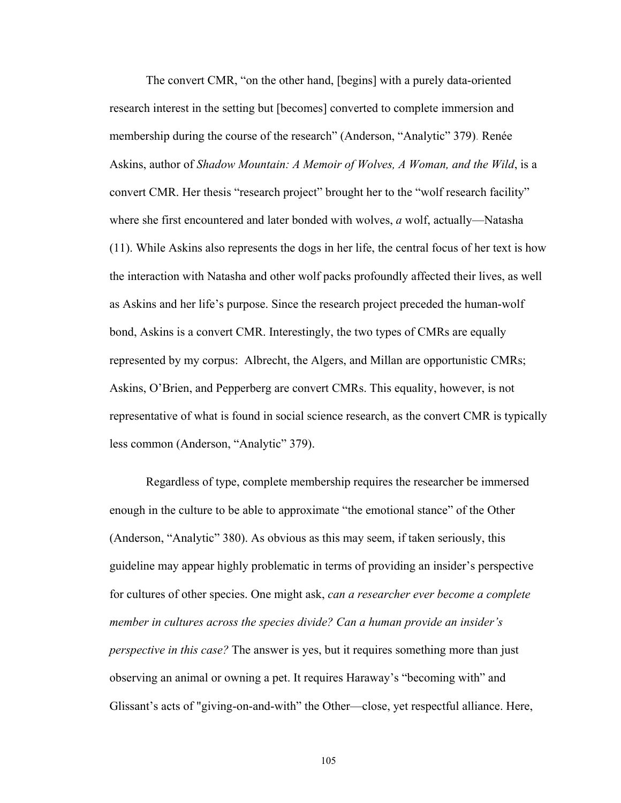The convert CMR, "on the other hand, [begins] with a purely data-oriented research interest in the setting but [becomes] converted to complete immersion and membership during the course of the research" (Anderson, "Analytic" 379). Renée Askins, author of *Shadow Mountain: A Memoir of Wolves, A Woman, and the Wild*, is a convert CMR. Her thesis "research project" brought her to the "wolf research facility" where she first encountered and later bonded with wolves, *a* wolf, actually—Natasha (11). While Askins also represents the dogs in her life, the central focus of her text is how the interaction with Natasha and other wolf packs profoundly affected their lives, as well as Askins and her life's purpose. Since the research project preceded the human-wolf bond, Askins is a convert CMR. Interestingly, the two types of CMRs are equally represented by my corpus: Albrecht, the Algers, and Millan are opportunistic CMRs; Askins, O'Brien, and Pepperberg are convert CMRs. This equality, however, is not representative of what is found in social science research, as the convert CMR is typically less common (Anderson, "Analytic" 379).

Regardless of type, complete membership requires the researcher be immersed enough in the culture to be able to approximate "the emotional stance" of the Other (Anderson, "Analytic" 380). As obvious as this may seem, if taken seriously, this guideline may appear highly problematic in terms of providing an insider's perspective for cultures of other species. One might ask, *can a researcher ever become a complete member in cultures across the species divide? Can a human provide an insider's perspective in this case?* The answer is yes, but it requires something more than just observing an animal or owning a pet. It requires Haraway's "becoming with" and Glissant's acts of "giving-on-and-with" the Other—close, yet respectful alliance. Here,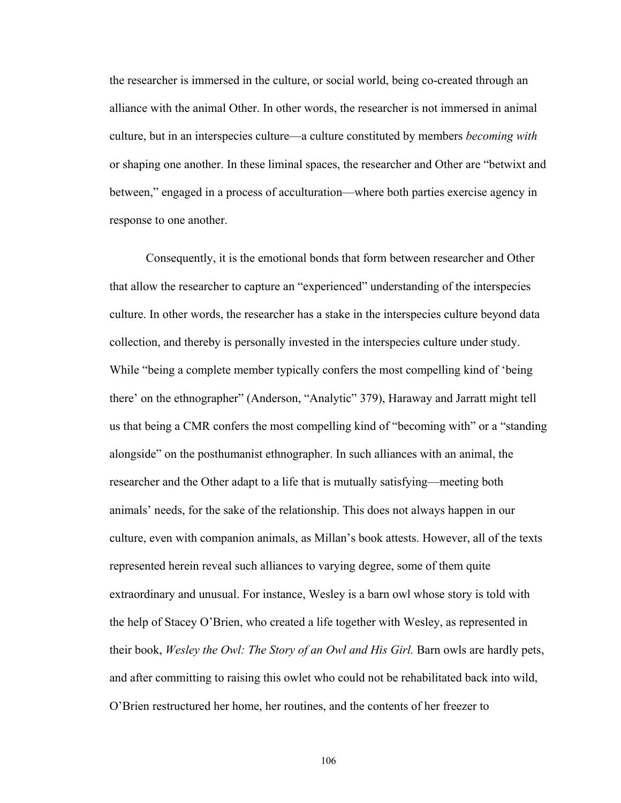the researcher is immersed in the culture, or social world, being co-created through an alliance with the animal Other. In other words, the researcher is not immersed in animal culture, but in an interspecies culture\_a culture constituted by members *becoming with* or shaping one another. In these liminal spaces, the researcher and Other are "betwixt and between," engaged in a process of acculturation—where both parties exercise agency in response to one another.

Consequently, it is the emotional bonds that form between researcher and Other that allow the researcher to capture an "experienced" understanding of the interspecies culture. In other words, the researcher has a stake in the interspecies culture beyond data collection, and thereby is personally invested in the interspecies culture under study. While "being a complete member typically confers the most compelling kind of 'being there' on the ethnographer" (Anderson, "Analytic" 379), Haraway and Jarratt might tell us that being a CMR confers the most compelling kind of "becoming with" or a "standing alongside" on the posthumanist ethnographer. In such alliances with an animal, the researcher and the Other adapt to a life that is mutually satisfying—meeting both animals' needs, for the sake of the relationship. This does not always happen in our culture, even with companion animals, as Millan's book attests. However, all of the texts represented herein reveal such alliances to varying degree, some of them quite extraordinary and unusual. For instance, Wesley is a barn owl whose story is told with the help of Stacey O'Brien, who created a life together with Wesley, as represented in their book, *Wesley the Owl: The Story of an Owl and His Girl.* Barn owls are hardly pets, and after committing to raising this owlet who could not be rehabilitated back into wild, O'Brien restructured her home, her routines, and the contents of her freezer to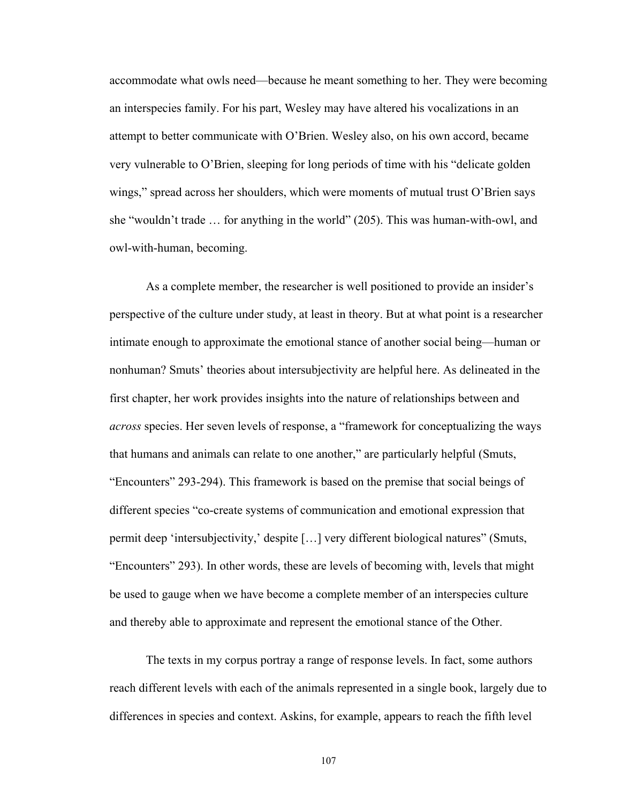accommodate what owls need\_because he meant something to her. They were becoming an interspecies family. For his part, Wesley may have altered his vocalizations in an attempt to better communicate with O'Brien. Wesley also, on his own accord, became very vulnerable to O'Brien, sleeping for long periods of time with his "delicate golden wings," spread across her shoulders, which were moments of mutual trust O'Brien says she "wouldn't trade  $\dots$  for anything in the world" (205). This was human-with-owl, and owl-with-human, becoming.

As a complete member, the researcher is well positioned to provide an insider's perspective of the culture under study, at least in theory. But at what point is a researcher intimate enough to approximate the emotional stance of another social being\_human or nonhuman? Smuts' theories about intersubjectivity are helpful here. As delineated in the first chapter, her work provides insights into the nature of relationships between and *across* species. Her seven levels of response, a "framework for conceptualizing the ways that humans and animals can relate to one another,^ are particularly helpful (Smuts, ]Encounters^ 293-294). This framework is based on the premise that social beings of different species "co-create systems of communication and emotional expression that permit deep 'intersubjectivity,' despite [...] very different biological natures" (Smuts, "Encounters" 293). In other words, these are levels of becoming with, levels that might be used to gauge when we have become a complete member of an interspecies culture and thereby able to approximate and represent the emotional stance of the Other.

The texts in my corpus portray a range of response levels. In fact, some authors reach different levels with each of the animals represented in a single book, largely due to differences in species and context. Askins, for example, appears to reach the fifth level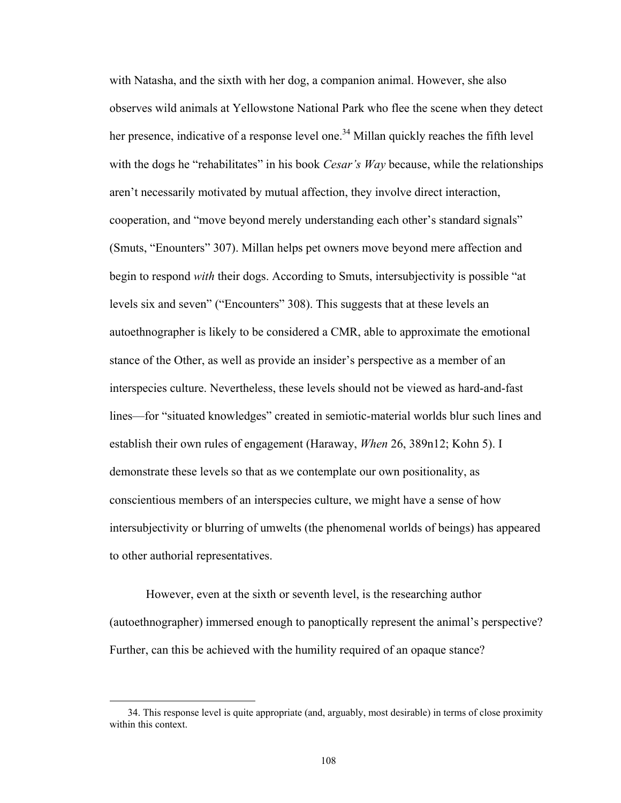with Natasha, and the sixth with her dog, a companion animal. However, she also observes wild animals at Yellowstone National Park who flee the scene when they detect her presence, indicative of a response level one.<sup>34</sup> Millan quickly reaches the fifth level with the dogs he "rehabilitates" in his book *Cesar's Way* because, while the relationships aren't necessarily motivated by mutual affection, they involve direct interaction, cooperation, and "move beyond merely understanding each other's standard signals" (Smuts, "Enounters" 307). Millan helps pet owners move beyond mere affection and begin to respond *with* their dogs. According to Smuts, intersubjectivity is possible "at levels six and seven" ("Encounters" 308). This suggests that at these levels an autoethnographer is likely to be considered a CMR, able to approximate the emotional stance of the Other, as well as provide an insider's perspective as a member of an interspecies culture. Nevertheless, these levels should not be viewed as hard-and-fast lines—for "situated knowledges" created in semiotic-material worlds blur such lines and establish their own rules of engagement (Haraway, *When* 26, 389n12; Kohn 5). I demonstrate these levels so that as we contemplate our own positionality, as conscientious members of an interspecies culture, we might have a sense of how intersubjectivity or blurring of umwelts (the phenomenal worlds of beings) has appeared to other authorial representatives.

However, even at the sixth or seventh level, is the researching author (autoethnographer) immersed enough to panoptically represent the animal's perspective? Further, can this be achieved with the humility required of an opaque stance?

 $\overline{a}$ 

 <sup>34.</sup> This response level is quite appropriate (and, arguably, most desirable) in terms of close proximity within this context.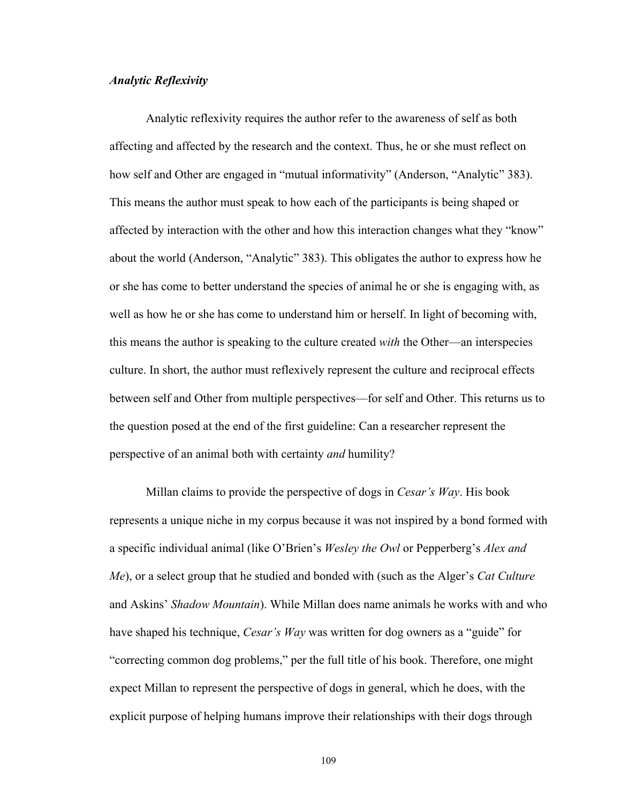## *Analytic Reflexivity*

Analytic reflexivity requires the author refer to the awareness of self as both affecting and affected by the research and the context. Thus, he or she must reflect on how self and Other are engaged in "mutual informativity" (Anderson, "Analytic" 383). This means the author must speak to how each of the participants is being shaped or affected by interaction with the other and how this interaction changes what they "know" about the world (Anderson, "Analytic" 383). This obligates the author to express how he or she has come to better understand the species of animal he or she is engaging with, as well as how he or she has come to understand him or herself. In light of becoming with, this means the author is speaking to the culture created *with* the Other\_an interspecies culture. In short, the author must reflexively represent the culture and reciprocal effects between self and Other from multiple perspectives\_for self and Other. This returns us to the question posed at the end of the first guideline: Can a researcher represent the perspective of an animal both with certainty *and* humility?

Millan claims to provide the perspective of dogs in *Cesar's Way*. His book represents a unique niche in my corpus because it was not inspired by a bond formed with a specific individual animal (like O'Brien's *Wesley the Owl* or Pepperberg's *Alex and Me*), or a select group that he studied and bonded with (such as the Alger's *Cat Culture* and Askins' *Shadow Mountain*). While Millan does name animals he works with and who have shaped his technique, *Cesar's Way* was written for dog owners as a "guide" for "correcting common dog problems," per the full title of his book. Therefore, one might expect Millan to represent the perspective of dogs in general, which he does, with the explicit purpose of helping humans improve their relationships with their dogs through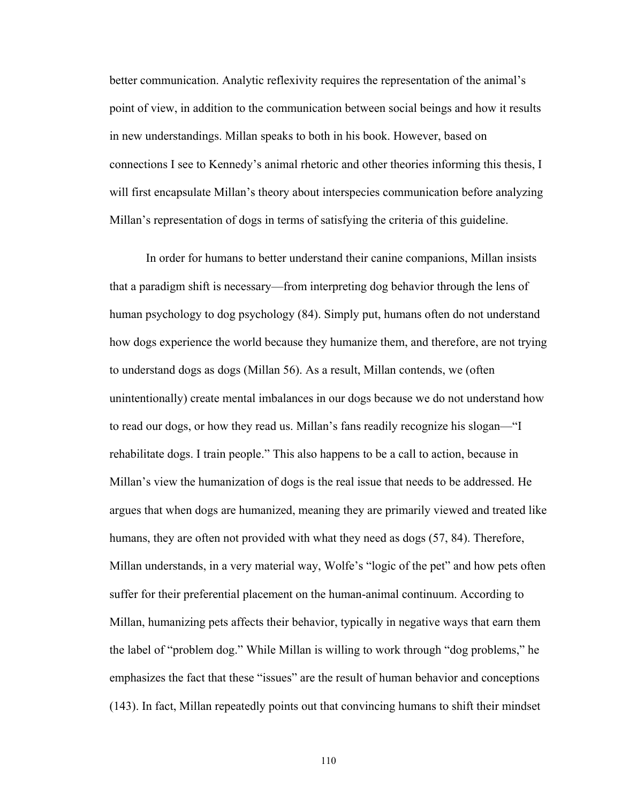better communication. Analytic reflexivity requires the representation of the animal's point of view, in addition to the communication between social beings and how it results in new understandings. Millan speaks to both in his book. However, based on connections I see to Kennedy's animal rhetoric and other theories informing this thesis, I will first encapsulate Millan's theory about interspecies communication before analyzing Millan's representation of dogs in terms of satisfying the criteria of this guideline.

In order for humans to better understand their canine companions, Millan insists that a paradigm shift is necessary\_from interpreting dog behavior through the lens of human psychology to dog psychology (84). Simply put, humans often do not understand how dogs experience the world because they humanize them, and therefore, are not trying to understand dogs as dogs (Millan 56). As a result, Millan contends, we (often unintentionally) create mental imbalances in our dogs because we do not understand how to read our dogs, or how they read us. Millan's fans readily recognize his slogan—"I rehabilitate dogs. I train people." This also happens to be a call to action, because in Millan's view the humanization of dogs is the real issue that needs to be addressed. He argues that when dogs are humanized, meaning they are primarily viewed and treated like humans, they are often not provided with what they need as dogs (57, 84). Therefore, Millan understands, in a very material way, Wolfe's "logic of the pet" and how pets often suffer for their preferential placement on the human-animal continuum. According to Millan, humanizing pets affects their behavior, typically in negative ways that earn them the label of "problem dog." While Millan is willing to work through "dog problems," he emphasizes the fact that these "issues" are the result of human behavior and conceptions (143). In fact, Millan repeatedly points out that convincing humans to shift their mindset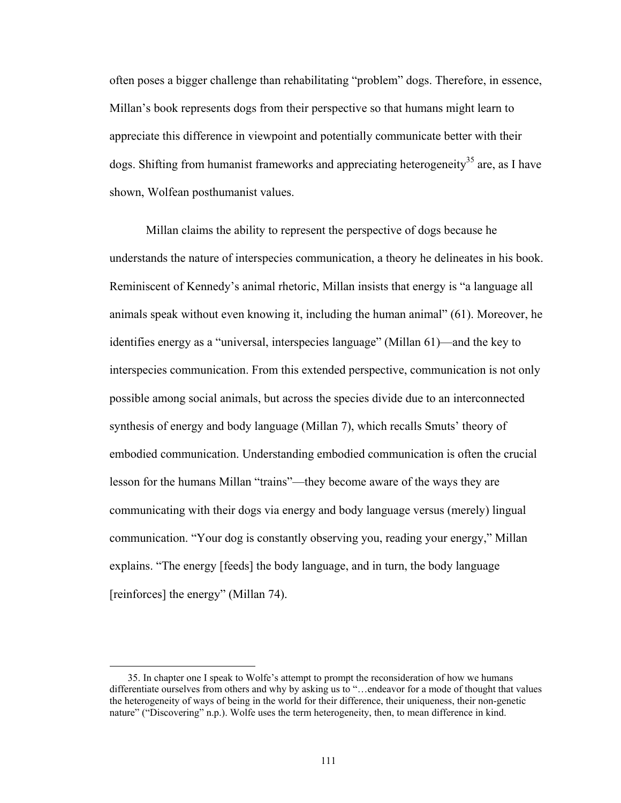often poses a bigger challenge than rehabilitating "problem" dogs. Therefore, in essence, Millan's book represents dogs from their perspective so that humans might learn to appreciate this difference in viewpoint and potentially communicate better with their dogs. Shifting from humanist frameworks and appreciating heterogeneity<sup>35</sup> are, as I have shown, Wolfean posthumanist values.

Millan claims the ability to represent the perspective of dogs because he understands the nature of interspecies communication, a theory he delineates in his book. Reminiscent of Kennedy's animal rhetoric, Millan insists that energy is "a language all animals speak without even knowing it, including the human animal^ (61). Moreover, he identifies energy as a "universal, interspecies language" (Millan 61)—and the key to interspecies communication. From this extended perspective, communication is not only possible among social animals, but across the species divide due to an interconnected synthesis of energy and body language (Millan 7), which recalls Smuts' theory of embodied communication. Understanding embodied communication is often the crucial lesson for the humans Millan "trains"—they become aware of the ways they are communicating with their dogs via energy and body language versus (merely) lingual communication. "Your dog is constantly observing you, reading your energy," Millan explains. "The energy [feeds] the body language, and in turn, the body language [reinforces] the energy" (Millan 74).

 $\overline{a}$ 

<sup>35.</sup> In chapter one I speak to Wolfe's attempt to prompt the reconsideration of how we humans differentiate ourselves from others and why by asking us to "...endeavor for a mode of thought that values the heterogeneity of ways of being in the world for their difference, their uniqueness, their non-genetic nature" ("Discovering" n.p.). Wolfe uses the term heterogeneity, then, to mean difference in kind.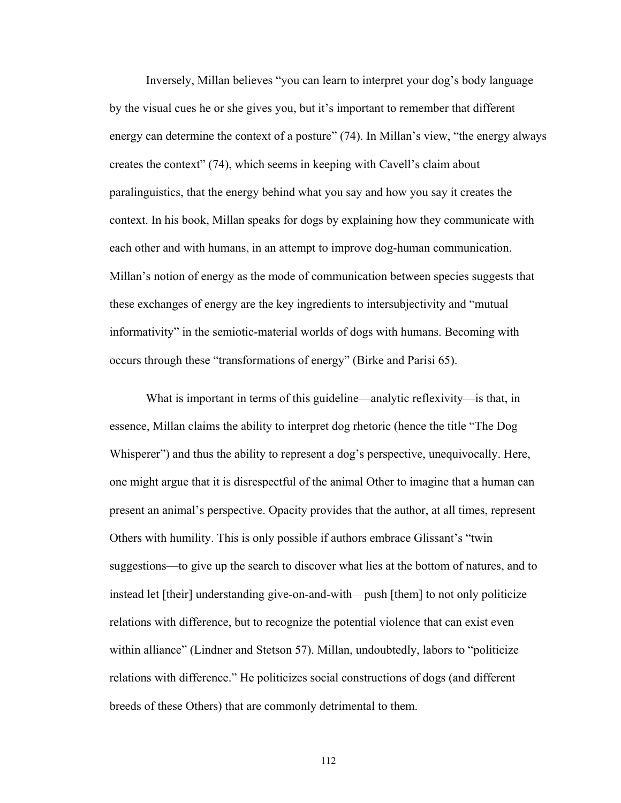Inversely, Millan believes "you can learn to interpret your dog's body language by the visual cues he or she gives you, but it's important to remember that different energy can determine the context of a posture"  $(74)$ . In Millan's view, "the energy always creates the context" (74), which seems in keeping with Cavell's claim about paralinguistics, that the energy behind what you say and how you say it creates the context. In his book, Millan speaks for dogs by explaining how they communicate with each other and with humans, in an attempt to improve dog-human communication. Millan's notion of energy as the mode of communication between species suggests that these exchanges of energy are the key ingredients to intersubjectivity and "mutual" informativity" in the semiotic-material worlds of dogs with humans. Becoming with occurs through these "transformations of energy" (Birke and Parisi 65).

What is important in terms of this guideline—analytic reflexivity—is that, in essence, Millan claims the ability to interpret dog rhetoric (hence the title "The Dog" Whisperer<sup>3</sup>) and thus the ability to represent a dog's perspective, unequivocally. Here, one might argue that it is disrespectful of the animal Other to imagine that a human can present an animal's perspective. Opacity provides that the author, at all times, represent Others with humility. This is only possible if authors embrace Glissant's "twin suggestions—to give up the search to discover what lies at the bottom of natures, and to instead let [their] understanding give-on-and-with—push [them] to not only politicize relations with difference, but to recognize the potential violence that can exist even within alliance" (Lindner and Stetson 57). Millan, undoubtedly, labors to "politicize relations with difference." He politicizes social constructions of dogs (and different breeds of these Others) that are commonly detrimental to them.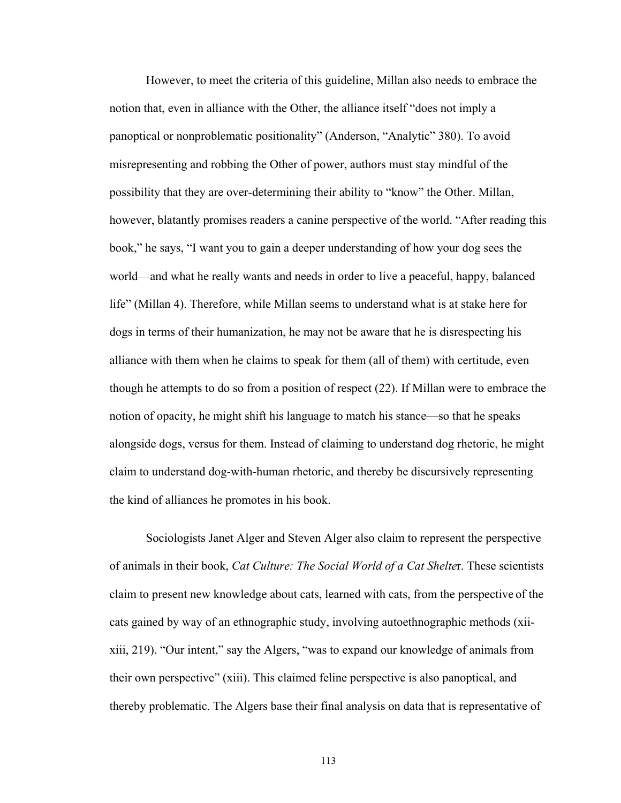However, to meet the criteria of this guideline, Millan also needs to embrace the notion that, even in alliance with the Other, the alliance itself "does not imply a panoptical or nonproblematic positionality" (Anderson, "Analytic" 380). To avoid misrepresenting and robbing the Other of power, authors must stay mindful of the possibility that they are over-determining their ability to "know" the Other. Millan, however, blatantly promises readers a canine perspective of the world. "After reading this book," he says, "I want you to gain a deeper understanding of how your dog sees the world—and what he really wants and needs in order to live a peaceful, happy, balanced life" (Millan 4). Therefore, while Millan seems to understand what is at stake here for dogs in terms of their humanization, he may not be aware that he is disrespecting his alliance with them when he claims to speak for them (all of them) with certitude, even though he attempts to do so from a position of respect (22). If Millan were to embrace the notion of opacity, he might shift his language to match his stance—so that he speaks alongside dogs, versus for them. Instead of claiming to understand dog rhetoric, he might claim to understand dog-with-human rhetoric, and thereby be discursively representing the kind of alliances he promotes in his book.

Sociologists Janet Alger and Steven Alger also claim to represent the perspective of animals in their book, *Cat Culture: The Social World of a Cat Shelte*r. These scientists claim to present new knowledge about cats, learned with cats, from the perspective of the cats gained by way of an ethnographic study, involving autoethnographic methods (xiixiii, 219). "Our intent," say the Algers, "was to expand our knowledge of animals from their own perspective^ (xiii). This claimed feline perspective is also panoptical, and thereby problematic. The Algers base their final analysis on data that is representative of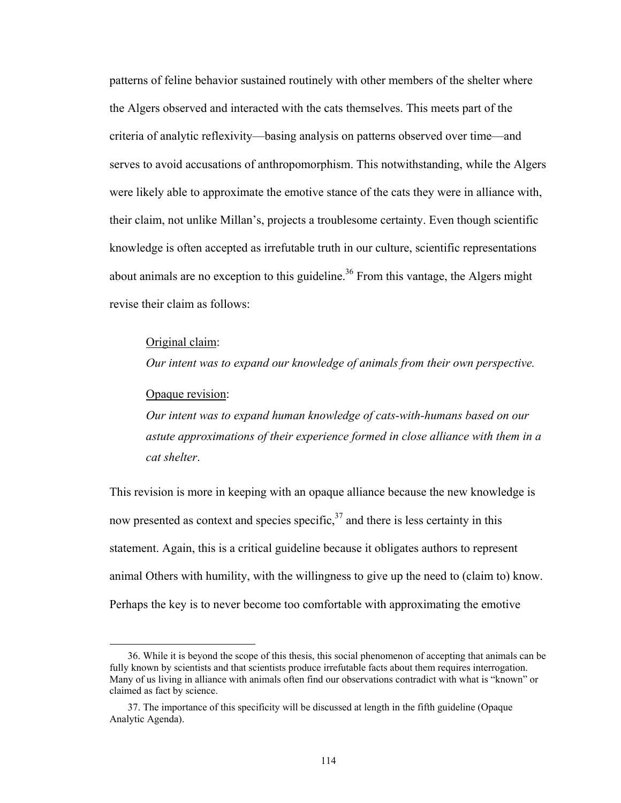patterns of feline behavior sustained routinely with other members of the shelter where the Algers observed and interacted with the cats themselves. This meets part of the criteria of analytic reflexivity\_basing analysis on patterns observed over time\_and serves to avoid accusations of anthropomorphism. This notwithstanding, while the Algers were likely able to approximate the emotive stance of the cats they were in alliance with, their claim, not unlike Millan's, projects a troublesome certainty. Even though scientific knowledge is often accepted as irrefutable truth in our culture, scientific representations about animals are no exception to this guideline.<sup>36</sup> From this vantage, the Algers might revise their claim as follows:

#### Original claim:

*Our intent was to expand our knowledge of animals from their own perspective.*

#### Opaque revision:

 $\overline{a}$ 

*Our intent was to expand human knowledge of cats-with-humans based on our astute approximations of their experience formed in close alliance with them in a cat shelter*.

This revision is more in keeping with an opaque alliance because the new knowledge is now presented as context and species specific,  $37$  and there is less certainty in this statement. Again, this is a critical guideline because it obligates authors to represent animal Others with humility, with the willingness to give up the need to (claim to) know. Perhaps the key is to never become too comfortable with approximating the emotive

 <sup>36.</sup> While it is beyond the scope of this thesis, this social phenomenon of accepting that animals can be fully known by scientists and that scientists produce irrefutable facts about them requires interrogation. Many of us living in alliance with animals often find our observations contradict with what is "known" or claimed as fact by science.

 <sup>37.</sup> The importance of this specificity will be discussed at length in the fifth guideline (Opaque Analytic Agenda).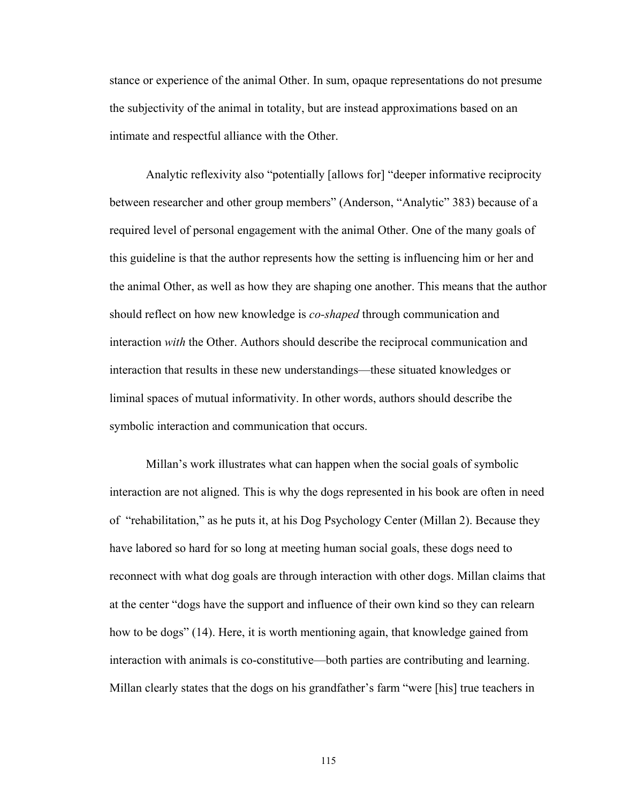stance or experience of the animal Other. In sum, opaque representations do not presume the subjectivity of the animal in totality, but are instead approximations based on an intimate and respectful alliance with the Other.

Analytic reflexivity also "potentially [allows for] "deeper informative reciprocity between researcher and other group members" (Anderson, "Analytic" 383) because of a required level of personal engagement with the animal Other. One of the many goals of this guideline is that the author represents how the setting is influencing him or her and the animal Other, as well as how they are shaping one another. This means that the author should reflect on how new knowledge is *co-shaped* through communication and interaction *with* the Other. Authors should describe the reciprocal communication and interaction that results in these new understandings—these situated knowledges or liminal spaces of mutual informativity. In other words, authors should describe the symbolic interaction and communication that occurs.

Millan's work illustrates what can happen when the social goals of symbolic interaction are not aligned. This is why the dogs represented in his book are often in need of "rehabilitation," as he puts it, at his Dog Psychology Center (Millan 2). Because they have labored so hard for so long at meeting human social goals, these dogs need to reconnect with what dog goals are through interaction with other dogs. Millan claims that at the center "dogs have the support and influence of their own kind so they can relearn how to be dogs" (14). Here, it is worth mentioning again, that knowledge gained from interaction with animals is co-constitutive—both parties are contributing and learning. Millan clearly states that the dogs on his grandfather's farm "were [his] true teachers in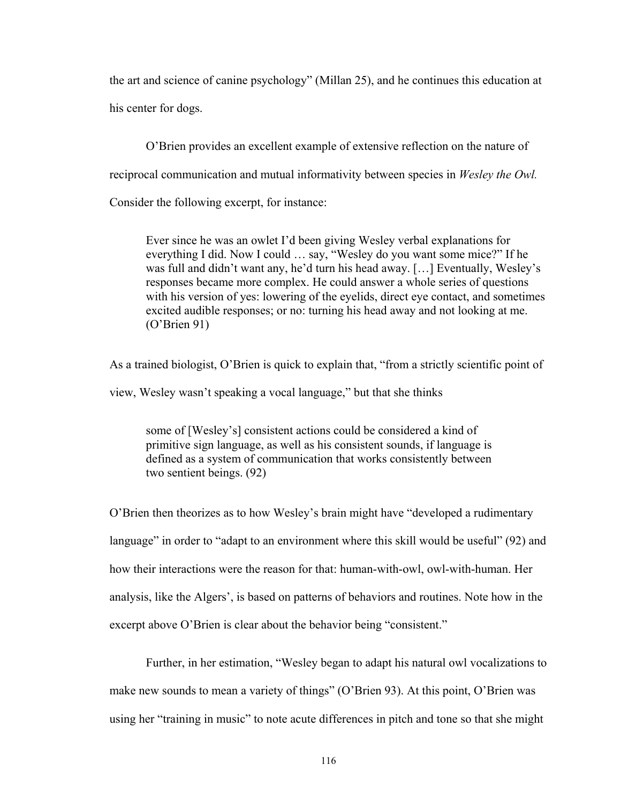the art and science of canine psychology^ (Millan 25), and he continues this education at his center for dogs.

O'Brien provides an excellent example of extensive reflection on the nature of reciprocal communication and mutual informativity between species in *Wesley the Owl.*  Consider the following excerpt, for instance:

Ever since he was an owlet I'd been giving Wesley verbal explanations for everything I did. Now I could ... say, "Wesley do you want some mice?" If he was full and didn't want any, he'd turn his head away.  $[...]$  Eventually, Wesley's responses became more complex. He could answer a whole series of questions with his version of yes: lowering of the eyelids, direct eye contact, and sometimes excited audible responses; or no: turning his head away and not looking at me.  $(O^{\prime}B$ rien 91)

As a trained biologist, O'Brien is quick to explain that, "from a strictly scientific point of view, Wesley wasn't speaking a vocal language," but that she thinks

some of [Wesley's] consistent actions could be considered a kind of primitive sign language, as well as his consistent sounds, if language is defined as a system of communication that works consistently between two sentient beings. (92)

O'Brien then theorizes as to how Wesley's brain might have "developed a rudimentary" language" in order to "adapt to an environment where this skill would be useful" (92) and how their interactions were the reason for that: human-with-owl, owl-with-human. Her analysis, like the Algers', is based on patterns of behaviors and routines. Note how in the excerpt above O'Brien is clear about the behavior being "consistent."

Further, in her estimation, "Wesley began to adapt his natural owl vocalizations to make new sounds to mean a variety of things" (O'Brien 93). At this point, O'Brien was using her "training in music" to note acute differences in pitch and tone so that she might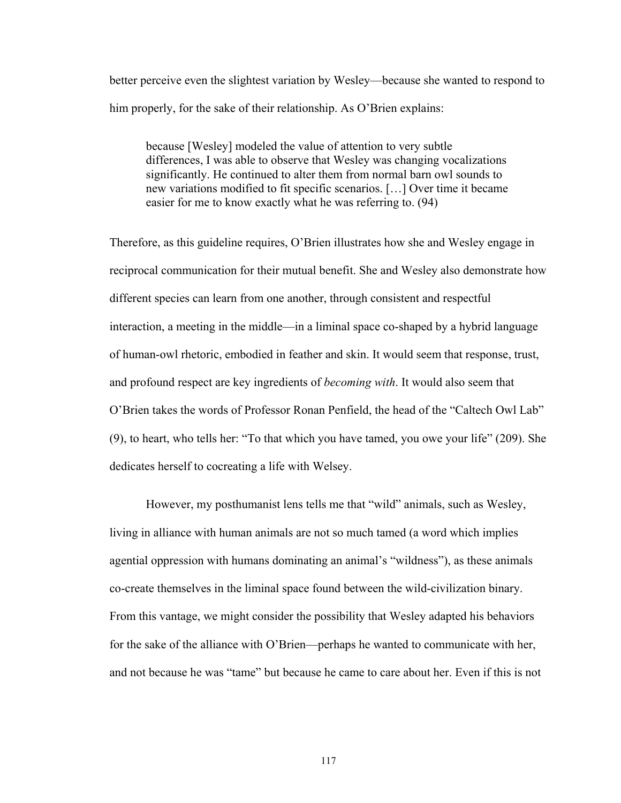better perceive even the slightest variation by Wesley\_because she wanted to respond to him properly, for the sake of their relationship. As  $O<sup>2</sup>$  Brien explains:

because [Wesley] modeled the value of attention to very subtle differences, I was able to observe that Wesley was changing vocalizations significantly. He continued to alter them from normal barn owl sounds to new variations modified to fit specific scenarios. [...] Over time it became easier for me to know exactly what he was referring to. (94)

Therefore, as this guideline requires, O'Brien illustrates how she and Wesley engage in reciprocal communication for their mutual benefit. She and Wesley also demonstrate how different species can learn from one another, through consistent and respectful interaction, a meeting in the middle\_in a liminal space co-shaped by a hybrid language of human-owl rhetoric, embodied in feather and skin. It would seem that response, trust, and profound respect are key ingredients of *becoming with*. It would also seem that O'Brien takes the words of Professor Ronan Penfield, the head of the "Caltech Owl Lab"  $(9)$ , to heart, who tells her: "To that which you have tamed, you owe your life" (209). She dedicates herself to cocreating a life with Welsey.

However, my posthumanist lens tells me that "wild" animals, such as Wesley, living in alliance with human animals are not so much tamed (a word which implies agential oppression with humans dominating an animal's "wildness"), as these animals co-create themselves in the liminal space found between the wild-civilization binary. From this vantage, we might consider the possibility that Wesley adapted his behaviors for the sake of the alliance with O'Brien—perhaps he wanted to communicate with her, and not because he was "tame" but because he came to care about her. Even if this is not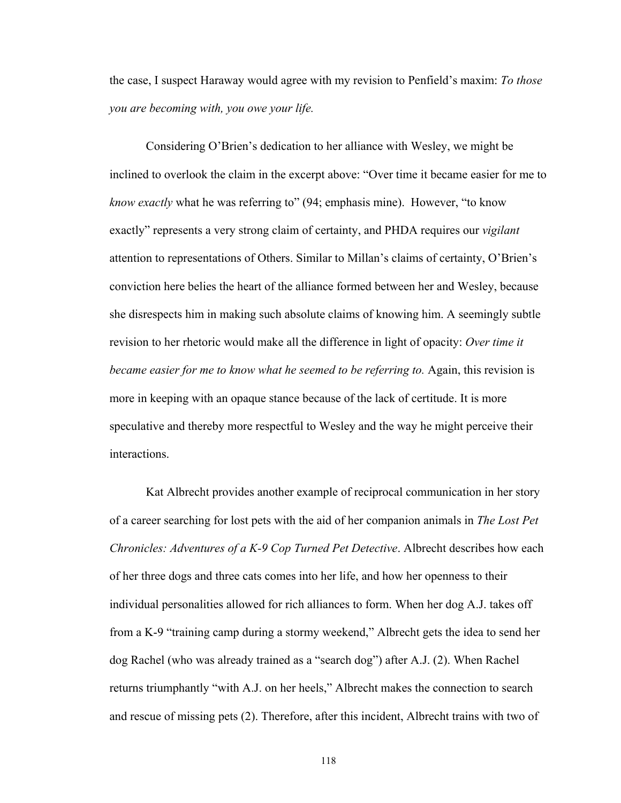the case, I suspect Haraway would agree with my revision to Penfield's maxim: *To those you are becoming with, you owe your life.*

Considering O'Brien's dedication to her alliance with Wesley, we might be inclined to overlook the claim in the excerpt above: "Over time it became easier for me to *know exactly* what he was referring to" (94; emphasis mine). However, "to know exactly" represents a very strong claim of certainty, and PHDA requires our *vigilant* attention to representations of Others. Similar to Millan's claims of certainty, O'Brien's conviction here belies the heart of the alliance formed between her and Wesley, because she disrespects him in making such absolute claims of knowing him. A seemingly subtle revision to her rhetoric would make all the difference in light of opacity: *Over time it became easier for me to know what he seemed to be referring to.* Again, this revision is more in keeping with an opaque stance because of the lack of certitude. It is more speculative and thereby more respectful to Wesley and the way he might perceive their interactions.

Kat Albrecht provides another example of reciprocal communication in her story of a career searching for lost pets with the aid of her companion animals in *The Lost Pet Chronicles: Adventures of a K-9 Cop Turned Pet Detective*. Albrecht describes how each of her three dogs and three cats comes into her life, and how her openness to their individual personalities allowed for rich alliances to form. When her dog A.J. takes off from a K-9 "training camp during a stormy weekend," Albrecht gets the idea to send her dog Rachel (who was already trained as a "search dog") after A.J.  $(2)$ . When Rachel returns triumphantly "with A.J. on her heels," Albrecht makes the connection to search and rescue of missing pets (2). Therefore, after this incident, Albrecht trains with two of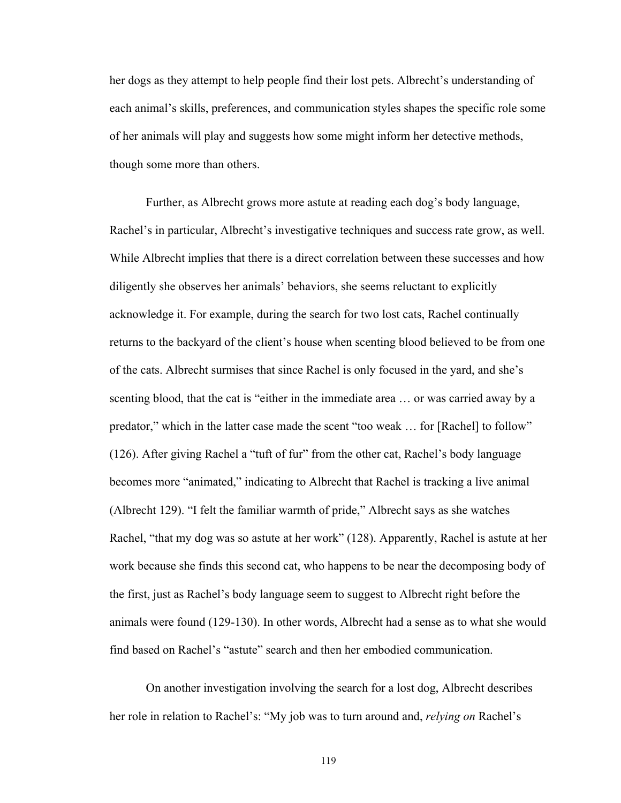her dogs as they attempt to help people find their lost pets. Albrecht's understanding of each animal's skills, preferences, and communication styles shapes the specific role some of her animals will play and suggests how some might inform her detective methods, though some more than others.

Further, as Albrecht grows more astute at reading each dog's body language, Rachel's in particular, Albrecht's investigative techniques and success rate grow, as well. While Albrecht implies that there is a direct correlation between these successes and how diligently she observes her animals' behaviors, she seems reluctant to explicitly acknowledge it. For example, during the search for two lost cats, Rachel continually returns to the backyard of the client's house when scenting blood believed to be from one of the cats. Albrecht surmises that since Rachel is only focused in the yard, and she's scenting blood, that the cat is "either in the immediate area ... or was carried away by a predator," which in the latter case made the scent "too weak  $\dots$  for [Rachel] to follow" (126). After giving Rachel a "tuft of fur" from the other cat, Rachel's body language becomes more "animated," indicating to Albrecht that Rachel is tracking a live animal (Albrecht 129). "I felt the familiar warmth of pride," Albrecht says as she watches Rachel, "that my dog was so astute at her work" (128). Apparently, Rachel is astute at her work because she finds this second cat, who happens to be near the decomposing body of the first, just as Rachel's body language seem to suggest to Albrecht right before the animals were found (129-130). In other words, Albrecht had a sense as to what she would find based on Rachel's "astute" search and then her embodied communication.

On another investigation involving the search for a lost dog, Albrecht describes her role in relation to Rachel's: "My job was to turn around and, *relying on* Rachel's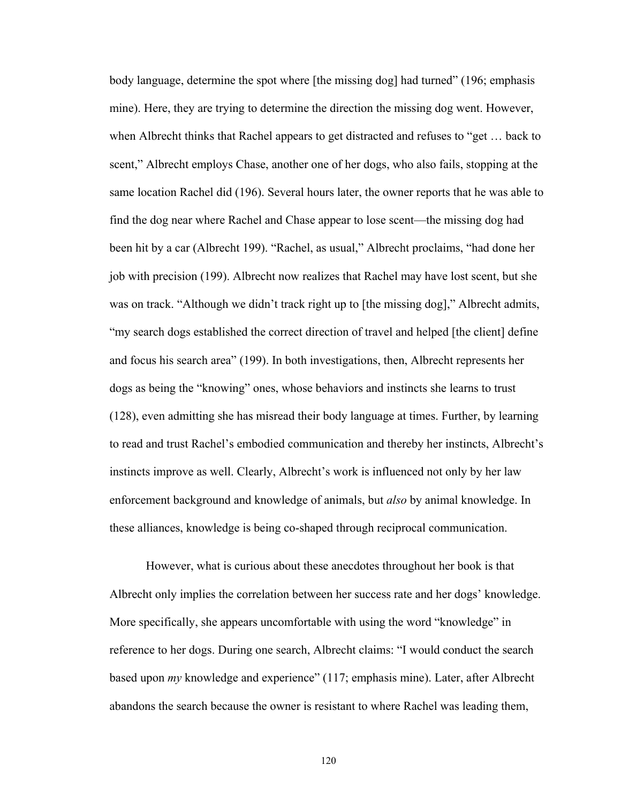body language, determine the spot where [the missing dog] had turned" (196; emphasis mine). Here, they are trying to determine the direction the missing dog went. However, when Albrecht thinks that Rachel appears to get distracted and refuses to "get ... back to scent," Albrecht employs Chase, another one of her dogs, who also fails, stopping at the same location Rachel did (196). Several hours later, the owner reports that he was able to find the dog near where Rachel and Chase appear to lose scent—the missing dog had been hit by a car (Albrecht 199). "Rachel, as usual," Albrecht proclaims, "had done her job with precision (199). Albrecht now realizes that Rachel may have lost scent, but she was on track. "Although we didn't track right up to [the missing dog]," Albrecht admits, "my search dogs established the correct direction of travel and helped [the client] define and focus his search area^ (199). In both investigations, then, Albrecht represents her dogs as being the "knowing" ones, whose behaviors and instincts she learns to trust (128), even admitting she has misread their body language at times. Further, by learning to read and trust Rachel's embodied communication and thereby her instincts, Albrecht's instincts improve as well. Clearly, Albrecht's work is influenced not only by her law enforcement background and knowledge of animals, but *also* by animal knowledge. In these alliances, knowledge is being co-shaped through reciprocal communication.

However, what is curious about these anecdotes throughout her book is that Albrecht only implies the correlation between her success rate and her dogs' knowledge. More specifically, she appears uncomfortable with using the word "knowledge" in reference to her dogs. During one search, Albrecht claims: "I would conduct the search based upon *my* knowledge and experience" (117; emphasis mine). Later, after Albrecht abandons the search because the owner is resistant to where Rachel was leading them,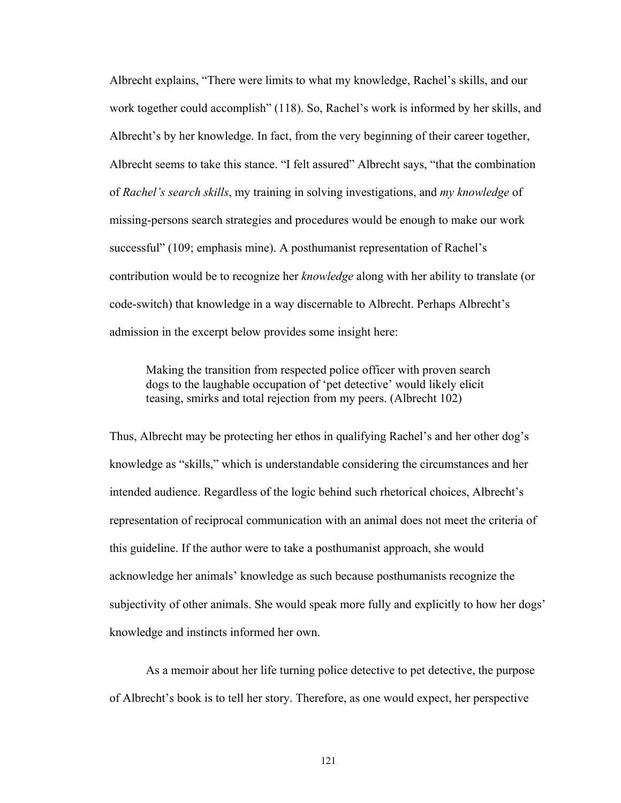Albrecht explains, "There were limits to what my knowledge, Rachel's skills, and our work together could accomplish"  $(118)$ . So, Rachel's work is informed by her skills, and Albrecht's by her knowledge. In fact, from the very beginning of their career together, Albrecht seems to take this stance. "I felt assured" Albrecht says, "that the combination of *Rachel's search skills*, my training in solving investigations, and *my knowledge* of missing-persons search strategies and procedures would be enough to make our work successful" (109; emphasis mine). A posthumanist representation of Rachel's contribution would be to recognize her *knowledge* along with her ability to translate (or code-switch) that knowledge in a way discernable to Albrecht. Perhaps Albrecht's admission in the excerpt below provides some insight here:

Making the transition from respected police officer with proven search dogs to the laughable occupation of 'pet detective' would likely elicit teasing, smirks and total rejection from my peers. (Albrecht 102)

Thus, Albrecht may be protecting her ethos in qualifying Rachel's and her other dog's knowledge as "skills," which is understandable considering the circumstances and her intended audience. Regardless of the logic behind such rhetorical choices, Albrecht's representation of reciprocal communication with an animal does not meet the criteria of this guideline. If the author were to take a posthumanist approach, she would acknowledge her animals' knowledge as such because posthumanists recognize the subjectivity of other animals. She would speak more fully and explicitly to how her dogs' knowledge and instincts informed her own.

As a memoir about her life turning police detective to pet detective, the purpose of Albrecht's book is to tell her story. Therefore, as one would expect, her perspective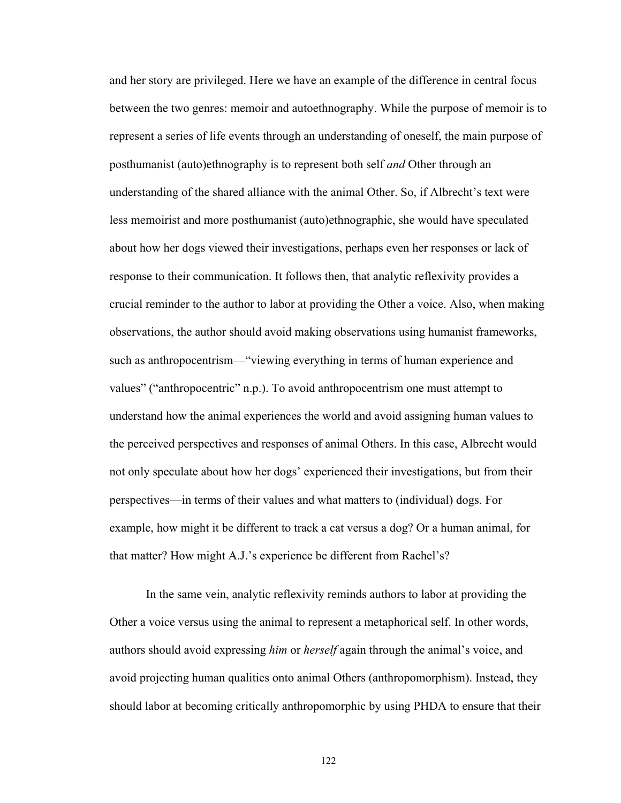and her story are privileged. Here we have an example of the difference in central focus between the two genres: memoir and autoethnography. While the purpose of memoir is to represent a series of life events through an understanding of oneself, the main purpose of posthumanist (auto)ethnography is to represent both self *and* Other through an understanding of the shared alliance with the animal Other. So, if Albrecht's text were less memoirist and more posthumanist (auto)ethnographic, she would have speculated about how her dogs viewed their investigations, perhaps even her responses or lack of response to their communication. It follows then, that analytic reflexivity provides a crucial reminder to the author to labor at providing the Other a voice. Also, when making observations, the author should avoid making observations using humanist frameworks, such as anthropocentrism—"viewing everything in terms of human experience and values" ("anthropocentric" n.p.). To avoid anthropocentrism one must attempt to understand how the animal experiences the world and avoid assigning human values to the perceived perspectives and responses of animal Others. In this case, Albrecht would not only speculate about how her dogs' experienced their investigations, but from their perspectives\_in terms of their values and what matters to (individual) dogs. For example, how might it be different to track a cat versus a dog? Or a human animal, for that matter? How might A.J.'s experience be different from Rachel's?

In the same vein, analytic reflexivity reminds authors to labor at providing the Other a voice versus using the animal to represent a metaphorical self. In other words, authors should avoid expressing *him* or *herself* again through the animal's voice, and avoid projecting human qualities onto animal Others (anthropomorphism). Instead, they should labor at becoming critically anthropomorphic by using PHDA to ensure that their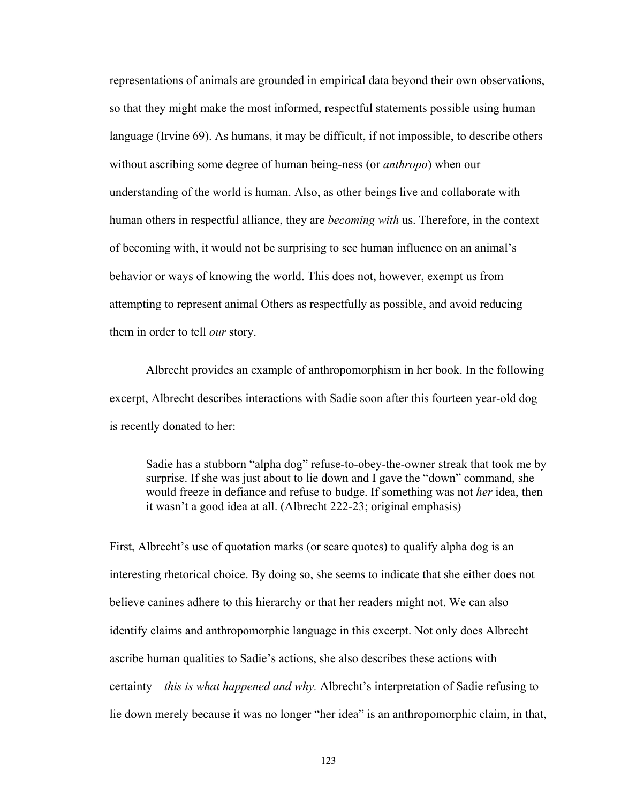representations of animals are grounded in empirical data beyond their own observations, so that they might make the most informed, respectful statements possible using human language (Irvine 69). As humans, it may be difficult, if not impossible, to describe others without ascribing some degree of human being-ness (or *anthropo*) when our understanding of the world is human. Also, as other beings live and collaborate with human others in respectful alliance, they are *becoming with* us. Therefore, in the context of becoming with, it would not be surprising to see human influence on an animal's behavior or ways of knowing the world. This does not, however, exempt us from attempting to represent animal Others as respectfully as possible, and avoid reducing them in order to tell *our* story.

Albrecht provides an example of anthropomorphism in her book. In the following excerpt, Albrecht describes interactions with Sadie soon after this fourteen year-old dog is recently donated to her:

Sadie has a stubborn "alpha dog" refuse-to-obey-the-owner streak that took me by surprise. If she was just about to lie down and I gave the "down" command, she would freeze in defiance and refuse to budge. If something was not *her* idea, then it wasn't a good idea at all. (Albrecht 222-23; original emphasis)

First, Albrecht's use of quotation marks (or scare quotes) to qualify alpha dog is an interesting rhetorical choice. By doing so, she seems to indicate that she either does not believe canines adhere to this hierarchy or that her readers might not. We can also identify claims and anthropomorphic language in this excerpt. Not only does Albrecht ascribe human qualities to Sadie's actions, she also describes these actions with certainty—*this is what happened and why.* Albrecht's interpretation of Sadie refusing to lie down merely because it was no longer "her idea" is an anthropomorphic claim, in that,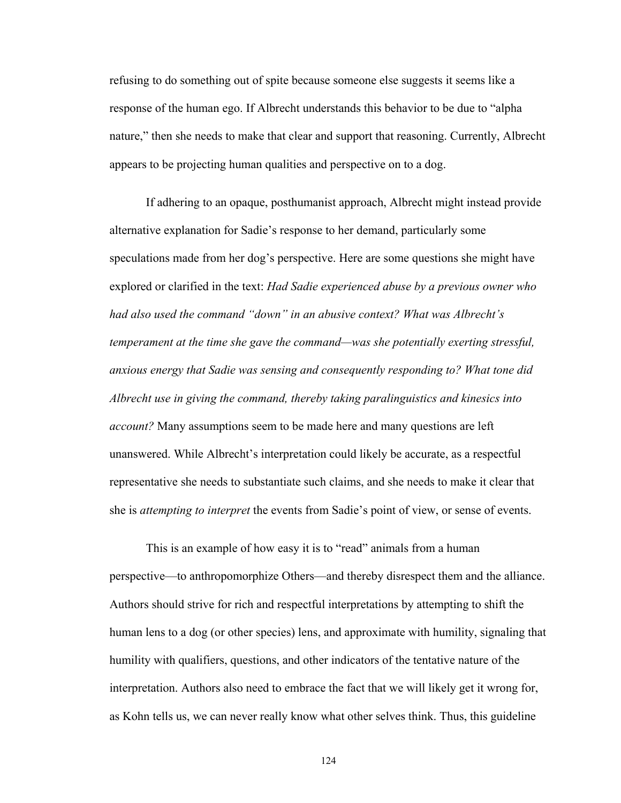refusing to do something out of spite because someone else suggests it seems like a response of the human ego. If Albrecht understands this behavior to be due to "alpha" nature," then she needs to make that clear and support that reasoning. Currently, Albrecht appears to be projecting human qualities and perspective on to a dog.

If adhering to an opaque, posthumanist approach, Albrecht might instead provide alternative explanation for Sadie's response to her demand, particularly some speculations made from her dog's perspective. Here are some questions she might have explored or clarified in the text: *Had Sadie experienced abuse by a previous owner who had also used the command "down" in an abusive context? What was Albrecht's temperament at the time she gave the command—was she potentially exerting stressful, anxious energy that Sadie was sensing and consequently responding to? What tone did Albrecht use in giving the command, thereby taking paralinguistics and kinesics into account?* Many assumptions seem to be made here and many questions are left unanswered. While Albrecht's interpretation could likely be accurate, as a respectful representative she needs to substantiate such claims, and she needs to make it clear that she is *attempting to interpret* the events from Sadie's point of view, or sense of events.

This is an example of how easy it is to "read" animals from a human perspective—to anthropomorphize Others—and thereby disrespect them and the alliance. Authors should strive for rich and respectful interpretations by attempting to shift the human lens to a dog (or other species) lens, and approximate with humility, signaling that humility with qualifiers, questions, and other indicators of the tentative nature of the interpretation. Authors also need to embrace the fact that we will likely get it wrong for, as Kohn tells us, we can never really know what other selves think. Thus, this guideline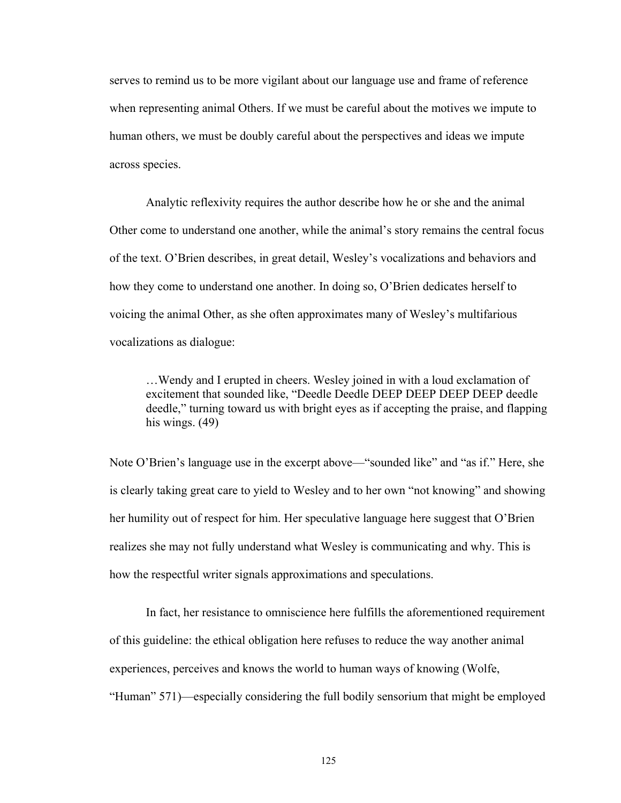serves to remind us to be more vigilant about our language use and frame of reference when representing animal Others. If we must be careful about the motives we impute to human others, we must be doubly careful about the perspectives and ideas we impute across species.

Analytic reflexivity requires the author describe how he or she and the animal Other come to understand one another, while the animal's story remains the central focus of the text. O'Brien describes, in great detail, Wesley's vocalizations and behaviors and how they come to understand one another. In doing so, O'Brien dedicates herself to voicing the animal Other, as she often approximates many of Wesley's multifarious vocalizations as dialogue:

 $\dots$  Wendy and I erupted in cheers. Wesley joined in with a loud exclamation of excitement that sounded like, "Deedle Deedle DEEP DEEP DEEP DEEP deedle deedle," turning toward us with bright eyes as if accepting the praise, and flapping his wings. (49)

Note O'Brien's language use in the excerpt above—"sounded like" and "as if." Here, she is clearly taking great care to yield to Wesley and to her own "not knowing" and showing her humility out of respect for him. Her speculative language here suggest that O'Brien realizes she may not fully understand what Wesley is communicating and why. This is how the respectful writer signals approximations and speculations.

In fact, her resistance to omniscience here fulfills the aforementioned requirement of this guideline: the ethical obligation here refuses to reduce the way another animal experiences, perceives and knows the world to human ways of knowing (Wolfe, "Human" 571)—especially considering the full bodily sensorium that might be employed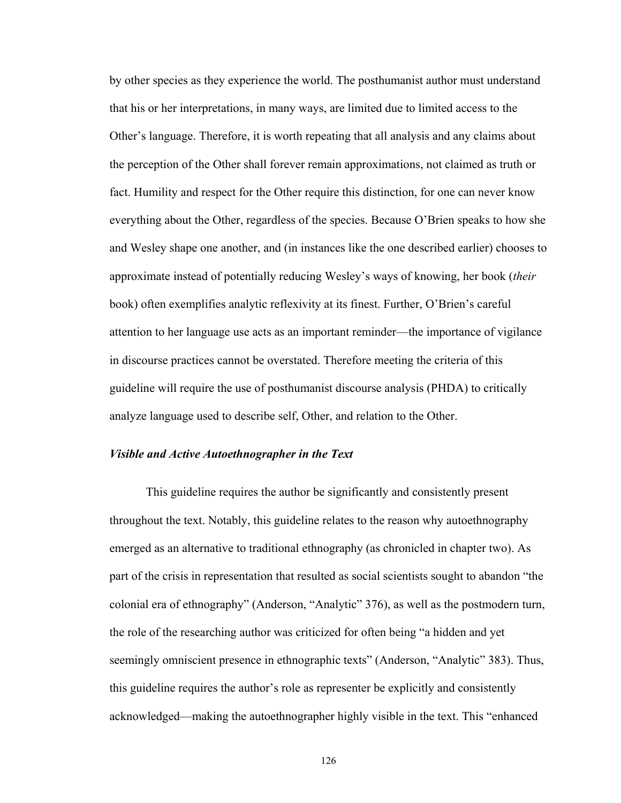by other species as they experience the world. The posthumanist author must understand that his or her interpretations, in many ways, are limited due to limited access to the Other's language. Therefore, it is worth repeating that all analysis and any claims about the perception of the Other shall forever remain approximations, not claimed as truth or fact. Humility and respect for the Other require this distinction, for one can never know everything about the Other, regardless of the species. Because O'Brien speaks to how she and Wesley shape one another, and (in instances like the one described earlier) chooses to approximate instead of potentially reducing Wesley's ways of knowing, her book (*their* book) often exemplifies analytic reflexivity at its finest. Further, O'Brien's careful attention to her language use acts as an important reminder\_the importance of vigilance in discourse practices cannot be overstated. Therefore meeting the criteria of this guideline will require the use of posthumanist discourse analysis (PHDA) to critically analyze language used to describe self, Other, and relation to the Other.

### *Visible and Active Autoethnographer in the Text*

This guideline requires the author be significantly and consistently present throughout the text. Notably, this guideline relates to the reason why autoethnography emerged as an alternative to traditional ethnography (as chronicled in chapter two). As part of the crisis in representation that resulted as social scientists sought to abandon "the colonial era of ethnography" (Anderson, "Analytic" 376), as well as the postmodern turn, the role of the researching author was criticized for often being "a hidden and yet seemingly omniscient presence in ethnographic texts" (Anderson, "Analytic" 383). Thus, this guideline requires the author's role as representer be explicitly and consistently acknowledged—making the autoethnographer highly visible in the text. This "enhanced"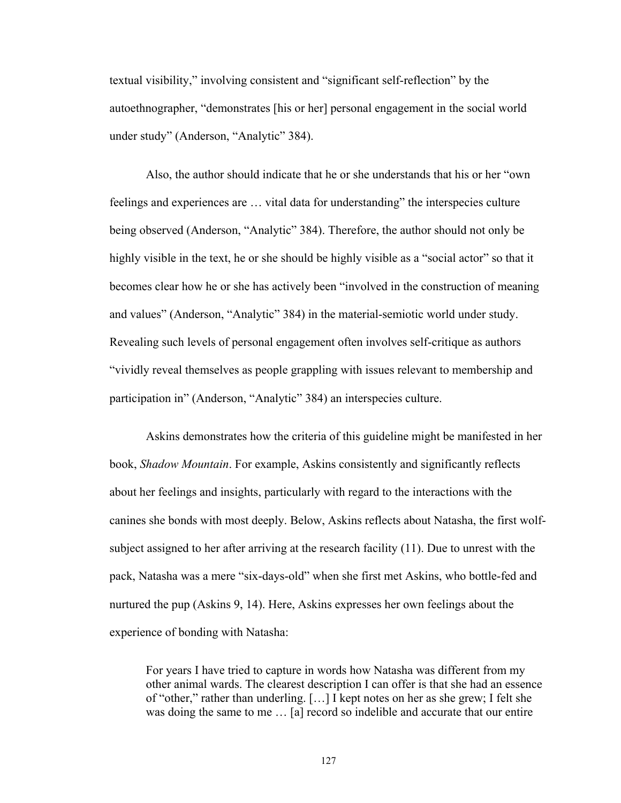textual visibility," involving consistent and "significant self-reflection" by the autoethnographer, "demonstrates [his or her] personal engagement in the social world under study" (Anderson, "Analytic" 384).

Also, the author should indicate that he or she understands that his or her "own" feelings and experiences are ... vital data for understanding" the interspecies culture being observed (Anderson, "Analytic" 384). Therefore, the author should not only be highly visible in the text, he or she should be highly visible as a "social actor" so that it becomes clear how he or she has actively been "involved in the construction of meaning and values" (Anderson, "Analytic" 384) in the material-semiotic world under study. Revealing such levels of personal engagement often involves self-critique as authors "vividly reveal themselves as people grappling with issues relevant to membership and participation in" (Anderson, "Analytic" 384) an interspecies culture.

Askins demonstrates how the criteria of this guideline might be manifested in her book, *Shadow Mountain*. For example, Askins consistently and significantly reflects about her feelings and insights, particularly with regard to the interactions with the canines she bonds with most deeply. Below, Askins reflects about Natasha, the first wolfsubject assigned to her after arriving at the research facility (11). Due to unrest with the pack, Natasha was a mere "six-days-old" when she first met Askins, who bottle-fed and nurtured the pup (Askins 9, 14). Here, Askins expresses her own feelings about the experience of bonding with Natasha:

For years I have tried to capture in words how Natasha was different from my other animal wards. The clearest description I can offer is that she had an essence of "other," rather than underling.  $[...]$  I kept notes on her as she grew; I felt she was doing the same to me ... [a] record so indelible and accurate that our entire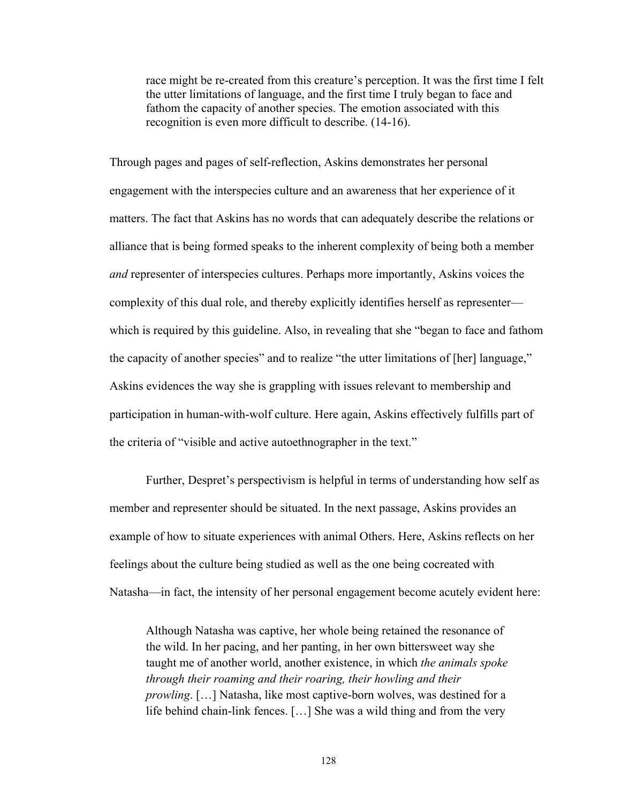race might be re-created from this creature's perception. It was the first time I felt the utter limitations of language, and the first time I truly began to face and fathom the capacity of another species. The emotion associated with this recognition is even more difficult to describe. (14-16).

Through pages and pages of self-reflection, Askins demonstrates her personal engagement with the interspecies culture and an awareness that her experience of it matters. The fact that Askins has no words that can adequately describe the relations or alliance that is being formed speaks to the inherent complexity of being both a member *and* representer of interspecies cultures. Perhaps more importantly, Askins voices the complexity of this dual role, and thereby explicitly identifies herself as representer\_ which is required by this guideline. Also, in revealing that she "began to face and fathom the capacity of another species" and to realize "the utter limitations of [her] language," Askins evidences the way she is grappling with issues relevant to membership and participation in human-with-wolf culture. Here again, Askins effectively fulfills part of the criteria of "visible and active autoethnographer in the text."

Further, Despret's perspectivism is helpful in terms of understanding how self as member and representer should be situated. In the next passage, Askins provides an example of how to situate experiences with animal Others. Here, Askins reflects on her feelings about the culture being studied as well as the one being cocreated with Natasha—in fact, the intensity of her personal engagement become acutely evident here:

Although Natasha was captive, her whole being retained the resonance of the wild. In her pacing, and her panting, in her own bittersweet way she taught me of another world, another existence, in which *the animals spoke through their roaming and their roaring, their howling and their prowling*. [...] Natasha, like most captive-born wolves, was destined for a life behind chain-link fences.  $[\dots]$  She was a wild thing and from the very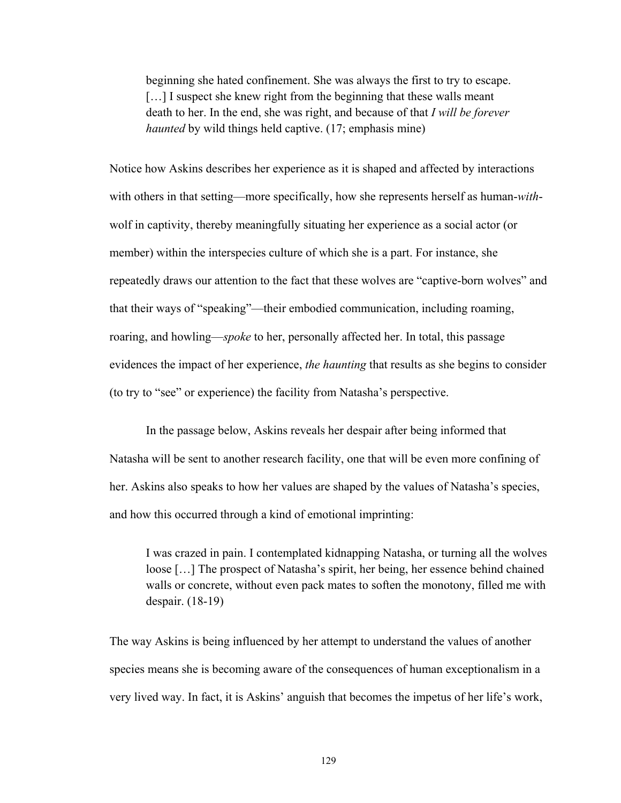beginning she hated confinement. She was always the first to try to escape.  $[\dots]$  I suspect she knew right from the beginning that these walls meant death to her. In the end, she was right, and because of that *I will be forever haunted* by wild things held captive. (17; emphasis mine)

Notice how Askins describes her experience as it is shaped and affected by interactions with others in that setting—more specifically, how she represents herself as human-*with*wolf in captivity, thereby meaningfully situating her experience as a social actor (or member) within the interspecies culture of which she is a part. For instance, she repeatedly draws our attention to the fact that these wolves are "captive-born wolves" and that their ways of "speaking"—their embodied communication, including roaming, roaring, and howling—*spoke* to her, personally affected her. In total, this passage evidences the impact of her experience, *the haunting* that results as she begins to consider (to try to "see" or experience) the facility from Natasha's perspective.

In the passage below, Askins reveals her despair after being informed that Natasha will be sent to another research facility, one that will be even more confining of her. Askins also speaks to how her values are shaped by the values of Natasha's species, and how this occurred through a kind of emotional imprinting:

I was crazed in pain. I contemplated kidnapping Natasha, or turning all the wolves loose [...] The prospect of Natasha's spirit, her being, her essence behind chained walls or concrete, without even pack mates to soften the monotony, filled me with despair. (18-19)

The way Askins is being influenced by her attempt to understand the values of another species means she is becoming aware of the consequences of human exceptionalism in a very lived way. In fact, it is Askins' anguish that becomes the impetus of her life's work,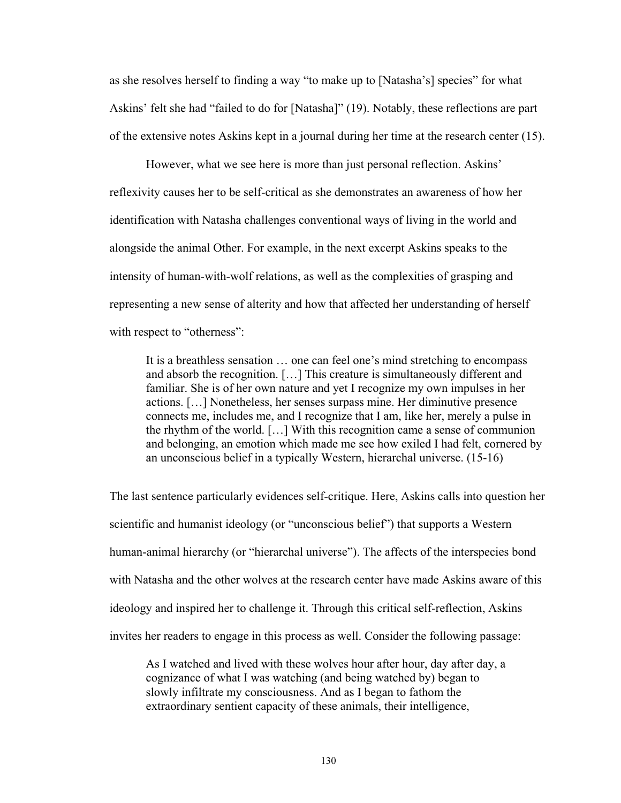as she resolves herself to finding a way "to make up to [Natasha's] species" for what Askins' felt she had "failed to do for [Natasha]" (19). Notably, these reflections are part of the extensive notes Askins kept in a journal during her time at the research center (15).

However, what we see here is more than just personal reflection. Askins' reflexivity causes her to be self-critical as she demonstrates an awareness of how her identification with Natasha challenges conventional ways of living in the world and alongside the animal Other. For example, in the next excerpt Askins speaks to the intensity of human-with-wolf relations, as well as the complexities of grasping and representing a new sense of alterity and how that affected her understanding of herself with respect to "otherness":

It is a breathless sensation ... one can feel one's mind stretching to encompass and absorb the recognition.  $[\dots]$  This creature is simultaneously different and familiar. She is of her own nature and yet I recognize my own impulses in her actions. [...] Nonetheless, her senses surpass mine. Her diminutive presence connects me, includes me, and I recognize that I am, like her, merely a pulse in the rhythm of the world.  $[\dots]$  With this recognition came a sense of communion and belonging, an emotion which made me see how exiled I had felt, cornered by an unconscious belief in a typically Western, hierarchal universe. (15-16)

The last sentence particularly evidences self-critique. Here, Askins calls into question her scientific and humanist ideology (or "unconscious belief") that supports a Western human-animal hierarchy (or "hierarchal universe"). The affects of the interspecies bond with Natasha and the other wolves at the research center have made Askins aware of this ideology and inspired her to challenge it. Through this critical self-reflection, Askins invites her readers to engage in this process as well. Consider the following passage:

As I watched and lived with these wolves hour after hour, day after day, a cognizance of what I was watching (and being watched by) began to slowly infiltrate my consciousness. And as I began to fathom the extraordinary sentient capacity of these animals, their intelligence,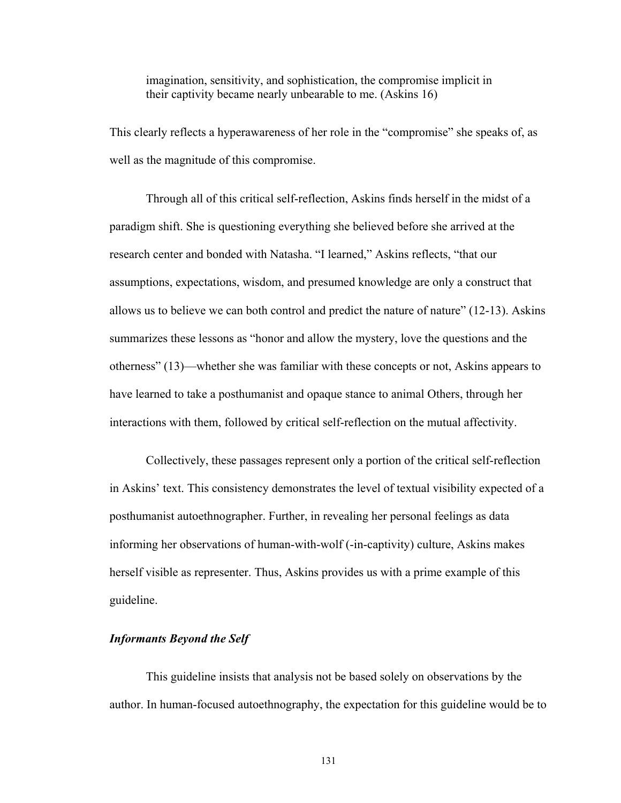imagination, sensitivity, and sophistication, the compromise implicit in their captivity became nearly unbearable to me. (Askins 16)

This clearly reflects a hyperawareness of her role in the "compromise" she speaks of, as well as the magnitude of this compromise.

Through all of this critical self-reflection, Askins finds herself in the midst of a paradigm shift. She is questioning everything she believed before she arrived at the research center and bonded with Natasha. "I learned," Askins reflects, "that our assumptions, expectations, wisdom, and presumed knowledge are only a construct that allows us to believe we can both control and predict the nature of nature^ (12-13). Askins summarizes these lessons as "honor and allow the mystery, love the questions and the otherness" (13)—whether she was familiar with these concepts or not, Askins appears to have learned to take a posthumanist and opaque stance to animal Others, through her interactions with them, followed by critical self-reflection on the mutual affectivity.

Collectively, these passages represent only a portion of the critical self-reflection in Askins' text. This consistency demonstrates the level of textual visibility expected of a posthumanist autoethnographer. Further, in revealing her personal feelings as data informing her observations of human-with-wolf (-in-captivity) culture, Askins makes herself visible as representer. Thus, Askins provides us with a prime example of this guideline.

## *Informants Beyond the Self*

This guideline insists that analysis not be based solely on observations by the author. In human-focused autoethnography, the expectation for this guideline would be to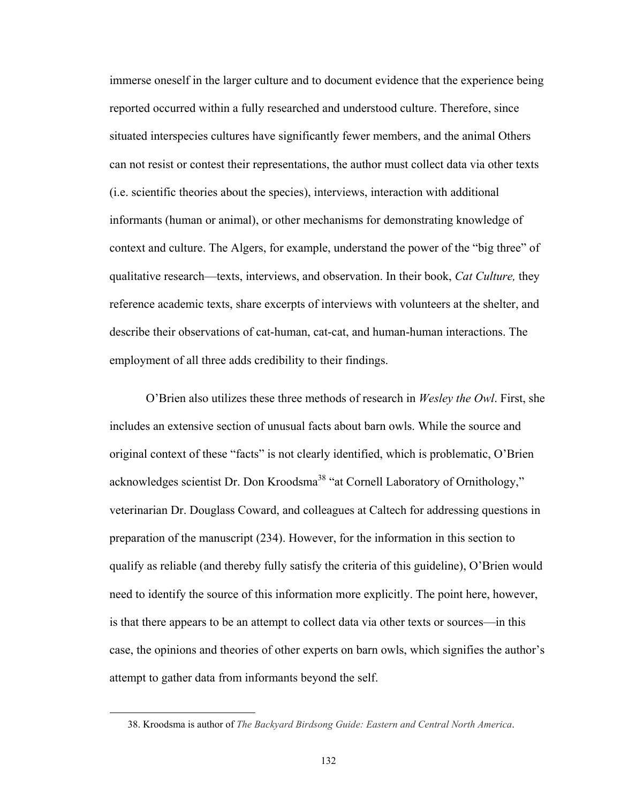immerse oneself in the larger culture and to document evidence that the experience being reported occurred within a fully researched and understood culture. Therefore, since situated interspecies cultures have significantly fewer members, and the animal Others can not resist or contest their representations, the author must collect data via other texts (i.e. scientific theories about the species), interviews, interaction with additional informants (human or animal), or other mechanisms for demonstrating knowledge of context and culture. The Algers, for example, understand the power of the "big three" of qualitative research—texts, interviews, and observation. In their book, *Cat Culture*, they reference academic texts, share excerpts of interviews with volunteers at the shelter, and describe their observations of cat-human, cat-cat, and human-human interactions. The employment of all three adds credibility to their findings.

O'Brien also utilizes these three methods of research in *Wesley the Owl*. First, she includes an extensive section of unusual facts about barn owls. While the source and original context of these "facts" is not clearly identified, which is problematic, O'Brien acknowledges scientist Dr. Don Kroodsma<sup>38</sup> "at Cornell Laboratory of Ornithology," veterinarian Dr. Douglass Coward, and colleagues at Caltech for addressing questions in preparation of the manuscript (234). However, for the information in this section to qualify as reliable (and thereby fully satisfy the criteria of this guideline), O'Brien would need to identify the source of this information more explicitly. The point here, however, is that there appears to be an attempt to collect data via other texts or sources—in this case, the opinions and theories of other experts on barn owls, which signifies the author's attempt to gather data from informants beyond the self.

 $\overline{a}$ 

 <sup>38.</sup> Kroodsma is author of *The Backyard Birdsong Guide: Eastern and Central North America*.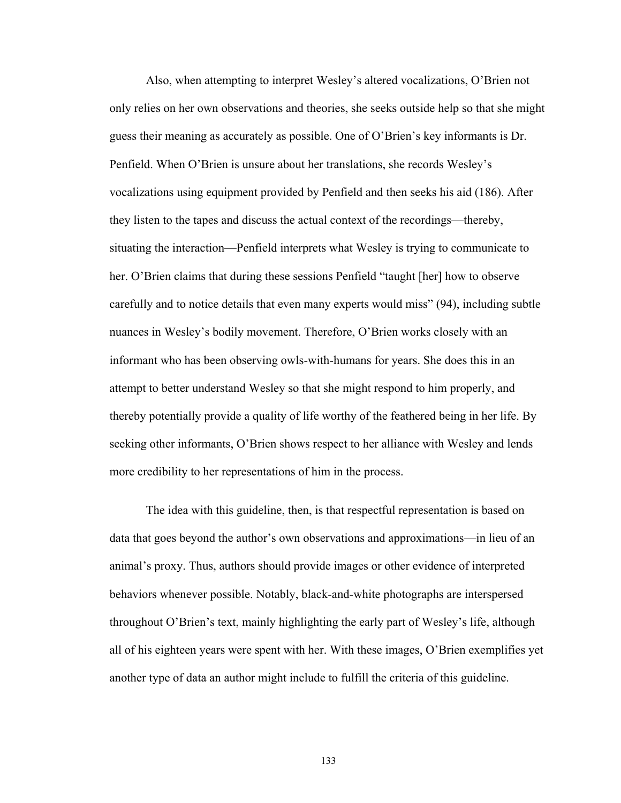Also, when attempting to interpret Wesley's altered vocalizations, O'Brien not only relies on her own observations and theories, she seeks outside help so that she might guess their meaning as accurately as possible. One of O'Brien's key informants is Dr. Penfield. When O'Brien is unsure about her translations, she records Wesley's vocalizations using equipment provided by Penfield and then seeks his aid (186). After they listen to the tapes and discuss the actual context of the recordings—thereby, situating the interaction\_Penfield interprets what Wesley is trying to communicate to her. O'Brien claims that during these sessions Penfield "taught [her] how to observe carefully and to notice details that even many experts would miss" (94), including subtle nuances in Wesley's bodily movement. Therefore, O'Brien works closely with an informant who has been observing owls-with-humans for years. She does this in an attempt to better understand Wesley so that she might respond to him properly, and thereby potentially provide a quality of life worthy of the feathered being in her life. By seeking other informants, O'Brien shows respect to her alliance with Wesley and lends more credibility to her representations of him in the process.

The idea with this guideline, then, is that respectful representation is based on data that goes beyond the author's own observations and approximations—in lieu of an animal's proxy. Thus, authors should provide images or other evidence of interpreted behaviors whenever possible. Notably, black-and-white photographs are interspersed throughout O'Brien's text, mainly highlighting the early part of Wesley's life, although all of his eighteen years were spent with her. With these images, O'Brien exemplifies yet another type of data an author might include to fulfill the criteria of this guideline.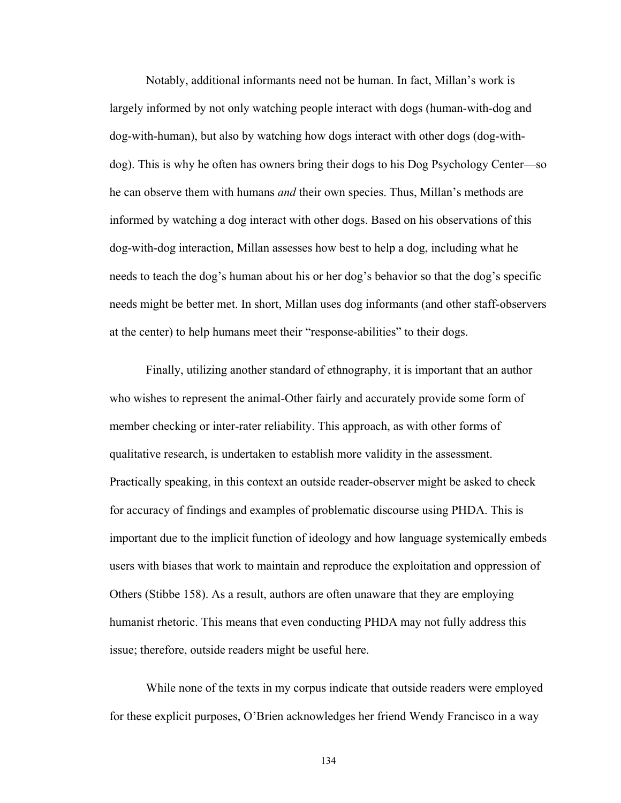Notably, additional informants need not be human. In fact, Millan's work is largely informed by not only watching people interact with dogs (human-with-dog and dog-with-human), but also by watching how dogs interact with other dogs (dog-withdog). This is why he often has owners bring their dogs to his Dog Psychology Center\_so he can observe them with humans *and* their own species. Thus, Millan's methods are informed by watching a dog interact with other dogs. Based on his observations of this dog-with-dog interaction, Millan assesses how best to help a dog, including what he needs to teach the dog's human about his or her dog's behavior so that the dog's specific needs might be better met. In short, Millan uses dog informants (and other staff-observers at the center) to help humans meet their "response-abilities" to their dogs.

Finally, utilizing another standard of ethnography, it is important that an author who wishes to represent the animal-Other fairly and accurately provide some form of member checking or inter-rater reliability. This approach, as with other forms of qualitative research, is undertaken to establish more validity in the assessment. Practically speaking, in this context an outside reader-observer might be asked to check for accuracy of findings and examples of problematic discourse using PHDA. This is important due to the implicit function of ideology and how language systemically embeds users with biases that work to maintain and reproduce the exploitation and oppression of Others (Stibbe 158). As a result, authors are often unaware that they are employing humanist rhetoric. This means that even conducting PHDA may not fully address this issue; therefore, outside readers might be useful here.

While none of the texts in my corpus indicate that outside readers were employed for these explicit purposes, O'Brien acknowledges her friend Wendy Francisco in a way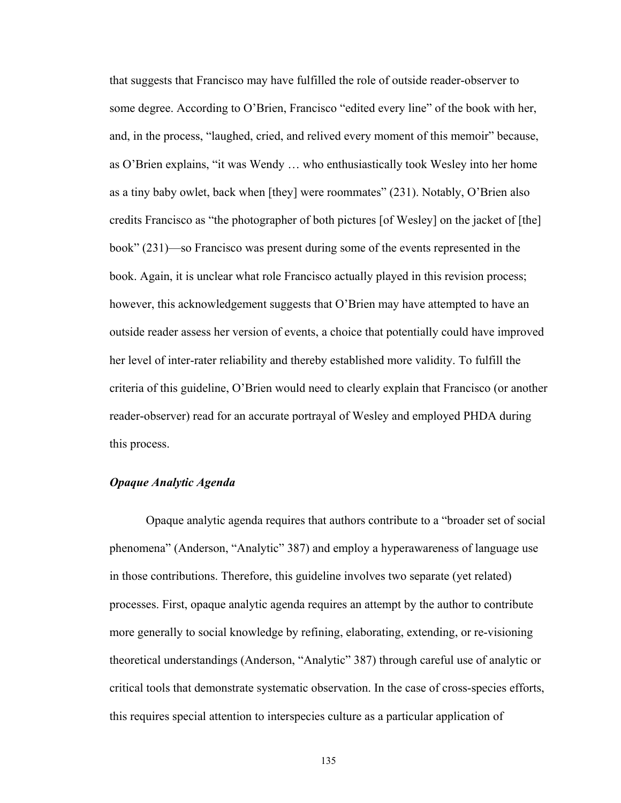that suggests that Francisco may have fulfilled the role of outside reader-observer to some degree. According to O'Brien, Francisco "edited every line" of the book with her, and, in the process, "laughed, cried, and relived every moment of this memoir" because, as O'Brien explains, "it was Wendy ... who enthusiastically took Wesley into her home as a tiny baby owlet, back when [they] were roommates"  $(231)$ . Notably, O'Brien also credits Francisco as "the photographer of both pictures [of Wesley] on the jacket of [the] book" (231)—so Francisco was present during some of the events represented in the book. Again, it is unclear what role Francisco actually played in this revision process; however, this acknowledgement suggests that O'Brien may have attempted to have an outside reader assess her version of events, a choice that potentially could have improved her level of inter-rater reliability and thereby established more validity. To fulfill the criteria of this guideline, O'Brien would need to clearly explain that Francisco (or another reader-observer) read for an accurate portrayal of Wesley and employed PHDA during this process.

# *Opaque Analytic Agenda*

Opaque analytic agenda requires that authors contribute to a "broader set of social phenomena" (Anderson, "Analytic" 387) and employ a hyperawareness of language use in those contributions. Therefore, this guideline involves two separate (yet related) processes. First, opaque analytic agenda requires an attempt by the author to contribute more generally to social knowledge by refining, elaborating, extending, or re-visioning theoretical understandings (Anderson, "Analytic" 387) through careful use of analytic or critical tools that demonstrate systematic observation. In the case of cross-species efforts, this requires special attention to interspecies culture as a particular application of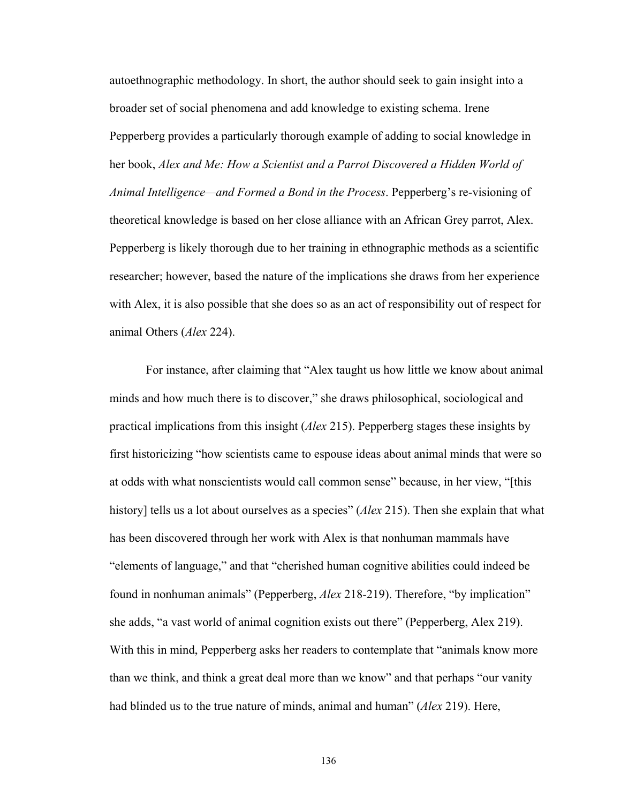autoethnographic methodology. In short, the author should seek to gain insight into a broader set of social phenomena and add knowledge to existing schema. Irene Pepperberg provides a particularly thorough example of adding to social knowledge in her book, *Alex and Me: How a Scientist and a Parrot Discovered a Hidden World of Animal Intelligence—and Formed a Bond in the Process.* Pepperberg's re-visioning of theoretical knowledge is based on her close alliance with an African Grey parrot, Alex. Pepperberg is likely thorough due to her training in ethnographic methods as a scientific researcher; however, based the nature of the implications she draws from her experience with Alex, it is also possible that she does so as an act of responsibility out of respect for animal Others (*Alex* 224).

For instance, after claiming that "Alex taught us how little we know about animal minds and how much there is to discover," she draws philosophical, sociological and practical implications from this insight (*Alex* 215). Pepperberg stages these insights by first historicizing "how scientists came to espouse ideas about animal minds that were so at odds with what nonscientists would call common sense" because, in her view, "[this history] tells us a lot about ourselves as a species" (*Alex* 215). Then she explain that what has been discovered through her work with Alex is that nonhuman mammals have "elements of language," and that "cherished human cognitive abilities could indeed be found in nonhuman animals" (Pepperberg, *Alex* 218-219). Therefore, "by implication" she adds, "a vast world of animal cognition exists out there" (Pepperberg, Alex 219). With this in mind, Pepperberg asks her readers to contemplate that "animals know more than we think, and think a great deal more than we know" and that perhaps "our vanity had blinded us to the true nature of minds, animal and human^ (*Alex* 219). Here,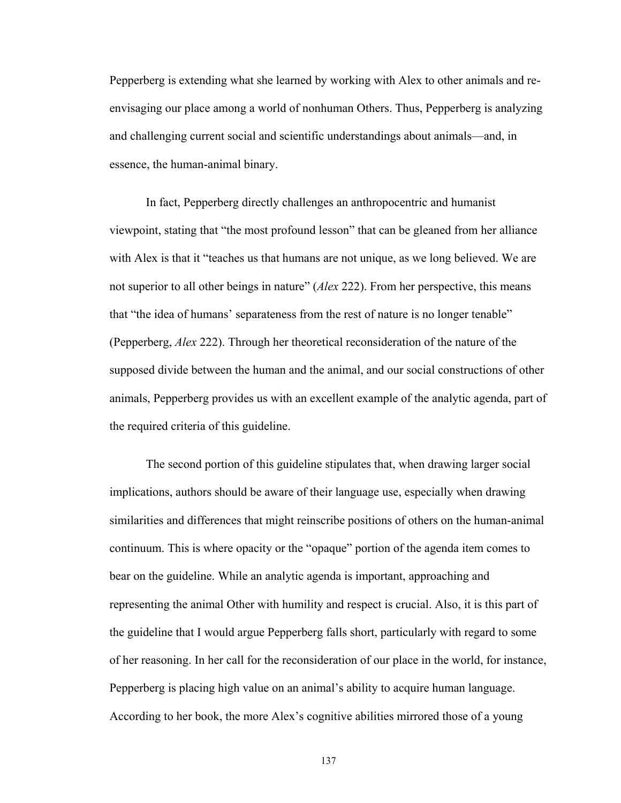Pepperberg is extending what she learned by working with Alex to other animals and reenvisaging our place among a world of nonhuman Others. Thus, Pepperberg is analyzing and challenging current social and scientific understandings about animals\_and, in essence, the human-animal binary.

In fact, Pepperberg directly challenges an anthropocentric and humanist viewpoint, stating that "the most profound lesson" that can be gleaned from her alliance with Alex is that it "teaches us that humans are not unique, as we long believed. We are not superior to all other beings in nature^ (*Alex* 222). From her perspective, this means that "the idea of humans' separateness from the rest of nature is no longer tenable" (Pepperberg, *Alex* 222). Through her theoretical reconsideration of the nature of the supposed divide between the human and the animal, and our social constructions of other animals, Pepperberg provides us with an excellent example of the analytic agenda, part of the required criteria of this guideline.

The second portion of this guideline stipulates that, when drawing larger social implications, authors should be aware of their language use, especially when drawing similarities and differences that might reinscribe positions of others on the human-animal continuum. This is where opacity or the "opaque" portion of the agenda item comes to bear on the guideline. While an analytic agenda is important, approaching and representing the animal Other with humility and respect is crucial. Also, it is this part of the guideline that I would argue Pepperberg falls short, particularly with regard to some of her reasoning. In her call for the reconsideration of our place in the world, for instance, Pepperberg is placing high value on an animal's ability to acquire human language. According to her book, the more Alex's cognitive abilities mirrored those of a young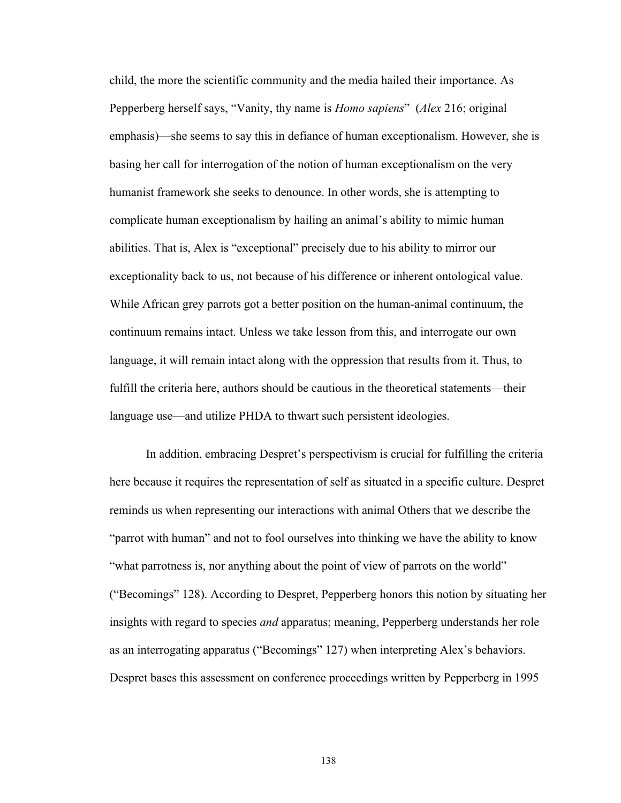child, the more the scientific community and the media hailed their importance. As Pepperberg herself says, "Vanity, thy name is *Homo sapiens*" (*Alex* 216; original emphasis)—she seems to say this in defiance of human exceptionalism. However, she is basing her call for interrogation of the notion of human exceptionalism on the very humanist framework she seeks to denounce. In other words, she is attempting to complicate human exceptionalism by hailing an animal's ability to mimic human abilities. That is, Alex is "exceptional" precisely due to his ability to mirror our exceptionality back to us, not because of his difference or inherent ontological value. While African grey parrots got a better position on the human-animal continuum, the continuum remains intact. Unless we take lesson from this, and interrogate our own language, it will remain intact along with the oppression that results from it. Thus, to fulfill the criteria here, authors should be cautious in the theoretical statements—their language use—and utilize PHDA to thwart such persistent ideologies.

In addition, embracing Despret's perspectivism is crucial for fulfilling the criteria here because it requires the representation of self as situated in a specific culture. Despret reminds us when representing our interactions with animal Others that we describe the "parrot with human" and not to fool ourselves into thinking we have the ability to know "what parrotness is, nor anything about the point of view of parrots on the world" ("Becomings" 128). According to Despret, Pepperberg honors this notion by situating her insights with regard to species *and* apparatus; meaning, Pepperberg understands her role as an interrogating apparatus ("Becomings" 127) when interpreting Alex's behaviors. Despret bases this assessment on conference proceedings written by Pepperberg in 1995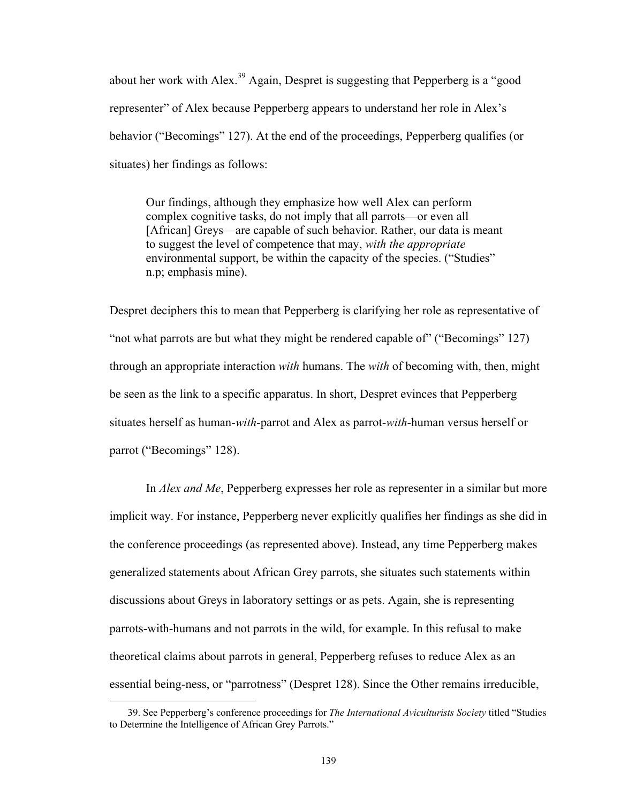about her work with Alex.<sup>39</sup> Again, Despret is suggesting that Pepperberg is a "good representer" of Alex because Pepperberg appears to understand her role in Alex's behavior ("Becomings" 127). At the end of the proceedings, Pepperberg qualifies (or situates) her findings as follows:

Our findings, although they emphasize how well Alex can perform complex cognitive tasks, do not imply that all parrots—or even all [African] Greys—are capable of such behavior. Rather, our data is meant to suggest the level of competence that may, *with the appropriate* environmental support, be within the capacity of the species. ("Studies" n.p; emphasis mine).

Despret deciphers this to mean that Pepperberg is clarifying her role as representative of "not what parrots are but what they might be rendered capable of" ("Becomings" 127) through an appropriate interaction *with* humans. The *with* of becoming with, then, might be seen as the link to a specific apparatus. In short, Despret evinces that Pepperberg situates herself as human-*with*-parrot and Alex as parrot-*with*-human versus herself or parrot ("Becomings" 128).

In *Alex and Me*, Pepperberg expresses her role as representer in a similar but more implicit way. For instance, Pepperberg never explicitly qualifies her findings as she did in the conference proceedings (as represented above). Instead, any time Pepperberg makes generalized statements about African Grey parrots, she situates such statements within discussions about Greys in laboratory settings or as pets. Again, she is representing parrots-with-humans and not parrots in the wild, for example. In this refusal to make theoretical claims about parrots in general, Pepperberg refuses to reduce Alex as an essential being-ness, or "parrotness" (Despret 128). Since the Other remains irreducible,

 $\overline{a}$ 

<sup>39.</sup> See Pepperberg's conference proceedings for *The International Aviculturists Society* titled "Studies to Determine the Intelligence of African Grey Parrots."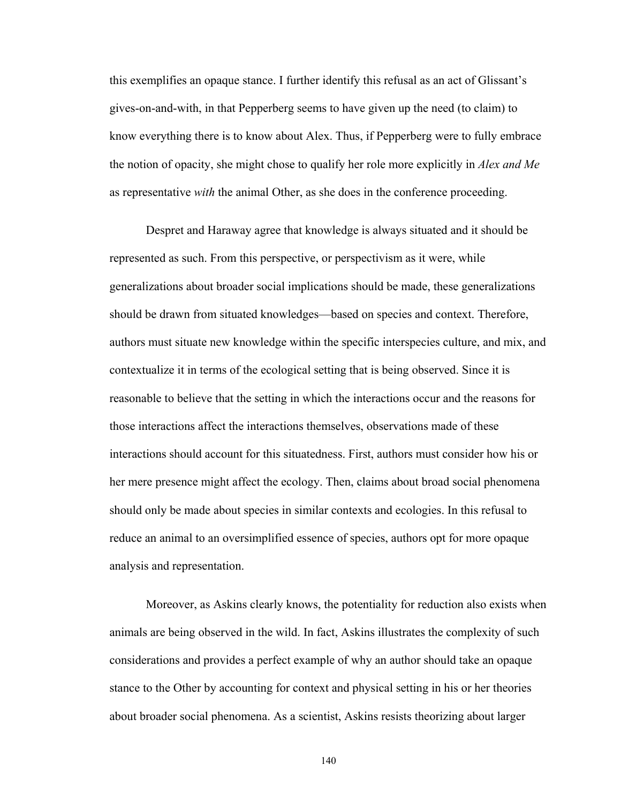this exemplifies an opaque stance. I further identify this refusal as an act of Glissant's gives-on-and-with, in that Pepperberg seems to have given up the need (to claim) to know everything there is to know about Alex. Thus, if Pepperberg were to fully embrace the notion of opacity, she might chose to qualify her role more explicitly in *Alex and Me* as representative *with* the animal Other, as she does in the conference proceeding.

Despret and Haraway agree that knowledge is always situated and it should be represented as such. From this perspective, or perspectivism as it were, while generalizations about broader social implications should be made, these generalizations should be drawn from situated knowledges—based on species and context. Therefore, authors must situate new knowledge within the specific interspecies culture, and mix, and contextualize it in terms of the ecological setting that is being observed. Since it is reasonable to believe that the setting in which the interactions occur and the reasons for those interactions affect the interactions themselves, observations made of these interactions should account for this situatedness. First, authors must consider how his or her mere presence might affect the ecology. Then, claims about broad social phenomena should only be made about species in similar contexts and ecologies. In this refusal to reduce an animal to an oversimplified essence of species, authors opt for more opaque analysis and representation.

Moreover, as Askins clearly knows, the potentiality for reduction also exists when animals are being observed in the wild. In fact, Askins illustrates the complexity of such considerations and provides a perfect example of why an author should take an opaque stance to the Other by accounting for context and physical setting in his or her theories about broader social phenomena. As a scientist, Askins resists theorizing about larger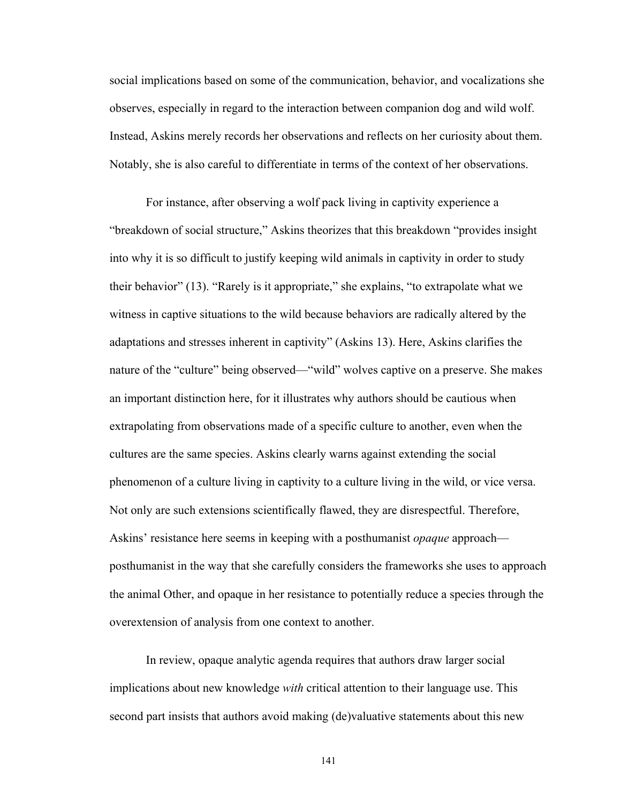social implications based on some of the communication, behavior, and vocalizations she observes, especially in regard to the interaction between companion dog and wild wolf. Instead, Askins merely records her observations and reflects on her curiosity about them. Notably, she is also careful to differentiate in terms of the context of her observations.

For instance, after observing a wolf pack living in captivity experience a "breakdown of social structure," Askins theorizes that this breakdown "provides insight into why it is so difficult to justify keeping wild animals in captivity in order to study their behavior"  $(13)$ . "Rarely is it appropriate," she explains, "to extrapolate what we witness in captive situations to the wild because behaviors are radically altered by the adaptations and stresses inherent in captivity" (Askins 13). Here, Askins clarifies the nature of the "culture" being observed—"wild" wolves captive on a preserve. She makes an important distinction here, for it illustrates why authors should be cautious when extrapolating from observations made of a specific culture to another, even when the cultures are the same species. Askins clearly warns against extending the social phenomenon of a culture living in captivity to a culture living in the wild, or vice versa. Not only are such extensions scientifically flawed, they are disrespectful. Therefore, Askins' resistance here seems in keeping with a posthumanist *opaque* approach posthumanist in the way that she carefully considers the frameworks she uses to approach the animal Other, and opaque in her resistance to potentially reduce a species through the overextension of analysis from one context to another.

In review, opaque analytic agenda requires that authors draw larger social implications about new knowledge *with* critical attention to their language use. This second part insists that authors avoid making (de)valuative statements about this new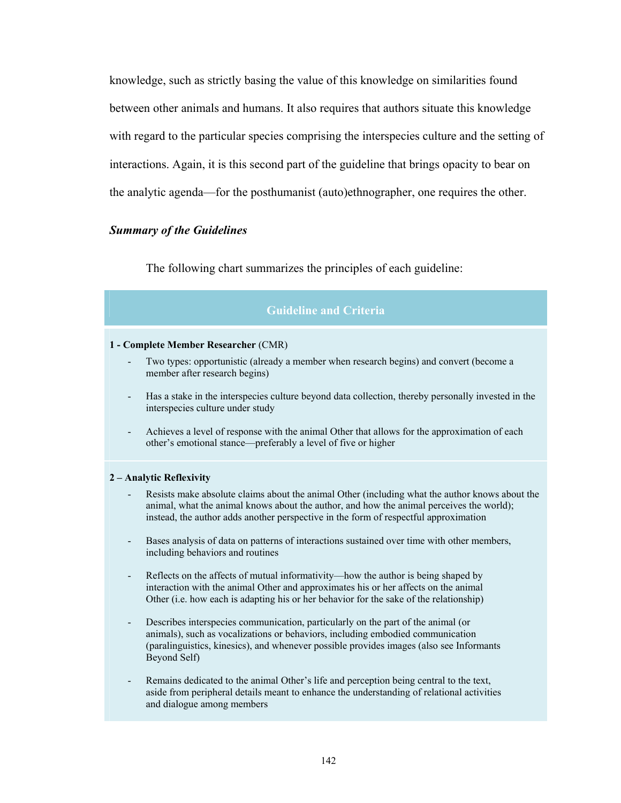knowledge, such as strictly basing the value of this knowledge on similarities found between other animals and humans. It also requires that authors situate this knowledge with regard to the particular species comprising the interspecies culture and the setting of interactions. Again, it is this second part of the guideline that brings opacity to bear on the analytic agenda\_for the posthumanist (auto)ethnographer, one requires the other.

## *Summary of the Guidelines*

The following chart summarizes the principles of each guideline:

# **Guideline and Criteria**

#### **1 - Complete Member Researcher** (CMR)

- Two types: opportunistic (already a member when research begins) and convert (become a member after research begins)
- Has a stake in the interspecies culture beyond data collection, thereby personally invested in the interspecies culture under study
- Achieves a level of response with the animal Other that allows for the approximation of each other's emotional stance—preferably a level of five or higher

#### **2 – Analytic Reflexivity**

- Resists make absolute claims about the animal Other (including what the author knows about the animal, what the animal knows about the author, and how the animal perceives the world); instead, the author adds another perspective in the form of respectful approximation
- Bases analysis of data on patterns of interactions sustained over time with other members, including behaviors and routines
- Reflects on the affects of mutual informativity—how the author is being shaped by interaction with the animal Other and approximates his or her affects on the animal Other (i.e. how each is adapting his or her behavior for the sake of the relationship)
- Describes interspecies communication, particularly on the part of the animal (or animals), such as vocalizations or behaviors, including embodied communication (paralinguistics, kinesics), and whenever possible provides images (also see Informants Beyond Self)
- Remains dedicated to the animal Other's life and perception being central to the text, aside from peripheral details meant to enhance the understanding of relational activities and dialogue among members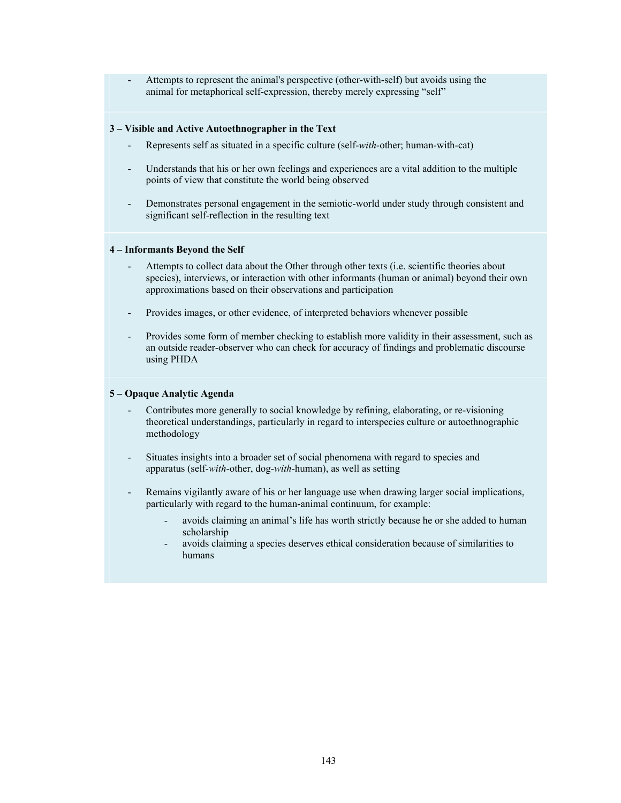- Attempts to represent the animal's perspective (other-with-self) but avoids using the animal for metaphorical self-expression, thereby merely expressing "self"

#### **3 – Visible and Active Autoethnographer in the Text**

- Represents self as situated in a specific culture (self-*with*-other; human-with-cat)
- Understands that his or her own feelings and experiences are a vital addition to the multiple points of view that constitute the world being observed
- Demonstrates personal engagement in the semiotic-world under study through consistent and significant self-reflection in the resulting text

#### **4 – Informants Beyond the Self**

- Attempts to collect data about the Other through other texts (i.e. scientific theories about species), interviews, or interaction with other informants (human or animal) beyond their own approximations based on their observations and participation
- Provides images, or other evidence, of interpreted behaviors whenever possible
- Provides some form of member checking to establish more validity in their assessment, such as an outside reader-observer who can check for accuracy of findings and problematic discourse using PHDA

#### **5 – Opaque Analytic Agenda**

- Contributes more generally to social knowledge by refining, elaborating, or re-visioning theoretical understandings, particularly in regard to interspecies culture or autoethnographic methodology
- Situates insights into a broader set of social phenomena with regard to species and apparatus (self-*with*-other, dog-*with*-human), as well as setting
- Remains vigilantly aware of his or her language use when drawing larger social implications, particularly with regard to the human-animal continuum, for example:
	- avoids claiming an animal's life has worth strictly because he or she added to human scholarship
	- avoids claiming a species deserves ethical consideration because of similarities to humans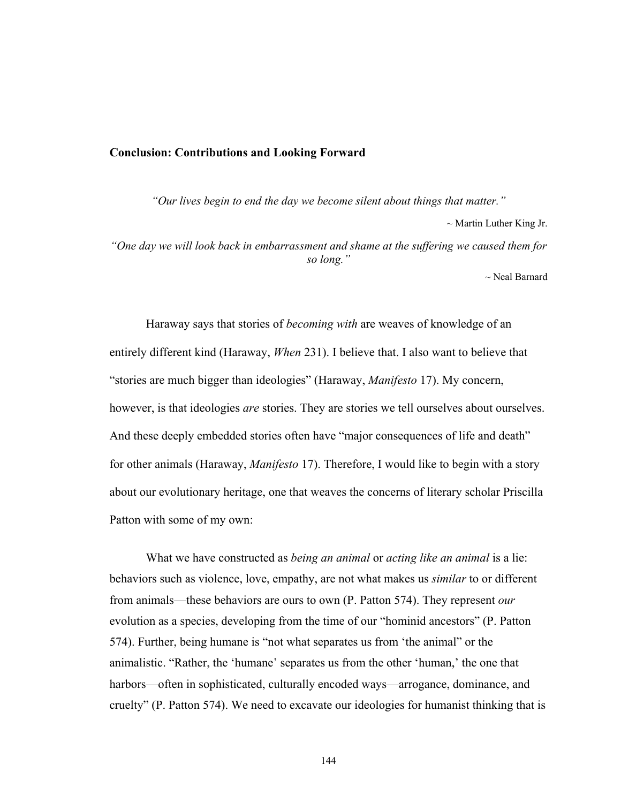### **Conclusion: Contributions and Looking Forward**

*"Our lives begin to end the day we become silent about things that matter."*   $\sim$  Martin Luther King Jr. *"One day we will look back in embarrassment and shame at the suffering we caused them for so long."* 

~ Neal Barnard

Haraway says that stories of *becoming with* are weaves of knowledge of an entirely different kind (Haraway, *When* 231). I believe that. I also want to believe that "stories are much bigger than ideologies" (Haraway, *Manifesto* 17). My concern, however, is that ideologies *are* stories. They are stories we tell ourselves about ourselves. And these deeply embedded stories often have "major consequences of life and death" for other animals (Haraway, *Manifesto* 17). Therefore, I would like to begin with a story about our evolutionary heritage, one that weaves the concerns of literary scholar Priscilla Patton with some of my own:

What we have constructed as *being an animal* or *acting like an animal* is a lie: behaviors such as violence, love, empathy, are not what makes us *similar* to or different from animals\_these behaviors are ours to own (P. Patton 574). They represent *our* evolution as a species, developing from the time of our "hominid ancestors" (P. Patton 574). Further, being humane is "not what separates us from 'the animal" or the animalistic. "Rather, the 'humane' separates us from the other 'human,' the one that harbors—often in sophisticated, culturally encoded ways—arrogance, dominance, and cruelty" (P. Patton 574). We need to excavate our ideologies for humanist thinking that is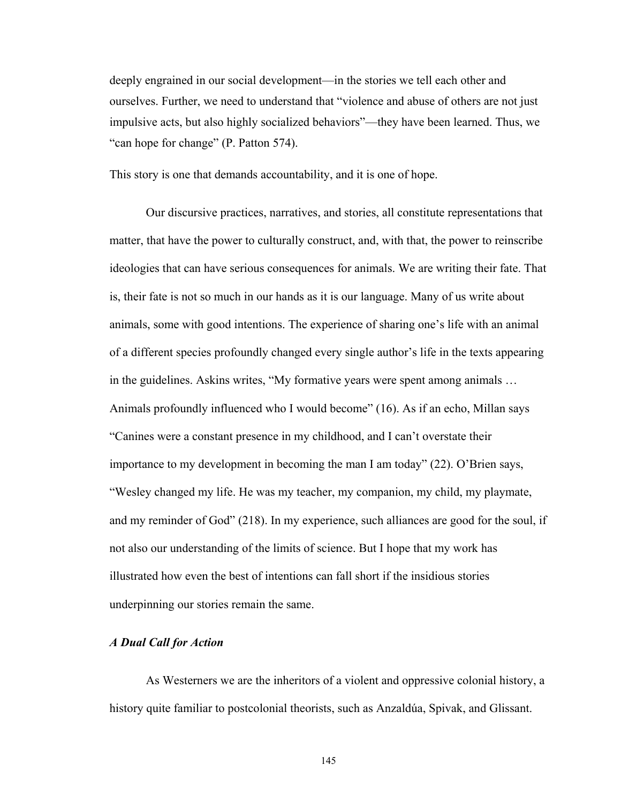deeply engrained in our social development\_in the stories we tell each other and ourselves. Further, we need to understand that "violence and abuse of others are not just impulsive acts, but also highly socialized behaviors"—they have been learned. Thus, we "can hope for change" (P. Patton 574).

This story is one that demands accountability, and it is one of hope.

Our discursive practices, narratives, and stories, all constitute representations that matter, that have the power to culturally construct, and, with that, the power to reinscribe ideologies that can have serious consequences for animals. We are writing their fate. That is, their fate is not so much in our hands as it is our language. Many of us write about animals, some with good intentions. The experience of sharing one's life with an animal of a different species profoundly changed every single author's life in the texts appearing in the guidelines. Askins writes, "My formative years were spent among animals ... Animals profoundly influenced who I would become" (16). As if an echo, Millan says "Canines were a constant presence in my childhood, and I can't overstate their importance to my development in becoming the man I am today" (22). O'Brien says, ]Wesley changed my life. He was my teacher, my companion, my child, my playmate, and my reminder of God" (218). In my experience, such alliances are good for the soul, if not also our understanding of the limits of science. But I hope that my work has illustrated how even the best of intentions can fall short if the insidious stories underpinning our stories remain the same.

# *A Dual Call for Action*

As Westerners we are the inheritors of a violent and oppressive colonial history, a history quite familiar to postcolonial theorists, such as Anzaldúa, Spivak, and Glissant.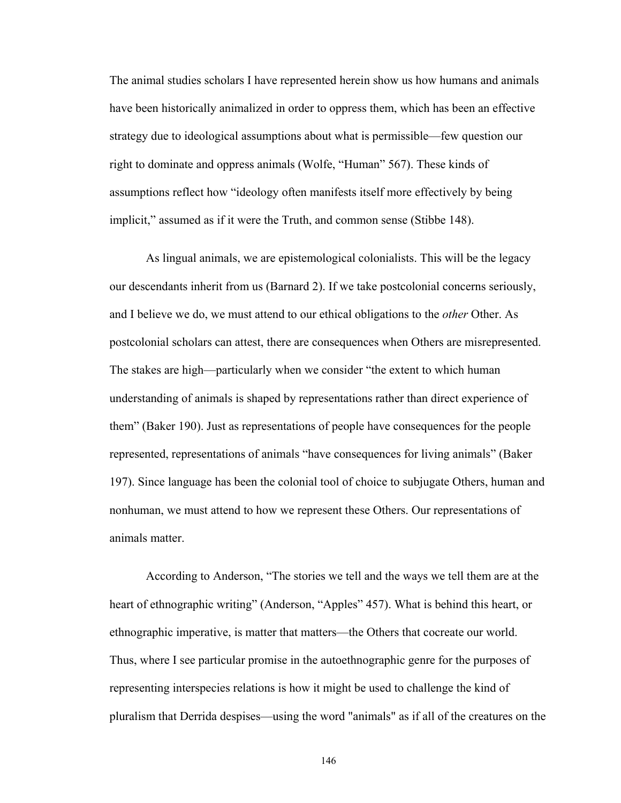The animal studies scholars I have represented herein show us how humans and animals have been historically animalized in order to oppress them, which has been an effective strategy due to ideological assumptions about what is permissible\_few question our right to dominate and oppress animals (Wolfe, "Human" 567). These kinds of assumptions reflect how "ideology often manifests itself more effectively by being implicit," assumed as if it were the Truth, and common sense (Stibbe 148).

As lingual animals, we are epistemological colonialists. This will be the legacy our descendants inherit from us (Barnard 2). If we take postcolonial concerns seriously, and I believe we do, we must attend to our ethical obligations to the *other* Other. As postcolonial scholars can attest, there are consequences when Others are misrepresented. The stakes are high—particularly when we consider "the extent to which human understanding of animals is shaped by representations rather than direct experience of them^ (Baker 190). Just as representations of people have consequences for the people represented, representations of animals "have consequences for living animals" (Baker 197). Since language has been the colonial tool of choice to subjugate Others, human and nonhuman, we must attend to how we represent these Others. Our representations of animals matter.

According to Anderson, "The stories we tell and the ways we tell them are at the heart of ethnographic writing" (Anderson, "Apples" 457). What is behind this heart, or ethnographic imperative, is matter that matters—the Others that cocreate our world. Thus, where I see particular promise in the autoethnographic genre for the purposes of representing interspecies relations is how it might be used to challenge the kind of pluralism that Derrida despises\_using the word "animals" as if all of the creatures on the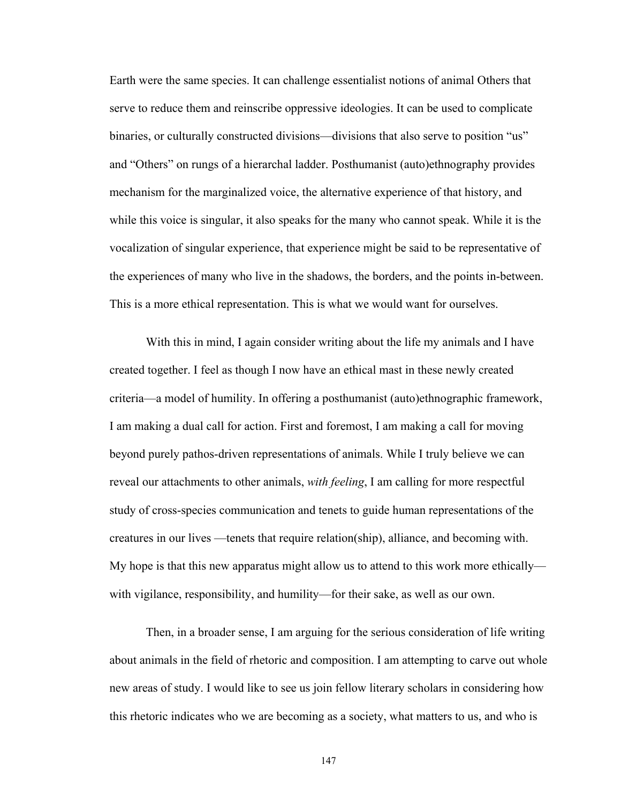Earth were the same species. It can challenge essentialist notions of animal Others that serve to reduce them and reinscribe oppressive ideologies. It can be used to complicate binaries, or culturally constructed divisions—divisions that also serve to position "us" and "Others" on rungs of a hierarchal ladder. Posthumanist (auto)ethnography provides mechanism for the marginalized voice, the alternative experience of that history, and while this voice is singular, it also speaks for the many who cannot speak. While it is the vocalization of singular experience, that experience might be said to be representative of the experiences of many who live in the shadows, the borders, and the points in-between. This is a more ethical representation. This is what we would want for ourselves.

With this in mind, I again consider writing about the life my animals and I have created together. I feel as though I now have an ethical mast in these newly created criteria\_a model of humility. In offering a posthumanist (auto)ethnographic framework, I am making a dual call for action. First and foremost, I am making a call for moving beyond purely pathos-driven representations of animals. While I truly believe we can reveal our attachments to other animals, *with feeling*, I am calling for more respectful study of cross-species communication and tenets to guide human representations of the creatures in our lives —tenets that require relation(ship), alliance, and becoming with. My hope is that this new apparatus might allow us to attend to this work more ethically with vigilance, responsibility, and humility—for their sake, as well as our own.

Then, in a broader sense, I am arguing for the serious consideration of life writing about animals in the field of rhetoric and composition. I am attempting to carve out whole new areas of study. I would like to see us join fellow literary scholars in considering how this rhetoric indicates who we are becoming as a society, what matters to us, and who is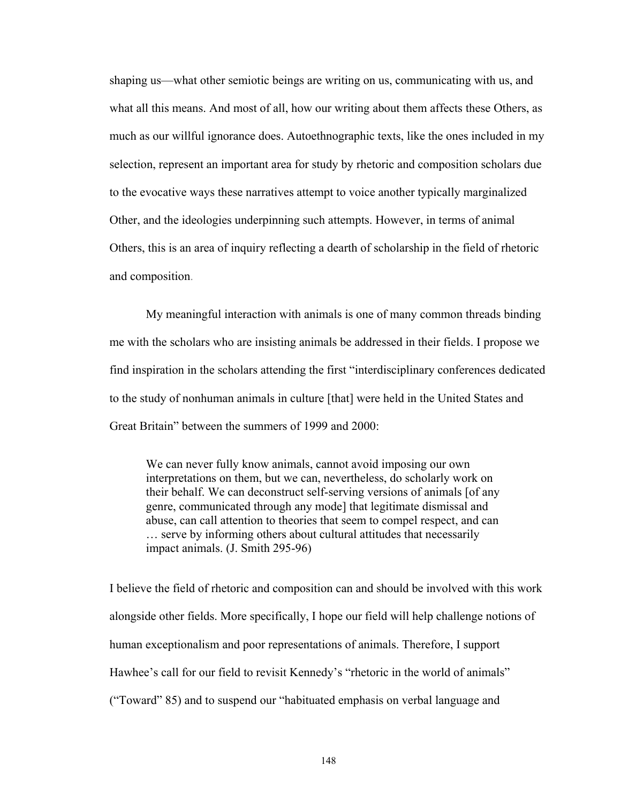shaping us—what other semiotic beings are writing on us, communicating with us, and what all this means. And most of all, how our writing about them affects these Others, as much as our willful ignorance does. Autoethnographic texts, like the ones included in my selection, represent an important area for study by rhetoric and composition scholars due to the evocative ways these narratives attempt to voice another typically marginalized Other, and the ideologies underpinning such attempts. However, in terms of animal Others, this is an area of inquiry reflecting a dearth of scholarship in the field of rhetoric and composition.

My meaningful interaction with animals is one of many common threads binding me with the scholars who are insisting animals be addressed in their fields. I propose we find inspiration in the scholars attending the first "interdisciplinary conferences dedicated to the study of nonhuman animals in culture [that] were held in the United States and Great Britain" between the summers of 1999 and 2000:

We can never fully know animals, cannot avoid imposing our own interpretations on them, but we can, nevertheless, do scholarly work on their behalf. We can deconstruct self-serving versions of animals [of any genre, communicated through any mode] that legitimate dismissal and abuse, can call attention to theories that seem to compel respect, and can  $\ldots$  serve by informing others about cultural attitudes that necessarily impact animals. (J. Smith 295-96)

I believe the field of rhetoric and composition can and should be involved with this work alongside other fields. More specifically, I hope our field will help challenge notions of human exceptionalism and poor representations of animals. Therefore, I support Hawhee's call for our field to revisit Kennedy's "rhetoric in the world of animals" ("Toward" 85) and to suspend our "habituated emphasis on verbal language and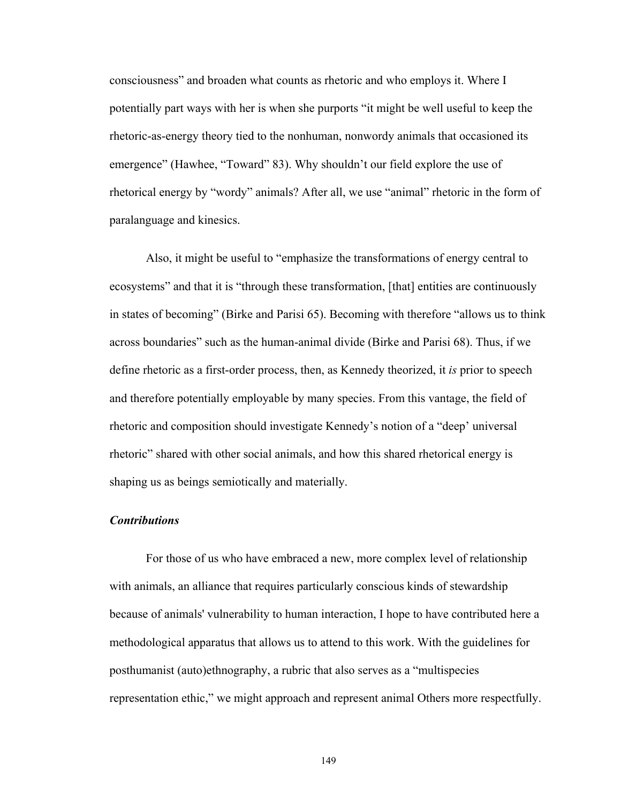consciousness^ and broaden what counts as rhetoric and who employs it. Where I potentially part ways with her is when she purports ]it might be well useful to keep the rhetoric-as-energy theory tied to the nonhuman, nonwordy animals that occasioned its emergence" (Hawhee, "Toward" 83). Why shouldn't our field explore the use of rhetorical energy by "wordy" animals? After all, we use "animal" rhetoric in the form of paralanguage and kinesics.

Also, it might be useful to "emphasize the transformations of energy central to ecosystems" and that it is "through these transformation, [that] entities are continuously in states of becoming" (Birke and Parisi 65). Becoming with therefore "allows us to think across boundaries" such as the human-animal divide (Birke and Parisi 68). Thus, if we define rhetoric as a first-order process, then, as Kennedy theorized, it *is* prior to speech and therefore potentially employable by many species. From this vantage, the field of rhetoric and composition should investigate Kennedy's notion of a "deep' universal rhetoric" shared with other social animals, and how this shared rhetorical energy is shaping us as beings semiotically and materially.

# *Contributions*

For those of us who have embraced a new, more complex level of relationship with animals, an alliance that requires particularly conscious kinds of stewardship because of animals' vulnerability to human interaction, I hope to have contributed here a methodological apparatus that allows us to attend to this work. With the guidelines for posthumanist (auto)ethnography, a rubric that also serves as a "multispecies" representation ethic," we might approach and represent animal Others more respectfully.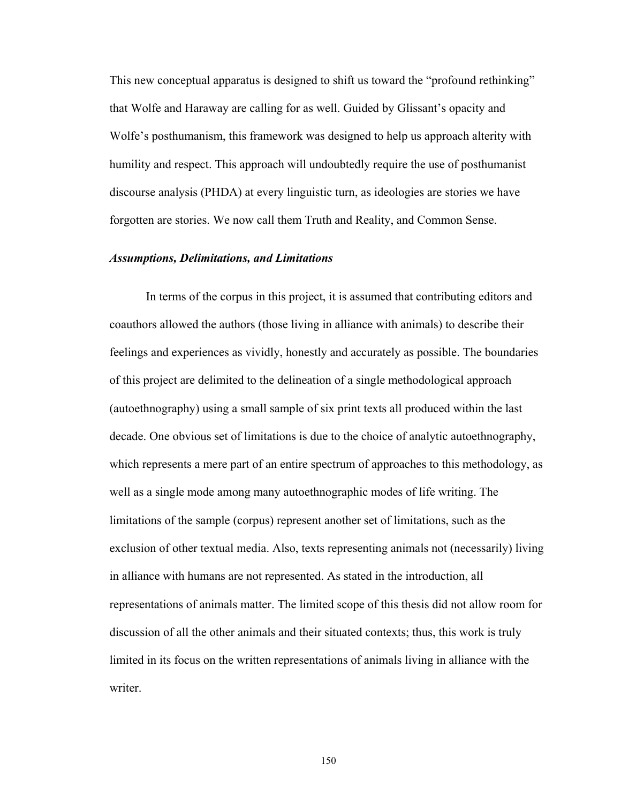This new conceptual apparatus is designed to shift us toward the "profound rethinking" that Wolfe and Haraway are calling for as well. Guided by Glissant's opacity and Wolfe's posthumanism, this framework was designed to help us approach alterity with humility and respect. This approach will undoubtedly require the use of posthumanist discourse analysis (PHDA) at every linguistic turn, as ideologies are stories we have forgotten are stories. We now call them Truth and Reality, and Common Sense.

### *Assumptions, Delimitations, and Limitations*

In terms of the corpus in this project, it is assumed that contributing editors and coauthors allowed the authors (those living in alliance with animals) to describe their feelings and experiences as vividly, honestly and accurately as possible. The boundaries of this project are delimited to the delineation of a single methodological approach (autoethnography) using a small sample of six print texts all produced within the last decade. One obvious set of limitations is due to the choice of analytic autoethnography, which represents a mere part of an entire spectrum of approaches to this methodology, as well as a single mode among many autoethnographic modes of life writing. The limitations of the sample (corpus) represent another set of limitations, such as the exclusion of other textual media. Also, texts representing animals not (necessarily) living in alliance with humans are not represented. As stated in the introduction, all representations of animals matter. The limited scope of this thesis did not allow room for discussion of all the other animals and their situated contexts; thus, this work is truly limited in its focus on the written representations of animals living in alliance with the writer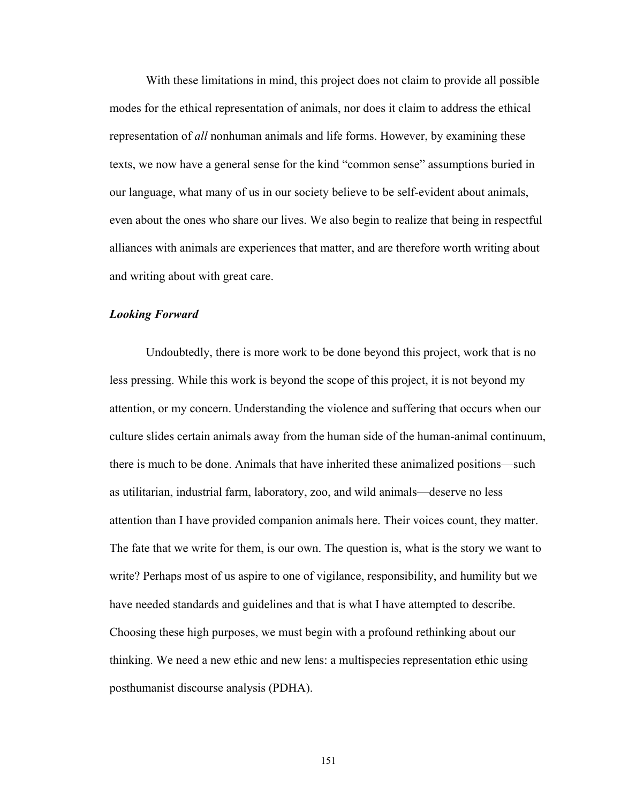With these limitations in mind, this project does not claim to provide all possible modes for the ethical representation of animals, nor does it claim to address the ethical representation of *all* nonhuman animals and life forms. However, by examining these texts, we now have a general sense for the kind "common sense" assumptions buried in our language, what many of us in our society believe to be self-evident about animals, even about the ones who share our lives. We also begin to realize that being in respectful alliances with animals are experiences that matter, and are therefore worth writing about and writing about with great care.

## *Looking Forward*

Undoubtedly, there is more work to be done beyond this project, work that is no less pressing. While this work is beyond the scope of this project, it is not beyond my attention, or my concern. Understanding the violence and suffering that occurs when our culture slides certain animals away from the human side of the human-animal continuum, there is much to be done. Animals that have inherited these animalized positions\_such as utilitarian, industrial farm, laboratory, zoo, and wild animals\_deserve no less attention than I have provided companion animals here. Their voices count, they matter. The fate that we write for them, is our own. The question is, what is the story we want to write? Perhaps most of us aspire to one of vigilance, responsibility, and humility but we have needed standards and guidelines and that is what I have attempted to describe. Choosing these high purposes, we must begin with a profound rethinking about our thinking. We need a new ethic and new lens: a multispecies representation ethic using posthumanist discourse analysis (PDHA).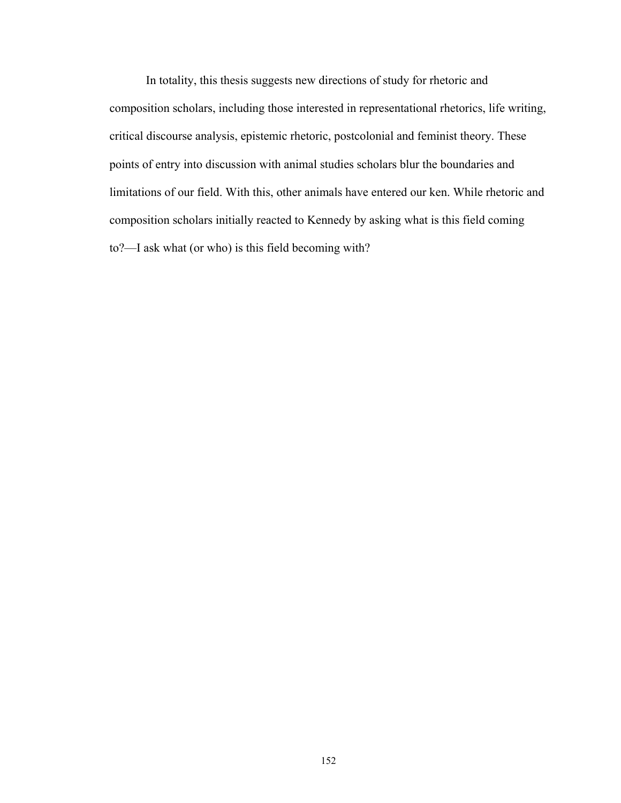In totality, this thesis suggests new directions of study for rhetoric and composition scholars, including those interested in representational rhetorics, life writing, critical discourse analysis, epistemic rhetoric, postcolonial and feminist theory. These points of entry into discussion with animal studies scholars blur the boundaries and limitations of our field. With this, other animals have entered our ken. While rhetoric and composition scholars initially reacted to Kennedy by asking what is this field coming to?—I ask what (or who) is this field becoming with?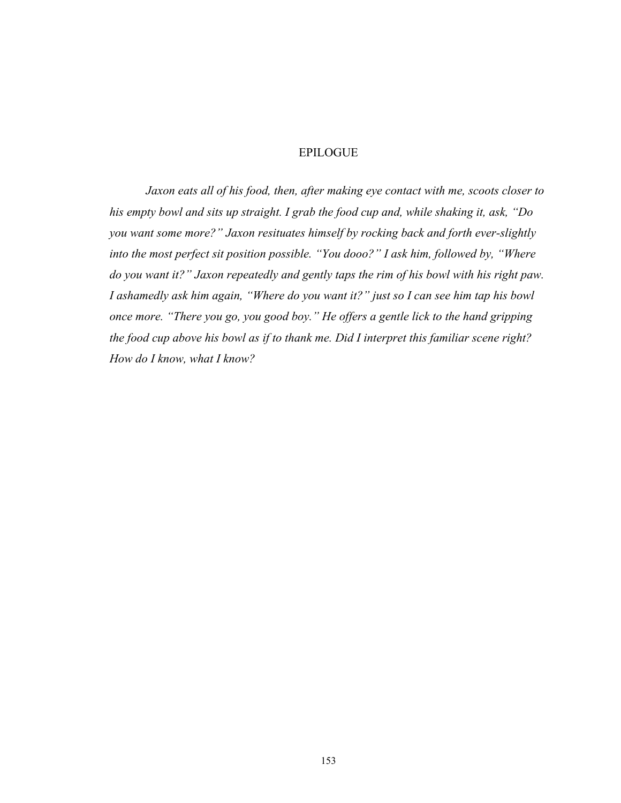# EPILOGUE

*Jaxon eats all of his food, then, after making eye contact with me, scoots closer to his empty bowl and sits up straight. I grab the food cup and, while shaking it, ask, "Do you want some more?" Jaxon resituates himself by rocking back and forth ever-slightly into the most perfect sit position possible. "You dooo?" I ask him, followed by, "Where do you want it?" Jaxon repeatedly and gently taps the rim of his bowl with his right paw. I ashamedly ask him again, "Where do you want it?" just so I can see him tap his bowl once more. "There you go, you good boy." He offers a gentle lick to the hand gripping the food cup above his bowl as if to thank me. Did I interpret this familiar scene right? How do I know, what I know?*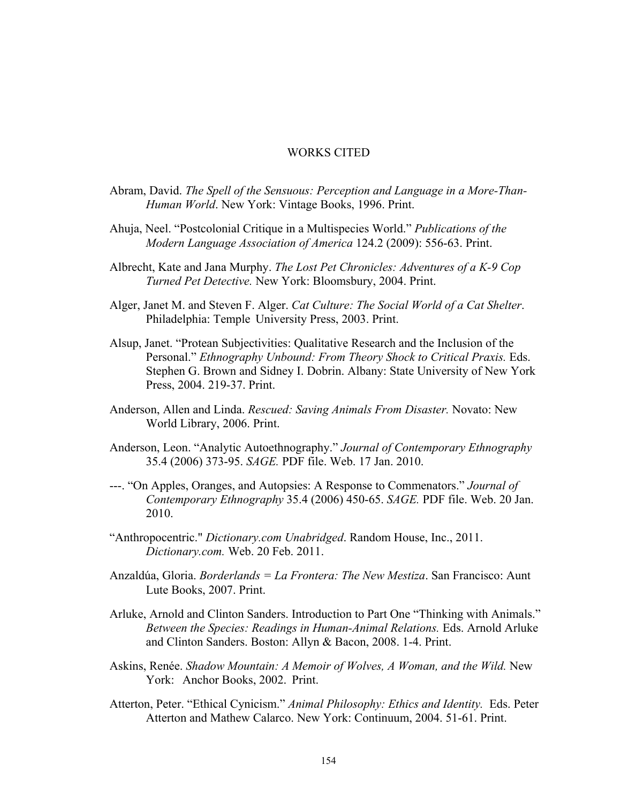### WORKS CITED

- Abram, David. *The Spell of the Sensuous: Perception and Language in a More-Than- Human World*. New York: Vintage Books, 1996. Print.
- Ahuja, Neel. "Postcolonial Critique in a Multispecies World." *Publications of the Modern Language Association of America* 124.2 (2009): 556-63. Print.
- Albrecht, Kate and Jana Murphy. *The Lost Pet Chronicles: Adventures of a K-9 Cop Turned Pet Detective.* New York: Bloomsbury, 2004. Print.
- Alger, Janet M. and Steven F. Alger. *Cat Culture: The Social World of a Cat Shelter*. Philadelphia: Temple University Press, 2003. Print.
- Alsup, Janet. "Protean Subjectivities: Qualitative Research and the Inclusion of the Personal.^ *Ethnography Unbound: From Theory Shock to Critical Praxis.* Eds. Stephen G. Brown and Sidney I. Dobrin. Albany: State University of New York Press, 2004. 219-37. Print.
- Anderson, Allen and Linda. *Rescued: Saving Animals From Disaster.* Novato: New World Library, 2006. Print.
- Anderson, Leon. "Analytic Autoethnography." *Journal of Contemporary Ethnography* 35.4 (2006) 373-95. *SAGE.* PDF file. Web. 17 Jan. 2010.
- ---. "On Apples, Oranges, and Autopsies: A Response to Commenators." *Journal of Contemporary Ethnography* 35.4 (2006) 450-65. *SAGE.* PDF file. Web. 20 Jan. 2010.
- "Anthropocentric." *Dictionary.com Unabridged.* Random House, Inc., 2011. *Dictionary.com.* Web. 20 Feb. 2011.
- Anzaldúa, Gloria. *Borderlands = La Frontera: The New Mestiza*. San Francisco: Aunt Lute Books, 2007. Print.
- Arluke, Arnold and Clinton Sanders. Introduction to Part One "Thinking with Animals." *Between the Species: Readings in Human-Animal Relations.* Eds. Arnold Arluke and Clinton Sanders. Boston: Allyn & Bacon, 2008. 1-4. Print.
- Askins, Renée. *Shadow Mountain: A Memoir of Wolves, A Woman, and the Wild.* New York: Anchor Books, 2002. Print.
- Atterton, Peter. "Ethical Cynicism." Animal Philosophy: Ethics and Identity. Eds. Peter Atterton and Mathew Calarco. New York: Continuum, 2004. 51-61. Print.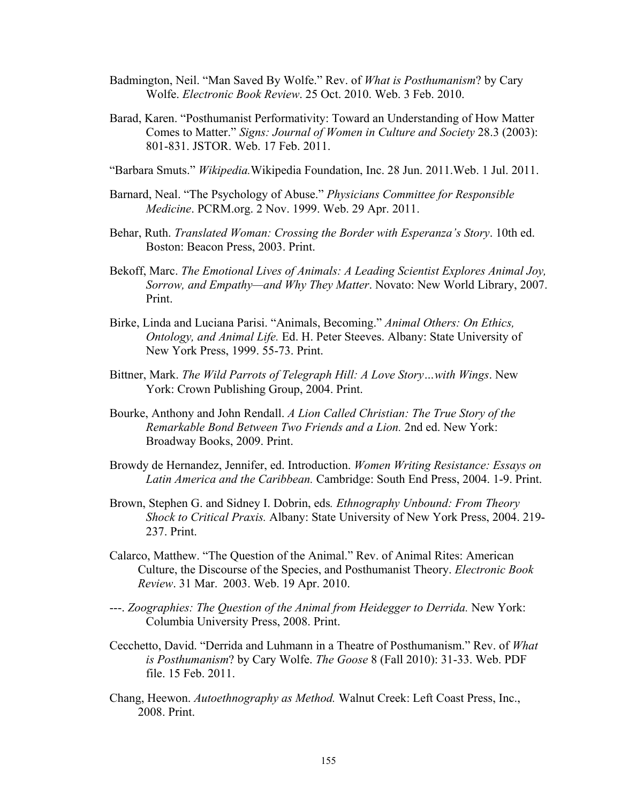- Badmington, Neil. "Man Saved By Wolfe." Rev. of *What is Posthumanism*? by Cary Wolfe. *Electronic Book Review*. 25 Oct. 2010. Web. 3 Feb. 2010.
- Barad, Karen. "Posthumanist Performativity: Toward an Understanding of How Matter Comes to Matter." *Signs: Journal of Women in Culture and Society* 28.3 (2003): 801-831. JSTOR. Web. 17 Feb. 2011.
- "Barbara Smuts." *Wikipedia*. Wikipedia Foundation, Inc. 28 Jun. 2011. Web. 1 Jul. 2011.
- Barnard, Neal. "The Psychology of Abuse." *Physicians Committee for Responsible Medicine*. PCRM.org. 2 Nov. 1999. Web. 29 Apr. 2011.
- Behar, Ruth. *Translated Woman: Crossing the Border with Esperanza's Story*. 10th ed. Boston: Beacon Press, 2003. Print.
- Bekoff, Marc. *The Emotional Lives of Animals: A Leading Scientist Explores Animal Joy, Sorrow, and Empathy—and Why They Matter*. Novato: New World Library, 2007. Print.
- Birke, Linda and Luciana Parisi. "Animals, Becoming." *Animal Others: On Ethics, Ontology, and Animal Life.* Ed. H. Peter Steeves. Albany: State University of New York Press, 1999. 55-73. Print.
- Bittner, Mark. *The Wild Parrots of Telegraph Hill: A Love Story…with Wings*. New York: Crown Publishing Group, 2004. Print.
- Bourke, Anthony and John Rendall. *A Lion Called Christian: The True Story of the Remarkable Bond Between Two Friends and a Lion.* 2nd ed. New York: Broadway Books, 2009. Print.
- Browdy de Hernandez, Jennifer, ed. Introduction. *Women Writing Resistance: Essays on Latin America and the Caribbean.* Cambridge: South End Press, 2004. 1-9. Print.
- Brown, Stephen G. and Sidney I. Dobrin, eds*. Ethnography Unbound: From Theory Shock to Critical Praxis.* Albany: State University of New York Press, 2004. 219- 237. Print.
- Calarco, Matthew. "The Question of the Animal." Rev. of Animal Rites: American Culture, the Discourse of the Species, and Posthumanist Theory. *Electronic Book Review*. 31 Mar. 2003. Web. 19 Apr. 2010.
- ---. *Zoographies: The Question of the Animal from Heidegger to Derrida.* New York: Columbia University Press, 2008. Print.
- Cecchetto, David. "Derrida and Luhmann in a Theatre of Posthumanism." Rev. of *What is Posthumanism*? by Cary Wolfe. *The Goose* 8 (Fall 2010): 31-33. Web. PDF file. 15 Feb. 2011.
- Chang, Heewon. *Autoethnography as Method.* Walnut Creek: Left Coast Press, Inc., 2008. Print.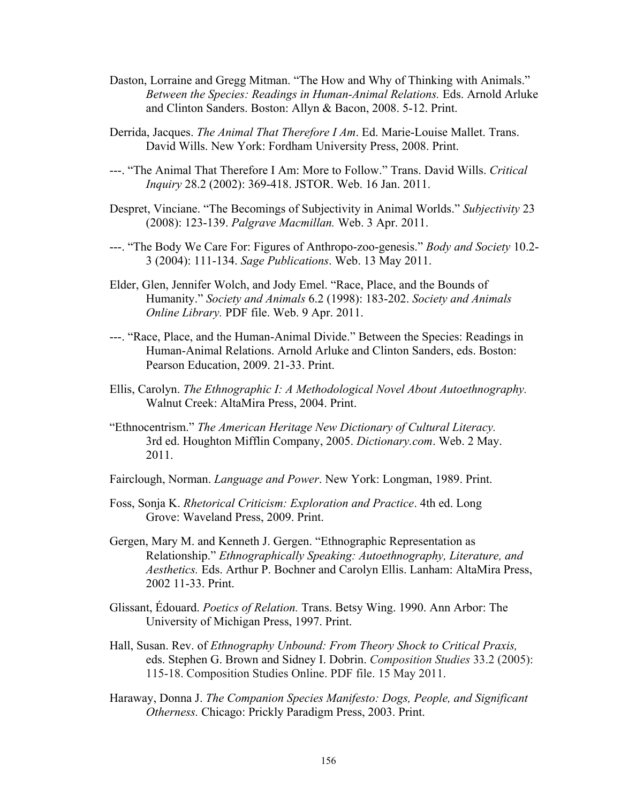- Daston, Lorraine and Gregg Mitman. "The How and Why of Thinking with Animals." *Between the Species: Readings in Human-Animal Relations.* Eds. Arnold Arluke and Clinton Sanders. Boston: Allyn & Bacon, 2008. 5-12. Print.
- Derrida, Jacques. *The Animal That Therefore I Am*. Ed. Marie-Louise Mallet. Trans. David Wills. New York: Fordham University Press, 2008. Print.
- ---. ]The Animal That Therefore I Am: More to Follow.^ Trans. David Wills. *Critical Inquiry* 28.2 (2002): 369-418. JSTOR. Web. 16 Jan. 2011.
- Despret, Vinciane. "The Becomings of Subjectivity in Animal Worlds." *Subjectivity* 23 (2008): 123-139. *Palgrave Macmillan.* Web. 3 Apr. 2011.
- ---. ]The Body We Care For: Figures of Anthropo-zoo-genesis.^ *Body and Society* 10.2- 3 (2004): 111-134. *Sage Publications*. Web. 13 May 2011.
- Elder, Glen, Jennifer Wolch, and Jody Emel. "Race, Place, and the Bounds of Humanity.^ *Society and Animals* 6.2 (1998): 183-202. *Society and Animals Online Library.* PDF file. Web. 9 Apr. 2011.
- ---. "Race, Place, and the Human-Animal Divide." Between the Species: Readings in Human-Animal Relations. Arnold Arluke and Clinton Sanders, eds. Boston: Pearson Education, 2009. 21-33. Print.
- Ellis, Carolyn. *The Ethnographic I: A Methodological Novel About Autoethnography.* Walnut Creek: AltaMira Press, 2004. Print.
- ]Ethnocentrism.^ *The American Heritage New Dictionary of Cultural Literacy.*  3rd ed. Houghton Mifflin Company, 2005. *Dictionary.com*. Web. 2 May. 2011.
- Fairclough, Norman. *Language and Power*. New York: Longman, 1989. Print.
- Foss, Sonja K. *Rhetorical Criticism: Exploration and Practice*. 4th ed. Long Grove: Waveland Press, 2009. Print.
- Gergen, Mary M. and Kenneth J. Gergen. "Ethnographic Representation as Relationship.^ *Ethnographically Speaking: Autoethnography, Literature, and Aesthetics.* Eds. Arthur P. Bochner and Carolyn Ellis. Lanham: AltaMira Press, 2002 11-33. Print.
- Glissant, Édouard. *Poetics of Relation.* Trans. Betsy Wing. 1990. Ann Arbor: The University of Michigan Press, 1997. Print.
- Hall, Susan. Rev. of *Ethnography Unbound: From Theory Shock to Critical Praxis,*  eds. Stephen G. Brown and Sidney I. Dobrin. *Composition Studies* 33.2 (2005): 115-18. Composition Studies Online. PDF file. 15 May 2011.
- Haraway, Donna J. *The Companion Species Manifesto: Dogs, People, and Significant Otherness.* Chicago: Prickly Paradigm Press, 2003. Print.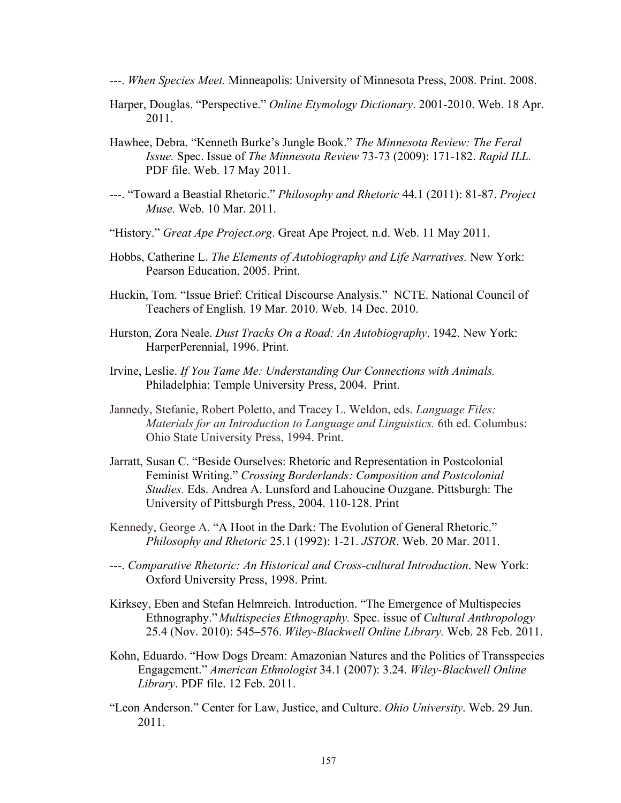---. *When Species Meet.* Minneapolis: University of Minnesota Press, 2008. Print. 2008.

- Harper, Douglas. "Perspective." *Online Etymology Dictionary*. 2001-2010. Web. 18 Apr. 2011.
- Hawhee, Debra. "Kenneth Burke's Jungle Book." The Minnesota Review: The Feral  *Issue.* Spec. Issue of *The Minnesota Review* 73-73 (2009): 171-182. *Rapid ILL.* PDF file. Web. 17 May 2011.
- ---. ]Toward a Beastial Rhetoric.^ *Philosophy and Rhetoric* 44.1 (2011): 81-87. *Project Muse.* Web. 10 Mar. 2011.
- ]History.^ *Great Ape Project.org*. Great Ape Project*,* n.d. Web. 11 May 2011.
- Hobbs, Catherine L. *The Elements of Autobiography and Life Narratives.* New York: Pearson Education, 2005. Print.
- Huckin, Tom. "Issue Brief: Critical Discourse Analysis." NCTE. National Council of Teachers of English. 19 Mar. 2010. Web. 14 Dec. 2010.
- Hurston, Zora Neale. *Dust Tracks On a Road: An Autobiography*. 1942. New York: HarperPerennial, 1996. Print.
- Irvine, Leslie. *If You Tame Me: Understanding Our Connections with Animals.* Philadelphia: Temple University Press, 2004. Print.
- Jannedy, Stefanie, Robert Poletto, and Tracey L. Weldon, eds. *Language Files: Materials for an Introduction to Language and Linguistics.* 6th ed. Columbus: Ohio State University Press, 1994. Print.
- Jarratt, Susan C. "Beside Ourselves: Rhetoric and Representation in Postcolonial Feminist Writing.^ *Crossing Borderlands: Composition and Postcolonial Studies.* Eds. Andrea A. Lunsford and Lahoucine Ouzgane. Pittsburgh: The University of Pittsburgh Press, 2004. 110-128. Print
- Kennedy, George A. "A Hoot in the Dark: The Evolution of General Rhetoric." *Philosophy and Rhetoric* 25.1 (1992): 1-21. *JSTOR*. Web. 20 Mar. 2011.
- ---. *Comparative Rhetoric: An Historical and Cross-cultural Introduction*. New York: Oxford University Press, 1998. Print.
- Kirksey, Eben and Stefan Helmreich. Introduction. "The Emergence of Multispecies" Ethnography.^ *Multispecies Ethnography.* Spec. issue of *Cultural Anthropology* 25.4 (Nov. 2010): 545-576. *Wiley-Blackwell Online Library*. Web. 28 Feb. 2011.
- Kohn, Eduardo. "How Dogs Dream: Amazonian Natures and the Politics of Transspecies Engagement.^ *American Ethnologist* 34.1 (2007): 3.24. *Wiley-Blackwell Online Library*. PDF file. 12 Feb. 2011.
- "Leon Anderson." Center for Law, Justice, and Culture. *Ohio University*. Web. 29 Jun. 2011.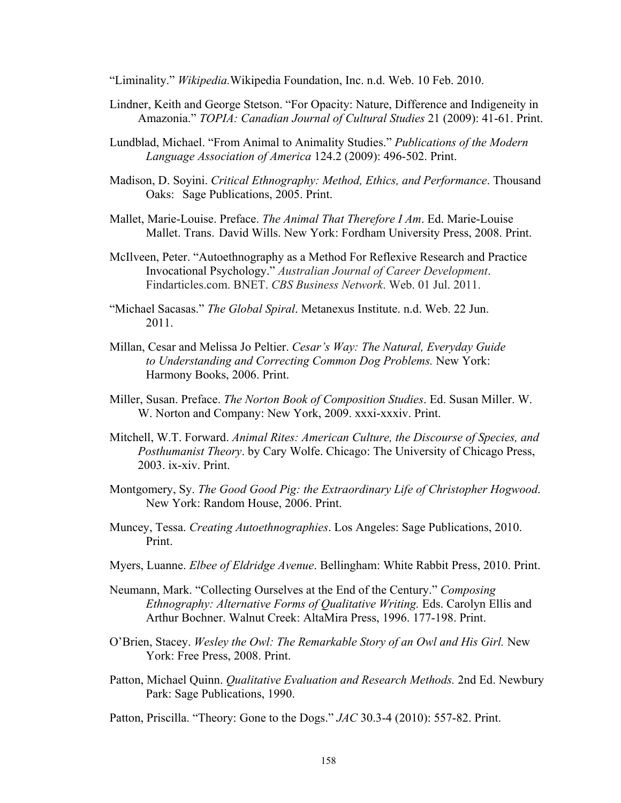]Liminality.^ *Wikipedia.*Wikipedia Foundation, Inc. n.d. Web. 10 Feb. 2010.

- Lindner, Keith and George Stetson. "For Opacity: Nature, Difference and Indigeneity in Amazonia.^ *TOPIA: Canadian Journal of Cultural Studies* 21 (2009): 41-61. Print.
- Lundblad, Michael. "From Animal to Animality Studies." *Publications of the Modern Language Association of America* 124.2 (2009): 496-502. Print.
- Madison, D. Soyini. *Critical Ethnography: Method, Ethics, and Performance*. Thousand Oaks: Sage Publications, 2005. Print.
- Mallet, Marie-Louise. Preface. *The Animal That Therefore I Am*. Ed. Marie-Louise Mallet. Trans. David Wills. New York: Fordham University Press, 2008. Print.
- McIlveen, Peter. "Autoethnography as a Method For Reflexive Research and Practice Invocational Psychology.^ *Australian Journal of Career Development*. Findarticles.com. BNET. *CBS Business Network*. Web. 01 Jul. 2011.
- "Michael Sacasas." The Global Spiral. Metanexus Institute. n.d. Web. 22 Jun. 2011.
- Millan, Cesar and Melissa Jo Peltier. *Cesar's Way: The Natural, Everyday Guide to Understanding and Correcting Common Dog Problems.* New York: Harmony Books, 2006. Print.
- Miller, Susan. Preface. *The Norton Book of Composition Studies*. Ed. Susan Miller. W. W. Norton and Company: New York, 2009. xxxi-xxxiv. Print.
- Mitchell, W.T. Forward. *Animal Rites: American Culture, the Discourse of Species, and Posthumanist Theory*. by Cary Wolfe. Chicago: The University of Chicago Press, 2003. ix-xiv. Print.
- Montgomery, Sy. *The Good Good Pig: the Extraordinary Life of Christopher Hogwood*. New York: Random House, 2006. Print.
- Muncey, Tessa. *Creating Autoethnographies*. Los Angeles: Sage Publications, 2010. Print.
- Myers, Luanne. *Elbee of Eldridge Avenue*. Bellingham: White Rabbit Press, 2010. Print.
- Neumann, Mark. "Collecting Ourselves at the End of the Century." *Composing Ethnography: Alternative Forms of Qualitative Writing.* Eds. Carolyn Ellis and Arthur Bochner. Walnut Creek: AltaMira Press, 1996. 177-198. Print.
- O'Brien, Stacey. *Wesley the Owl: The Remarkable Story of an Owl and His Girl.* New York: Free Press, 2008. Print.
- Patton, Michael Quinn. *Qualitative Evaluation and Research Methods.* 2nd Ed. Newbury Park: Sage Publications, 1990.
- Patton, Priscilla. "Theory: Gone to the Dogs." *JAC* 30.3-4 (2010): 557-82. Print.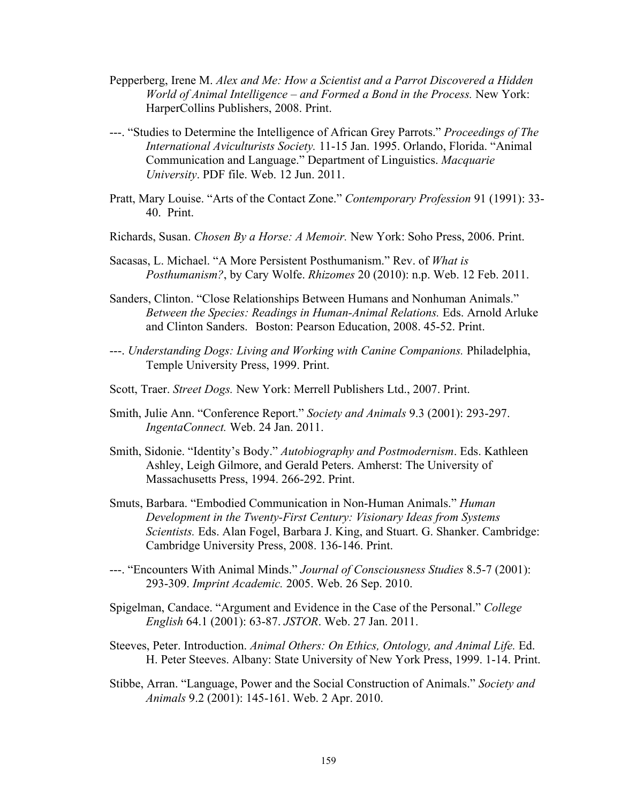- Pepperberg, Irene M. *Alex and Me: How a Scientist and a Parrot Discovered a Hidden World of Animal Intelligence – and Formed a Bond in the Process.* New York: HarperCollins Publishers, 2008. Print.
- ---. ]Studies to Determine the Intelligence of African Grey Parrots.^ *Proceedings of The International Aviculturists Society.* 11-15 Jan. 1995. Orlando, Florida. "Animal Communication and Language.^ Department of Linguistics. *Macquarie University*. PDF file. Web. 12 Jun. 2011.
- Pratt, Mary Louise. "Arts of the Contact Zone." *Contemporary Profession* 91 (1991): 33-40. Print.
- Richards, Susan. *Chosen By a Horse: A Memoir.* New York: Soho Press, 2006. Print.
- Sacasas, L. Michael. "A More Persistent Posthumanism." Rev. of *What is Posthumanism?*, by Cary Wolfe. *Rhizomes* 20 (2010): n.p. Web. 12 Feb. 2011.
- Sanders, Clinton. "Close Relationships Between Humans and Nonhuman Animals." *Between the Species: Readings in Human-Animal Relations.* Eds. Arnold Arluke and Clinton Sanders.Boston: Pearson Education, 2008. 45-52. Print.
- ---. *Understanding Dogs: Living and Working with Canine Companions.* Philadelphia, Temple University Press, 1999. Print.
- Scott, Traer. *Street Dogs.* New York: Merrell Publishers Ltd., 2007. Print.
- Smith, Julie Ann. "Conference Report." *Society and Animals* 9.3 (2001): 293-297. *IngentaConnect.* Web. 24 Jan. 2011.
- Smith, Sidonie. "Identity's Body." *Autobiography and Postmodernism*. Eds. Kathleen Ashley, Leigh Gilmore, and Gerald Peters. Amherst: The University of Massachusetts Press, 1994. 266-292. Print.
- Smuts, Barbara. "Embodied Communication in Non-Human Animals." *Human Development in the Twenty-First Century: Visionary Ideas from Systems Scientists.* Eds. Alan Fogel, Barbara J. King, and Stuart. G. Shanker. Cambridge: Cambridge University Press, 2008. 136-146. Print.
- ---. ]Encounters With Animal Minds.^ *Journal of Consciousness Studies* 8.5-7 (2001): 293-309. *Imprint Academic.* 2005. Web. 26 Sep. 2010.
- Spigelman, Candace. "Argument and Evidence in the Case of the Personal." *College English* 64.1 (2001): 63-87. *JSTOR*. Web. 27 Jan. 2011.
- Steeves, Peter. Introduction. *Animal Others: On Ethics, Ontology, and Animal Life.* Ed. H. Peter Steeves. Albany: State University of New York Press, 1999. 1-14. Print.
- Stibbe, Arran. "Language, Power and the Social Construction of Animals." Society and *Animals* 9.2 (2001): 145-161. Web. 2 Apr. 2010.